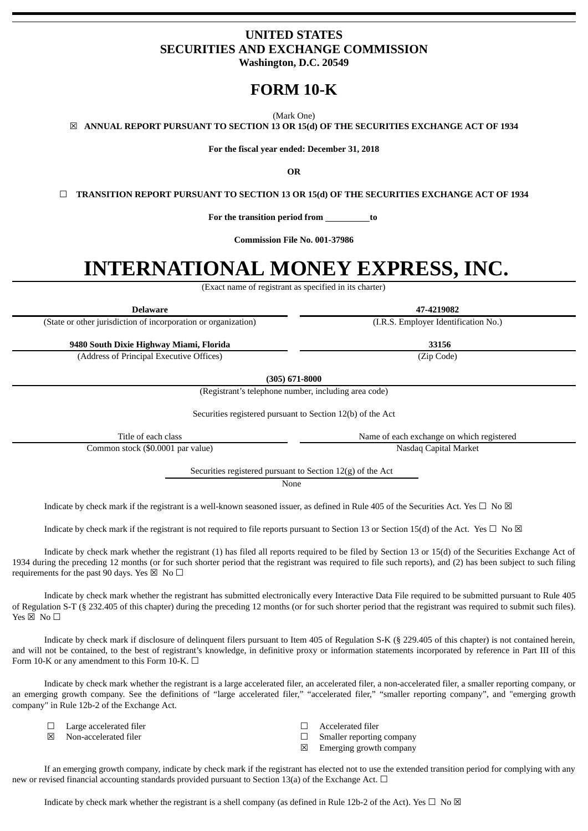## **UNITED STATES SECURITIES AND EXCHANGE COMMISSION Washington, D.C. 20549**

## **FORM 10-K**

(Mark One)

☒ **ANNUAL REPORT PURSUANT TO SECTION 13 OR 15(d) OF THE SECURITIES EXCHANGE ACT OF 1934**

**For the fiscal year ended: December 31, 2018**

**OR**

☐ **TRANSITION REPORT PURSUANT TO SECTION 13 OR 15(d) OF THE SECURITIES EXCHANGE ACT OF 1934**

**For the transition period from to**

**Commission File No. 001-37986**

# **INTERNATIONAL MONEY EXPRESS, INC.**

(Exact name of registrant as specified in its charter)

**Delaware 47-4219082**

(State or other jurisdiction of incorporation or organization) (I.R.S. Employer Identification No.)

**9480 South Dixie Highway Miami, Florida 33156**

(Address of Principal Executive Offices) (Zip Code)

**(305) 671-8000**

(Registrant's telephone number, including area code)

Securities registered pursuant to Section 12(b) of the Act

Title of each class Name of each exchange on which registered Common stock (\$0.0001 par value) Nasdaq Capital Market

Securities registered pursuant to Section 12(g) of the Act

None

Indicate by check mark if the registrant is a well-known seasoned issuer, as defined in Rule 405 of the Securities Act. Yes  $\Box$  No  $\boxtimes$ 

Indicate by check mark if the registrant is not required to file reports pursuant to Section 13 or Section 15(d) of the Act. Yes  $\Box$  No  $\boxtimes$ 

Indicate by check mark whether the registrant (1) has filed all reports required to be filed by Section 13 or 15(d) of the Securities Exchange Act of 1934 during the preceding 12 months (or for such shorter period that the registrant was required to file such reports), and (2) has been subject to such filing requirements for the past 90 days. Yes  $\boxtimes$  No  $\Box$ 

Indicate by check mark whether the registrant has submitted electronically every Interactive Data File required to be submitted pursuant to Rule 405 of Regulation S-T (§ 232.405 of this chapter) during the preceding 12 months (or for such shorter period that the registrant was required to submit such files). Yes ⊠ No □

Indicate by check mark if disclosure of delinquent filers pursuant to Item 405 of Regulation S-K (§ 229.405 of this chapter) is not contained herein, and will not be contained, to the best of registrant's knowledge, in definitive proxy or information statements incorporated by reference in Part III of this Form 10-K or any amendment to this Form 10-K.  $\Box$ 

Indicate by check mark whether the registrant is a large accelerated filer, an accelerated filer, a non-accelerated filer, a smaller reporting company, or an emerging growth company. See the definitions of "large accelerated filer," "accelerated filer," "smaller reporting company", and "emerging growth company" in Rule 12b-2 of the Exchange Act.

- ☐ Large accelerated filer ☐ Accelerated filer
- 
- 
- ☒ Non-accelerated filer ☐ Smaller reporting company
	- ☒ Emerging growth company

If an emerging growth company, indicate by check mark if the registrant has elected not to use the extended transition period for complying with any new or revised financial accounting standards provided pursuant to Section 13(a) of the Exchange Act.  $\Box$ 

Indicate by check mark whether the registrant is a shell company (as defined in Rule 12b-2 of the Act). Yes  $\Box$  No  $\boxtimes$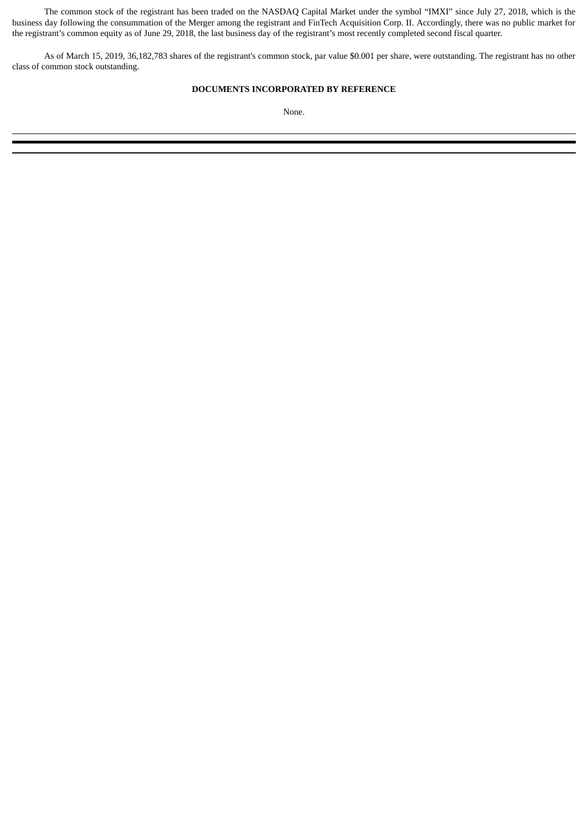The common stock of the registrant has been traded on the NASDAQ Capital Market under the symbol "IMXI" since July 27, 2018, which is the business day following the consummation of the Merger among the registrant and FinTech Acquisition Corp. II. Accordingly, there was no public market for the registrant's common equity as of June 29, 2018, the last business day of the registrant's most recently completed second fiscal quarter.

As of March 15, 2019, 36,182,783 shares of the registrant's common stock, par value \$0.001 per share, were outstanding. The registrant has no other class of common stock outstanding.

## **DOCUMENTS INCORPORATED BY REFERENCE**

None.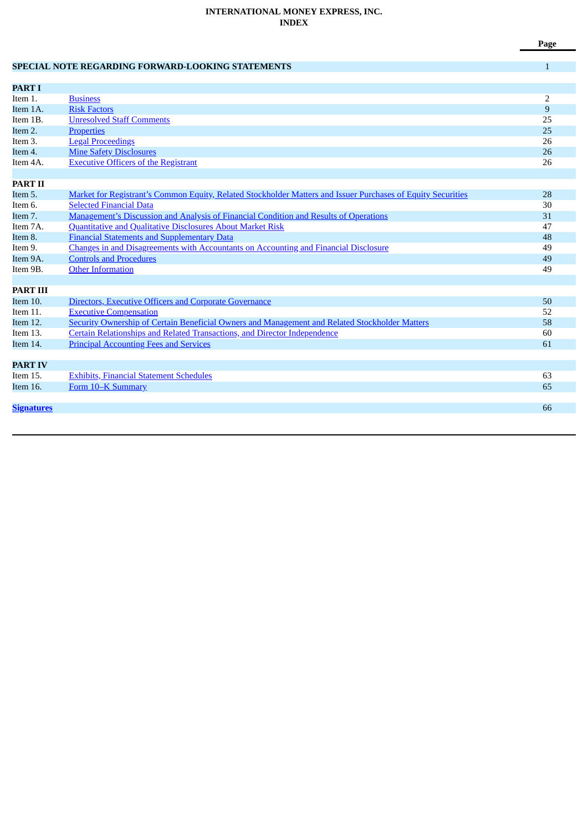## **INTERNATIONAL MONEY EXPRESS, INC. INDEX**

<span id="page-2-0"></span>

|                   |                                                                                                              | Page           |
|-------------------|--------------------------------------------------------------------------------------------------------------|----------------|
|                   | SPECIAL NOTE REGARDING FORWARD-LOOKING STATEMENTS                                                            | $\mathbf{1}$   |
| <b>PART I</b>     |                                                                                                              |                |
| Item 1.           | <b>Business</b>                                                                                              | $\overline{2}$ |
| Item 1A.          | <b>Risk Factors</b>                                                                                          | 9              |
| Item 1B.          | <b>Unresolved Staff Comments</b>                                                                             | 25             |
| Item 2.           | <b>Properties</b>                                                                                            | 25             |
| Item 3.           | <b>Legal Proceedings</b>                                                                                     | 26             |
| Item 4.           | <b>Mine Safety Disclosures</b>                                                                               | 26             |
| Item 4A.          | <b>Executive Officers of the Registrant</b>                                                                  | 26             |
|                   |                                                                                                              |                |
| PART II           |                                                                                                              |                |
| Item 5.           | Market for Registrant's Common Equity, Related Stockholder Matters and Issuer Purchases of Equity Securities | 28             |
| Item 6.           | <b>Selected Financial Data</b>                                                                               | 30             |
| Item 7.           | <b>Management's Discussion and Analysis of Financial Condition and Results of Operations</b>                 | 31             |
| Item 7A.          | <b>Quantitative and Qualitative Disclosures About Market Risk</b>                                            | 47             |
| Item 8.           | <b>Financial Statements and Supplementary Data</b>                                                           | 48             |
| Item 9.           | <b>Changes in and Disagreements with Accountants on Accounting and Financial Disclosure</b>                  | 49             |
| Item 9A.          | <b>Controls and Procedures</b>                                                                               | 49             |
| Item 9B.          | <b>Other Information</b>                                                                                     | 49             |
|                   |                                                                                                              |                |
| PART III          |                                                                                                              |                |
| Item 10.          | Directors, Executive Officers and Corporate Governance                                                       | 50             |
| Item 11.          | <b>Executive Compensation</b>                                                                                | 52             |
| Item 12.          | <b>Security Ownership of Certain Beneficial Owners and Management and Related Stockholder Matters</b>        | 58             |
| Item 13.          | Certain Relationships and Related Transactions, and Director Independence                                    | 60             |
| Item 14.          | <b>Principal Accounting Fees and Services</b>                                                                | 61             |
|                   |                                                                                                              |                |
| <b>PART IV</b>    |                                                                                                              |                |
| Item 15.          | <b>Exhibits, Financial Statement Schedules</b>                                                               | 63             |
| Item 16.          | Form 10-K Summary                                                                                            | 65             |
|                   |                                                                                                              |                |
| <u>Signatures</u> |                                                                                                              | 66             |
|                   |                                                                                                              |                |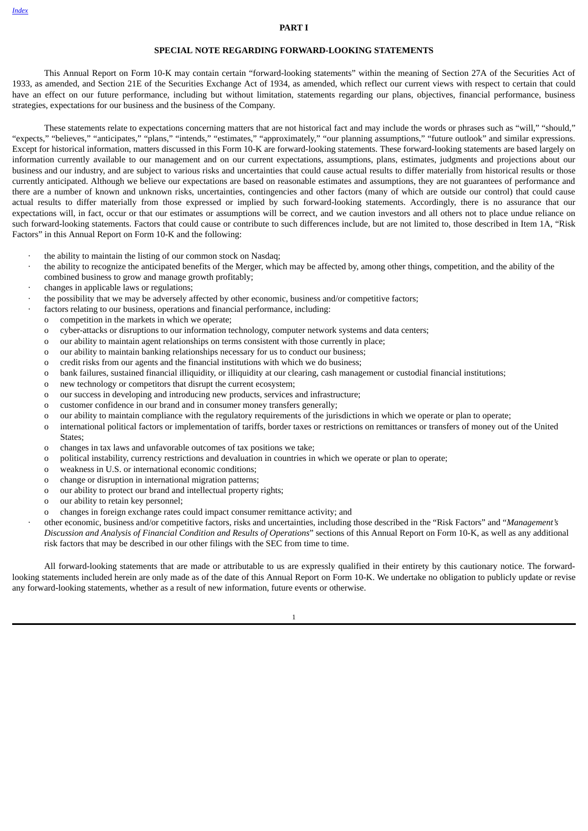#### **PART I**

## **SPECIAL NOTE REGARDING FORWARD-LOOKING STATEMENTS**

This Annual Report on Form 10-K may contain certain "forward-looking statements" within the meaning of Section 27A of the Securities Act of 1933, as amended, and Section 21E of the Securities Exchange Act of 1934, as amended, which reflect our current views with respect to certain that could have an effect on our future performance, including but without limitation, statements regarding our plans, objectives, financial performance, business strategies, expectations for our business and the business of the Company.

These statements relate to expectations concerning matters that are not historical fact and may include the words or phrases such as "will," "should," "expects," "believes," "anticipates," "plans," "intends," "estimates," "approximately," "our planning assumptions," "future outlook" and similar expressions. Except for historical information, matters discussed in this Form 10-K are forward-looking statements. These forward-looking statements are based largely on information currently available to our management and on our current expectations, assumptions, plans, estimates, judgments and projections about our business and our industry, and are subject to various risks and uncertainties that could cause actual results to differ materially from historical results or those currently anticipated. Although we believe our expectations are based on reasonable estimates and assumptions, they are not guarantees of performance and there are a number of known and unknown risks, uncertainties, contingencies and other factors (many of which are outside our control) that could cause actual results to differ materially from those expressed or implied by such forward-looking statements. Accordingly, there is no assurance that our expectations will, in fact, occur or that our estimates or assumptions will be correct, and we caution investors and all others not to place undue reliance on such forward-looking statements. Factors that could cause or contribute to such differences include, but are not limited to, those described in Item 1A, "Risk Factors" in this Annual Report on Form 10-K and the following:

- the ability to maintain the listing of our common stock on Nasdaq;
- · the ability to recognize the anticipated benefits of the Merger, which may be affected by, among other things, competition, and the ability of the combined business to grow and manage growth profitably;
- · changes in applicable laws or regulations;
- the possibility that we may be adversely affected by other economic, business and/or competitive factors;
	- factors relating to our business, operations and financial performance, including:
- o competition in the markets in which we operate;
	- o cyber-attacks or disruptions to our information technology, computer network systems and data centers;
	- o our ability to maintain agent relationships on terms consistent with those currently in place;
	- o our ability to maintain banking relationships necessary for us to conduct our business;
	- o credit risks from our agents and the financial institutions with which we do business;
	- o bank failures, sustained financial illiquidity, or illiquidity at our clearing, cash management or custodial financial institutions;
	- o new technology or competitors that disrupt the current ecosystem;
	- o our success in developing and introducing new products, services and infrastructure;
	- o customer confidence in our brand and in consumer money transfers generally;
	- o our ability to maintain compliance with the regulatory requirements of the jurisdictions in which we operate or plan to operate;
	- o international political factors or implementation of tariffs, border taxes or restrictions on remittances or transfers of money out of the United States;
	- o changes in tax laws and unfavorable outcomes of tax positions we take;
	- o political instability, currency restrictions and devaluation in countries in which we operate or plan to operate;
	- o weakness in U.S. or international economic conditions;
	- o change or disruption in international migration patterns;
	- o our ability to protect our brand and intellectual property rights;
	- o our ability to retain key personnel;
	- o changes in foreign exchange rates could impact consumer remittance activity; and
- · other economic, business and/or competitive factors, risks and uncertainties, including those described in the "Risk Factors" and "*Management's Discussion and Analysis of Financial Condition and Results of Operations*" sections of this Annual Report on Form 10-K, as well as any additional risk factors that may be described in our other filings with the SEC from time to time.

All forward-looking statements that are made or attributable to us are expressly qualified in their entirety by this cautionary notice. The forwardlooking statements included herein are only made as of the date of this Annual Report on Form 10-K. We undertake no obligation to publicly update or revise any forward-looking statements, whether as a result of new information, future events or otherwise.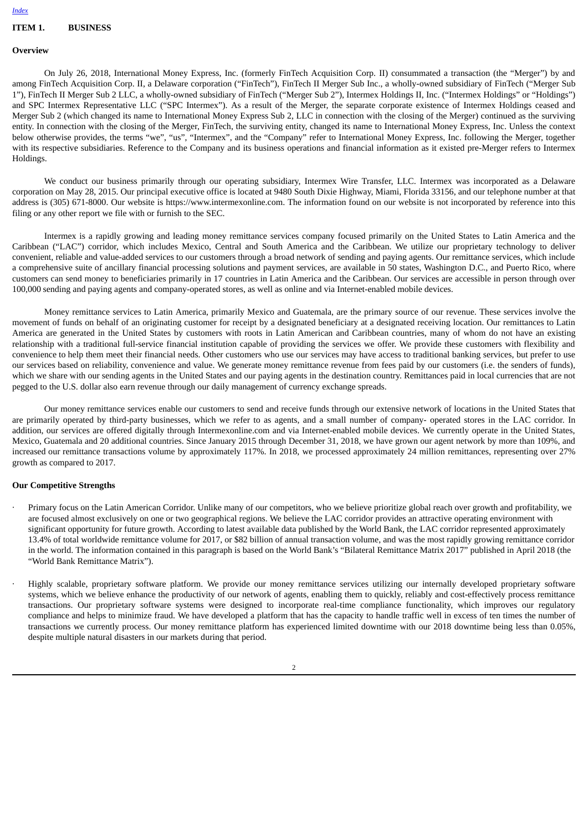## <span id="page-4-0"></span>**ITEM 1. BUSINESS**

## **Overview**

On July 26, 2018, International Money Express, Inc. (formerly FinTech Acquisition Corp. II) consummated a transaction (the "Merger") by and among FinTech Acquisition Corp. II, a Delaware corporation ("FinTech"), FinTech II Merger Sub Inc., a wholly-owned subsidiary of FinTech ("Merger Sub 1"), FinTech II Merger Sub 2 LLC, a wholly-owned subsidiary of FinTech ("Merger Sub 2"), Intermex Holdings II, Inc. ("Intermex Holdings" or "Holdings") and SPC Intermex Representative LLC ("SPC Intermex"). As a result of the Merger, the separate corporate existence of Intermex Holdings ceased and Merger Sub 2 (which changed its name to International Money Express Sub 2, LLC in connection with the closing of the Merger) continued as the surviving entity. In connection with the closing of the Merger, FinTech, the surviving entity, changed its name to International Money Express, Inc. Unless the context below otherwise provides, the terms "we", "us", "Intermex", and the "Company" refer to International Money Express, Inc. following the Merger, together with its respective subsidiaries. Reference to the Company and its business operations and financial information as it existed pre-Merger refers to Intermex Holdings.

We conduct our business primarily through our operating subsidiary, Intermex Wire Transfer, LLC. Intermex was incorporated as a Delaware corporation on May 28, 2015. Our principal executive office is located at 9480 South Dixie Highway, Miami, Florida 33156, and our telephone number at that address is (305) 671-8000. Our website is https://www.intermexonline.com. The information found on our website is not incorporated by reference into this filing or any other report we file with or furnish to the SEC.

Intermex is a rapidly growing and leading money remittance services company focused primarily on the United States to Latin America and the Caribbean ("LAC") corridor, which includes Mexico, Central and South America and the Caribbean. We utilize our proprietary technology to deliver convenient, reliable and value-added services to our customers through a broad network of sending and paying agents. Our remittance services, which include a comprehensive suite of ancillary financial processing solutions and payment services, are available in 50 states, Washington D.C., and Puerto Rico, where customers can send money to beneficiaries primarily in 17 countries in Latin America and the Caribbean. Our services are accessible in person through over 100,000 sending and paying agents and company-operated stores, as well as online and via Internet-enabled mobile devices.

Money remittance services to Latin America, primarily Mexico and Guatemala, are the primary source of our revenue. These services involve the movement of funds on behalf of an originating customer for receipt by a designated beneficiary at a designated receiving location. Our remittances to Latin America are generated in the United States by customers with roots in Latin American and Caribbean countries, many of whom do not have an existing relationship with a traditional full-service financial institution capable of providing the services we offer. We provide these customers with flexibility and convenience to help them meet their financial needs. Other customers who use our services may have access to traditional banking services, but prefer to use our services based on reliability, convenience and value. We generate money remittance revenue from fees paid by our customers (i.e. the senders of funds), which we share with our sending agents in the United States and our paying agents in the destination country. Remittances paid in local currencies that are not pegged to the U.S. dollar also earn revenue through our daily management of currency exchange spreads.

Our money remittance services enable our customers to send and receive funds through our extensive network of locations in the United States that are primarily operated by third-party businesses, which we refer to as agents, and a small number of company- operated stores in the LAC corridor. In addition, our services are offered digitally through Intermexonline.com and via Internet-enabled mobile devices. We currently operate in the United States, Mexico, Guatemala and 20 additional countries. Since January 2015 through December 31, 2018, we have grown our agent network by more than 109%, and increased our remittance transactions volume by approximately 117%. In 2018, we processed approximately 24 million remittances, representing over 27% growth as compared to 2017.

## **Our Competitive Strengths**

- · Primary focus on the Latin American Corridor. Unlike many of our competitors, who we believe prioritize global reach over growth and profitability, we are focused almost exclusively on one or two geographical regions. We believe the LAC corridor provides an attractive operating environment with significant opportunity for future growth. According to latest available data published by the World Bank, the LAC corridor represented approximately 13.4% of total worldwide remittance volume for 2017, or \$82 billion of annual transaction volume, and was the most rapidly growing remittance corridor in the world. The information contained in this paragraph is based on the World Bank's "Bilateral Remittance Matrix 2017" published in April 2018 (the "World Bank Remittance Matrix").
- · Highly scalable, proprietary software platform. We provide our money remittance services utilizing our internally developed proprietary software systems, which we believe enhance the productivity of our network of agents, enabling them to quickly, reliably and cost-effectively process remittance transactions. Our proprietary software systems were designed to incorporate real-time compliance functionality, which improves our regulatory compliance and helps to minimize fraud. We have developed a platform that has the capacity to handle traffic well in excess of ten times the number of transactions we currently process. Our money remittance platform has experienced limited downtime with our 2018 downtime being less than 0.05%, despite multiple natural disasters in our markets during that period.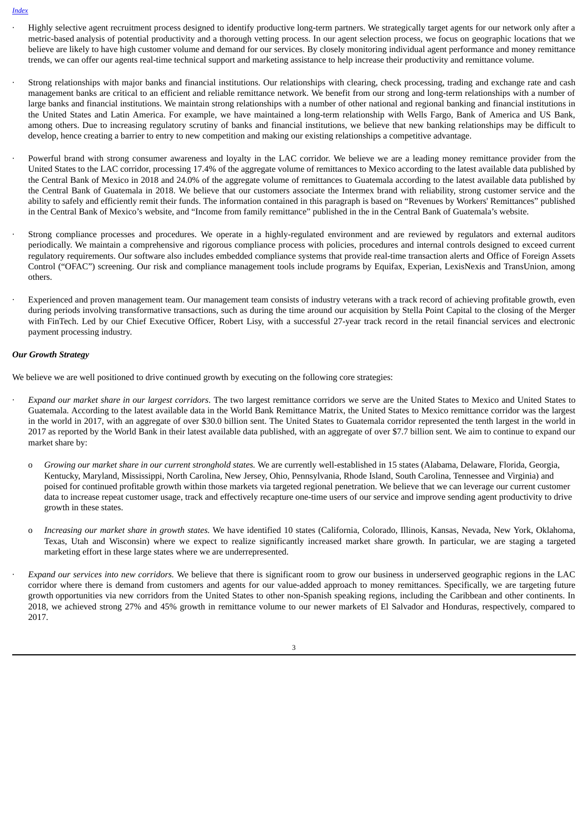- · Highly selective agent recruitment process designed to identify productive long-term partners. We strategically target agents for our network only after a metric-based analysis of potential productivity and a thorough vetting process. In our agent selection process, we focus on geographic locations that we believe are likely to have high customer volume and demand for our services. By closely monitoring individual agent performance and money remittance trends, we can offer our agents real-time technical support and marketing assistance to help increase their productivity and remittance volume.
- · Strong relationships with major banks and financial institutions. Our relationships with clearing, check processing, trading and exchange rate and cash management banks are critical to an efficient and reliable remittance network. We benefit from our strong and long-term relationships with a number of large banks and financial institutions. We maintain strong relationships with a number of other national and regional banking and financial institutions in the United States and Latin America. For example, we have maintained a long-term relationship with Wells Fargo, Bank of America and US Bank, among others. Due to increasing regulatory scrutiny of banks and financial institutions, we believe that new banking relationships may be difficult to develop, hence creating a barrier to entry to new competition and making our existing relationships a competitive advantage.
- Powerful brand with strong consumer awareness and loyalty in the LAC corridor. We believe we are a leading money remittance provider from the United States to the LAC corridor, processing 17.4% of the aggregate volume of remittances to Mexico according to the latest available data published by the Central Bank of Mexico in 2018 and 24.0% of the aggregate volume of remittances to Guatemala according to the latest available data published by the Central Bank of Guatemala in 2018. We believe that our customers associate the Intermex brand with reliability, strong customer service and the ability to safely and efficiently remit their funds. The information contained in this paragraph is based on "Revenues by Workers' Remittances" published in the Central Bank of Mexico's website, and "Income from family remittance" published in the in the Central Bank of Guatemala's website.
- Strong compliance processes and procedures. We operate in a highly-regulated environment and are reviewed by regulators and external auditors periodically. We maintain a comprehensive and rigorous compliance process with policies, procedures and internal controls designed to exceed current regulatory requirements. Our software also includes embedded compliance systems that provide real-time transaction alerts and Office of Foreign Assets Control ("OFAC") screening. Our risk and compliance management tools include programs by Equifax, Experian, LexisNexis and TransUnion, among others.
- Experienced and proven management team. Our management team consists of industry veterans with a track record of achieving profitable growth, even during periods involving transformative transactions, such as during the time around our acquisition by Stella Point Capital to the closing of the Merger with FinTech. Led by our Chief Executive Officer, Robert Lisy, with a successful 27-year track record in the retail financial services and electronic payment processing industry.

## *Our Growth Strategy*

We believe we are well positioned to drive continued growth by executing on the following core strategies:

- · *Expand our market share in our largest corridors*. The two largest remittance corridors we serve are the United States to Mexico and United States to Guatemala. According to the latest available data in the World Bank Remittance Matrix, the United States to Mexico remittance corridor was the largest in the world in 2017, with an aggregate of over \$30.0 billion sent. The United States to Guatemala corridor represented the tenth largest in the world in 2017 as reported by the World Bank in their latest available data published, with an aggregate of over \$7.7 billion sent. We aim to continue to expand our market share by:
	- o *Growing our market share in our current stronghold states.* We are currently well-established in 15 states (Alabama, Delaware, Florida, Georgia, Kentucky, Maryland, Mississippi, North Carolina, New Jersey, Ohio, Pennsylvania, Rhode Island, South Carolina, Tennessee and Virginia) and poised for continued profitable growth within those markets via targeted regional penetration. We believe that we can leverage our current customer data to increase repeat customer usage, track and effectively recapture one-time users of our service and improve sending agent productivity to drive growth in these states.
	- o *Increasing our market share in growth states.* We have identified 10 states (California, Colorado, Illinois, Kansas, Nevada, New York, Oklahoma, Texas, Utah and Wisconsin) where we expect to realize significantly increased market share growth. In particular, we are staging a targeted marketing effort in these large states where we are underrepresented.
- · *Expand our services into new corridors.* We believe that there is significant room to grow our business in underserved geographic regions in the LAC corridor where there is demand from customers and agents for our value-added approach to money remittances. Specifically, we are targeting future growth opportunities via new corridors from the United States to other non-Spanish speaking regions, including the Caribbean and other continents. In 2018, we achieved strong 27% and 45% growth in remittance volume to our newer markets of El Salvador and Honduras, respectively, compared to 2017.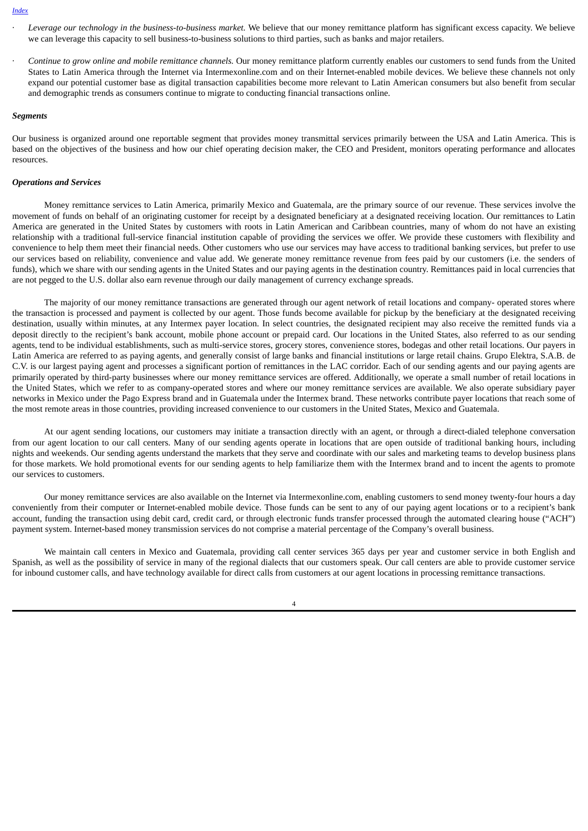- · *Leverage our technology in the business-to-business market.* We believe that our money remittance platform has significant excess capacity. We believe we can leverage this capacity to sell business-to-business solutions to third parties, such as banks and major retailers.
- · *Continue to grow online and mobile remittance channels.* Our money remittance platform currently enables our customers to send funds from the United States to Latin America through the Internet via Intermexonline.com and on their Internet-enabled mobile devices. We believe these channels not only expand our potential customer base as digital transaction capabilities become more relevant to Latin American consumers but also benefit from secular and demographic trends as consumers continue to migrate to conducting financial transactions online.

## *Segments*

Our business is organized around one reportable segment that provides money transmittal services primarily between the USA and Latin America. This is based on the objectives of the business and how our chief operating decision maker, the CEO and President, monitors operating performance and allocates resources.

#### *Operations and Services*

Money remittance services to Latin America, primarily Mexico and Guatemala, are the primary source of our revenue. These services involve the movement of funds on behalf of an originating customer for receipt by a designated beneficiary at a designated receiving location. Our remittances to Latin America are generated in the United States by customers with roots in Latin American and Caribbean countries, many of whom do not have an existing relationship with a traditional full-service financial institution capable of providing the services we offer. We provide these customers with flexibility and convenience to help them meet their financial needs. Other customers who use our services may have access to traditional banking services, but prefer to use our services based on reliability, convenience and value add. We generate money remittance revenue from fees paid by our customers (i.e. the senders of funds), which we share with our sending agents in the United States and our paying agents in the destination country. Remittances paid in local currencies that are not pegged to the U.S. dollar also earn revenue through our daily management of currency exchange spreads.

The majority of our money remittance transactions are generated through our agent network of retail locations and company- operated stores where the transaction is processed and payment is collected by our agent. Those funds become available for pickup by the beneficiary at the designated receiving destination, usually within minutes, at any Intermex payer location. In select countries, the designated recipient may also receive the remitted funds via a deposit directly to the recipient's bank account, mobile phone account or prepaid card. Our locations in the United States, also referred to as our sending agents, tend to be individual establishments, such as multi-service stores, grocery stores, convenience stores, bodegas and other retail locations. Our payers in Latin America are referred to as paying agents, and generally consist of large banks and financial institutions or large retail chains. Grupo Elektra, S.A.B. de C.V. is our largest paying agent and processes a significant portion of remittances in the LAC corridor. Each of our sending agents and our paying agents are primarily operated by third-party businesses where our money remittance services are offered. Additionally, we operate a small number of retail locations in the United States, which we refer to as company-operated stores and where our money remittance services are available. We also operate subsidiary payer networks in Mexico under the Pago Express brand and in Guatemala under the Intermex brand. These networks contribute payer locations that reach some of the most remote areas in those countries, providing increased convenience to our customers in the United States, Mexico and Guatemala.

At our agent sending locations, our customers may initiate a transaction directly with an agent, or through a direct-dialed telephone conversation from our agent location to our call centers. Many of our sending agents operate in locations that are open outside of traditional banking hours, including nights and weekends. Our sending agents understand the markets that they serve and coordinate with our sales and marketing teams to develop business plans for those markets. We hold promotional events for our sending agents to help familiarize them with the Intermex brand and to incent the agents to promote our services to customers.

Our money remittance services are also available on the Internet via Intermexonline.com, enabling customers to send money twenty-four hours a day conveniently from their computer or Internet-enabled mobile device. Those funds can be sent to any of our paying agent locations or to a recipient's bank account, funding the transaction using debit card, credit card, or through electronic funds transfer processed through the automated clearing house ("ACH") payment system. Internet-based money transmission services do not comprise a material percentage of the Company's overall business.

We maintain call centers in Mexico and Guatemala, providing call center services 365 days per year and customer service in both English and Spanish, as well as the possibility of service in many of the regional dialects that our customers speak. Our call centers are able to provide customer service for inbound customer calls, and have technology available for direct calls from customers at our agent locations in processing remittance transactions.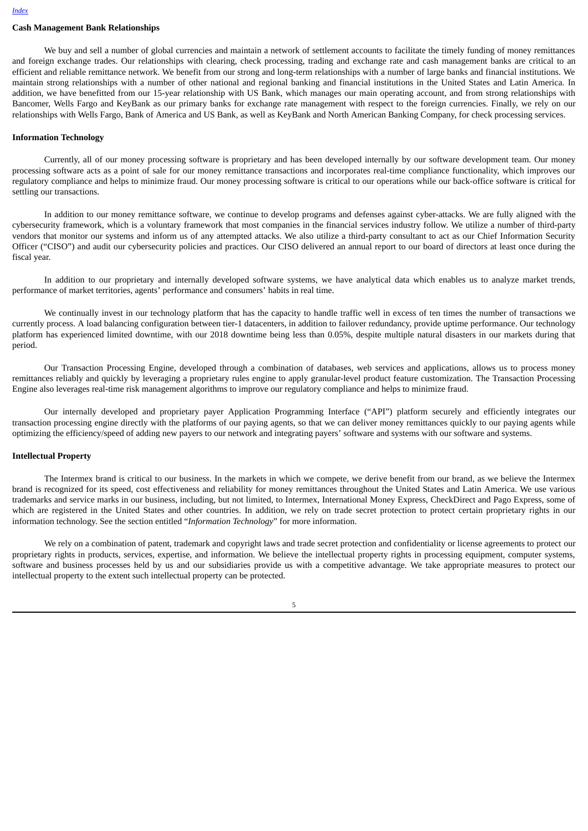## **Cash Management Bank Relationships**

We buy and sell a number of global currencies and maintain a network of settlement accounts to facilitate the timely funding of money remittances and foreign exchange trades. Our relationships with clearing, check processing, trading and exchange rate and cash management banks are critical to an efficient and reliable remittance network. We benefit from our strong and long-term relationships with a number of large banks and financial institutions. We maintain strong relationships with a number of other national and regional banking and financial institutions in the United States and Latin America. In addition, we have benefitted from our 15-year relationship with US Bank, which manages our main operating account, and from strong relationships with Bancomer, Wells Fargo and KeyBank as our primary banks for exchange rate management with respect to the foreign currencies. Finally, we rely on our relationships with Wells Fargo, Bank of America and US Bank, as well as KeyBank and North American Banking Company, for check processing services.

#### **Information Technology**

Currently, all of our money processing software is proprietary and has been developed internally by our software development team. Our money processing software acts as a point of sale for our money remittance transactions and incorporates real-time compliance functionality, which improves our regulatory compliance and helps to minimize fraud. Our money processing software is critical to our operations while our back-office software is critical for settling our transactions.

In addition to our money remittance software, we continue to develop programs and defenses against cyber-attacks. We are fully aligned with the cybersecurity framework, which is a voluntary framework that most companies in the financial services industry follow. We utilize a number of third-party vendors that monitor our systems and inform us of any attempted attacks. We also utilize a third-party consultant to act as our Chief Information Security Officer ("CISO") and audit our cybersecurity policies and practices. Our CISO delivered an annual report to our board of directors at least once during the fiscal year.

In addition to our proprietary and internally developed software systems, we have analytical data which enables us to analyze market trends, performance of market territories, agents' performance and consumers' habits in real time.

We continually invest in our technology platform that has the capacity to handle traffic well in excess of ten times the number of transactions we currently process. A load balancing configuration between tier-1 datacenters, in addition to failover redundancy, provide uptime performance. Our technology platform has experienced limited downtime, with our 2018 downtime being less than 0.05%, despite multiple natural disasters in our markets during that period.

Our Transaction Processing Engine, developed through a combination of databases, web services and applications, allows us to process money remittances reliably and quickly by leveraging a proprietary rules engine to apply granular-level product feature customization. The Transaction Processing Engine also leverages real-time risk management algorithms to improve our regulatory compliance and helps to minimize fraud.

Our internally developed and proprietary payer Application Programming Interface ("API") platform securely and efficiently integrates our transaction processing engine directly with the platforms of our paying agents, so that we can deliver money remittances quickly to our paying agents while optimizing the efficiency/speed of adding new payers to our network and integrating payers' software and systems with our software and systems.

#### **Intellectual Property**

The Intermex brand is critical to our business. In the markets in which we compete, we derive benefit from our brand, as we believe the Intermex brand is recognized for its speed, cost effectiveness and reliability for money remittances throughout the United States and Latin America. We use various trademarks and service marks in our business, including, but not limited, to Intermex, International Money Express, CheckDirect and Pago Express, some of which are registered in the United States and other countries. In addition, we rely on trade secret protection to protect certain proprietary rights in our information technology. See the section entitled "*Information Technology*" for more information.

We rely on a combination of patent, trademark and copyright laws and trade secret protection and confidentiality or license agreements to protect our proprietary rights in products, services, expertise, and information. We believe the intellectual property rights in processing equipment, computer systems, software and business processes held by us and our subsidiaries provide us with a competitive advantage. We take appropriate measures to protect our intellectual property to the extent such intellectual property can be protected.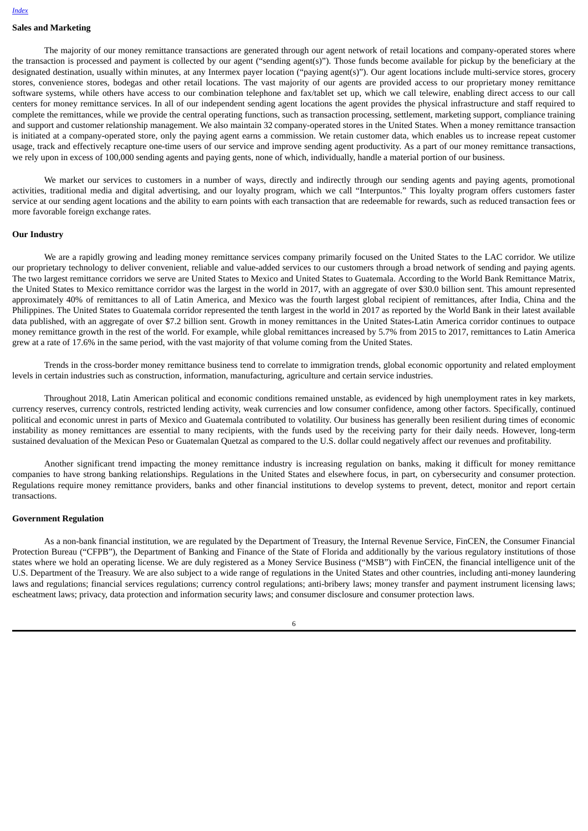#### **Sales and Marketing**

The majority of our money remittance transactions are generated through our agent network of retail locations and company-operated stores where the transaction is processed and payment is collected by our agent ("sending agent(s)"). Those funds become available for pickup by the beneficiary at the designated destination, usually within minutes, at any Intermex payer location ("paying agent(s)"). Our agent locations include multi-service stores, grocery stores, convenience stores, bodegas and other retail locations. The vast majority of our agents are provided access to our proprietary money remittance software systems, while others have access to our combination telephone and fax/tablet set up, which we call telewire, enabling direct access to our call centers for money remittance services. In all of our independent sending agent locations the agent provides the physical infrastructure and staff required to complete the remittances, while we provide the central operating functions, such as transaction processing, settlement, marketing support, compliance training and support and customer relationship management. We also maintain 32 company-operated stores in the United States. When a money remittance transaction is initiated at a company-operated store, only the paying agent earns a commission. We retain customer data, which enables us to increase repeat customer usage, track and effectively recapture one-time users of our service and improve sending agent productivity. As a part of our money remittance transactions, we rely upon in excess of 100,000 sending agents and paying gents, none of which, individually, handle a material portion of our business.

We market our services to customers in a number of ways, directly and indirectly through our sending agents and paying agents, promotional activities, traditional media and digital advertising, and our loyalty program, which we call "Interpuntos." This loyalty program offers customers faster service at our sending agent locations and the ability to earn points with each transaction that are redeemable for rewards, such as reduced transaction fees or more favorable foreign exchange rates.

#### **Our Industry**

We are a rapidly growing and leading money remittance services company primarily focused on the United States to the LAC corridor. We utilize our proprietary technology to deliver convenient, reliable and value-added services to our customers through a broad network of sending and paying agents. The two largest remittance corridors we serve are United States to Mexico and United States to Guatemala. According to the World Bank Remittance Matrix, the United States to Mexico remittance corridor was the largest in the world in 2017, with an aggregate of over \$30.0 billion sent. This amount represented approximately 40% of remittances to all of Latin America, and Mexico was the fourth largest global recipient of remittances, after India, China and the Philippines. The United States to Guatemala corridor represented the tenth largest in the world in 2017 as reported by the World Bank in their latest available data published, with an aggregate of over \$7.2 billion sent. Growth in money remittances in the United States-Latin America corridor continues to outpace money remittance growth in the rest of the world. For example, while global remittances increased by 5.7% from 2015 to 2017, remittances to Latin America grew at a rate of 17.6% in the same period, with the vast majority of that volume coming from the United States.

Trends in the cross-border money remittance business tend to correlate to immigration trends, global economic opportunity and related employment levels in certain industries such as construction, information, manufacturing, agriculture and certain service industries.

Throughout 2018, Latin American political and economic conditions remained unstable, as evidenced by high unemployment rates in key markets, currency reserves, currency controls, restricted lending activity, weak currencies and low consumer confidence, among other factors. Specifically, continued political and economic unrest in parts of Mexico and Guatemala contributed to volatility. Our business has generally been resilient during times of economic instability as money remittances are essential to many recipients, with the funds used by the receiving party for their daily needs. However, long-term sustained devaluation of the Mexican Peso or Guatemalan Quetzal as compared to the U.S. dollar could negatively affect our revenues and profitability.

Another significant trend impacting the money remittance industry is increasing regulation on banks, making it difficult for money remittance companies to have strong banking relationships. Regulations in the United States and elsewhere focus, in part, on cybersecurity and consumer protection. Regulations require money remittance providers, banks and other financial institutions to develop systems to prevent, detect, monitor and report certain transactions.

#### **Government Regulation**

As a non-bank financial institution, we are regulated by the Department of Treasury, the Internal Revenue Service, FinCEN, the Consumer Financial Protection Bureau ("CFPB"), the Department of Banking and Finance of the State of Florida and additionally by the various regulatory institutions of those states where we hold an operating license. We are duly registered as a Money Service Business ("MSB") with FinCEN, the financial intelligence unit of the U.S. Department of the Treasury. We are also subject to a wide range of regulations in the United States and other countries, including anti-money laundering laws and regulations; financial services regulations; currency control regulations; anti-bribery laws; money transfer and payment instrument licensing laws; escheatment laws; privacy, data protection and information security laws; and consumer disclosure and consumer protection laws.

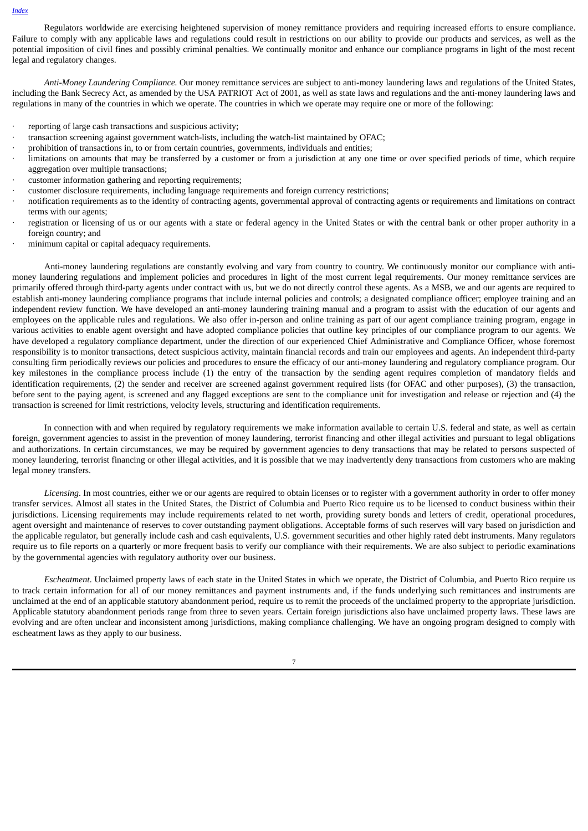Regulators worldwide are exercising heightened supervision of money remittance providers and requiring increased efforts to ensure compliance. Failure to comply with any applicable laws and regulations could result in restrictions on our ability to provide our products and services, as well as the potential imposition of civil fines and possibly criminal penalties. We continually monitor and enhance our compliance programs in light of the most recent legal and regulatory changes.

*Anti-Money Laundering Compliance.* Our money remittance services are subject to anti-money laundering laws and regulations of the United States, including the Bank Secrecy Act, as amended by the USA PATRIOT Act of 2001, as well as state laws and regulations and the anti-money laundering laws and regulations in many of the countries in which we operate. The countries in which we operate may require one or more of the following:

- reporting of large cash transactions and suspicious activity;
- transaction screening against government watch-lists, including the watch-list maintained by OFAC;
- prohibition of transactions in, to or from certain countries, governments, individuals and entities;
- limitations on amounts that may be transferred by a customer or from a jurisdiction at any one time or over specified periods of time, which require aggregation over multiple transactions;
- customer information gathering and reporting requirements;
- customer disclosure requirements, including language requirements and foreign currency restrictions;
- notification requirements as to the identity of contracting agents, governmental approval of contracting agents or requirements and limitations on contract terms with our agents;
- registration or licensing of us or our agents with a state or federal agency in the United States or with the central bank or other proper authority in a foreign country; and
- minimum capital or capital adequacy requirements.

Anti-money laundering regulations are constantly evolving and vary from country to country. We continuously monitor our compliance with antimoney laundering regulations and implement policies and procedures in light of the most current legal requirements. Our money remittance services are primarily offered through third-party agents under contract with us, but we do not directly control these agents. As a MSB, we and our agents are required to establish anti-money laundering compliance programs that include internal policies and controls; a designated compliance officer; employee training and an independent review function. We have developed an anti-money laundering training manual and a program to assist with the education of our agents and employees on the applicable rules and regulations. We also offer in-person and online training as part of our agent compliance training program, engage in various activities to enable agent oversight and have adopted compliance policies that outline key principles of our compliance program to our agents. We have developed a regulatory compliance department, under the direction of our experienced Chief Administrative and Compliance Officer, whose foremost responsibility is to monitor transactions, detect suspicious activity, maintain financial records and train our employees and agents. An independent third-party consulting firm periodically reviews our policies and procedures to ensure the efficacy of our anti-money laundering and regulatory compliance program. Our key milestones in the compliance process include (1) the entry of the transaction by the sending agent requires completion of mandatory fields and identification requirements, (2) the sender and receiver are screened against government required lists (for OFAC and other purposes), (3) the transaction, before sent to the paying agent, is screened and any flagged exceptions are sent to the compliance unit for investigation and release or rejection and (4) the transaction is screened for limit restrictions, velocity levels, structuring and identification requirements.

In connection with and when required by regulatory requirements we make information available to certain U.S. federal and state, as well as certain foreign, government agencies to assist in the prevention of money laundering, terrorist financing and other illegal activities and pursuant to legal obligations and authorizations. In certain circumstances, we may be required by government agencies to deny transactions that may be related to persons suspected of money laundering, terrorist financing or other illegal activities, and it is possible that we may inadvertently deny transactions from customers who are making legal money transfers.

*Licensing*. In most countries, either we or our agents are required to obtain licenses or to register with a government authority in order to offer money transfer services. Almost all states in the United States, the District of Columbia and Puerto Rico require us to be licensed to conduct business within their jurisdictions. Licensing requirements may include requirements related to net worth, providing surety bonds and letters of credit, operational procedures, agent oversight and maintenance of reserves to cover outstanding payment obligations. Acceptable forms of such reserves will vary based on jurisdiction and the applicable regulator, but generally include cash and cash equivalents, U.S. government securities and other highly rated debt instruments. Many regulators require us to file reports on a quarterly or more frequent basis to verify our compliance with their requirements. We are also subject to periodic examinations by the governmental agencies with regulatory authority over our business.

*Escheatment*. Unclaimed property laws of each state in the United States in which we operate, the District of Columbia, and Puerto Rico require us to track certain information for all of our money remittances and payment instruments and, if the funds underlying such remittances and instruments are unclaimed at the end of an applicable statutory abandonment period, require us to remit the proceeds of the unclaimed property to the appropriate jurisdiction. Applicable statutory abandonment periods range from three to seven years. Certain foreign jurisdictions also have unclaimed property laws. These laws are evolving and are often unclear and inconsistent among jurisdictions, making compliance challenging. We have an ongoing program designed to comply with escheatment laws as they apply to our business.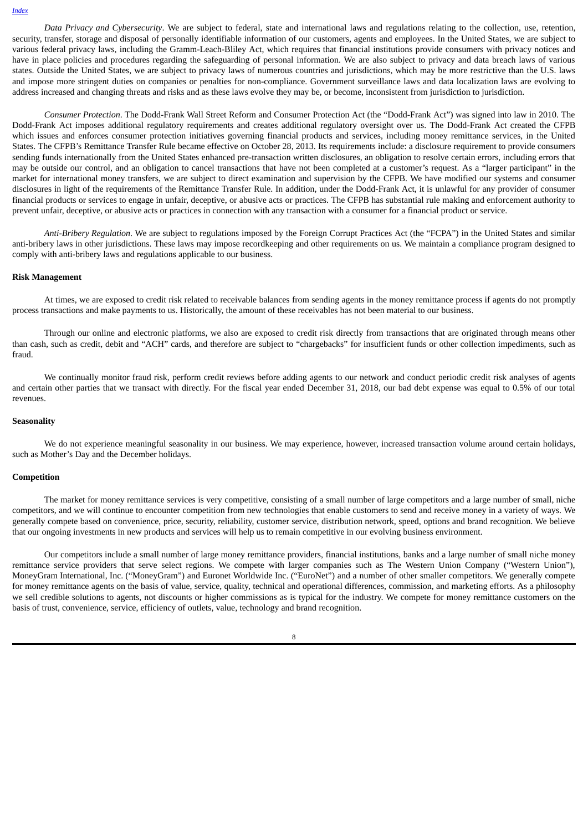*Data Privacy and Cybersecurity*. We are subject to federal, state and international laws and regulations relating to the collection, use, retention, security, transfer, storage and disposal of personally identifiable information of our customers, agents and employees. In the United States, we are subject to various federal privacy laws, including the Gramm-Leach-Bliley Act, which requires that financial institutions provide consumers with privacy notices and have in place policies and procedures regarding the safeguarding of personal information. We are also subject to privacy and data breach laws of various states. Outside the United States, we are subject to privacy laws of numerous countries and jurisdictions, which may be more restrictive than the U.S. laws and impose more stringent duties on companies or penalties for non-compliance. Government surveillance laws and data localization laws are evolving to address increased and changing threats and risks and as these laws evolve they may be, or become, inconsistent from jurisdiction to jurisdiction.

*Consumer Protection*. The Dodd-Frank Wall Street Reform and Consumer Protection Act (the "Dodd-Frank Act") was signed into law in 2010. The Dodd-Frank Act imposes additional regulatory requirements and creates additional regulatory oversight over us. The Dodd-Frank Act created the CFPB which issues and enforces consumer protection initiatives governing financial products and services, including money remittance services, in the United States. The CFPB's Remittance Transfer Rule became effective on October 28, 2013. Its requirements include: a disclosure requirement to provide consumers sending funds internationally from the United States enhanced pre-transaction written disclosures, an obligation to resolve certain errors, including errors that may be outside our control, and an obligation to cancel transactions that have not been completed at a customer's request. As a "larger participant" in the market for international money transfers, we are subject to direct examination and supervision by the CFPB. We have modified our systems and consumer disclosures in light of the requirements of the Remittance Transfer Rule. In addition, under the Dodd-Frank Act, it is unlawful for any provider of consumer financial products or services to engage in unfair, deceptive, or abusive acts or practices. The CFPB has substantial rule making and enforcement authority to prevent unfair, deceptive, or abusive acts or practices in connection with any transaction with a consumer for a financial product or service.

*Anti-Bribery Regulation*. We are subject to regulations imposed by the Foreign Corrupt Practices Act (the "FCPA") in the United States and similar anti-bribery laws in other jurisdictions. These laws may impose recordkeeping and other requirements on us. We maintain a compliance program designed to comply with anti-bribery laws and regulations applicable to our business.

#### **Risk Management**

At times, we are exposed to credit risk related to receivable balances from sending agents in the money remittance process if agents do not promptly process transactions and make payments to us. Historically, the amount of these receivables has not been material to our business.

Through our online and electronic platforms, we also are exposed to credit risk directly from transactions that are originated through means other than cash, such as credit, debit and "ACH" cards, and therefore are subject to "chargebacks" for insufficient funds or other collection impediments, such as fraud.

We continually monitor fraud risk, perform credit reviews before adding agents to our network and conduct periodic credit risk analyses of agents and certain other parties that we transact with directly. For the fiscal year ended December 31, 2018, our bad debt expense was equal to 0.5% of our total revenues.

#### **Seasonality**

We do not experience meaningful seasonality in our business. We may experience, however, increased transaction volume around certain holidays, such as Mother's Day and the December holidays.

#### **Competition**

The market for money remittance services is very competitive, consisting of a small number of large competitors and a large number of small, niche competitors, and we will continue to encounter competition from new technologies that enable customers to send and receive money in a variety of ways. We generally compete based on convenience, price, security, reliability, customer service, distribution network, speed, options and brand recognition. We believe that our ongoing investments in new products and services will help us to remain competitive in our evolving business environment.

Our competitors include a small number of large money remittance providers, financial institutions, banks and a large number of small niche money remittance service providers that serve select regions. We compete with larger companies such as The Western Union Company ("Western Union"), MoneyGram International, Inc. ("MoneyGram") and Euronet Worldwide Inc. ("EuroNet") and a number of other smaller competitors. We generally compete for money remittance agents on the basis of value, service, quality, technical and operational differences, commission, and marketing efforts. As a philosophy we sell credible solutions to agents, not discounts or higher commissions as is typical for the industry. We compete for money remittance customers on the basis of trust, convenience, service, efficiency of outlets, value, technology and brand recognition.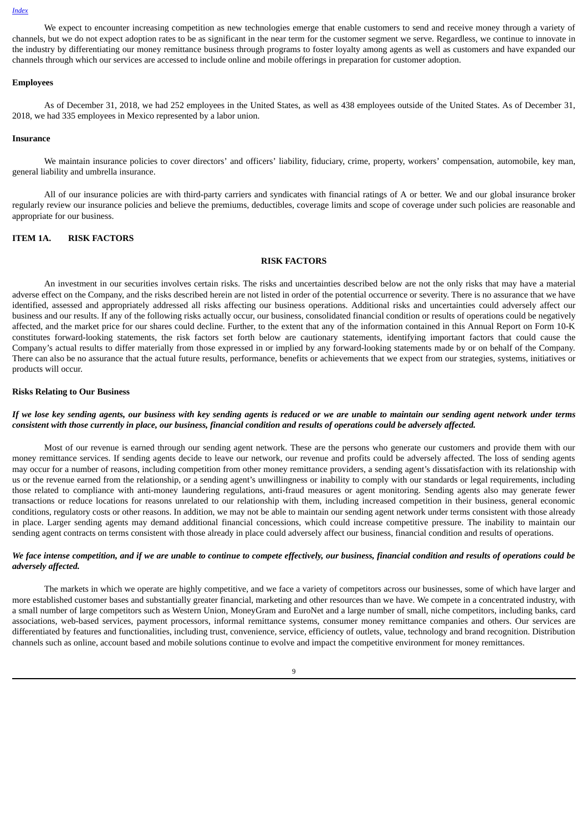We expect to encounter increasing competition as new technologies emerge that enable customers to send and receive money through a variety of channels, but we do not expect adoption rates to be as significant in the near term for the customer segment we serve. Regardless, we continue to innovate in the industry by differentiating our money remittance business through programs to foster loyalty among agents as well as customers and have expanded our channels through which our services are accessed to include online and mobile offerings in preparation for customer adoption.

#### **Employees**

As of December 31, 2018, we had 252 employees in the United States, as well as 438 employees outside of the United States. As of December 31, 2018, we had 335 employees in Mexico represented by a labor union.

#### **Insurance**

We maintain insurance policies to cover directors' and officers' liability, fiduciary, crime, property, workers' compensation, automobile, key man, general liability and umbrella insurance.

All of our insurance policies are with third-party carriers and syndicates with financial ratings of A or better. We and our global insurance broker regularly review our insurance policies and believe the premiums, deductibles, coverage limits and scope of coverage under such policies are reasonable and appropriate for our business.

## <span id="page-11-0"></span>**ITEM 1A. RISK FACTORS**

#### **RISK FACTORS**

An investment in our securities involves certain risks. The risks and uncertainties described below are not the only risks that may have a material adverse effect on the Company, and the risks described herein are not listed in order of the potential occurrence or severity. There is no assurance that we have identified, assessed and appropriately addressed all risks affecting our business operations. Additional risks and uncertainties could adversely affect our business and our results. If any of the following risks actually occur, our business, consolidated financial condition or results of operations could be negatively affected, and the market price for our shares could decline. Further, to the extent that any of the information contained in this Annual Report on Form 10-K constitutes forward-looking statements, the risk factors set forth below are cautionary statements, identifying important factors that could cause the Company's actual results to differ materially from those expressed in or implied by any forward-looking statements made by or on behalf of the Company. There can also be no assurance that the actual future results, performance, benefits or achievements that we expect from our strategies, systems, initiatives or products will occur.

#### **Risks Relating to Our Business**

#### If we lose key sending agents, our business with key sending agents is reduced or we are unable to maintain our sending agent network under terms consistent with those currently in place, our business, financial condition and results of operations could be adversely affected.

Most of our revenue is earned through our sending agent network. These are the persons who generate our customers and provide them with our money remittance services. If sending agents decide to leave our network, our revenue and profits could be adversely affected. The loss of sending agents may occur for a number of reasons, including competition from other money remittance providers, a sending agent's dissatisfaction with its relationship with us or the revenue earned from the relationship, or a sending agent's unwillingness or inability to comply with our standards or legal requirements, including those related to compliance with anti-money laundering regulations, anti-fraud measures or agent monitoring. Sending agents also may generate fewer transactions or reduce locations for reasons unrelated to our relationship with them, including increased competition in their business, general economic conditions, regulatory costs or other reasons. In addition, we may not be able to maintain our sending agent network under terms consistent with those already in place. Larger sending agents may demand additional financial concessions, which could increase competitive pressure. The inability to maintain our sending agent contracts on terms consistent with those already in place could adversely affect our business, financial condition and results of operations.

## We face intense competition, and if we are unable to continue to compete effectively, our business, financial condition and results of operations could be *adversely affected.*

The markets in which we operate are highly competitive, and we face a variety of competitors across our businesses, some of which have larger and more established customer bases and substantially greater financial, marketing and other resources than we have. We compete in a concentrated industry, with a small number of large competitors such as Western Union, MoneyGram and EuroNet and a large number of small, niche competitors, including banks, card associations, web-based services, payment processors, informal remittance systems, consumer money remittance companies and others. Our services are differentiated by features and functionalities, including trust, convenience, service, efficiency of outlets, value, technology and brand recognition. Distribution channels such as online, account based and mobile solutions continue to evolve and impact the competitive environment for money remittances.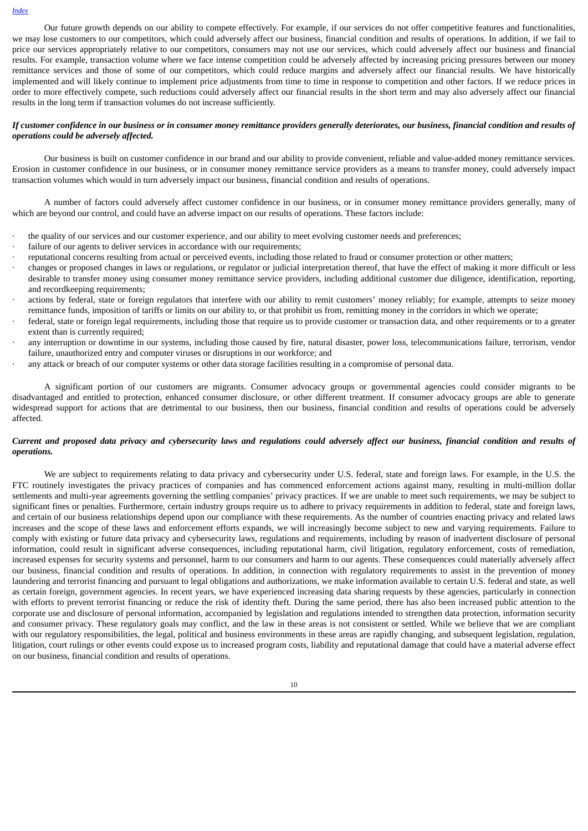Our future growth depends on our ability to compete effectively. For example, if our services do not offer competitive features and functionalities, we may lose customers to our competitors, which could adversely affect our business, financial condition and results of operations. In addition, if we fail to price our services appropriately relative to our competitors, consumers may not use our services, which could adversely affect our business and financial results. For example, transaction volume where we face intense competition could be adversely affected by increasing pricing pressures between our money remittance services and those of some of our competitors, which could reduce margins and adversely affect our financial results. We have historically implemented and will likely continue to implement price adjustments from time to time in response to competition and other factors. If we reduce prices in order to more effectively compete, such reductions could adversely affect our financial results in the short term and may also adversely affect our financial results in the long term if transaction volumes do not increase sufficiently.

## If customer confidence in our business or in consumer money remittance providers generally deteriorates, our business, financial condition and results of *operations could be adversely affected.*

Our business is built on customer confidence in our brand and our ability to provide convenient, reliable and value-added money remittance services. Erosion in customer confidence in our business, or in consumer money remittance service providers as a means to transfer money, could adversely impact transaction volumes which would in turn adversely impact our business, financial condition and results of operations.

A number of factors could adversely affect customer confidence in our business, or in consumer money remittance providers generally, many of which are beyond our control, and could have an adverse impact on our results of operations. These factors include:

- · the quality of our services and our customer experience, and our ability to meet evolving customer needs and preferences;
- failure of our agents to deliver services in accordance with our requirements;
- · reputational concerns resulting from actual or perceived events, including those related to fraud or consumer protection or other matters;
- · changes or proposed changes in laws or regulations, or regulator or judicial interpretation thereof, that have the effect of making it more difficult or less desirable to transfer money using consumer money remittance service providers, including additional customer due diligence, identification, reporting, and recordkeeping requirements;
- actions by federal, state or foreign regulators that interfere with our ability to remit customers' money reliably; for example, attempts to seize money remittance funds, imposition of tariffs or limits on our ability to, or that prohibit us from, remitting money in the corridors in which we operate;
- federal, state or foreign legal requirements, including those that require us to provide customer or transaction data, and other requirements or to a greater extent than is currently required:
- any interruption or downtime in our systems, including those caused by fire, natural disaster, power loss, telecommunications failure, terrorism, vendor failure, unauthorized entry and computer viruses or disruptions in our workforce; and
- · any attack or breach of our computer systems or other data storage facilities resulting in a compromise of personal data.

A significant portion of our customers are migrants. Consumer advocacy groups or governmental agencies could consider migrants to be disadvantaged and entitled to protection, enhanced consumer disclosure, or other different treatment. If consumer advocacy groups are able to generate widespread support for actions that are detrimental to our business, then our business, financial condition and results of operations could be adversely affected.

## Current and proposed data privacy and cybersecurity laws and regulations could adversely affect our business, financial condition and results of *operations.*

We are subject to requirements relating to data privacy and cybersecurity under U.S. federal, state and foreign laws. For example, in the U.S. the FTC routinely investigates the privacy practices of companies and has commenced enforcement actions against many, resulting in multi-million dollar settlements and multi-year agreements governing the settling companies' privacy practices. If we are unable to meet such requirements, we may be subject to significant fines or penalties. Furthermore, certain industry groups require us to adhere to privacy requirements in addition to federal, state and foreign laws, and certain of our business relationships depend upon our compliance with these requirements. As the number of countries enacting privacy and related laws increases and the scope of these laws and enforcement efforts expands, we will increasingly become subject to new and varying requirements. Failure to comply with existing or future data privacy and cybersecurity laws, regulations and requirements, including by reason of inadvertent disclosure of personal information, could result in significant adverse consequences, including reputational harm, civil litigation, regulatory enforcement, costs of remediation, increased expenses for security systems and personnel, harm to our consumers and harm to our agents. These consequences could materially adversely affect our business, financial condition and results of operations. In addition, in connection with regulatory requirements to assist in the prevention of money laundering and terrorist financing and pursuant to legal obligations and authorizations, we make information available to certain U.S. federal and state, as well as certain foreign, government agencies. In recent years, we have experienced increasing data sharing requests by these agencies, particularly in connection with efforts to prevent terrorist financing or reduce the risk of identity theft. During the same period, there has also been increased public attention to the corporate use and disclosure of personal information, accompanied by legislation and regulations intended to strengthen data protection, information security and consumer privacy. These regulatory goals may conflict, and the law in these areas is not consistent or settled. While we believe that we are compliant with our regulatory responsibilities, the legal, political and business environments in these areas are rapidly changing, and subsequent legislation, regulation, litigation, court rulings or other events could expose us to increased program costs, liability and reputational damage that could have a material adverse effect on our business, financial condition and results of operations.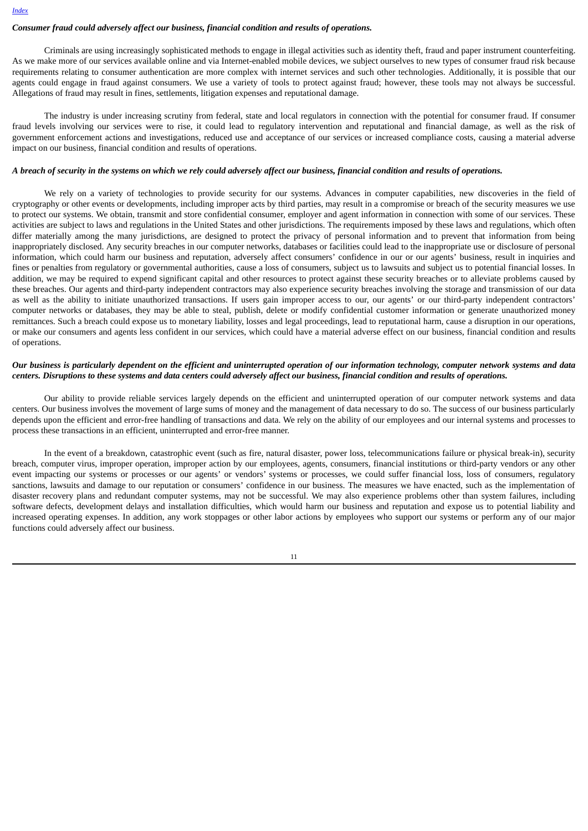#### *Consumer fraud could adversely affect our business, financial condition and results of operations.*

Criminals are using increasingly sophisticated methods to engage in illegal activities such as identity theft, fraud and paper instrument counterfeiting. As we make more of our services available online and via Internet-enabled mobile devices, we subject ourselves to new types of consumer fraud risk because requirements relating to consumer authentication are more complex with internet services and such other technologies. Additionally, it is possible that our agents could engage in fraud against consumers. We use a variety of tools to protect against fraud; however, these tools may not always be successful. Allegations of fraud may result in fines, settlements, litigation expenses and reputational damage.

The industry is under increasing scrutiny from federal, state and local regulators in connection with the potential for consumer fraud. If consumer fraud levels involving our services were to rise, it could lead to regulatory intervention and reputational and financial damage, as well as the risk of government enforcement actions and investigations, reduced use and acceptance of our services or increased compliance costs, causing a material adverse impact on our business, financial condition and results of operations.

#### A breach of security in the systems on which we rely could adversely affect our business, financial condition and results of operations.

We rely on a variety of technologies to provide security for our systems. Advances in computer capabilities, new discoveries in the field of cryptography or other events or developments, including improper acts by third parties, may result in a compromise or breach of the security measures we use to protect our systems. We obtain, transmit and store confidential consumer, employer and agent information in connection with some of our services. These activities are subject to laws and regulations in the United States and other jurisdictions. The requirements imposed by these laws and regulations, which often differ materially among the many jurisdictions, are designed to protect the privacy of personal information and to prevent that information from being inappropriately disclosed. Any security breaches in our computer networks, databases or facilities could lead to the inappropriate use or disclosure of personal information, which could harm our business and reputation, adversely affect consumers' confidence in our or our agents' business, result in inquiries and fines or penalties from regulatory or governmental authorities, cause a loss of consumers, subject us to lawsuits and subject us to potential financial losses. In addition, we may be required to expend significant capital and other resources to protect against these security breaches or to alleviate problems caused by these breaches. Our agents and third-party independent contractors may also experience security breaches involving the storage and transmission of our data as well as the ability to initiate unauthorized transactions. If users gain improper access to our, our agents' or our third-party independent contractors' computer networks or databases, they may be able to steal, publish, delete or modify confidential customer information or generate unauthorized money remittances. Such a breach could expose us to monetary liability, losses and legal proceedings, lead to reputational harm, cause a disruption in our operations, or make our consumers and agents less confident in our services, which could have a material adverse effect on our business, financial condition and results of operations.

## Our business is particularly dependent on the efficient and uninterrupted operation of our information technology, computer network systems and data centers. Disruptions to these systems and data centers could adversely affect our business, financial condition and results of operations.

Our ability to provide reliable services largely depends on the efficient and uninterrupted operation of our computer network systems and data centers. Our business involves the movement of large sums of money and the management of data necessary to do so. The success of our business particularly depends upon the efficient and error-free handling of transactions and data. We rely on the ability of our employees and our internal systems and processes to process these transactions in an efficient, uninterrupted and error-free manner.

In the event of a breakdown, catastrophic event (such as fire, natural disaster, power loss, telecommunications failure or physical break-in), security breach, computer virus, improper operation, improper action by our employees, agents, consumers, financial institutions or third-party vendors or any other event impacting our systems or processes or our agents' or vendors' systems or processes, we could suffer financial loss, loss of consumers, regulatory sanctions, lawsuits and damage to our reputation or consumers' confidence in our business. The measures we have enacted, such as the implementation of disaster recovery plans and redundant computer systems, may not be successful. We may also experience problems other than system failures, including software defects, development delays and installation difficulties, which would harm our business and reputation and expose us to potential liability and increased operating expenses. In addition, any work stoppages or other labor actions by employees who support our systems or perform any of our major functions could adversely affect our business.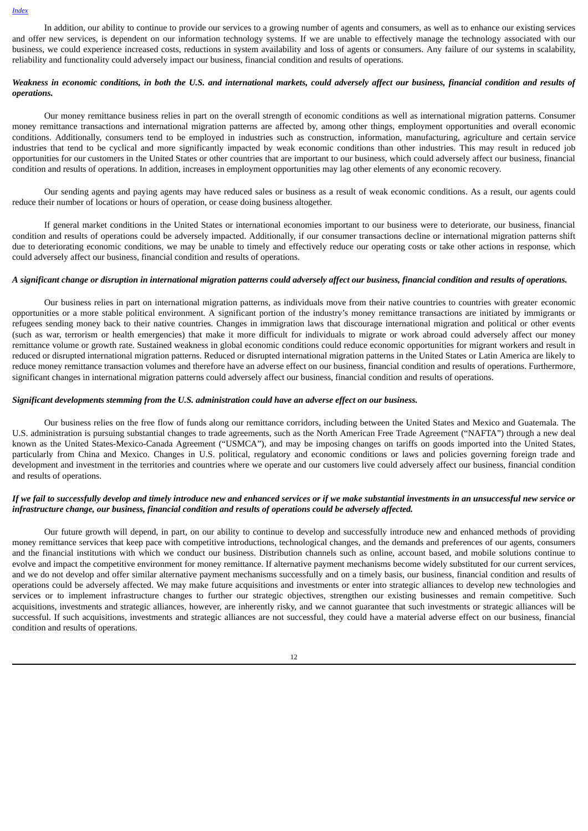In addition, our ability to continue to provide our services to a growing number of agents and consumers, as well as to enhance our existing services and offer new services, is dependent on our information technology systems. If we are unable to effectively manage the technology associated with our business, we could experience increased costs, reductions in system availability and loss of agents or consumers. Any failure of our systems in scalability, reliability and functionality could adversely impact our business, financial condition and results of operations.

## Weakness in economic conditions, in both the U.S. and international markets, could adversely affect our business, financial condition and results of *operations.*

Our money remittance business relies in part on the overall strength of economic conditions as well as international migration patterns. Consumer money remittance transactions and international migration patterns are affected by, among other things, employment opportunities and overall economic conditions. Additionally, consumers tend to be employed in industries such as construction, information, manufacturing, agriculture and certain service industries that tend to be cyclical and more significantly impacted by weak economic conditions than other industries. This may result in reduced job opportunities for our customers in the United States or other countries that are important to our business, which could adversely affect our business, financial condition and results of operations. In addition, increases in employment opportunities may lag other elements of any economic recovery.

Our sending agents and paying agents may have reduced sales or business as a result of weak economic conditions. As a result, our agents could reduce their number of locations or hours of operation, or cease doing business altogether.

If general market conditions in the United States or international economies important to our business were to deteriorate, our business, financial condition and results of operations could be adversely impacted. Additionally, if our consumer transactions decline or international migration patterns shift due to deteriorating economic conditions, we may be unable to timely and effectively reduce our operating costs or take other actions in response, which could adversely affect our business, financial condition and results of operations.

#### A significant change or disruption in international migration patterns could adversely affect our business, financial condition and results of operations.

Our business relies in part on international migration patterns, as individuals move from their native countries to countries with greater economic opportunities or a more stable political environment. A significant portion of the industry's money remittance transactions are initiated by immigrants or refugees sending money back to their native countries. Changes in immigration laws that discourage international migration and political or other events (such as war, terrorism or health emergencies) that make it more difficult for individuals to migrate or work abroad could adversely affect our money remittance volume or growth rate. Sustained weakness in global economic conditions could reduce economic opportunities for migrant workers and result in reduced or disrupted international migration patterns. Reduced or disrupted international migration patterns in the United States or Latin America are likely to reduce money remittance transaction volumes and therefore have an adverse effect on our business, financial condition and results of operations. Furthermore, significant changes in international migration patterns could adversely affect our business, financial condition and results of operations.

#### *Significant developments stemming from the U.S. administration could have an adverse effect on our business.*

Our business relies on the free flow of funds along our remittance corridors, including between the United States and Mexico and Guatemala. The U.S. administration is pursuing substantial changes to trade agreements, such as the North American Free Trade Agreement ("NAFTA") through a new deal known as the United States-Mexico-Canada Agreement ("USMCA"), and may be imposing changes on tariffs on goods imported into the United States, particularly from China and Mexico. Changes in U.S. political, regulatory and economic conditions or laws and policies governing foreign trade and development and investment in the territories and countries where we operate and our customers live could adversely affect our business, financial condition and results of operations.

## If we fail to successfully develop and timely introduce new and enhanced services or if we make substantial investments in an unsuccessful new service or *infrastructure change, our business, financial condition and results of operations could be adversely affected.*

Our future growth will depend, in part, on our ability to continue to develop and successfully introduce new and enhanced methods of providing money remittance services that keep pace with competitive introductions, technological changes, and the demands and preferences of our agents, consumers and the financial institutions with which we conduct our business. Distribution channels such as online, account based, and mobile solutions continue to evolve and impact the competitive environment for money remittance. If alternative payment mechanisms become widely substituted for our current services, and we do not develop and offer similar alternative payment mechanisms successfully and on a timely basis, our business, financial condition and results of operations could be adversely affected. We may make future acquisitions and investments or enter into strategic alliances to develop new technologies and services or to implement infrastructure changes to further our strategic objectives, strengthen our existing businesses and remain competitive. Such acquisitions, investments and strategic alliances, however, are inherently risky, and we cannot guarantee that such investments or strategic alliances will be successful. If such acquisitions, investments and strategic alliances are not successful, they could have a material adverse effect on our business, financial condition and results of operations.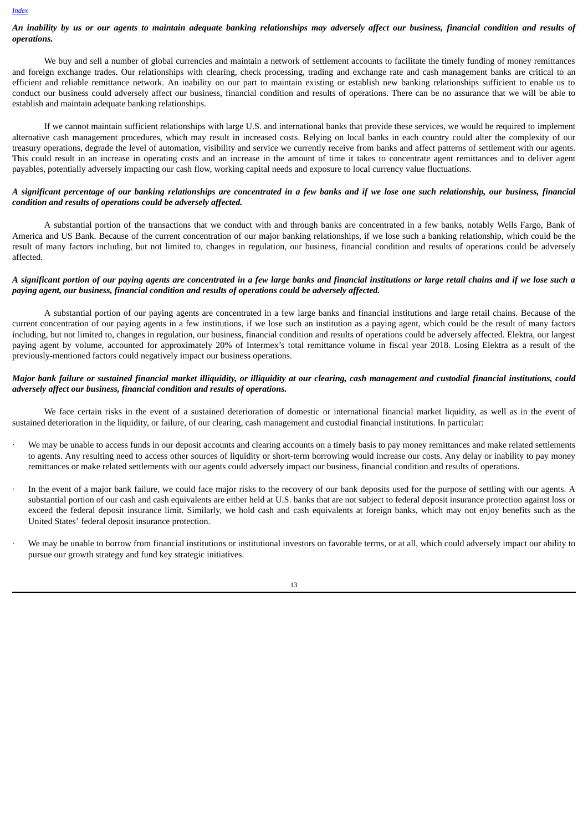## An inability by us or our agents to maintain adequate banking relationships may adversely affect our business, financial condition and results of *operations.*

We buy and sell a number of global currencies and maintain a network of settlement accounts to facilitate the timely funding of money remittances and foreign exchange trades. Our relationships with clearing, check processing, trading and exchange rate and cash management banks are critical to an efficient and reliable remittance network. An inability on our part to maintain existing or establish new banking relationships sufficient to enable us to conduct our business could adversely affect our business, financial condition and results of operations. There can be no assurance that we will be able to establish and maintain adequate banking relationships.

If we cannot maintain sufficient relationships with large U.S. and international banks that provide these services, we would be required to implement alternative cash management procedures, which may result in increased costs. Relying on local banks in each country could alter the complexity of our treasury operations, degrade the level of automation, visibility and service we currently receive from banks and affect patterns of settlement with our agents. This could result in an increase in operating costs and an increase in the amount of time it takes to concentrate agent remittances and to deliver agent payables, potentially adversely impacting our cash flow, working capital needs and exposure to local currency value fluctuations.

## A significant percentage of our banking relationships are concentrated in a few banks and if we lose one such relationship, our business, financial *condition and results of operations could be adversely affected.*

A substantial portion of the transactions that we conduct with and through banks are concentrated in a few banks, notably Wells Fargo, Bank of America and US Bank. Because of the current concentration of our major banking relationships, if we lose such a banking relationship, which could be the result of many factors including, but not limited to, changes in regulation, our business, financial condition and results of operations could be adversely affected.

## A significant portion of our paying agents are concentrated in a few large banks and financial institutions or large retail chains and if we lose such a *paying agent, our business, financial condition and results of operations could be adversely affected.*

A substantial portion of our paying agents are concentrated in a few large banks and financial institutions and large retail chains. Because of the current concentration of our paying agents in a few institutions, if we lose such an institution as a paying agent, which could be the result of many factors including, but not limited to, changes in regulation, our business, financial condition and results of operations could be adversely affected. Elektra, our largest paying agent by volume, accounted for approximately 20% of Intermex's total remittance volume in fiscal year 2018. Losing Elektra as a result of the previously-mentioned factors could negatively impact our business operations.

## Major bank failure or sustained financial market illiquidity, or illiquidity at our clearing, cash management and custodial financial institutions, could *adversely affect our business, financial condition and results of operations.*

We face certain risks in the event of a sustained deterioration of domestic or international financial market liquidity, as well as in the event of sustained deterioration in the liquidity, or failure, of our clearing, cash management and custodial financial institutions. In particular:

- We may be unable to access funds in our deposit accounts and clearing accounts on a timely basis to pay money remittances and make related settlements to agents. Any resulting need to access other sources of liquidity or short-term borrowing would increase our costs. Any delay or inability to pay money remittances or make related settlements with our agents could adversely impact our business, financial condition and results of operations.
- In the event of a major bank failure, we could face major risks to the recovery of our bank deposits used for the purpose of settling with our agents. A substantial portion of our cash and cash equivalents are either held at U.S. banks that are not subject to federal deposit insurance protection against loss or exceed the federal deposit insurance limit. Similarly, we hold cash and cash equivalents at foreign banks, which may not enjoy benefits such as the United States' federal deposit insurance protection.
- · We may be unable to borrow from financial institutions or institutional investors on favorable terms, or at all, which could adversely impact our ability to pursue our growth strategy and fund key strategic initiatives.

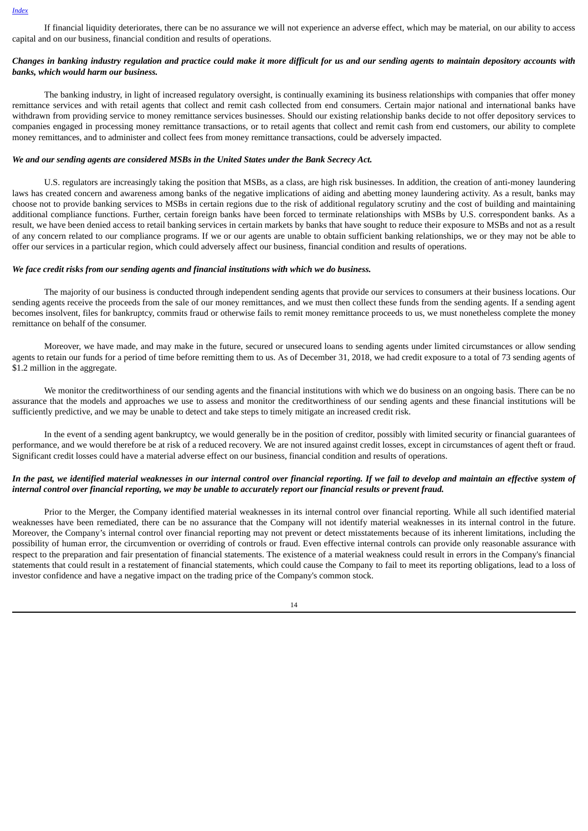If financial liquidity deteriorates, there can be no assurance we will not experience an adverse effect, which may be material, on our ability to access capital and on our business, financial condition and results of operations.

## Changes in banking industry regulation and practice could make it more difficult for us and our sending agents to maintain depository accounts with *banks, which would harm our business.*

The banking industry, in light of increased regulatory oversight, is continually examining its business relationships with companies that offer money remittance services and with retail agents that collect and remit cash collected from end consumers. Certain major national and international banks have withdrawn from providing service to money remittance services businesses. Should our existing relationship banks decide to not offer depository services to companies engaged in processing money remittance transactions, or to retail agents that collect and remit cash from end customers, our ability to complete money remittances, and to administer and collect fees from money remittance transactions, could be adversely impacted.

#### *We and our sending agents are considered MSBs in the United States under the Bank Secrecy Act.*

U.S. regulators are increasingly taking the position that MSBs, as a class, are high risk businesses. In addition, the creation of anti-money laundering laws has created concern and awareness among banks of the negative implications of aiding and abetting money laundering activity. As a result, banks may choose not to provide banking services to MSBs in certain regions due to the risk of additional regulatory scrutiny and the cost of building and maintaining additional compliance functions. Further, certain foreign banks have been forced to terminate relationships with MSBs by U.S. correspondent banks. As a result, we have been denied access to retail banking services in certain markets by banks that have sought to reduce their exposure to MSBs and not as a result of any concern related to our compliance programs. If we or our agents are unable to obtain sufficient banking relationships, we or they may not be able to offer our services in a particular region, which could adversely affect our business, financial condition and results of operations.

#### *We face credit risks from our sending agents and financial institutions with which we do business.*

The majority of our business is conducted through independent sending agents that provide our services to consumers at their business locations. Our sending agents receive the proceeds from the sale of our money remittances, and we must then collect these funds from the sending agents. If a sending agent becomes insolvent, files for bankruptcy, commits fraud or otherwise fails to remit money remittance proceeds to us, we must nonetheless complete the money remittance on behalf of the consumer.

Moreover, we have made, and may make in the future, secured or unsecured loans to sending agents under limited circumstances or allow sending agents to retain our funds for a period of time before remitting them to us. As of December 31, 2018, we had credit exposure to a total of 73 sending agents of \$1.2 million in the aggregate.

We monitor the creditworthiness of our sending agents and the financial institutions with which we do business on an ongoing basis. There can be no assurance that the models and approaches we use to assess and monitor the creditworthiness of our sending agents and these financial institutions will be sufficiently predictive, and we may be unable to detect and take steps to timely mitigate an increased credit risk.

In the event of a sending agent bankruptcy, we would generally be in the position of creditor, possibly with limited security or financial guarantees of performance, and we would therefore be at risk of a reduced recovery. We are not insured against credit losses, except in circumstances of agent theft or fraud. Significant credit losses could have a material adverse effect on our business, financial condition and results of operations.

## In the past, we identified material weaknesses in our internal control over financial reporting. If we fail to develop and maintain an effective system of internal control over financial reporting, we may be unable to accurately report our financial results or prevent fraud.

Prior to the Merger, the Company identified material weaknesses in its internal control over financial reporting. While all such identified material weaknesses have been remediated, there can be no assurance that the Company will not identify material weaknesses in its internal control in the future. Moreover, the Company's internal control over financial reporting may not prevent or detect misstatements because of its inherent limitations, including the possibility of human error, the circumvention or overriding of controls or fraud. Even effective internal controls can provide only reasonable assurance with respect to the preparation and fair presentation of financial statements. The existence of a material weakness could result in errors in the Company's financial statements that could result in a restatement of financial statements, which could cause the Company to fail to meet its reporting obligations, lead to a loss of investor confidence and have a negative impact on the trading price of the Company's common stock.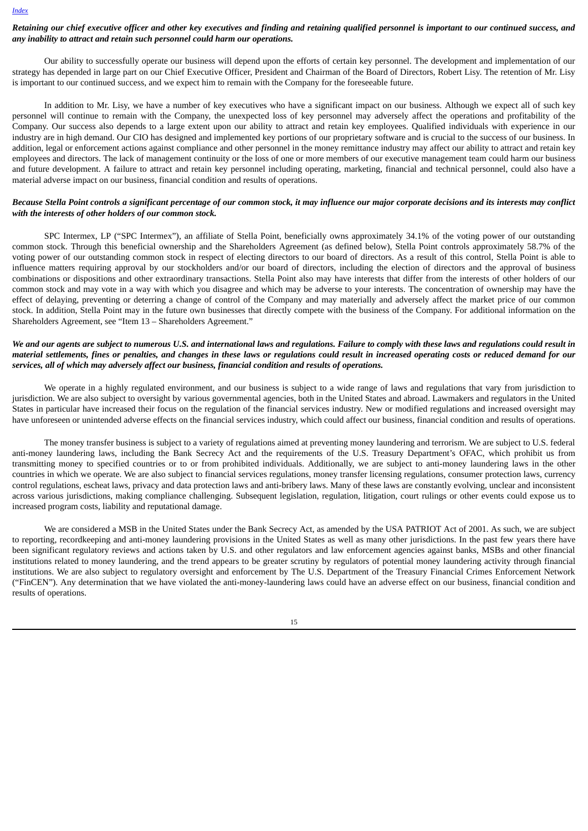## Retaining our chief executive officer and other key executives and finding and retaining qualified personnel is important to our continued success, and *any inability to attract and retain such personnel could harm our operations.*

Our ability to successfully operate our business will depend upon the efforts of certain key personnel. The development and implementation of our strategy has depended in large part on our Chief Executive Officer, President and Chairman of the Board of Directors, Robert Lisy. The retention of Mr. Lisy is important to our continued success, and we expect him to remain with the Company for the foreseeable future.

In addition to Mr. Lisy, we have a number of key executives who have a significant impact on our business. Although we expect all of such key personnel will continue to remain with the Company, the unexpected loss of key personnel may adversely affect the operations and profitability of the Company. Our success also depends to a large extent upon our ability to attract and retain key employees. Qualified individuals with experience in our industry are in high demand. Our CIO has designed and implemented key portions of our proprietary software and is crucial to the success of our business. In addition, legal or enforcement actions against compliance and other personnel in the money remittance industry may affect our ability to attract and retain key employees and directors. The lack of management continuity or the loss of one or more members of our executive management team could harm our business and future development. A failure to attract and retain key personnel including operating, marketing, financial and technical personnel, could also have a material adverse impact on our business, financial condition and results of operations.

## Because Stella Point controls a significant percentage of our common stock, it may influence our major corporate decisions and its interests may conflict *with the interests of other holders of our common stock.*

SPC Intermex, LP ("SPC Intermex"), an affiliate of Stella Point, beneficially owns approximately 34.1% of the voting power of our outstanding common stock. Through this beneficial ownership and the Shareholders Agreement (as defined below), Stella Point controls approximately 58.7% of the voting power of our outstanding common stock in respect of electing directors to our board of directors. As a result of this control, Stella Point is able to influence matters requiring approval by our stockholders and/or our board of directors, including the election of directors and the approval of business combinations or dispositions and other extraordinary transactions. Stella Point also may have interests that differ from the interests of other holders of our common stock and may vote in a way with which you disagree and which may be adverse to your interests. The concentration of ownership may have the effect of delaying, preventing or deterring a change of control of the Company and may materially and adversely affect the market price of our common stock. In addition, Stella Point may in the future own businesses that directly compete with the business of the Company. For additional information on the Shareholders Agreement, see "Item 13 – Shareholders Agreement."

## We and our agents are subject to numerous U.S. and international laws and regulations. Failure to comply with these laws and regulations could result in material settlements, fines or penalties, and changes in these laws or requlations could result in increased operating costs or reduced demand for our *services, all of which may adversely affect our business, financial condition and results of operations.*

We operate in a highly regulated environment, and our business is subject to a wide range of laws and regulations that vary from jurisdiction to jurisdiction. We are also subject to oversight by various governmental agencies, both in the United States and abroad. Lawmakers and regulators in the United States in particular have increased their focus on the regulation of the financial services industry. New or modified regulations and increased oversight may have unforeseen or unintended adverse effects on the financial services industry, which could affect our business, financial condition and results of operations.

The money transfer business is subject to a variety of regulations aimed at preventing money laundering and terrorism. We are subject to U.S. federal anti-money laundering laws, including the Bank Secrecy Act and the requirements of the U.S. Treasury Department's OFAC, which prohibit us from transmitting money to specified countries or to or from prohibited individuals. Additionally, we are subject to anti-money laundering laws in the other countries in which we operate. We are also subject to financial services regulations, money transfer licensing regulations, consumer protection laws, currency control regulations, escheat laws, privacy and data protection laws and anti-bribery laws. Many of these laws are constantly evolving, unclear and inconsistent across various jurisdictions, making compliance challenging. Subsequent legislation, regulation, litigation, court rulings or other events could expose us to increased program costs, liability and reputational damage.

We are considered a MSB in the United States under the Bank Secrecy Act, as amended by the USA PATRIOT Act of 2001. As such, we are subject to reporting, recordkeeping and anti-money laundering provisions in the United States as well as many other jurisdictions. In the past few years there have been significant regulatory reviews and actions taken by U.S. and other regulators and law enforcement agencies against banks, MSBs and other financial institutions related to money laundering, and the trend appears to be greater scrutiny by regulators of potential money laundering activity through financial institutions. We are also subject to regulatory oversight and enforcement by The U.S. Department of the Treasury Financial Crimes Enforcement Network ("FinCEN"). Any determination that we have violated the anti-money-laundering laws could have an adverse effect on our business, financial condition and results of operations.

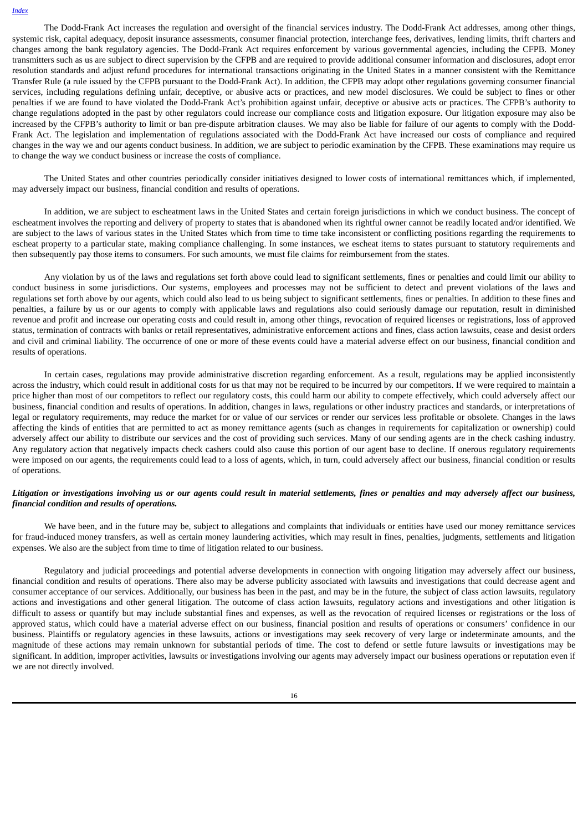The Dodd-Frank Act increases the regulation and oversight of the financial services industry. The Dodd-Frank Act addresses, among other things, systemic risk, capital adequacy, deposit insurance assessments, consumer financial protection, interchange fees, derivatives, lending limits, thrift charters and changes among the bank regulatory agencies. The Dodd-Frank Act requires enforcement by various governmental agencies, including the CFPB. Money transmitters such as us are subject to direct supervision by the CFPB and are required to provide additional consumer information and disclosures, adopt error resolution standards and adjust refund procedures for international transactions originating in the United States in a manner consistent with the Remittance Transfer Rule (a rule issued by the CFPB pursuant to the Dodd-Frank Act). In addition, the CFPB may adopt other regulations governing consumer financial services, including regulations defining unfair, deceptive, or abusive acts or practices, and new model disclosures. We could be subject to fines or other penalties if we are found to have violated the Dodd-Frank Act's prohibition against unfair, deceptive or abusive acts or practices. The CFPB's authority to change regulations adopted in the past by other regulators could increase our compliance costs and litigation exposure. Our litigation exposure may also be increased by the CFPB's authority to limit or ban pre-dispute arbitration clauses. We may also be liable for failure of our agents to comply with the Dodd-Frank Act. The legislation and implementation of regulations associated with the Dodd-Frank Act have increased our costs of compliance and required changes in the way we and our agents conduct business. In addition, we are subject to periodic examination by the CFPB. These examinations may require us to change the way we conduct business or increase the costs of compliance.

The United States and other countries periodically consider initiatives designed to lower costs of international remittances which, if implemented, may adversely impact our business, financial condition and results of operations.

In addition, we are subject to escheatment laws in the United States and certain foreign jurisdictions in which we conduct business. The concept of escheatment involves the reporting and delivery of property to states that is abandoned when its rightful owner cannot be readily located and/or identified. We are subject to the laws of various states in the United States which from time to time take inconsistent or conflicting positions regarding the requirements to escheat property to a particular state, making compliance challenging. In some instances, we escheat items to states pursuant to statutory requirements and then subsequently pay those items to consumers. For such amounts, we must file claims for reimbursement from the states.

Any violation by us of the laws and regulations set forth above could lead to significant settlements, fines or penalties and could limit our ability to conduct business in some jurisdictions. Our systems, employees and processes may not be sufficient to detect and prevent violations of the laws and regulations set forth above by our agents, which could also lead to us being subject to significant settlements, fines or penalties. In addition to these fines and penalties, a failure by us or our agents to comply with applicable laws and regulations also could seriously damage our reputation, result in diminished revenue and profit and increase our operating costs and could result in, among other things, revocation of required licenses or registrations, loss of approved status, termination of contracts with banks or retail representatives, administrative enforcement actions and fines, class action lawsuits, cease and desist orders and civil and criminal liability. The occurrence of one or more of these events could have a material adverse effect on our business, financial condition and results of operations.

In certain cases, regulations may provide administrative discretion regarding enforcement. As a result, regulations may be applied inconsistently across the industry, which could result in additional costs for us that may not be required to be incurred by our competitors. If we were required to maintain a price higher than most of our competitors to reflect our regulatory costs, this could harm our ability to compete effectively, which could adversely affect our business, financial condition and results of operations. In addition, changes in laws, regulations or other industry practices and standards, or interpretations of legal or regulatory requirements, may reduce the market for or value of our services or render our services less profitable or obsolete. Changes in the laws affecting the kinds of entities that are permitted to act as money remittance agents (such as changes in requirements for capitalization or ownership) could adversely affect our ability to distribute our services and the cost of providing such services. Many of our sending agents are in the check cashing industry. Any regulatory action that negatively impacts check cashers could also cause this portion of our agent base to decline. If onerous regulatory requirements were imposed on our agents, the requirements could lead to a loss of agents, which, in turn, could adversely affect our business, financial condition or results of operations.

## Litigation or investigations involving us or our gaents could result in material settlements, fines or penalties and may adversely affect our business, *financial condition and results of operations.*

We have been, and in the future may be, subject to allegations and complaints that individuals or entities have used our money remittance services for fraud-induced money transfers, as well as certain money laundering activities, which may result in fines, penalties, judgments, settlements and litigation expenses. We also are the subject from time to time of litigation related to our business.

Regulatory and judicial proceedings and potential adverse developments in connection with ongoing litigation may adversely affect our business, financial condition and results of operations. There also may be adverse publicity associated with lawsuits and investigations that could decrease agent and consumer acceptance of our services. Additionally, our business has been in the past, and may be in the future, the subject of class action lawsuits, regulatory actions and investigations and other general litigation. The outcome of class action lawsuits, regulatory actions and investigations and other litigation is difficult to assess or quantify but may include substantial fines and expenses, as well as the revocation of required licenses or registrations or the loss of approved status, which could have a material adverse effect on our business, financial position and results of operations or consumers' confidence in our business. Plaintiffs or regulatory agencies in these lawsuits, actions or investigations may seek recovery of very large or indeterminate amounts, and the magnitude of these actions may remain unknown for substantial periods of time. The cost to defend or settle future lawsuits or investigations may be significant. In addition, improper activities, lawsuits or investigations involving our agents may adversely impact our business operations or reputation even if we are not directly involved.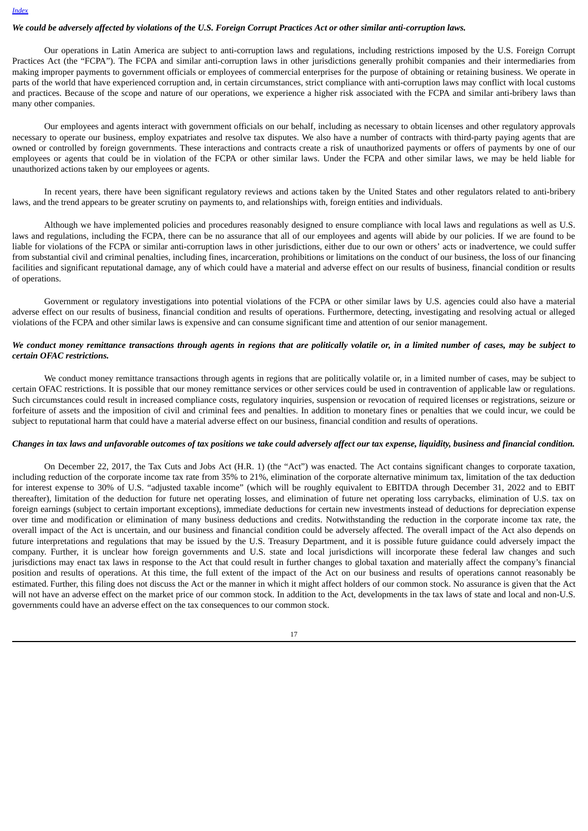#### We could be adversely affected by violations of the U.S. Foreign Corrupt Practices Act or other similar anti-corruption laws.

Our operations in Latin America are subject to anti-corruption laws and regulations, including restrictions imposed by the U.S. Foreign Corrupt Practices Act (the "FCPA"). The FCPA and similar anti-corruption laws in other jurisdictions generally prohibit companies and their intermediaries from making improper payments to government officials or employees of commercial enterprises for the purpose of obtaining or retaining business. We operate in parts of the world that have experienced corruption and, in certain circumstances, strict compliance with anti-corruption laws may conflict with local customs and practices. Because of the scope and nature of our operations, we experience a higher risk associated with the FCPA and similar anti-bribery laws than many other companies.

Our employees and agents interact with government officials on our behalf, including as necessary to obtain licenses and other regulatory approvals necessary to operate our business, employ expatriates and resolve tax disputes. We also have a number of contracts with third-party paying agents that are owned or controlled by foreign governments. These interactions and contracts create a risk of unauthorized payments or offers of payments by one of our employees or agents that could be in violation of the FCPA or other similar laws. Under the FCPA and other similar laws, we may be held liable for unauthorized actions taken by our employees or agents.

In recent years, there have been significant regulatory reviews and actions taken by the United States and other regulators related to anti-bribery laws, and the trend appears to be greater scrutiny on payments to, and relationships with, foreign entities and individuals.

Although we have implemented policies and procedures reasonably designed to ensure compliance with local laws and regulations as well as U.S. laws and regulations, including the FCPA, there can be no assurance that all of our employees and agents will abide by our policies. If we are found to be liable for violations of the FCPA or similar anti-corruption laws in other jurisdictions, either due to our own or others' acts or inadvertence, we could suffer from substantial civil and criminal penalties, including fines, incarceration, prohibitions or limitations on the conduct of our business, the loss of our financing facilities and significant reputational damage, any of which could have a material and adverse effect on our results of business, financial condition or results of operations.

Government or regulatory investigations into potential violations of the FCPA or other similar laws by U.S. agencies could also have a material adverse effect on our results of business, financial condition and results of operations. Furthermore, detecting, investigating and resolving actual or alleged violations of the FCPA and other similar laws is expensive and can consume significant time and attention of our senior management.

## We conduct money remittance transactions through agents in regions that are politically volatile or, in a limited number of cases, may be subject to *certain OFAC restrictions.*

We conduct money remittance transactions through agents in regions that are politically volatile or, in a limited number of cases, may be subject to certain OFAC restrictions. It is possible that our money remittance services or other services could be used in contravention of applicable law or regulations. Such circumstances could result in increased compliance costs, regulatory inquiries, suspension or revocation of required licenses or registrations, seizure or forfeiture of assets and the imposition of civil and criminal fees and penalties. In addition to monetary fines or penalties that we could incur, we could be subject to reputational harm that could have a material adverse effect on our business, financial condition and results of operations.

#### Changes in tax laws and unfavorable outcomes of tax positions we take could adversely affect our tax expense, liquidity, business and financial condition.

On December 22, 2017, the Tax Cuts and Jobs Act (H.R. 1) (the "Act") was enacted. The Act contains significant changes to corporate taxation, including reduction of the corporate income tax rate from 35% to 21%, elimination of the corporate alternative minimum tax, limitation of the tax deduction for interest expense to 30% of U.S. "adjusted taxable income" (which will be roughly equivalent to EBITDA through December 31, 2022 and to EBIT thereafter), limitation of the deduction for future net operating losses, and elimination of future net operating loss carrybacks, elimination of U.S. tax on foreign earnings (subject to certain important exceptions), immediate deductions for certain new investments instead of deductions for depreciation expense over time and modification or elimination of many business deductions and credits. Notwithstanding the reduction in the corporate income tax rate, the overall impact of the Act is uncertain, and our business and financial condition could be adversely affected. The overall impact of the Act also depends on future interpretations and regulations that may be issued by the U.S. Treasury Department, and it is possible future guidance could adversely impact the company. Further, it is unclear how foreign governments and U.S. state and local jurisdictions will incorporate these federal law changes and such jurisdictions may enact tax laws in response to the Act that could result in further changes to global taxation and materially affect the company's financial position and results of operations. At this time, the full extent of the impact of the Act on our business and results of operations cannot reasonably be estimated. Further, this filing does not discuss the Act or the manner in which it might affect holders of our common stock. No assurance is given that the Act will not have an adverse effect on the market price of our common stock. In addition to the Act, developments in the tax laws of state and local and non-U.S. governments could have an adverse effect on the tax consequences to our common stock.

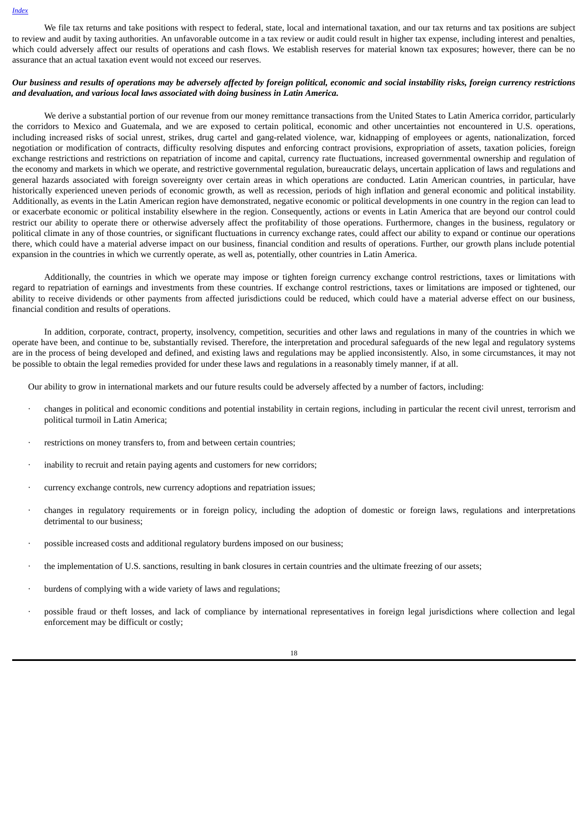We file tax returns and take positions with respect to federal, state, local and international taxation, and our tax returns and tax positions are subject to review and audit by taxing authorities. An unfavorable outcome in a tax review or audit could result in higher tax expense, including interest and penalties, which could adversely affect our results of operations and cash flows. We establish reserves for material known tax exposures; however, there can be no assurance that an actual taxation event would not exceed our reserves.

## Our business and results of operations may be adversely affected by foreign political, economic and social instability risks, foreign currency restrictions *and devaluation, and various local laws associated with doing business in Latin America.*

We derive a substantial portion of our revenue from our money remittance transactions from the United States to Latin America corridor, particularly the corridors to Mexico and Guatemala, and we are exposed to certain political, economic and other uncertainties not encountered in U.S. operations, including increased risks of social unrest, strikes, drug cartel and gang-related violence, war, kidnapping of employees or agents, nationalization, forced negotiation or modification of contracts, difficulty resolving disputes and enforcing contract provisions, expropriation of assets, taxation policies, foreign exchange restrictions and restrictions on repatriation of income and capital, currency rate fluctuations, increased governmental ownership and regulation of the economy and markets in which we operate, and restrictive governmental regulation, bureaucratic delays, uncertain application of laws and regulations and general hazards associated with foreign sovereignty over certain areas in which operations are conducted. Latin American countries, in particular, have historically experienced uneven periods of economic growth, as well as recession, periods of high inflation and general economic and political instability. Additionally, as events in the Latin American region have demonstrated, negative economic or political developments in one country in the region can lead to or exacerbate economic or political instability elsewhere in the region. Consequently, actions or events in Latin America that are beyond our control could restrict our ability to operate there or otherwise adversely affect the profitability of those operations. Furthermore, changes in the business, regulatory or political climate in any of those countries, or significant fluctuations in currency exchange rates, could affect our ability to expand or continue our operations there, which could have a material adverse impact on our business, financial condition and results of operations. Further, our growth plans include potential expansion in the countries in which we currently operate, as well as, potentially, other countries in Latin America.

Additionally, the countries in which we operate may impose or tighten foreign currency exchange control restrictions, taxes or limitations with regard to repatriation of earnings and investments from these countries. If exchange control restrictions, taxes or limitations are imposed or tightened, our ability to receive dividends or other payments from affected jurisdictions could be reduced, which could have a material adverse effect on our business, financial condition and results of operations.

In addition, corporate, contract, property, insolvency, competition, securities and other laws and regulations in many of the countries in which we operate have been, and continue to be, substantially revised. Therefore, the interpretation and procedural safeguards of the new legal and regulatory systems are in the process of being developed and defined, and existing laws and regulations may be applied inconsistently. Also, in some circumstances, it may not be possible to obtain the legal remedies provided for under these laws and regulations in a reasonably timely manner, if at all.

Our ability to grow in international markets and our future results could be adversely affected by a number of factors, including:

- · changes in political and economic conditions and potential instability in certain regions, including in particular the recent civil unrest, terrorism and political turmoil in Latin America;
- restrictions on money transfers to, from and between certain countries;
- inability to recruit and retain paying agents and customers for new corridors;
- · currency exchange controls, new currency adoptions and repatriation issues;
- · changes in regulatory requirements or in foreign policy, including the adoption of domestic or foreign laws, regulations and interpretations detrimental to our business;
- possible increased costs and additional regulatory burdens imposed on our business;
- · the implementation of U.S. sanctions, resulting in bank closures in certain countries and the ultimate freezing of our assets;
- · burdens of complying with a wide variety of laws and regulations;
- · possible fraud or theft losses, and lack of compliance by international representatives in foreign legal jurisdictions where collection and legal enforcement may be difficult or costly;

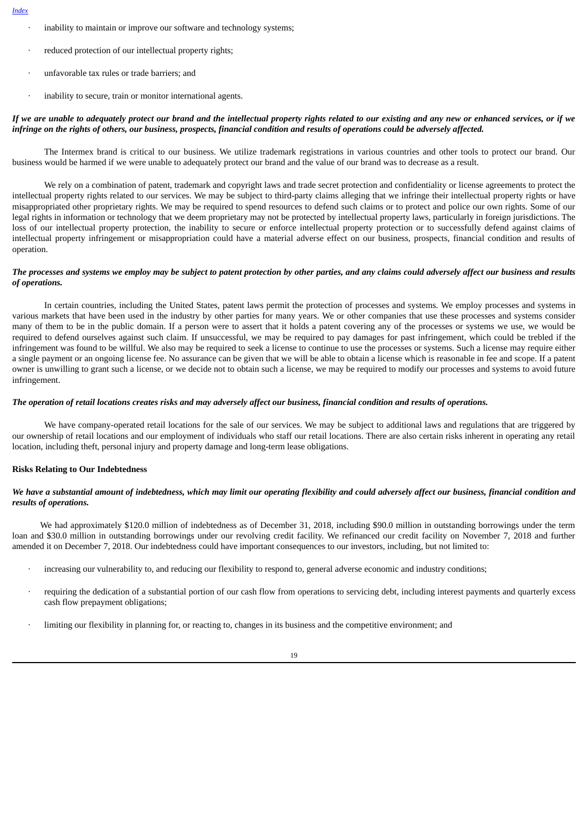- inability to maintain or improve our software and technology systems;
- · reduced protection of our intellectual property rights;
- unfavorable tax rules or trade barriers; and
- inability to secure, train or monitor international agents.

## If we are unable to adequately protect our brand and the intellectual property rights related to our existing and any new or enhanced services, or if we infringe on the rights of others, our business, prospects, financial condition and results of operations could be adversely affected.

The Intermex brand is critical to our business. We utilize trademark registrations in various countries and other tools to protect our brand. Our business would be harmed if we were unable to adequately protect our brand and the value of our brand was to decrease as a result.

We rely on a combination of patent, trademark and copyright laws and trade secret protection and confidentiality or license agreements to protect the intellectual property rights related to our services. We may be subject to third-party claims alleging that we infringe their intellectual property rights or have misappropriated other proprietary rights. We may be required to spend resources to defend such claims or to protect and police our own rights. Some of our legal rights in information or technology that we deem proprietary may not be protected by intellectual property laws, particularly in foreign jurisdictions. The loss of our intellectual property protection, the inability to secure or enforce intellectual property protection or to successfully defend against claims of intellectual property infringement or misappropriation could have a material adverse effect on our business, prospects, financial condition and results of operation.

## The processes and systems we employ may be subject to patent protection by other parties, and any claims could adversely affect our business and results *of operations.*

In certain countries, including the United States, patent laws permit the protection of processes and systems. We employ processes and systems in various markets that have been used in the industry by other parties for many years. We or other companies that use these processes and systems consider many of them to be in the public domain. If a person were to assert that it holds a patent covering any of the processes or systems we use, we would be required to defend ourselves against such claim. If unsuccessful, we may be required to pay damages for past infringement, which could be trebled if the infringement was found to be willful. We also may be required to seek a license to continue to use the processes or systems. Such a license may require either a single payment or an ongoing license fee. No assurance can be given that we will be able to obtain a license which is reasonable in fee and scope. If a patent owner is unwilling to grant such a license, or we decide not to obtain such a license, we may be required to modify our processes and systems to avoid future infringement.

## The operation of retail locations creates risks and may adversely affect our business, financial condition and results of operations.

We have company-operated retail locations for the sale of our services. We may be subject to additional laws and regulations that are triggered by our ownership of retail locations and our employment of individuals who staff our retail locations. There are also certain risks inherent in operating any retail location, including theft, personal injury and property damage and long-term lease obligations.

## **Risks Relating to Our Indebtedness**

## We have a substantial amount of indebtedness, which may limit our operating flexibility and could adversely affect our business, financial condition and *results of operations.*

We had approximately \$120.0 million of indebtedness as of December 31, 2018, including \$90.0 million in outstanding borrowings under the term loan and \$30.0 million in outstanding borrowings under our revolving credit facility. We refinanced our credit facility on November 7, 2018 and further amended it on December 7, 2018. Our indebtedness could have important consequences to our investors, including, but not limited to:

- increasing our vulnerability to, and reducing our flexibility to respond to, general adverse economic and industry conditions;
- · requiring the dedication of a substantial portion of our cash flow from operations to servicing debt, including interest payments and quarterly excess cash flow prepayment obligations;
- limiting our flexibility in planning for, or reacting to, changes in its business and the competitive environment; and

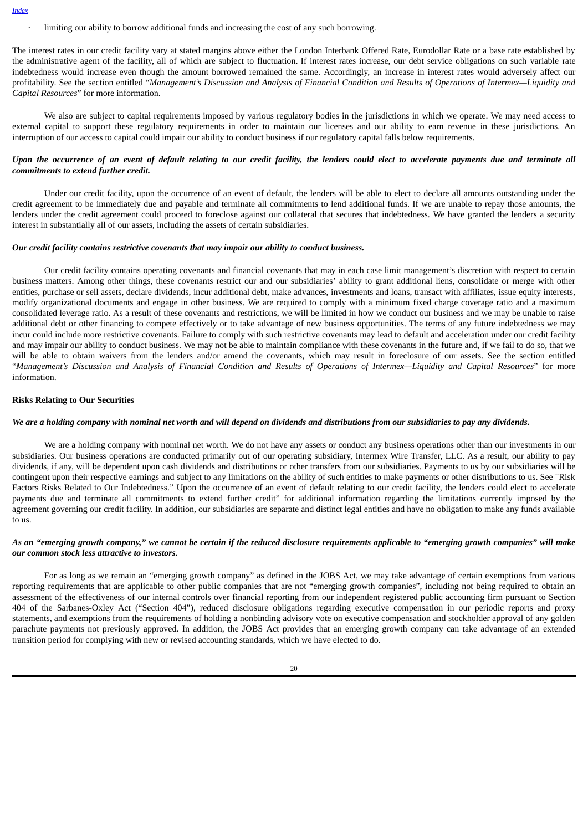limiting our ability to borrow additional funds and increasing the cost of any such borrowing.

The interest rates in our credit facility vary at stated margins above either the London Interbank Offered Rate, Eurodollar Rate or a base rate established by the administrative agent of the facility, all of which are subject to fluctuation. If interest rates increase, our debt service obligations on such variable rate indebtedness would increase even though the amount borrowed remained the same. Accordingly, an increase in interest rates would adversely affect our profitability. See the section entitled "Management's Discussion and Analysis of Financial Condition and Results of Operations of Intermex-Liquidity and *Capital Resources*" for more information.

We also are subject to capital requirements imposed by various regulatory bodies in the jurisdictions in which we operate. We may need access to external capital to support these regulatory requirements in order to maintain our licenses and our ability to earn revenue in these jurisdictions. An interruption of our access to capital could impair our ability to conduct business if our regulatory capital falls below requirements.

## Upon the occurrence of an event of default relating to our credit facility, the lenders could elect to accelerate payments due and terminate all *commitments to extend further credit.*

Under our credit facility, upon the occurrence of an event of default, the lenders will be able to elect to declare all amounts outstanding under the credit agreement to be immediately due and payable and terminate all commitments to lend additional funds. If we are unable to repay those amounts, the lenders under the credit agreement could proceed to foreclose against our collateral that secures that indebtedness. We have granted the lenders a security interest in substantially all of our assets, including the assets of certain subsidiaries.

#### *Our credit facility contains restrictive covenants that may impair our ability to conduct business.*

Our credit facility contains operating covenants and financial covenants that may in each case limit management's discretion with respect to certain business matters. Among other things, these covenants restrict our and our subsidiaries' ability to grant additional liens, consolidate or merge with other entities, purchase or sell assets, declare dividends, incur additional debt, make advances, investments and loans, transact with affiliates, issue equity interests, modify organizational documents and engage in other business. We are required to comply with a minimum fixed charge coverage ratio and a maximum consolidated leverage ratio. As a result of these covenants and restrictions, we will be limited in how we conduct our business and we may be unable to raise additional debt or other financing to compete effectively or to take advantage of new business opportunities. The terms of any future indebtedness we may incur could include more restrictive covenants. Failure to comply with such restrictive covenants may lead to default and acceleration under our credit facility and may impair our ability to conduct business. We may not be able to maintain compliance with these covenants in the future and, if we fail to do so, that we will be able to obtain waivers from the lenders and/or amend the covenants, which may result in foreclosure of our assets. See the section entitled "Management's Discussion and Analysis of Financial Condition and Results of Operations of Intermex—Liquidity and Capital Resources" for more information.

#### **Risks Relating to Our Securities**

#### We are a holding company with nominal net worth and will depend on dividends and distributions from our subsidiaries to pay any dividends.

We are a holding company with nominal net worth. We do not have any assets or conduct any business operations other than our investments in our subsidiaries. Our business operations are conducted primarily out of our operating subsidiary, Intermex Wire Transfer, LLC. As a result, our ability to pay dividends, if any, will be dependent upon cash dividends and distributions or other transfers from our subsidiaries. Payments to us by our subsidiaries will be contingent upon their respective earnings and subject to any limitations on the ability of such entities to make payments or other distributions to us. See "Risk Factors Risks Related to Our Indebtedness." Upon the occurrence of an event of default relating to our credit facility, the lenders could elect to accelerate payments due and terminate all commitments to extend further credit" for additional information regarding the limitations currently imposed by the agreement governing our credit facility. In addition, our subsidiaries are separate and distinct legal entities and have no obligation to make any funds available to us.

#### As an "emerging growth company," we cannot be certain if the reduced disclosure requirements applicable to "emerging growth companies" will make *our common stock less attractive to investors.*

For as long as we remain an "emerging growth company" as defined in the JOBS Act, we may take advantage of certain exemptions from various reporting requirements that are applicable to other public companies that are not "emerging growth companies", including not being required to obtain an assessment of the effectiveness of our internal controls over financial reporting from our independent registered public accounting firm pursuant to Section 404 of the Sarbanes-Oxley Act ("Section 404"), reduced disclosure obligations regarding executive compensation in our periodic reports and proxy statements, and exemptions from the requirements of holding a nonbinding advisory vote on executive compensation and stockholder approval of any golden parachute payments not previously approved. In addition, the JOBS Act provides that an emerging growth company can take advantage of an extended transition period for complying with new or revised accounting standards, which we have elected to do.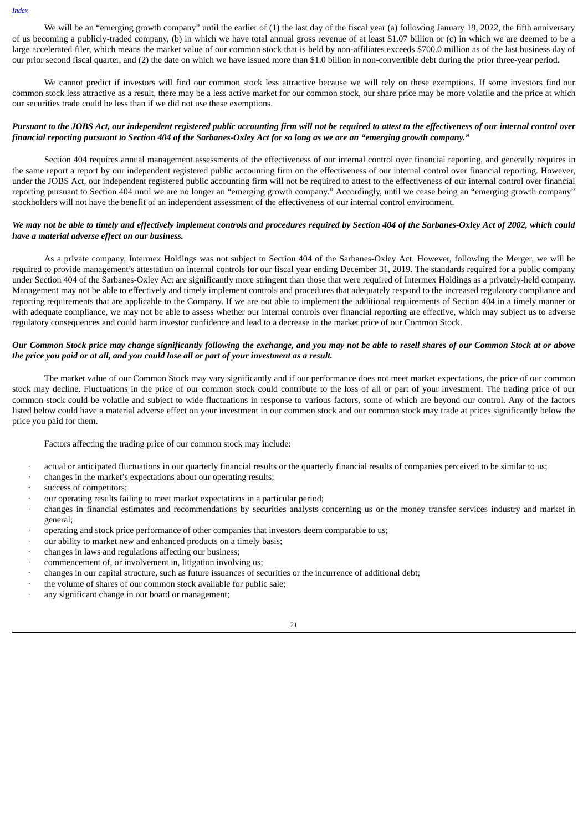We will be an "emerging growth company" until the earlier of (1) the last day of the fiscal year (a) following January 19, 2022, the fifth anniversary of us becoming a publicly-traded company, (b) in which we have total annual gross revenue of at least \$1.07 billion or (c) in which we are deemed to be a large accelerated filer, which means the market value of our common stock that is held by non-affiliates exceeds \$700.0 million as of the last business day of our prior second fiscal quarter, and (2) the date on which we have issued more than \$1.0 billion in non-convertible debt during the prior three-year period.

We cannot predict if investors will find our common stock less attractive because we will rely on these exemptions. If some investors find our common stock less attractive as a result, there may be a less active market for our common stock, our share price may be more volatile and the price at which our securities trade could be less than if we did not use these exemptions.

#### Pursuant to the JOBS Act, our independent registered public accounting firm will not be required to attest to the effectiveness of our internal control over financial reporting pursuant to Section 404 of the Sarbanes-Oxley Act for so long as we are an "emerging growth company."

Section 404 requires annual management assessments of the effectiveness of our internal control over financial reporting, and generally requires in the same report a report by our independent registered public accounting firm on the effectiveness of our internal control over financial reporting. However, under the JOBS Act, our independent registered public accounting firm will not be required to attest to the effectiveness of our internal control over financial reporting pursuant to Section 404 until we are no longer an "emerging growth company." Accordingly, until we cease being an "emerging growth company" stockholders will not have the benefit of an independent assessment of the effectiveness of our internal control environment.

## We may not be able to timely and effectively implement controls and procedures required by Section 404 of the Sarbanes-Oxley Act of 2002, which could *have a material adverse effect on our business.*

As a private company, Intermex Holdings was not subject to Section 404 of the Sarbanes-Oxley Act. However, following the Merger, we will be required to provide management's attestation on internal controls for our fiscal year ending December 31, 2019. The standards required for a public company under Section 404 of the Sarbanes-Oxley Act are significantly more stringent than those that were required of Intermex Holdings as a privately-held company. Management may not be able to effectively and timely implement controls and procedures that adequately respond to the increased regulatory compliance and reporting requirements that are applicable to the Company. If we are not able to implement the additional requirements of Section 404 in a timely manner or with adequate compliance, we may not be able to assess whether our internal controls over financial reporting are effective, which may subject us to adverse regulatory consequences and could harm investor confidence and lead to a decrease in the market price of our Common Stock.

## Our Common Stock price may change significantly following the exchange, and you may not be able to resell shares of our Common Stock at or above the price you paid or at all, and you could lose all or part of your investment as a result.

The market value of our Common Stock may vary significantly and if our performance does not meet market expectations, the price of our common stock may decline. Fluctuations in the price of our common stock could contribute to the loss of all or part of your investment. The trading price of our common stock could be volatile and subject to wide fluctuations in response to various factors, some of which are beyond our control. Any of the factors listed below could have a material adverse effect on your investment in our common stock and our common stock may trade at prices significantly below the price you paid for them.

Factors affecting the trading price of our common stock may include:

- · actual or anticipated fluctuations in our quarterly financial results or the quarterly financial results of companies perceived to be similar to us;
- · changes in the market's expectations about our operating results;
- success of competitors;
- · our operating results failing to meet market expectations in a particular period;
- · changes in financial estimates and recommendations by securities analysts concerning us or the money transfer services industry and market in general;
- · operating and stock price performance of other companies that investors deem comparable to us;
- our ability to market new and enhanced products on a timely basis;
- changes in laws and regulations affecting our business;
- · commencement of, or involvement in, litigation involving us;
- · changes in our capital structure, such as future issuances of securities or the incurrence of additional debt;
- the volume of shares of our common stock available for public sale;
- any significant change in our board or management;

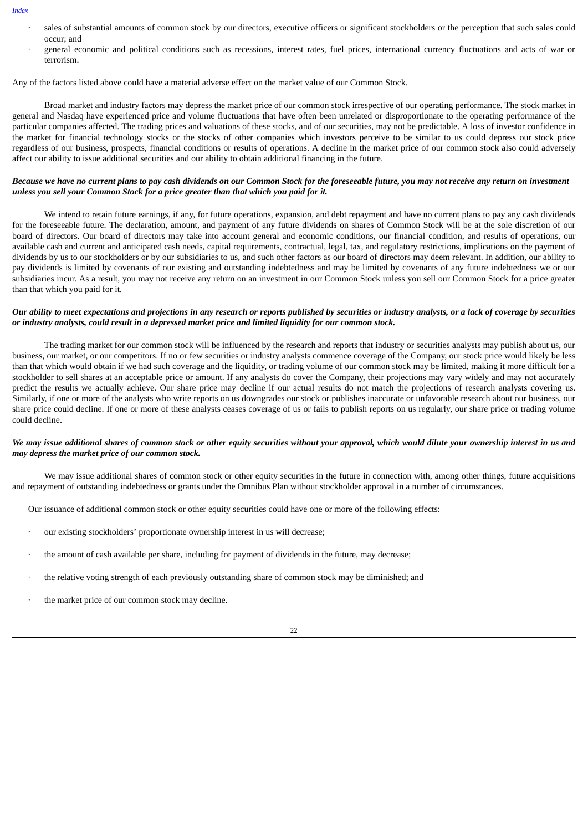- *[Index](#page-2-0)*
	- sales of substantial amounts of common stock by our directors, executive officers or significant stockholders or the perception that such sales could occur; and
	- · general economic and political conditions such as recessions, interest rates, fuel prices, international currency fluctuations and acts of war or terrorism.

Any of the factors listed above could have a material adverse effect on the market value of our Common Stock.

Broad market and industry factors may depress the market price of our common stock irrespective of our operating performance. The stock market in general and Nasdaq have experienced price and volume fluctuations that have often been unrelated or disproportionate to the operating performance of the particular companies affected. The trading prices and valuations of these stocks, and of our securities, may not be predictable. A loss of investor confidence in the market for financial technology stocks or the stocks of other companies which investors perceive to be similar to us could depress our stock price regardless of our business, prospects, financial conditions or results of operations. A decline in the market price of our common stock also could adversely affect our ability to issue additional securities and our ability to obtain additional financing in the future.

#### Because we have no current plans to pay cash dividends on our Common Stock for the foreseeable future, you may not receive any return on investment *unless you sell your Common Stock for a price greater than that which you paid for it.*

We intend to retain future earnings, if any, for future operations, expansion, and debt repayment and have no current plans to pay any cash dividends for the foreseeable future. The declaration, amount, and payment of any future dividends on shares of Common Stock will be at the sole discretion of our board of directors. Our board of directors may take into account general and economic conditions, our financial condition, and results of operations, our available cash and current and anticipated cash needs, capital requirements, contractual, legal, tax, and regulatory restrictions, implications on the payment of dividends by us to our stockholders or by our subsidiaries to us, and such other factors as our board of directors may deem relevant. In addition, our ability to pay dividends is limited by covenants of our existing and outstanding indebtedness and may be limited by covenants of any future indebtedness we or our subsidiaries incur. As a result, you may not receive any return on an investment in our Common Stock unless you sell our Common Stock for a price greater than that which you paid for it.

## Our ability to meet expectations and projections in any research or reports published by securities or industry analysts, or a lack of coverage by securities or industry analysts, could result in a depressed market price and limited liquidity for our common stock.

The trading market for our common stock will be influenced by the research and reports that industry or securities analysts may publish about us, our business, our market, or our competitors. If no or few securities or industry analysts commence coverage of the Company, our stock price would likely be less than that which would obtain if we had such coverage and the liquidity, or trading volume of our common stock may be limited, making it more difficult for a stockholder to sell shares at an acceptable price or amount. If any analysts do cover the Company, their projections may vary widely and may not accurately predict the results we actually achieve. Our share price may decline if our actual results do not match the projections of research analysts covering us. Similarly, if one or more of the analysts who write reports on us downgrades our stock or publishes inaccurate or unfavorable research about our business, our share price could decline. If one or more of these analysts ceases coverage of us or fails to publish reports on us regularly, our share price or trading volume could decline.

## We may issue additional shares of common stock or other equity securities without your approval, which would dilute your ownership interest in us and *may depress the market price of our common stock.*

We may issue additional shares of common stock or other equity securities in the future in connection with, among other things, future acquisitions and repayment of outstanding indebtedness or grants under the Omnibus Plan without stockholder approval in a number of circumstances.

Our issuance of additional common stock or other equity securities could have one or more of the following effects:

- · our existing stockholders' proportionate ownership interest in us will decrease;
- the amount of cash available per share, including for payment of dividends in the future, may decrease;
- the relative voting strength of each previously outstanding share of common stock may be diminished; and
- the market price of our common stock may decline.

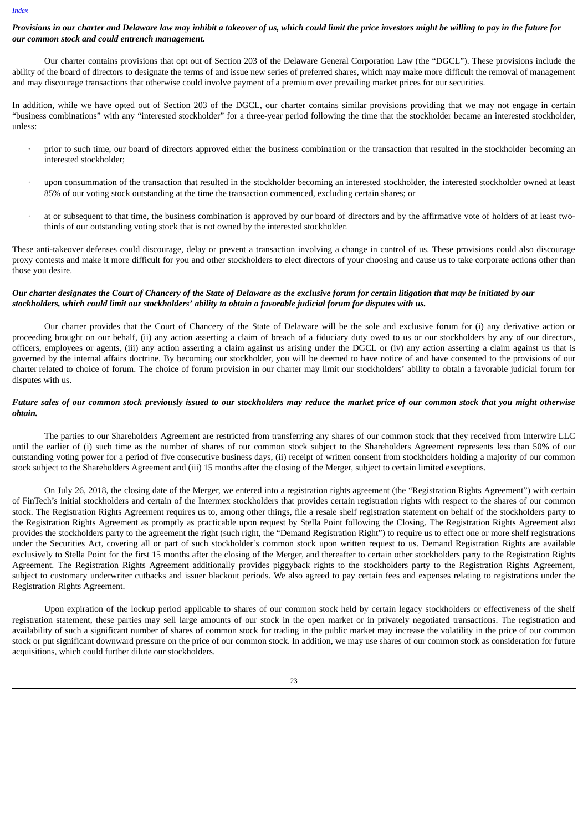## Provisions in our charter and Delaware law may inhibit a takeover of us, which could limit the price investors might be willing to pay in the future for *our common stock and could entrench management.*

Our charter contains provisions that opt out of Section 203 of the Delaware General Corporation Law (the "DGCL"). These provisions include the ability of the board of directors to designate the terms of and issue new series of preferred shares, which may make more difficult the removal of management and may discourage transactions that otherwise could involve payment of a premium over prevailing market prices for our securities.

In addition, while we have opted out of Section 203 of the DGCL, our charter contains similar provisions providing that we may not engage in certain "business combinations" with any "interested stockholder" for a three-year period following the time that the stockholder became an interested stockholder, unless:

- · prior to such time, our board of directors approved either the business combination or the transaction that resulted in the stockholder becoming an interested stockholder;
- · upon consummation of the transaction that resulted in the stockholder becoming an interested stockholder, the interested stockholder owned at least 85% of our voting stock outstanding at the time the transaction commenced, excluding certain shares; or
- · at or subsequent to that time, the business combination is approved by our board of directors and by the affirmative vote of holders of at least twothirds of our outstanding voting stock that is not owned by the interested stockholder.

These anti-takeover defenses could discourage, delay or prevent a transaction involving a change in control of us. These provisions could also discourage proxy contests and make it more difficult for you and other stockholders to elect directors of your choosing and cause us to take corporate actions other than those you desire.

## Our charter designates the Court of Chancery of the State of Delaware as the exclusive forum for certain litigation that may be initiated by our stockholders, which could limit our stockholders' ability to obtain a favorable judicial forum for disputes with us.

Our charter provides that the Court of Chancery of the State of Delaware will be the sole and exclusive forum for (i) any derivative action or proceeding brought on our behalf, (ii) any action asserting a claim of breach of a fiduciary duty owed to us or our stockholders by any of our directors, officers, employees or agents, (iii) any action asserting a claim against us arising under the DGCL or (iv) any action asserting a claim against us that is governed by the internal affairs doctrine. By becoming our stockholder, you will be deemed to have notice of and have consented to the provisions of our charter related to choice of forum. The choice of forum provision in our charter may limit our stockholders' ability to obtain a favorable judicial forum for disputes with us.

## Future sales of our common stock previously issued to our stockholders may reduce the market price of our common stock that you might otherwise *obtain.*

The parties to our Shareholders Agreement are restricted from transferring any shares of our common stock that they received from Interwire LLC until the earlier of (i) such time as the number of shares of our common stock subject to the Shareholders Agreement represents less than 50% of our outstanding voting power for a period of five consecutive business days, (ii) receipt of written consent from stockholders holding a majority of our common stock subject to the Shareholders Agreement and (iii) 15 months after the closing of the Merger, subject to certain limited exceptions.

On July 26, 2018, the closing date of the Merger, we entered into a registration rights agreement (the "Registration Rights Agreement") with certain of FinTech's initial stockholders and certain of the Intermex stockholders that provides certain registration rights with respect to the shares of our common stock. The Registration Rights Agreement requires us to, among other things, file a resale shelf registration statement on behalf of the stockholders party to the Registration Rights Agreement as promptly as practicable upon request by Stella Point following the Closing. The Registration Rights Agreement also provides the stockholders party to the agreement the right (such right, the "Demand Registration Right") to require us to effect one or more shelf registrations under the Securities Act, covering all or part of such stockholder's common stock upon written request to us. Demand Registration Rights are available exclusively to Stella Point for the first 15 months after the closing of the Merger, and thereafter to certain other stockholders party to the Registration Rights Agreement. The Registration Rights Agreement additionally provides piggyback rights to the stockholders party to the Registration Rights Agreement, subject to customary underwriter cutbacks and issuer blackout periods. We also agreed to pay certain fees and expenses relating to registrations under the Registration Rights Agreement.

Upon expiration of the lockup period applicable to shares of our common stock held by certain legacy stockholders or effectiveness of the shelf registration statement, these parties may sell large amounts of our stock in the open market or in privately negotiated transactions. The registration and availability of such a significant number of shares of common stock for trading in the public market may increase the volatility in the price of our common stock or put significant downward pressure on the price of our common stock. In addition, we may use shares of our common stock as consideration for future acquisitions, which could further dilute our stockholders.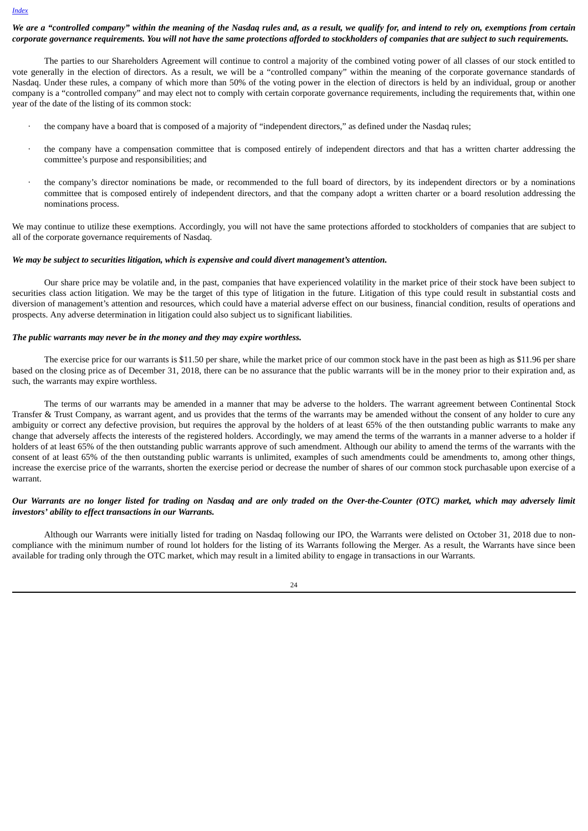## We are a "controlled company" within the meaning of the Nasdag rules and, as a result, we qualify for, and intend to rely on, exemptions from certain corporate governance requirements. You will not have the same protections afforded to stockholders of companies that are subject to such requirements.

The parties to our Shareholders Agreement will continue to control a majority of the combined voting power of all classes of our stock entitled to vote generally in the election of directors. As a result, we will be a "controlled company" within the meaning of the corporate governance standards of Nasdaq. Under these rules, a company of which more than 50% of the voting power in the election of directors is held by an individual, group or another company is a "controlled company" and may elect not to comply with certain corporate governance requirements, including the requirements that, within one year of the date of the listing of its common stock:

- · the company have a board that is composed of a majority of "independent directors," as defined under the Nasdaq rules;
- · the company have a compensation committee that is composed entirely of independent directors and that has a written charter addressing the committee's purpose and responsibilities; and
- · the company's director nominations be made, or recommended to the full board of directors, by its independent directors or by a nominations committee that is composed entirely of independent directors, and that the company adopt a written charter or a board resolution addressing the nominations process.

We may continue to utilize these exemptions. Accordingly, you will not have the same protections afforded to stockholders of companies that are subject to all of the corporate governance requirements of Nasdaq.

#### *We may be subject to securities litigation, which is expensive and could divert management's attention.*

Our share price may be volatile and, in the past, companies that have experienced volatility in the market price of their stock have been subject to securities class action litigation. We may be the target of this type of litigation in the future. Litigation of this type could result in substantial costs and diversion of management's attention and resources, which could have a material adverse effect on our business, financial condition, results of operations and prospects. Any adverse determination in litigation could also subject us to significant liabilities.

#### *The public warrants may never be in the money and they may expire worthless.*

The exercise price for our warrants is \$11.50 per share, while the market price of our common stock have in the past been as high as \$11.96 per share based on the closing price as of December 31, 2018, there can be no assurance that the public warrants will be in the money prior to their expiration and, as such, the warrants may expire worthless.

The terms of our warrants may be amended in a manner that may be adverse to the holders. The warrant agreement between Continental Stock Transfer & Trust Company, as warrant agent, and us provides that the terms of the warrants may be amended without the consent of any holder to cure any ambiguity or correct any defective provision, but requires the approval by the holders of at least 65% of the then outstanding public warrants to make any change that adversely affects the interests of the registered holders. Accordingly, we may amend the terms of the warrants in a manner adverse to a holder if holders of at least 65% of the then outstanding public warrants approve of such amendment. Although our ability to amend the terms of the warrants with the consent of at least 65% of the then outstanding public warrants is unlimited, examples of such amendments could be amendments to, among other things, increase the exercise price of the warrants, shorten the exercise period or decrease the number of shares of our common stock purchasable upon exercise of a warrant.

## Our Warrants are no longer listed for trading on Nasdag and are only traded on the Over-the-Counter (OTC) market, which may adversely limit *investors' ability to effect transactions in our Warrants.*

Although our Warrants were initially listed for trading on Nasdaq following our IPO, the Warrants were delisted on October 31, 2018 due to noncompliance with the minimum number of round lot holders for the listing of its Warrants following the Merger. As a result, the Warrants have since been available for trading only through the OTC market, which may result in a limited ability to engage in transactions in our Warrants.

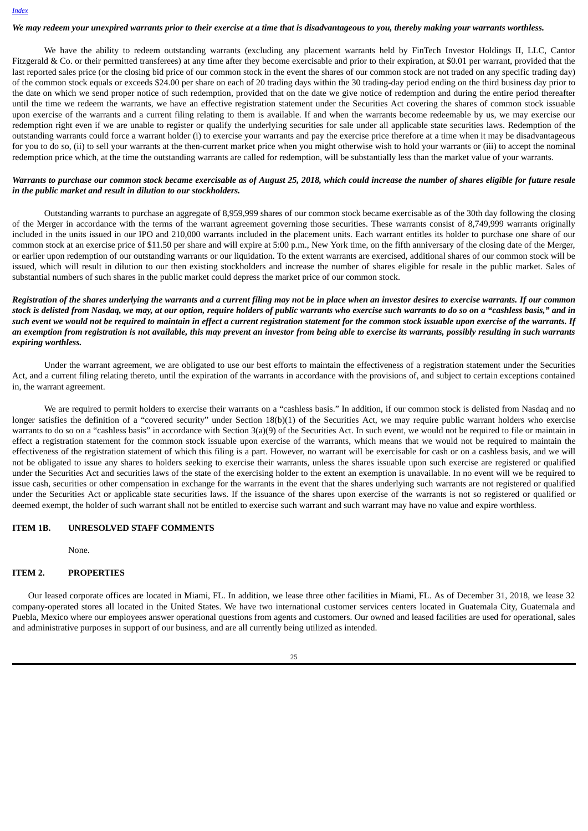#### We may redeem your unexpired warrants prior to their exercise at a time that is disadvantageous to you, thereby making your warrants worthless.

We have the ability to redeem outstanding warrants (excluding any placement warrants held by FinTech Investor Holdings II, LLC, Cantor Fitzgerald & Co. or their permitted transferees) at any time after they become exercisable and prior to their expiration, at \$0.01 per warrant, provided that the last reported sales price (or the closing bid price of our common stock in the event the shares of our common stock are not traded on any specific trading day) of the common stock equals or exceeds \$24.00 per share on each of 20 trading days within the 30 trading-day period ending on the third business day prior to the date on which we send proper notice of such redemption, provided that on the date we give notice of redemption and during the entire period thereafter until the time we redeem the warrants, we have an effective registration statement under the Securities Act covering the shares of common stock issuable upon exercise of the warrants and a current filing relating to them is available. If and when the warrants become redeemable by us, we may exercise our redemption right even if we are unable to register or qualify the underlying securities for sale under all applicable state securities laws. Redemption of the outstanding warrants could force a warrant holder (i) to exercise your warrants and pay the exercise price therefore at a time when it may be disadvantageous for you to do so, (ii) to sell your warrants at the then-current market price when you might otherwise wish to hold your warrants or (iii) to accept the nominal redemption price which, at the time the outstanding warrants are called for redemption, will be substantially less than the market value of your warrants.

## Warrants to purchase our common stock became exercisable as of August 25, 2018, which could increase the number of shares eligible for future resale *in the public market and result in dilution to our stockholders.*

Outstanding warrants to purchase an aggregate of 8,959,999 shares of our common stock became exercisable as of the 30th day following the closing of the Merger in accordance with the terms of the warrant agreement governing those securities. These warrants consist of 8,749,999 warrants originally included in the units issued in our IPO and 210,000 warrants included in the placement units. Each warrant entitles its holder to purchase one share of our common stock at an exercise price of \$11.50 per share and will expire at 5:00 p.m., New York time, on the fifth anniversary of the closing date of the Merger, or earlier upon redemption of our outstanding warrants or our liquidation. To the extent warrants are exercised, additional shares of our common stock will be issued, which will result in dilution to our then existing stockholders and increase the number of shares eligible for resale in the public market. Sales of substantial numbers of such shares in the public market could depress the market price of our common stock.

Registration of the shares underlying the warrants and a current filing may not be in place when an investor desires to exercise warrants. If our common stock is delisted from Nasdaq, we may, at our option, require holders of public warrants who exercise such warrants to do so on a "cashless basis," and in such event we would not be required to maintain in effect a current registration statement for the common stock issuable upon exercise of the warrants. If an exemption from registration is not available, this may prevent an investor from being able to exercise its warrants, possibly resulting in such warrants *expiring worthless.*

Under the warrant agreement, we are obligated to use our best efforts to maintain the effectiveness of a registration statement under the Securities Act, and a current filing relating thereto, until the expiration of the warrants in accordance with the provisions of, and subject to certain exceptions contained in, the warrant agreement.

We are required to permit holders to exercise their warrants on a "cashless basis." In addition, if our common stock is delisted from Nasdaq and no longer satisfies the definition of a "covered security" under Section 18(b)(1) of the Securities Act, we may require public warrant holders who exercise warrants to do so on a "cashless basis" in accordance with Section 3(a)(9) of the Securities Act. In such event, we would not be required to file or maintain in effect a registration statement for the common stock issuable upon exercise of the warrants, which means that we would not be required to maintain the effectiveness of the registration statement of which this filing is a part. However, no warrant will be exercisable for cash or on a cashless basis, and we will not be obligated to issue any shares to holders seeking to exercise their warrants, unless the shares issuable upon such exercise are registered or qualified under the Securities Act and securities laws of the state of the exercising holder to the extent an exemption is unavailable. In no event will we be required to issue cash, securities or other compensation in exchange for the warrants in the event that the shares underlying such warrants are not registered or qualified under the Securities Act or applicable state securities laws. If the issuance of the shares upon exercise of the warrants is not so registered or qualified or deemed exempt, the holder of such warrant shall not be entitled to exercise such warrant and such warrant may have no value and expire worthless.

#### <span id="page-27-0"></span>**ITEM 1B. UNRESOLVED STAFF COMMENTS**

None.

## <span id="page-27-1"></span>**ITEM 2. PROPERTIES**

Our leased corporate offices are located in Miami, FL. In addition, we lease three other facilities in Miami, FL. As of December 31, 2018, we lease 32 company-operated stores all located in the United States. We have two international customer services centers located in Guatemala City, Guatemala and Puebla, Mexico where our employees answer operational questions from agents and customers. Our owned and leased facilities are used for operational, sales and administrative purposes in support of our business, and are all currently being utilized as intended.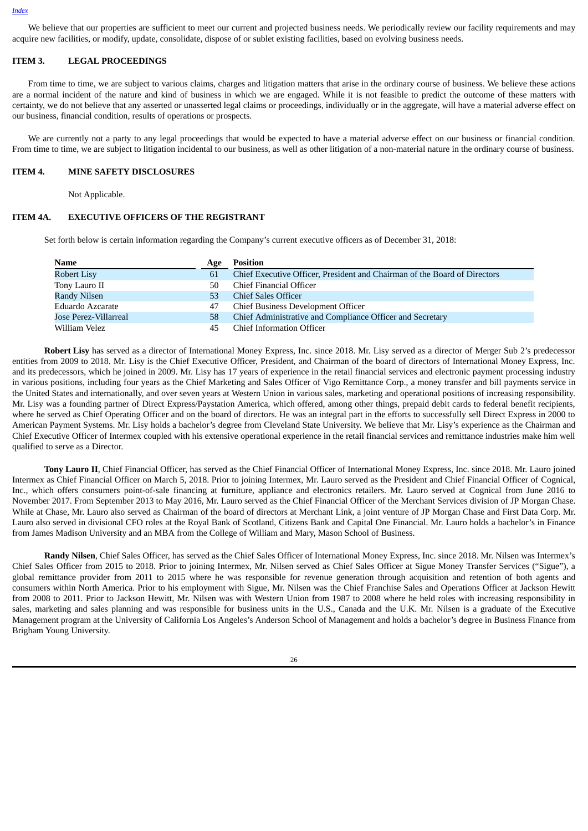We believe that our properties are sufficient to meet our current and projected business needs. We periodically review our facility requirements and may acquire new facilities, or modify, update, consolidate, dispose of or sublet existing facilities, based on evolving business needs.

## <span id="page-28-0"></span>**ITEM 3. LEGAL PROCEEDINGS**

From time to time, we are subject to various claims, charges and litigation matters that arise in the ordinary course of business. We believe these actions are a normal incident of the nature and kind of business in which we are engaged. While it is not feasible to predict the outcome of these matters with certainty, we do not believe that any asserted or unasserted legal claims or proceedings, individually or in the aggregate, will have a material adverse effect on our business, financial condition, results of operations or prospects.

We are currently not a party to any legal proceedings that would be expected to have a material adverse effect on our business or financial condition. From time to time, we are subject to litigation incidental to our business, as well as other litigation of a non-material nature in the ordinary course of business.

#### <span id="page-28-1"></span>**ITEM 4. MINE SAFETY DISCLOSURES**

Not Applicable.

#### <span id="page-28-2"></span>**ITEM 4A. EXECUTIVE OFFICERS OF THE REGISTRANT**

Set forth below is certain information regarding the Company's current executive officers as of December 31, 2018:

| <b>Name</b>           | Age | <b>Position</b>                                                           |
|-----------------------|-----|---------------------------------------------------------------------------|
| <b>Robert Lisy</b>    | 61  | Chief Executive Officer, President and Chairman of the Board of Directors |
| Tony Lauro II         | 50  | Chief Financial Officer                                                   |
| <b>Randy Nilsen</b>   | 53  | <b>Chief Sales Officer</b>                                                |
| Eduardo Azcarate      | 47  | Chief Business Development Officer                                        |
| Jose Perez-Villarreal | 58  | Chief Administrative and Compliance Officer and Secretary                 |
| William Velez         | 45  | Chief Information Officer                                                 |

**Robert Lisy** has served as a director of International Money Express, Inc. since 2018. Mr. Lisy served as a director of Merger Sub 2's predecessor entities from 2009 to 2018. Mr. Lisy is the Chief Executive Officer, President, and Chairman of the board of directors of International Money Express, Inc. and its predecessors, which he joined in 2009. Mr. Lisy has 17 years of experience in the retail financial services and electronic payment processing industry in various positions, including four years as the Chief Marketing and Sales Officer of Vigo Remittance Corp., a money transfer and bill payments service in the United States and internationally, and over seven years at Western Union in various sales, marketing and operational positions of increasing responsibility. Mr. Lisy was a founding partner of Direct Express/Paystation America, which offered, among other things, prepaid debit cards to federal benefit recipients, where he served as Chief Operating Officer and on the board of directors. He was an integral part in the efforts to successfully sell Direct Express in 2000 to American Payment Systems. Mr. Lisy holds a bachelor's degree from Cleveland State University. We believe that Mr. Lisy's experience as the Chairman and Chief Executive Officer of Intermex coupled with his extensive operational experience in the retail financial services and remittance industries make him well qualified to serve as a Director.

**Tony Lauro II**, Chief Financial Officer, has served as the Chief Financial Officer of International Money Express, Inc. since 2018. Mr. Lauro joined Intermex as Chief Financial Officer on March 5, 2018. Prior to joining Intermex, Mr. Lauro served as the President and Chief Financial Officer of Cognical, Inc., which offers consumers point-of-sale financing at furniture, appliance and electronics retailers. Mr. Lauro served at Cognical from June 2016 to November 2017. From September 2013 to May 2016, Mr. Lauro served as the Chief Financial Officer of the Merchant Services division of JP Morgan Chase. While at Chase, Mr. Lauro also served as Chairman of the board of directors at Merchant Link, a joint venture of JP Morgan Chase and First Data Corp. Mr. Lauro also served in divisional CFO roles at the Royal Bank of Scotland, Citizens Bank and Capital One Financial. Mr. Lauro holds a bachelor's in Finance from James Madison University and an MBA from the College of William and Mary, Mason School of Business.

**Randy Nilsen**, Chief Sales Officer, has served as the Chief Sales Officer of International Money Express, Inc. since 2018. Mr. Nilsen was Intermex's Chief Sales Officer from 2015 to 2018. Prior to joining Intermex, Mr. Nilsen served as Chief Sales Officer at Sigue Money Transfer Services ("Sigue"), a global remittance provider from 2011 to 2015 where he was responsible for revenue generation through acquisition and retention of both agents and consumers within North America. Prior to his employment with Sigue, Mr. Nilsen was the Chief Franchise Sales and Operations Officer at Jackson Hewitt from 2008 to 2011. Prior to Jackson Hewitt, Mr. Nilsen was with Western Union from 1987 to 2008 where he held roles with increasing responsibility in sales, marketing and sales planning and was responsible for business units in the U.S., Canada and the U.K. Mr. Nilsen is a graduate of the Executive Management program at the University of California Los Angeles's Anderson School of Management and holds a bachelor's degree in Business Finance from Brigham Young University.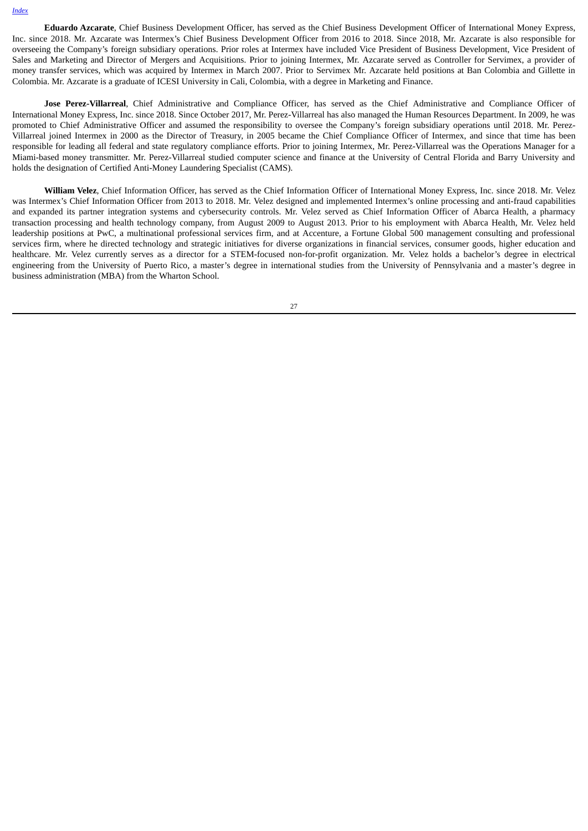**Eduardo Azcarate**, Chief Business Development Officer, has served as the Chief Business Development Officer of International Money Express, Inc. since 2018. Mr. Azcarate was Intermex's Chief Business Development Officer from 2016 to 2018. Since 2018, Mr. Azcarate is also responsible for overseeing the Company's foreign subsidiary operations. Prior roles at Intermex have included Vice President of Business Development, Vice President of Sales and Marketing and Director of Mergers and Acquisitions. Prior to joining Intermex, Mr. Azcarate served as Controller for Servimex, a provider of money transfer services, which was acquired by Intermex in March 2007. Prior to Servimex Mr. Azcarate held positions at Ban Colombia and Gillette in Colombia. Mr. Azcarate is a graduate of ICESI University in Cali, Colombia, with a degree in Marketing and Finance.

**Jose Perez-Villarreal**, Chief Administrative and Compliance Officer, has served as the Chief Administrative and Compliance Officer of International Money Express, Inc. since 2018. Since October 2017, Mr. Perez-Villarreal has also managed the Human Resources Department. In 2009, he was promoted to Chief Administrative Officer and assumed the responsibility to oversee the Company's foreign subsidiary operations until 2018. Mr. Perez-Villarreal joined Intermex in 2000 as the Director of Treasury, in 2005 became the Chief Compliance Officer of Intermex, and since that time has been responsible for leading all federal and state regulatory compliance efforts. Prior to joining Intermex, Mr. Perez-Villarreal was the Operations Manager for a Miami-based money transmitter. Mr. Perez-Villarreal studied computer science and finance at the University of Central Florida and Barry University and holds the designation of Certified Anti-Money Laundering Specialist (CAMS).

**William Velez**, Chief Information Officer, has served as the Chief Information Officer of International Money Express, Inc. since 2018. Mr. Velez was Intermex's Chief Information Officer from 2013 to 2018. Mr. Velez designed and implemented Intermex's online processing and anti-fraud capabilities and expanded its partner integration systems and cybersecurity controls. Mr. Velez served as Chief Information Officer of Abarca Health, a pharmacy transaction processing and health technology company, from August 2009 to August 2013. Prior to his employment with Abarca Health, Mr. Velez held leadership positions at PwC, a multinational professional services firm, and at Accenture, a Fortune Global 500 management consulting and professional services firm, where he directed technology and strategic initiatives for diverse organizations in financial services, consumer goods, higher education and healthcare. Mr. Velez currently serves as a director for a STEM-focused non-for-profit organization. Mr. Velez holds a bachelor's degree in electrical engineering from the University of Puerto Rico, a master's degree in international studies from the University of Pennsylvania and a master's degree in business administration (MBA) from the Wharton School.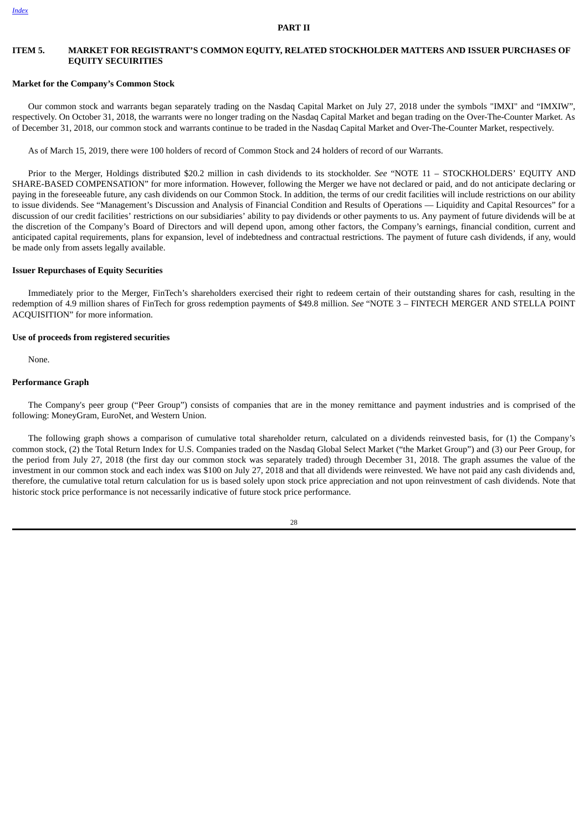#### **PART II**

## <span id="page-30-0"></span>**ITEM 5. MARKET FOR REGISTRANT'S COMMON EQUITY, RELATED STOCKHOLDER MATTERS AND ISSUER PURCHASES OF EQUITY SECUIRITIES**

#### **Market for the Company's Common Stock**

Our common stock and warrants began separately trading on the Nasdaq Capital Market on July 27, 2018 under the symbols "IMXI" and "IMXIW", respectively. On October 31, 2018, the warrants were no longer trading on the Nasdaq Capital Market and began trading on the Over-The-Counter Market. As of December 31, 2018, our common stock and warrants continue to be traded in the Nasdaq Capital Market and Over-The-Counter Market, respectively.

As of March 15, 2019, there were 100 holders of record of Common Stock and 24 holders of record of our Warrants.

Prior to the Merger, Holdings distributed \$20.2 million in cash dividends to its stockholder. *See* "NOTE 11 – STOCKHOLDERS' EQUITY AND SHARE-BASED COMPENSATION" for more information. However, following the Merger we have not declared or paid, and do not anticipate declaring or paying in the foreseeable future, any cash dividends on our Common Stock. In addition, the terms of our credit facilities will include restrictions on our ability to issue dividends. See "Management's Discussion and Analysis of Financial Condition and Results of Operations — Liquidity and Capital Resources" for a discussion of our credit facilities' restrictions on our subsidiaries' ability to pay dividends or other payments to us. Any payment of future dividends will be at the discretion of the Company's Board of Directors and will depend upon, among other factors, the Company's earnings, financial condition, current and anticipated capital requirements, plans for expansion, level of indebtedness and contractual restrictions. The payment of future cash dividends, if any, would be made only from assets legally available.

#### **Issuer Repurchases of Equity Securities**

Immediately prior to the Merger, FinTech's shareholders exercised their right to redeem certain of their outstanding shares for cash, resulting in the redemption of 4.9 million shares of FinTech for gross redemption payments of \$49.8 million. *See* "NOTE 3 – FINTECH MERGER AND STELLA POINT ACQUISITION" for more information.

#### **Use of proceeds from registered securities**

None.

#### **Performance Graph**

The Company's peer group ("Peer Group") consists of companies that are in the money remittance and payment industries and is comprised of the following: MoneyGram, EuroNet, and Western Union.

The following graph shows a comparison of cumulative total shareholder return, calculated on a dividends reinvested basis, for (1) the Company's common stock, (2) the Total Return Index for U.S. Companies traded on the Nasdaq Global Select Market ("the Market Group") and (3) our Peer Group, for the period from July 27, 2018 (the first day our common stock was separately traded) through December 31, 2018. The graph assumes the value of the investment in our common stock and each index was \$100 on July 27, 2018 and that all dividends were reinvested. We have not paid any cash dividends and, therefore, the cumulative total return calculation for us is based solely upon stock price appreciation and not upon reinvestment of cash dividends. Note that historic stock price performance is not necessarily indicative of future stock price performance.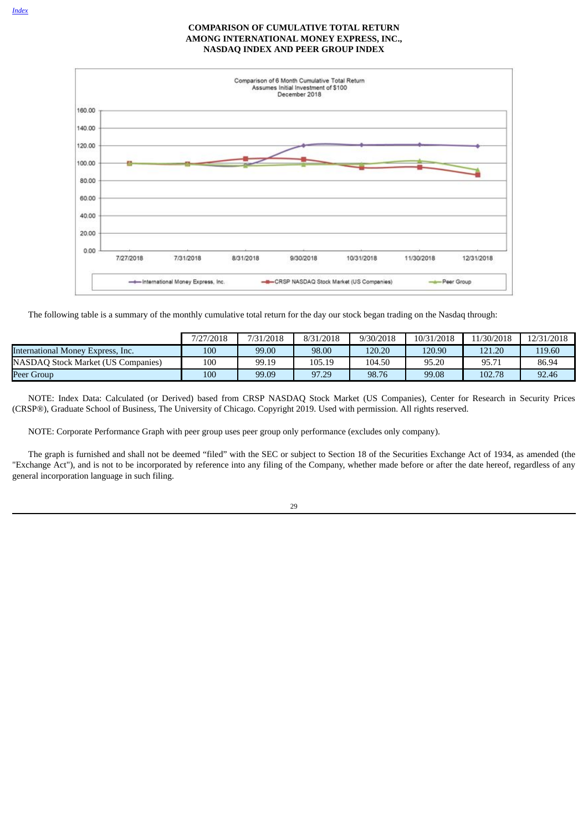## **COMPARISON OF CUMULATIVE TOTAL RETURN AMONG INTERNATIONAL MONEY EXPRESS, INC., NASDAQ INDEX AND PEER GROUP INDEX**



The following table is a summary of the monthly cumulative total return for the day our stock began trading on the Nasdaq through:

|                                           | 7/27/2018 | 7/31/2018 | 8/31/2018 | 9/30/2018 | 10/31/2018 | 11/30/2018 | 12/31/2018 |
|-------------------------------------------|-----------|-----------|-----------|-----------|------------|------------|------------|
| International Money Express, Inc.         | 100       | 99.00     | 98.00     | 120.20    | 120.90     | 121.20     | 119.60     |
| <b>NASDAO Stock Market (US Companies)</b> | 100       | 99.19     | 105.19    | 104.50    | 95.20      | 95.71      | 86.94      |
| Peer Group                                | $100\,$   | 99.09     | 97.29     | 98.76     | 99.08      | 102.78     | 92.46      |

NOTE: Index Data: Calculated (or Derived) based from CRSP NASDAQ Stock Market (US Companies), Center for Research in Security Prices (CRSP®), Graduate School of Business, The University of Chicago. Copyright 2019. Used with permission. All rights reserved.

NOTE: Corporate Performance Graph with peer group uses peer group only performance (excludes only company).

The graph is furnished and shall not be deemed "filed" with the SEC or subject to Section 18 of the Securities Exchange Act of 1934, as amended (the "Exchange Act"), and is not to be incorporated by reference into any filing of the Company, whether made before or after the date hereof, regardless of any general incorporation language in such filing.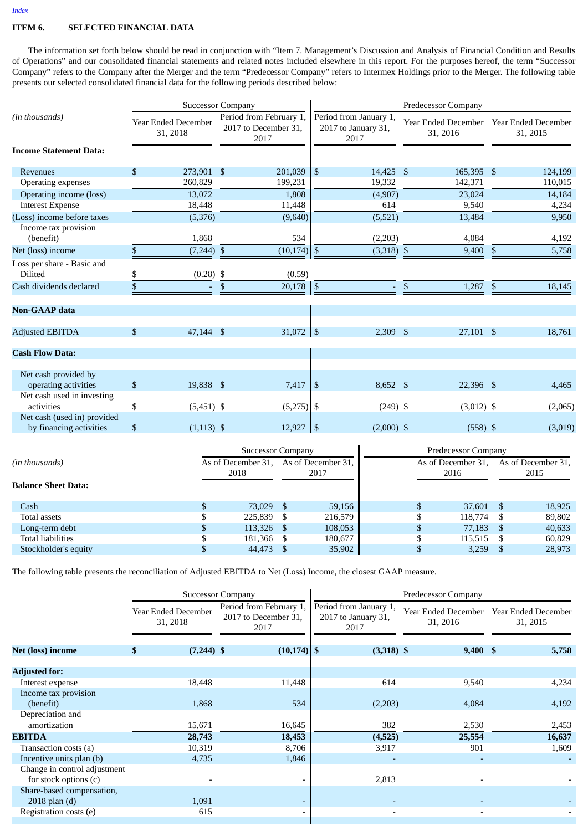## <span id="page-32-0"></span>**ITEM 6. SELECTED FINANCIAL DATA**

The information set forth below should be read in conjunction with "Item 7. Management's Discussion and Analysis of Financial Condition and Results of Operations" and our consolidated financial statements and related notes included elsewhere in this report. For the purposes hereof, the term "Successor Company" refers to the Company after the Merger and the term "Predecessor Company" refers to Intermex Holdings prior to the Merger. The following table presents our selected consolidated financial data for the following periods described below:

|                                                        | <b>Successor Company</b>               |              |                                                         |              | <b>Predecessor Company</b>                            |              |          |              |                                                     |         |
|--------------------------------------------------------|----------------------------------------|--------------|---------------------------------------------------------|--------------|-------------------------------------------------------|--------------|----------|--------------|-----------------------------------------------------|---------|
| (in thousands)                                         | <b>Year Ended December</b><br>31, 2018 |              | Period from February 1,<br>2017 to December 31,<br>2017 |              | Period from January 1,<br>2017 to January 31,<br>2017 |              | 31, 2016 |              | Year Ended December Year Ended December<br>31, 2015 |         |
| <b>Income Statement Data:</b>                          |                                        |              |                                                         |              |                                                       |              |          |              |                                                     |         |
| <b>Revenues</b>                                        | $\mathbb{S}$                           | 273,901 \$   |                                                         | 201,039      | $\mathbb{S}$                                          | 14,425 \$    |          | 165,395 \$   |                                                     | 124,199 |
| <b>Operating expenses</b>                              |                                        | 260,829      |                                                         | 199,231      |                                                       | 19,332       |          | 142,371      |                                                     | 110,015 |
| Operating income (loss)                                |                                        | 13,072       |                                                         | 1,808        |                                                       | (4,907)      |          | 23,024       |                                                     | 14,184  |
| <b>Interest Expense</b>                                |                                        | 18,448       |                                                         | 11,448       |                                                       | 614          |          | 9,540        |                                                     | 4,234   |
| (Loss) income before taxes<br>Income tax provision     |                                        | (5,376)      |                                                         | (9,640)      |                                                       | (5,521)      |          | 13,484       |                                                     | 9,950   |
| (benefit)                                              |                                        | 1,868        |                                                         | 534          |                                                       | (2,203)      |          | 4,084        |                                                     | 4,192   |
| Net (loss) income                                      | \$                                     | $(7,244)$ \$ |                                                         | (10, 174)    | $\sqrt{5}$                                            | $(3,318)$ \$ |          | 9,400        | \$                                                  | 5,758   |
| Loss per share - Basic and<br><b>Dilited</b>           | \$                                     | (0.28)       | \$                                                      | (0.59)       |                                                       |              |          |              |                                                     |         |
| Cash dividends declared                                | \$                                     |              | \$                                                      | 20,178       | $\vert$ \$                                            |              | \$       | 1,287        | \$                                                  | 18,145  |
| <b>Non-GAAP data</b>                                   |                                        |              |                                                         |              |                                                       |              |          |              |                                                     |         |
| <b>Adjusted EBITDA</b>                                 | $\mathbb{S}$                           | 47,144 \$    |                                                         | $31,072$ \$  |                                                       | $2,309$ \$   |          | 27,101 \$    |                                                     | 18,761  |
| <b>Cash Flow Data:</b>                                 |                                        |              |                                                         |              |                                                       |              |          |              |                                                     |         |
| Net cash provided by                                   |                                        |              |                                                         |              |                                                       |              |          |              |                                                     |         |
| operating activities                                   | \$                                     | 19,838 \$    |                                                         | 7,417        | $\mathfrak{S}$                                        | $8,652$ \$   |          | 22,396 \$    |                                                     | 4,465   |
| Net cash used in investing<br>activities               | \$                                     | $(5,451)$ \$ |                                                         | $(5,275)$ \$ |                                                       | $(249)$ \$   |          | $(3,012)$ \$ |                                                     | (2,065) |
| Net cash (used in) provided<br>by financing activities | \$                                     | $(1,113)$ \$ |                                                         | 12,927       | $\sqrt{5}$                                            | $(2,000)$ \$ |          | $(558)$ \$   |                                                     | (3,019) |

|                            |   | <b>Successor Company</b>   |      |                            |                            | Predecessor Company |                            |        |  |
|----------------------------|---|----------------------------|------|----------------------------|----------------------------|---------------------|----------------------------|--------|--|
| (in thousands)             |   | As of December 31,<br>2018 |      | As of December 31,<br>2017 | As of December 31.<br>2016 |                     | As of December 31,<br>2015 |        |  |
| <b>Balance Sheet Data:</b> |   |                            |      |                            |                            |                     |                            |        |  |
| Cash                       |   | 73,029 \$                  |      | 59,156                     |                            | $37,601$ \$         |                            | 18,925 |  |
| Total assets               |   | 225.839                    | - \$ | 216,579                    |                            | 118,774 \$          |                            | 89,802 |  |
| Long-term debt             | S | $113,326$ \$               |      | 108,053                    |                            | 77,183              | -S                         | 40,633 |  |
| <b>Total liabilities</b>   |   | 181,366 \$                 |      | 180.677                    |                            | 115,515             |                            | 60,829 |  |
| Stockholder's equity       |   | 44,473                     |      | 35,902                     |                            | 3,259               |                            | 28,973 |  |

The following table presents the reconciliation of Adjusted EBITDA to Net (Loss) Income, the closest GAAP measure.

|                              |                                 | <b>Successor Company</b>                                | <b>Predecessor Company</b>                            |                                 |                                        |  |  |
|------------------------------|---------------------------------|---------------------------------------------------------|-------------------------------------------------------|---------------------------------|----------------------------------------|--|--|
|                              | Year Ended December<br>31, 2018 | Period from February 1,<br>2017 to December 31,<br>2017 | Period from January 1,<br>2017 to January 31,<br>2017 | Year Ended December<br>31, 2016 | <b>Year Ended December</b><br>31, 2015 |  |  |
| <b>Net (loss) income</b>     | $\mathbf{s}$<br>$(7,244)$ \$    | $(10, 174)$ \$                                          | $(3,318)$ \$                                          | 9,400S                          | 5,758                                  |  |  |
| <b>Adjusted for:</b>         |                                 |                                                         |                                                       |                                 |                                        |  |  |
| Interest expense             | 18,448                          | 11,448                                                  | 614                                                   | 9,540                           | 4,234                                  |  |  |
| Income tax provision         |                                 |                                                         |                                                       |                                 |                                        |  |  |
| (benefit)                    | 1,868                           | 534                                                     | (2,203)                                               | 4,084                           | 4,192                                  |  |  |
| Depreciation and             |                                 |                                                         |                                                       |                                 |                                        |  |  |
| amortization                 | 15,671                          | 16,645                                                  | 382                                                   | 2,530                           | 2,453                                  |  |  |
| <b>EBITDA</b>                | 28,743                          | 18,453                                                  | (4,525)                                               | 25,554                          | 16,637                                 |  |  |
| Transaction costs (a)        | 10,319                          | 8,706                                                   | 3,917                                                 | 901                             | 1,609                                  |  |  |
| Incentive units plan (b)     | 4,735                           | 1,846                                                   |                                                       |                                 |                                        |  |  |
| Change in control adjustment |                                 |                                                         |                                                       |                                 |                                        |  |  |
| for stock options (c)        |                                 |                                                         | 2,813                                                 |                                 |                                        |  |  |
| Share-based compensation,    |                                 |                                                         |                                                       |                                 |                                        |  |  |
| $2018$ plan $(d)$            | 1,091                           |                                                         |                                                       |                                 |                                        |  |  |
| Registration costs (e)       | 615                             |                                                         |                                                       |                                 |                                        |  |  |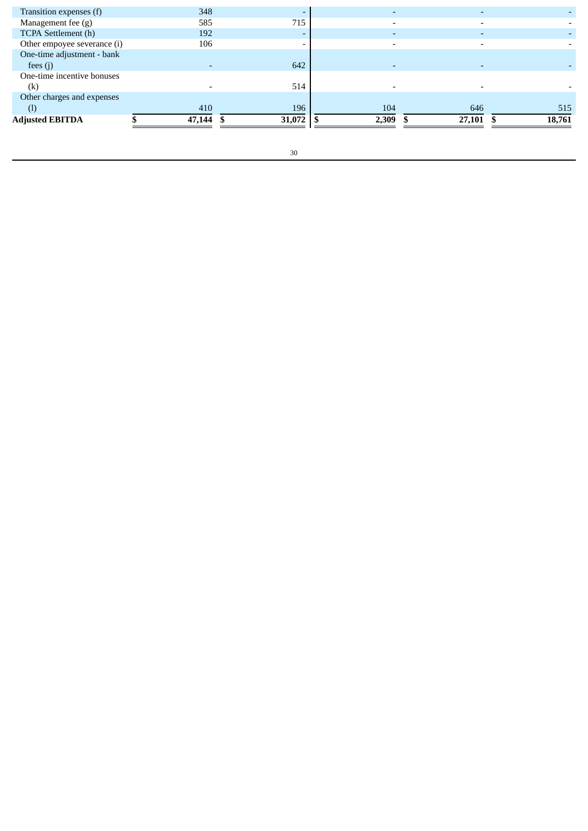| <b>Adjusted EBITDA</b>      | 47,144 | 31,072 | 2,309                    | 27,101                   | 18,761 |
|-----------------------------|--------|--------|--------------------------|--------------------------|--------|
| (1)                         | 410    | 196    | 104                      | 646                      | 515    |
| Other charges and expenses  |        |        |                          |                          |        |
| $\left( k\right)$           |        | 514    |                          |                          |        |
| One-time incentive bonuses  |        |        |                          |                          |        |
| fees $(j)$                  |        | 642    |                          |                          |        |
| One-time adjustment - bank  |        |        |                          |                          |        |
| Other empoyee severance (i) | 106    |        |                          | $\overline{\phantom{0}}$ |        |
| <b>TCPA</b> Settlement (h)  | 192    |        | $\overline{\phantom{0}}$ | $\overline{\phantom{0}}$ |        |
| Management fee (g)          | 585    | 715    |                          | $\overline{\phantom{a}}$ |        |
| Transition expenses (f)     | 348    |        |                          |                          |        |
|                             |        |        |                          |                          |        |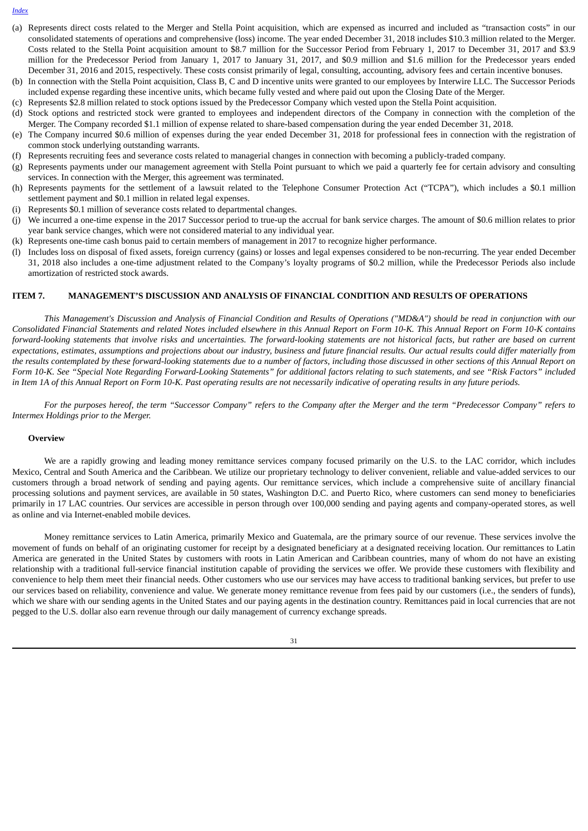- (a) Represents direct costs related to the Merger and Stella Point acquisition, which are expensed as incurred and included as "transaction costs" in our consolidated statements of operations and comprehensive (loss) income. The year ended December 31, 2018 includes \$10.3 million related to the Merger. Costs related to the Stella Point acquisition amount to \$8.7 million for the Successor Period from February 1, 2017 to December 31, 2017 and \$3.9 million for the Predecessor Period from January 1, 2017 to January 31, 2017, and \$0.9 million and \$1.6 million for the Predecessor years ended December 31, 2016 and 2015, respectively. These costs consist primarily of legal, consulting, accounting, advisory fees and certain incentive bonuses.
- (b) In connection with the Stella Point acquisition, Class B, C and D incentive units were granted to our employees by Interwire LLC. The Successor Periods included expense regarding these incentive units, which became fully vested and where paid out upon the Closing Date of the Merger.
- (c) Represents \$2.8 million related to stock options issued by the Predecessor Company which vested upon the Stella Point acquisition.
- (d) Stock options and restricted stock were granted to employees and independent directors of the Company in connection with the completion of the Merger. The Company recorded \$1.1 million of expense related to share-based compensation during the year ended December 31, 2018.
- (e) The Company incurred \$0.6 million of expenses during the year ended December 31, 2018 for professional fees in connection with the registration of common stock underlying outstanding warrants.
- (f) Represents recruiting fees and severance costs related to managerial changes in connection with becoming a publicly-traded company.
- (g) Represents payments under our management agreement with Stella Point pursuant to which we paid a quarterly fee for certain advisory and consulting services. In connection with the Merger, this agreement was terminated.
- (h) Represents payments for the settlement of a lawsuit related to the Telephone Consumer Protection Act ("TCPA"), which includes a \$0.1 million settlement payment and \$0.1 million in related legal expenses.
- (i) Represents \$0.1 million of severance costs related to departmental changes.
- (j) We incurred a one-time expense in the 2017 Successor period to true-up the accrual for bank service charges. The amount of \$0.6 million relates to prior year bank service changes, which were not considered material to any individual year.
- (k) Represents one-time cash bonus paid to certain members of management in 2017 to recognize higher performance.
- (l) Includes loss on disposal of fixed assets, foreign currency (gains) or losses and legal expenses considered to be non-recurring. The year ended December 31, 2018 also includes a one-time adjustment related to the Company's loyalty programs of \$0.2 million, while the Predecessor Periods also include amortization of restricted stock awards.

## <span id="page-34-0"></span>**ITEM 7. MANAGEMENT'S DISCUSSION AND ANALYSIS OF FINANCIAL CONDITION AND RESULTS OF OPERATIONS**

This Management's Discussion and Analysis of Financial Condition and Results of Operations ("MD&A") should be read in conjunction with our Consolidated Financial Statements and related Notes included elsewhere in this Annual Report on Form 10-K. This Annual Report on Form 10-K contains forward-looking statements that involve risks and uncertainties. The forward-looking statements are not historical facts, but rather are based on current expectations, estimates, assumptions and projections about our industry, business and future financial results. Our actual results could differ materially from the results contemplated by these forward-looking statements due to a number of factors, including those discussed in other sections of this Annual Report on Form 10-K. See "Special Note Regarding Forward-Looking Statements" for additional factors relating to such statements, and see "Risk Factors" included in Item 1A of this Annual Report on Form 10-K. Past operating results are not necessarily indicative of operating results in any future periods.

For the purposes hereof, the term "Successor Company" refers to the Company after the Merger and the term "Predecessor Company" refers to *Intermex Holdings prior to the Merger.*

#### **Overview**

We are a rapidly growing and leading money remittance services company focused primarily on the U.S. to the LAC corridor, which includes Mexico, Central and South America and the Caribbean. We utilize our proprietary technology to deliver convenient, reliable and value-added services to our customers through a broad network of sending and paying agents. Our remittance services, which include a comprehensive suite of ancillary financial processing solutions and payment services, are available in 50 states, Washington D.C. and Puerto Rico, where customers can send money to beneficiaries primarily in 17 LAC countries. Our services are accessible in person through over 100,000 sending and paying agents and company-operated stores, as well as online and via Internet-enabled mobile devices.

Money remittance services to Latin America, primarily Mexico and Guatemala, are the primary source of our revenue. These services involve the movement of funds on behalf of an originating customer for receipt by a designated beneficiary at a designated receiving location. Our remittances to Latin America are generated in the United States by customers with roots in Latin American and Caribbean countries, many of whom do not have an existing relationship with a traditional full-service financial institution capable of providing the services we offer. We provide these customers with flexibility and convenience to help them meet their financial needs. Other customers who use our services may have access to traditional banking services, but prefer to use our services based on reliability, convenience and value. We generate money remittance revenue from fees paid by our customers (i.e., the senders of funds), which we share with our sending agents in the United States and our paying agents in the destination country. Remittances paid in local currencies that are not pegged to the U.S. dollar also earn revenue through our daily management of currency exchange spreads.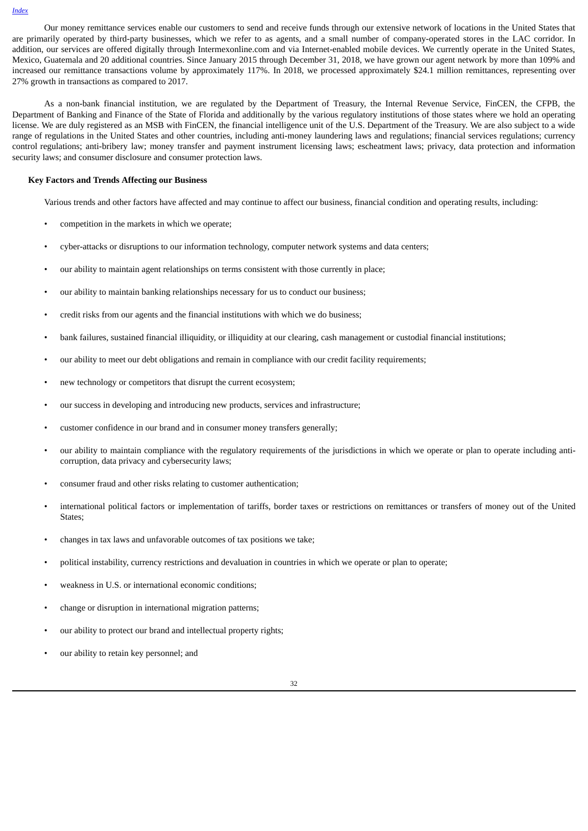Our money remittance services enable our customers to send and receive funds through our extensive network of locations in the United States that are primarily operated by third-party businesses, which we refer to as agents, and a small number of company-operated stores in the LAC corridor. In addition, our services are offered digitally through Intermexonline.com and via Internet-enabled mobile devices. We currently operate in the United States, Mexico, Guatemala and 20 additional countries. Since January 2015 through December 31, 2018, we have grown our agent network by more than 109% and increased our remittance transactions volume by approximately 117%. In 2018, we processed approximately \$24.1 million remittances, representing over 27% growth in transactions as compared to 2017.

As a non-bank financial institution, we are regulated by the Department of Treasury, the Internal Revenue Service, FinCEN, the CFPB, the Department of Banking and Finance of the State of Florida and additionally by the various regulatory institutions of those states where we hold an operating license. We are duly registered as an MSB with FinCEN, the financial intelligence unit of the U.S. Department of the Treasury. We are also subject to a wide range of regulations in the United States and other countries, including anti-money laundering laws and regulations; financial services regulations; currency control regulations; anti-bribery law; money transfer and payment instrument licensing laws; escheatment laws; privacy, data protection and information security laws; and consumer disclosure and consumer protection laws.

#### **Key Factors and Trends Affecting our Business**

Various trends and other factors have affected and may continue to affect our business, financial condition and operating results, including:

- competition in the markets in which we operate;
- cyber-attacks or disruptions to our information technology, computer network systems and data centers;
- our ability to maintain agent relationships on terms consistent with those currently in place;
- our ability to maintain banking relationships necessary for us to conduct our business;
- credit risks from our agents and the financial institutions with which we do business;
- bank failures, sustained financial illiquidity, or illiquidity at our clearing, cash management or custodial financial institutions;
- our ability to meet our debt obligations and remain in compliance with our credit facility requirements;
- new technology or competitors that disrupt the current ecosystem;
- our success in developing and introducing new products, services and infrastructure;
- customer confidence in our brand and in consumer money transfers generally;
- our ability to maintain compliance with the regulatory requirements of the jurisdictions in which we operate or plan to operate including anticorruption, data privacy and cybersecurity laws;
- consumer fraud and other risks relating to customer authentication;
- international political factors or implementation of tariffs, border taxes or restrictions on remittances or transfers of money out of the United States;
- changes in tax laws and unfavorable outcomes of tax positions we take;
- political instability, currency restrictions and devaluation in countries in which we operate or plan to operate;
- weakness in U.S. or international economic conditions;
- change or disruption in international migration patterns;
- our ability to protect our brand and intellectual property rights;
- our ability to retain key personnel; and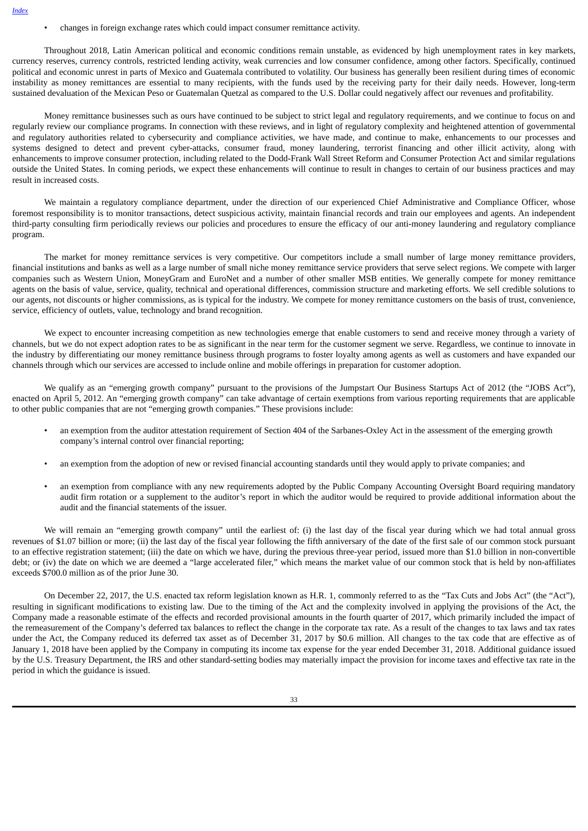• changes in foreign exchange rates which could impact consumer remittance activity.

Throughout 2018, Latin American political and economic conditions remain unstable, as evidenced by high unemployment rates in key markets, currency reserves, currency controls, restricted lending activity, weak currencies and low consumer confidence, among other factors. Specifically, continued political and economic unrest in parts of Mexico and Guatemala contributed to volatility. Our business has generally been resilient during times of economic instability as money remittances are essential to many recipients, with the funds used by the receiving party for their daily needs. However, long-term sustained devaluation of the Mexican Peso or Guatemalan Quetzal as compared to the U.S. Dollar could negatively affect our revenues and profitability.

Money remittance businesses such as ours have continued to be subject to strict legal and regulatory requirements, and we continue to focus on and regularly review our compliance programs. In connection with these reviews, and in light of regulatory complexity and heightened attention of governmental and regulatory authorities related to cybersecurity and compliance activities, we have made, and continue to make, enhancements to our processes and systems designed to detect and prevent cyber-attacks, consumer fraud, money laundering, terrorist financing and other illicit activity, along with enhancements to improve consumer protection, including related to the Dodd-Frank Wall Street Reform and Consumer Protection Act and similar regulations outside the United States. In coming periods, we expect these enhancements will continue to result in changes to certain of our business practices and may result in increased costs.

We maintain a regulatory compliance department, under the direction of our experienced Chief Administrative and Compliance Officer, whose foremost responsibility is to monitor transactions, detect suspicious activity, maintain financial records and train our employees and agents. An independent third-party consulting firm periodically reviews our policies and procedures to ensure the efficacy of our anti-money laundering and regulatory compliance program.

The market for money remittance services is very competitive. Our competitors include a small number of large money remittance providers, financial institutions and banks as well as a large number of small niche money remittance service providers that serve select regions. We compete with larger companies such as Western Union, MoneyGram and EuroNet and a number of other smaller MSB entities. We generally compete for money remittance agents on the basis of value, service, quality, technical and operational differences, commission structure and marketing efforts. We sell credible solutions to our agents, not discounts or higher commissions, as is typical for the industry. We compete for money remittance customers on the basis of trust, convenience, service, efficiency of outlets, value, technology and brand recognition.

We expect to encounter increasing competition as new technologies emerge that enable customers to send and receive money through a variety of channels, but we do not expect adoption rates to be as significant in the near term for the customer segment we serve. Regardless, we continue to innovate in the industry by differentiating our money remittance business through programs to foster loyalty among agents as well as customers and have expanded our channels through which our services are accessed to include online and mobile offerings in preparation for customer adoption.

We qualify as an "emerging growth company" pursuant to the provisions of the Jumpstart Our Business Startups Act of 2012 (the "JOBS Act"), enacted on April 5, 2012. An "emerging growth company" can take advantage of certain exemptions from various reporting requirements that are applicable to other public companies that are not "emerging growth companies." These provisions include:

- an exemption from the auditor attestation requirement of Section 404 of the Sarbanes-Oxley Act in the assessment of the emerging growth company's internal control over financial reporting;
- an exemption from the adoption of new or revised financial accounting standards until they would apply to private companies; and
- an exemption from compliance with any new requirements adopted by the Public Company Accounting Oversight Board requiring mandatory audit firm rotation or a supplement to the auditor's report in which the auditor would be required to provide additional information about the audit and the financial statements of the issuer.

We will remain an "emerging growth company" until the earliest of: (i) the last day of the fiscal year during which we had total annual gross revenues of \$1.07 billion or more; (ii) the last day of the fiscal year following the fifth anniversary of the date of the first sale of our common stock pursuant to an effective registration statement; (iii) the date on which we have, during the previous three-year period, issued more than \$1.0 billion in non-convertible debt; or (iv) the date on which we are deemed a "large accelerated filer," which means the market value of our common stock that is held by non-affiliates exceeds \$700.0 million as of the prior June 30.

On December 22, 2017, the U.S. enacted tax reform legislation known as H.R. 1, commonly referred to as the "Tax Cuts and Jobs Act" (the "Act"), resulting in significant modifications to existing law. Due to the timing of the Act and the complexity involved in applying the provisions of the Act, the Company made a reasonable estimate of the effects and recorded provisional amounts in the fourth quarter of 2017, which primarily included the impact of the remeasurement of the Company's deferred tax balances to reflect the change in the corporate tax rate. As a result of the changes to tax laws and tax rates under the Act, the Company reduced its deferred tax asset as of December 31, 2017 by \$0.6 million. All changes to the tax code that are effective as of January 1, 2018 have been applied by the Company in computing its income tax expense for the year ended December 31, 2018. Additional guidance issued by the U.S. Treasury Department, the IRS and other standard-setting bodies may materially impact the provision for income taxes and effective tax rate in the period in which the guidance is issued.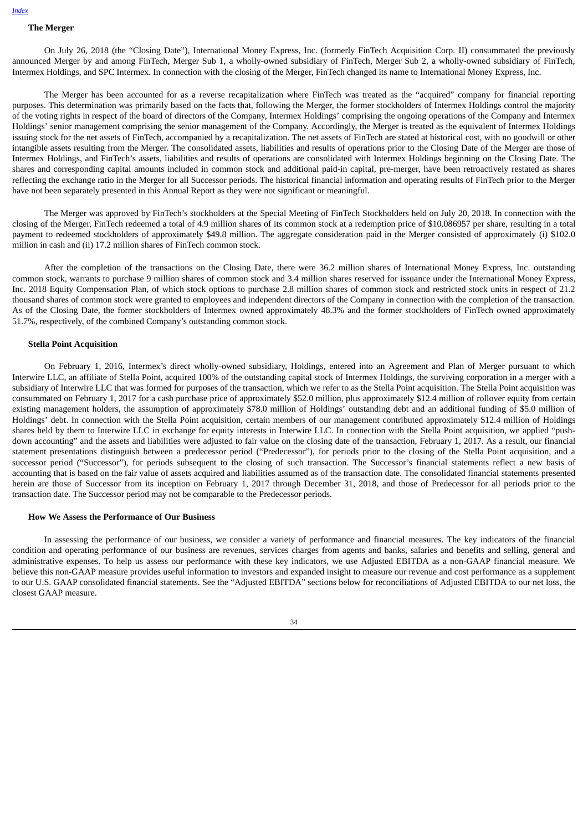## **The Merger**

On July 26, 2018 (the "Closing Date"), International Money Express, Inc. (formerly FinTech Acquisition Corp. II) consummated the previously announced Merger by and among FinTech, Merger Sub 1, a wholly-owned subsidiary of FinTech, Merger Sub 2, a wholly-owned subsidiary of FinTech, Intermex Holdings, and SPC Intermex. In connection with the closing of the Merger, FinTech changed its name to International Money Express, Inc.

The Merger has been accounted for as a reverse recapitalization where FinTech was treated as the "acquired" company for financial reporting purposes. This determination was primarily based on the facts that, following the Merger, the former stockholders of Intermex Holdings control the majority of the voting rights in respect of the board of directors of the Company, Intermex Holdings' comprising the ongoing operations of the Company and Intermex Holdings' senior management comprising the senior management of the Company. Accordingly, the Merger is treated as the equivalent of Intermex Holdings issuing stock for the net assets of FinTech, accompanied by a recapitalization. The net assets of FinTech are stated at historical cost, with no goodwill or other intangible assets resulting from the Merger. The consolidated assets, liabilities and results of operations prior to the Closing Date of the Merger are those of Intermex Holdings, and FinTech's assets, liabilities and results of operations are consolidated with Intermex Holdings beginning on the Closing Date. The shares and corresponding capital amounts included in common stock and additional paid-in capital, pre-merger, have been retroactively restated as shares reflecting the exchange ratio in the Merger for all Successor periods. The historical financial information and operating results of FinTech prior to the Merger have not been separately presented in this Annual Report as they were not significant or meaningful.

The Merger was approved by FinTech's stockholders at the Special Meeting of FinTech Stockholders held on July 20, 2018. In connection with the closing of the Merger, FinTech redeemed a total of 4.9 million shares of its common stock at a redemption price of \$10.086957 per share, resulting in a total payment to redeemed stockholders of approximately \$49.8 million. The aggregate consideration paid in the Merger consisted of approximately (i) \$102.0 million in cash and (ii) 17.2 million shares of FinTech common stock.

After the completion of the transactions on the Closing Date, there were 36.2 million shares of International Money Express, Inc. outstanding common stock, warrants to purchase 9 million shares of common stock and 3.4 million shares reserved for issuance under the International Money Express, Inc. 2018 Equity Compensation Plan, of which stock options to purchase 2.8 million shares of common stock and restricted stock units in respect of 21.2 thousand shares of common stock were granted to employees and independent directors of the Company in connection with the completion of the transaction. As of the Closing Date, the former stockholders of Intermex owned approximately 48.3% and the former stockholders of FinTech owned approximately 51.7%, respectively, of the combined Company's outstanding common stock.

### **Stella Point Acquisition**

On February 1, 2016, Intermex's direct wholly-owned subsidiary, Holdings, entered into an Agreement and Plan of Merger pursuant to which Interwire LLC, an affiliate of Stella Point, acquired 100% of the outstanding capital stock of Intermex Holdings, the surviving corporation in a merger with a subsidiary of Interwire LLC that was formed for purposes of the transaction, which we refer to as the Stella Point acquisition. The Stella Point acquisition was consummated on February 1, 2017 for a cash purchase price of approximately \$52.0 million, plus approximately \$12.4 million of rollover equity from certain existing management holders, the assumption of approximately \$78.0 million of Holdings' outstanding debt and an additional funding of \$5.0 million of Holdings' debt. In connection with the Stella Point acquisition, certain members of our management contributed approximately \$12.4 million of Holdings shares held by them to Interwire LLC in exchange for equity interests in Interwire LLC. In connection with the Stella Point acquisition, we applied "pushdown accounting" and the assets and liabilities were adjusted to fair value on the closing date of the transaction, February 1, 2017. As a result, our financial statement presentations distinguish between a predecessor period ("Predecessor"), for periods prior to the closing of the Stella Point acquisition, and a successor period ("Successor"), for periods subsequent to the closing of such transaction. The Successor's financial statements reflect a new basis of accounting that is based on the fair value of assets acquired and liabilities assumed as of the transaction date. The consolidated financial statements presented herein are those of Successor from its inception on February 1, 2017 through December 31, 2018, and those of Predecessor for all periods prior to the transaction date. The Successor period may not be comparable to the Predecessor periods.

#### **How We Assess the Performance of Our Business**

In assessing the performance of our business, we consider a variety of performance and financial measures. The key indicators of the financial condition and operating performance of our business are revenues, services charges from agents and banks, salaries and benefits and selling, general and administrative expenses. To help us assess our performance with these key indicators, we use Adjusted EBITDA as a non-GAAP financial measure. We believe this non-GAAP measure provides useful information to investors and expanded insight to measure our revenue and cost performance as a supplement to our U.S. GAAP consolidated financial statements. See the "Adjusted EBITDA" sections below for reconciliations of Adjusted EBITDA to our net loss, the closest GAAP measure.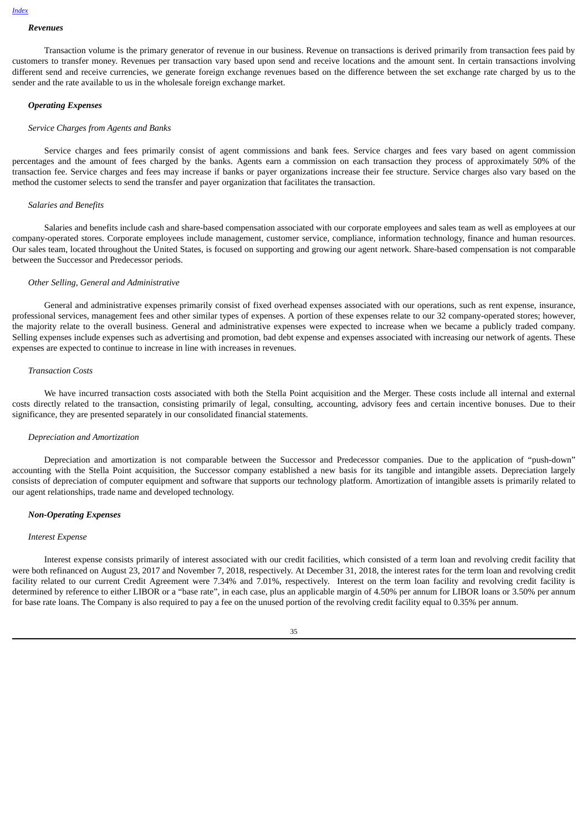# *Revenues*

Transaction volume is the primary generator of revenue in our business. Revenue on transactions is derived primarily from transaction fees paid by customers to transfer money. Revenues per transaction vary based upon send and receive locations and the amount sent. In certain transactions involving different send and receive currencies, we generate foreign exchange revenues based on the difference between the set exchange rate charged by us to the sender and the rate available to us in the wholesale foreign exchange market.

### *Operating Expenses*

### *Service Charges from Agents and Banks*

Service charges and fees primarily consist of agent commissions and bank fees. Service charges and fees vary based on agent commission percentages and the amount of fees charged by the banks. Agents earn a commission on each transaction they process of approximately 50% of the transaction fee. Service charges and fees may increase if banks or payer organizations increase their fee structure. Service charges also vary based on the method the customer selects to send the transfer and payer organization that facilitates the transaction.

### *Salaries and Benefits*

Salaries and benefits include cash and share-based compensation associated with our corporate employees and sales team as well as employees at our company-operated stores. Corporate employees include management, customer service, compliance, information technology, finance and human resources. Our sales team, located throughout the United States, is focused on supporting and growing our agent network. Share-based compensation is not comparable between the Successor and Predecessor periods.

#### *Other Selling, General and Administrative*

General and administrative expenses primarily consist of fixed overhead expenses associated with our operations, such as rent expense, insurance, professional services, management fees and other similar types of expenses. A portion of these expenses relate to our 32 company-operated stores; however, the majority relate to the overall business. General and administrative expenses were expected to increase when we became a publicly traded company. Selling expenses include expenses such as advertising and promotion, bad debt expense and expenses associated with increasing our network of agents. These expenses are expected to continue to increase in line with increases in revenues.

### *Transaction Costs*

We have incurred transaction costs associated with both the Stella Point acquisition and the Merger. These costs include all internal and external costs directly related to the transaction, consisting primarily of legal, consulting, accounting, advisory fees and certain incentive bonuses. Due to their significance, they are presented separately in our consolidated financial statements.

### *Depreciation and Amortization*

Depreciation and amortization is not comparable between the Successor and Predecessor companies. Due to the application of "push-down" accounting with the Stella Point acquisition, the Successor company established a new basis for its tangible and intangible assets. Depreciation largely consists of depreciation of computer equipment and software that supports our technology platform. Amortization of intangible assets is primarily related to our agent relationships, trade name and developed technology.

#### *Non-Operating Expenses*

#### *Interest Expense*

Interest expense consists primarily of interest associated with our credit facilities, which consisted of a term loan and revolving credit facility that were both refinanced on August 23, 2017 and November 7, 2018, respectively. At December 31, 2018, the interest rates for the term loan and revolving credit facility related to our current Credit Agreement were 7.34% and 7.01%, respectively. Interest on the term loan facility and revolving credit facility is determined by reference to either LIBOR or a "base rate", in each case, plus an applicable margin of 4.50% per annum for LIBOR loans or 3.50% per annum for base rate loans. The Company is also required to pay a fee on the unused portion of the revolving credit facility equal to 0.35% per annum.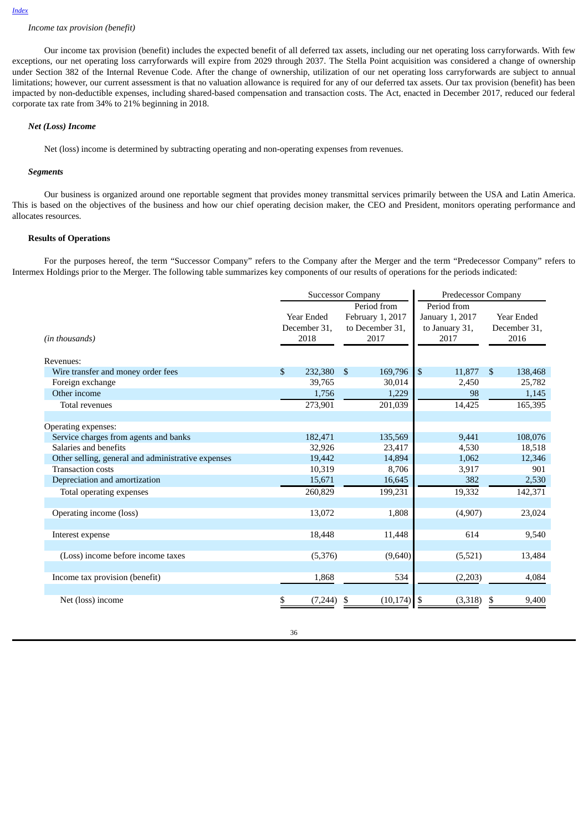## *Income tax provision (benefit)*

Our income tax provision (benefit) includes the expected benefit of all deferred tax assets, including our net operating loss carryforwards. With few exceptions, our net operating loss carryforwards will expire from 2029 through 2037. The Stella Point acquisition was considered a change of ownership under Section 382 of the Internal Revenue Code. After the change of ownership, utilization of our net operating loss carryforwards are subject to annual limitations; however, our current assessment is that no valuation allowance is required for any of our deferred tax assets. Our tax provision (benefit) has been impacted by non-deductible expenses, including shared-based compensation and transaction costs. The Act, enacted in December 2017, reduced our federal corporate tax rate from 34% to 21% beginning in 2018.

#### *Net (Loss) Income*

Net (loss) income is determined by subtracting operating and non-operating expenses from revenues.

### *Segments*

Our business is organized around one reportable segment that provides money transmittal services primarily between the USA and Latin America. This is based on the objectives of the business and how our chief operating decision maker, the CEO and President, monitors operating performance and allocates resources.

#### **Results of Operations**

For the purposes hereof, the term "Successor Company" refers to the Company after the Merger and the term "Predecessor Company" refers to Intermex Holdings prior to the Merger. The following table summarizes key components of our results of operations for the periods indicated:

|                                                    |                                               |              | <b>Successor Company</b> | <b>Predecessor Company</b> |                                |  |                   |         |
|----------------------------------------------------|-----------------------------------------------|--------------|--------------------------|----------------------------|--------------------------------|--|-------------------|---------|
|                                                    | Period from<br>February 1, 2017<br>Year Ended |              |                          |                            | Period from<br>January 1, 2017 |  | <b>Year Ended</b> |         |
|                                                    |                                               | December 31. | to December 31.          |                            | to January 31,                 |  | December 31.      |         |
| (in thousands)                                     |                                               | 2018         | 2017                     |                            | 2017                           |  | 2016              |         |
| Revenues:                                          |                                               |              |                          |                            |                                |  |                   |         |
| Wire transfer and money order fees                 | \$                                            | 232,380      | <b>S</b><br>169,796      |                            | $\mathbb{S}$<br>11.877         |  | $\mathfrak{S}$    | 138,468 |
| Foreign exchange                                   |                                               | 39,765       | 30,014                   |                            | 2,450                          |  |                   | 25,782  |
| Other income                                       |                                               | 1,756        |                          | 1,229                      | 98                             |  |                   | 1,145   |
| <b>Total revenues</b>                              |                                               | 273,901      | 201,039                  |                            | 14,425                         |  |                   | 165,395 |
|                                                    |                                               |              |                          |                            |                                |  |                   |         |
| Operating expenses:                                |                                               |              |                          |                            |                                |  |                   |         |
| Service charges from agents and banks              |                                               | 182,471      | 135,569                  |                            | 9,441                          |  |                   | 108,076 |
| Salaries and benefits                              |                                               | 32,926       | 23,417                   |                            | 4,530                          |  |                   | 18,518  |
| Other selling, general and administrative expenses |                                               | 19,442       | 14,894                   |                            | 1,062                          |  |                   | 12,346  |
| <b>Transaction costs</b>                           |                                               | 10,319       |                          | 8,706                      | 3,917                          |  |                   | 901     |
| Depreciation and amortization                      |                                               | 15,671       | 16,645                   |                            | 382                            |  |                   | 2,530   |
| Total operating expenses                           |                                               | 260,829      | 199,231                  |                            | 19,332                         |  |                   | 142,371 |
| Operating income (loss)                            |                                               | 13,072       |                          | 1,808                      | (4,907)                        |  |                   | 23,024  |
|                                                    |                                               |              |                          |                            |                                |  |                   |         |
| Interest expense                                   |                                               | 18,448       | 11,448                   |                            | 614                            |  |                   | 9,540   |
| (Loss) income before income taxes                  |                                               | (5,376)      |                          | (9,640)                    | (5,521)                        |  |                   | 13,484  |
|                                                    |                                               |              |                          |                            |                                |  |                   |         |
| Income tax provision (benefit)                     |                                               | 1,868        |                          | 534                        | (2,203)                        |  |                   | 4,084   |
| Net (loss) income                                  | \$                                            | (7,244)      | (10, 174)                |                            | (3,318)<br>S                   |  | \$                | 9,400   |
|                                                    |                                               |              |                          |                            |                                |  |                   |         |

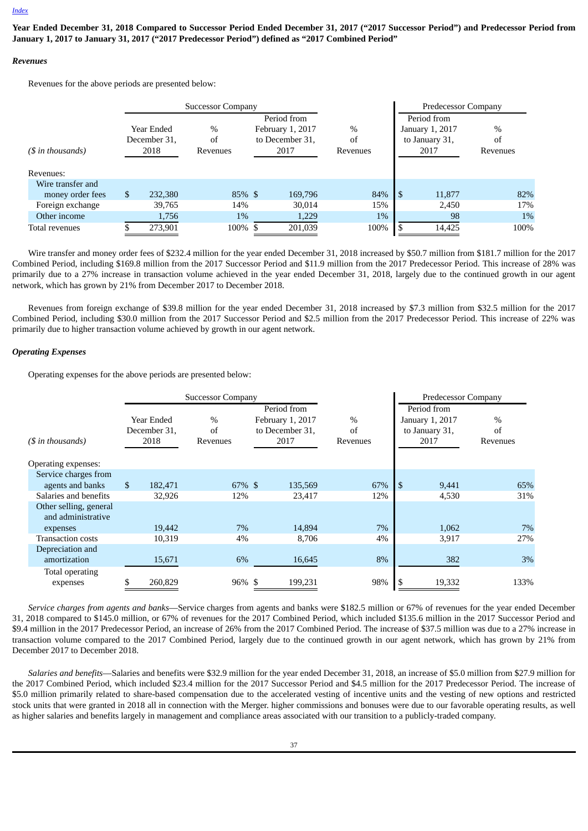Year Ended December 31, 2018 Compared to Successor Period Ended December 31, 2017 ("2017 Successor Period") and Predecessor Period from **January 1, 2017 to January 31, 2017 ("2017 Predecessor Period") defined as "2017 Combined Period"**

### *Revenues*

Revenues for the above periods are presented below:

|                    | <b>Successor Company</b> |              |          |           |                                 |          | Predecessor Company |    |                                |          |
|--------------------|--------------------------|--------------|----------|-----------|---------------------------------|----------|---------------------|----|--------------------------------|----------|
|                    |                          | Year Ended   | $\%$     |           | Period from<br>February 1, 2017 | $\%$     |                     |    | Period from<br>January 1, 2017 | $\%$     |
|                    |                          | December 31, | of       |           | to December 31,                 | of       |                     |    | to January 31,                 | of       |
| $(S$ in thousands) |                          | 2018         | Revenues |           | 2017                            | Revenues |                     |    | 2017                           | Revenues |
| Revenues:          |                          |              |          |           |                                 |          |                     |    |                                |          |
| Wire transfer and  |                          |              |          |           |                                 |          |                     |    |                                |          |
| money order fees   | \$                       | 232,380      |          | $85\%$ \$ | 169,796                         |          | 84%                 | \$ | 11,877                         | 82%      |
| Foreign exchange   |                          | 39,765       |          | 14%       | 30,014                          |          | 15%                 |    | 2,450                          | 17%      |
| Other income       |                          | 1,756        |          | $1\%$     | 1,229                           |          | $1\%$               |    | 98                             | $1\%$    |
| Total revenues     |                          | 273,901      |          | 100% \$   | 201,039                         |          | 100%                |    | 14,425                         | 100%     |

Wire transfer and money order fees of \$232.4 million for the year ended December 31, 2018 increased by \$50.7 million from \$181.7 million for the 2017 Combined Period, including \$169.8 million from the 2017 Successor Period and \$11.9 million from the 2017 Predecessor Period. This increase of 28% was primarily due to a 27% increase in transaction volume achieved in the year ended December 31, 2018, largely due to the continued growth in our agent network, which has grown by 21% from December 2017 to December 2018.

Revenues from foreign exchange of \$39.8 million for the year ended December 31, 2018 increased by \$7.3 million from \$32.5 million for the 2017 Combined Period, including \$30.0 million from the 2017 Successor Period and \$2.5 million from the 2017 Predecessor Period. This increase of 22% was primarily due to higher transaction volume achieved by growth in our agent network.

### *Operating Expenses*

Operating expenses for the above periods are presented below:

|                                              | <b>Successor Company</b>           |         |                                 |           |                                                            |         |                                 | <b>Predecessor Company</b> |    |                                                          |                        |     |
|----------------------------------------------|------------------------------------|---------|---------------------------------|-----------|------------------------------------------------------------|---------|---------------------------------|----------------------------|----|----------------------------------------------------------|------------------------|-----|
| $(S$ in thousands)                           | Year Ended<br>December 31,<br>2018 |         | $\frac{0}{0}$<br>of<br>Revenues |           | Period from<br>February 1, 2017<br>to December 31,<br>2017 |         | $\frac{0}{0}$<br>of<br>Revenues |                            |    | Period from<br>January 1, 2017<br>to January 31,<br>2017 | $\%$<br>of<br>Revenues |     |
| Operating expenses:                          |                                    |         |                                 |           |                                                            |         |                                 |                            |    |                                                          |                        |     |
| Service charges from                         |                                    |         |                                 |           |                                                            |         |                                 |                            |    |                                                          |                        |     |
| agents and banks                             | $\mathbb{S}$                       | 182,471 |                                 | $67\%$ \$ |                                                            | 135,569 |                                 | 67%                        | \$ | 9,441                                                    | 65%                    |     |
| Salaries and benefits                        |                                    | 32,926  |                                 | 12%       |                                                            | 23,417  |                                 | 12%                        |    | 4,530                                                    |                        | 31% |
| Other selling, general<br>and administrative |                                    |         |                                 |           |                                                            |         |                                 |                            |    |                                                          |                        |     |
| expenses                                     |                                    | 19,442  |                                 | 7%        |                                                            | 14,894  |                                 | 7%                         |    | 1,062                                                    |                        | 7%  |
| <b>Transaction costs</b>                     |                                    | 10,319  |                                 | 4%        |                                                            | 8,706   |                                 | 4%                         |    | 3,917                                                    | 27%                    |     |
| Depreciation and                             |                                    |         |                                 |           |                                                            |         |                                 |                            |    |                                                          |                        |     |
| amortization                                 |                                    | 15,671  |                                 | 6%        |                                                            | 16,645  |                                 | 8%                         |    | 382                                                      |                        | 3%  |
| Total operating<br>expenses                  |                                    | 260,829 |                                 | 96% \$    |                                                            | 199,231 |                                 | 98%                        |    | 19,332                                                   | 133%                   |     |

*Service charges from agents and banks*—Service charges from agents and banks were \$182.5 million or 67% of revenues for the year ended December 31, 2018 compared to \$145.0 million, or 67% of revenues for the 2017 Combined Period, which included \$135.6 million in the 2017 Successor Period and \$9.4 million in the 2017 Predecessor Period, an increase of 26% from the 2017 Combined Period. The increase of \$37.5 million was due to a 27% increase in transaction volume compared to the 2017 Combined Period, largely due to the continued growth in our agent network, which has grown by 21% from December 2017 to December 2018.

*Salaries and benefits*—Salaries and benefits were \$32.9 million for the year ended December 31, 2018, an increase of \$5.0 million from \$27.9 million for the 2017 Combined Period, which included \$23.4 million for the 2017 Successor Period and \$4.5 million for the 2017 Predecessor Period. The increase of \$5.0 million primarily related to share-based compensation due to the accelerated vesting of incentive units and the vesting of new options and restricted stock units that were granted in 2018 all in connection with the Merger. higher commissions and bonuses were due to our favorable operating results, as well as higher salaries and benefits largely in management and compliance areas associated with our transition to a publicly-traded company.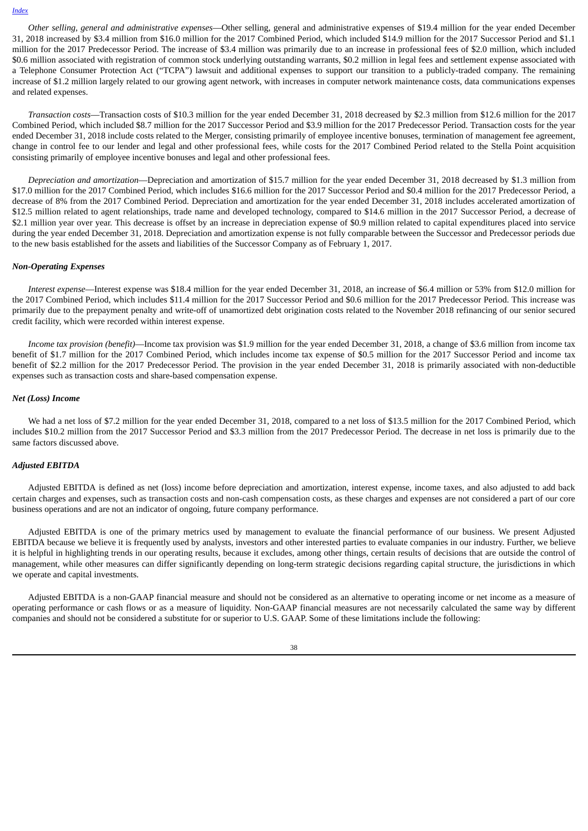*Other selling, general and administrative expenses*—Other selling, general and administrative expenses of \$19.4 million for the year ended December 31, 2018 increased by \$3.4 million from \$16.0 million for the 2017 Combined Period, which included \$14.9 million for the 2017 Successor Period and \$1.1 million for the 2017 Predecessor Period. The increase of \$3.4 million was primarily due to an increase in professional fees of \$2.0 million, which included \$0.6 million associated with registration of common stock underlying outstanding warrants, \$0.2 million in legal fees and settlement expense associated with a Telephone Consumer Protection Act ("TCPA") lawsuit and additional expenses to support our transition to a publicly-traded company. The remaining increase of \$1.2 million largely related to our growing agent network, with increases in computer network maintenance costs, data communications expenses and related expenses.

*Transaction costs*—Transaction costs of \$10.3 million for the year ended December 31, 2018 decreased by \$2.3 million from \$12.6 million for the 2017 Combined Period, which included \$8.7 million for the 2017 Successor Period and \$3.9 million for the 2017 Predecessor Period. Transaction costs for the year ended December 31, 2018 include costs related to the Merger, consisting primarily of employee incentive bonuses, termination of management fee agreement, change in control fee to our lender and legal and other professional fees, while costs for the 2017 Combined Period related to the Stella Point acquisition consisting primarily of employee incentive bonuses and legal and other professional fees.

*Depreciation and amortization*—Depreciation and amortization of \$15.7 million for the year ended December 31, 2018 decreased by \$1.3 million from \$17.0 million for the 2017 Combined Period, which includes \$16.6 million for the 2017 Successor Period and \$0.4 million for the 2017 Predecessor Period, a decrease of 8% from the 2017 Combined Period. Depreciation and amortization for the year ended December 31, 2018 includes accelerated amortization of \$12.5 million related to agent relationships, trade name and developed technology, compared to \$14.6 million in the 2017 Successor Period, a decrease of \$2.1 million year over year. This decrease is offset by an increase in depreciation expense of \$0.9 million related to capital expenditures placed into service during the year ended December 31, 2018. Depreciation and amortization expense is not fully comparable between the Successor and Predecessor periods due to the new basis established for the assets and liabilities of the Successor Company as of February 1, 2017.

#### *Non-Operating Expenses*

*Interest expense*—Interest expense was \$18.4 million for the year ended December 31, 2018, an increase of \$6.4 million or 53% from \$12.0 million for the 2017 Combined Period, which includes \$11.4 million for the 2017 Successor Period and \$0.6 million for the 2017 Predecessor Period. This increase was primarily due to the prepayment penalty and write-off of unamortized debt origination costs related to the November 2018 refinancing of our senior secured credit facility, which were recorded within interest expense.

*Income tax provision (benefit)*—Income tax provision was \$1.9 million for the year ended December 31, 2018, a change of \$3.6 million from income tax benefit of \$1.7 million for the 2017 Combined Period, which includes income tax expense of \$0.5 million for the 2017 Successor Period and income tax benefit of \$2.2 million for the 2017 Predecessor Period. The provision in the year ended December 31, 2018 is primarily associated with non-deductible expenses such as transaction costs and share-based compensation expense.

#### *Net (Loss) Income*

We had a net loss of \$7.2 million for the year ended December 31, 2018, compared to a net loss of \$13.5 million for the 2017 Combined Period, which includes \$10.2 million from the 2017 Successor Period and \$3.3 million from the 2017 Predecessor Period. The decrease in net loss is primarily due to the same factors discussed above.

## *Adjusted EBITDA*

Adjusted EBITDA is defined as net (loss) income before depreciation and amortization, interest expense, income taxes, and also adjusted to add back certain charges and expenses, such as transaction costs and non-cash compensation costs, as these charges and expenses are not considered a part of our core business operations and are not an indicator of ongoing, future company performance.

Adjusted EBITDA is one of the primary metrics used by management to evaluate the financial performance of our business. We present Adjusted EBITDA because we believe it is frequently used by analysts, investors and other interested parties to evaluate companies in our industry. Further, we believe it is helpful in highlighting trends in our operating results, because it excludes, among other things, certain results of decisions that are outside the control of management, while other measures can differ significantly depending on long-term strategic decisions regarding capital structure, the jurisdictions in which we operate and capital investments.

Adjusted EBITDA is a non-GAAP financial measure and should not be considered as an alternative to operating income or net income as a measure of operating performance or cash flows or as a measure of liquidity. Non-GAAP financial measures are not necessarily calculated the same way by different companies and should not be considered a substitute for or superior to U.S. GAAP. Some of these limitations include the following:

38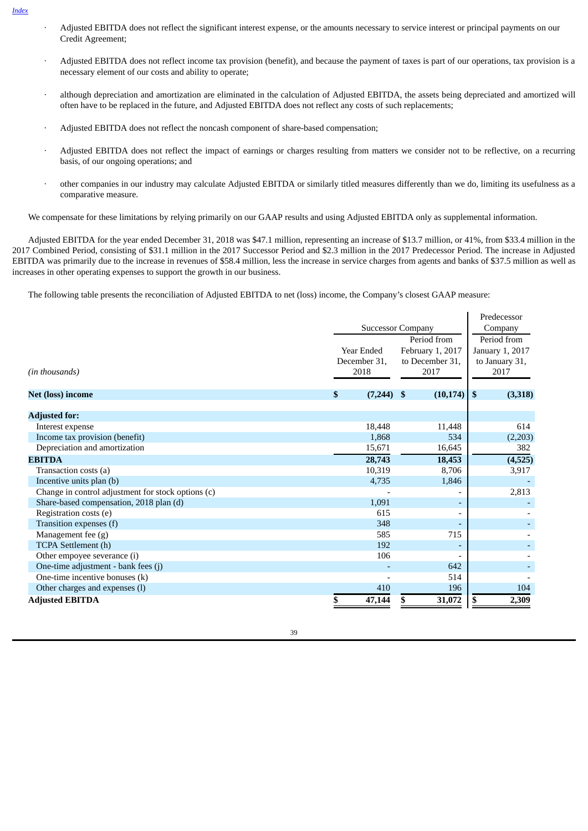- *[Index](#page-2-0)*
- · Adjusted EBITDA does not reflect the significant interest expense, or the amounts necessary to service interest or principal payments on our Credit Agreement;
- · Adjusted EBITDA does not reflect income tax provision (benefit), and because the payment of taxes is part of our operations, tax provision is a necessary element of our costs and ability to operate;
- · although depreciation and amortization are eliminated in the calculation of Adjusted EBITDA, the assets being depreciated and amortized will often have to be replaced in the future, and Adjusted EBITDA does not reflect any costs of such replacements;
- · Adjusted EBITDA does not reflect the noncash component of share-based compensation;
- · Adjusted EBITDA does not reflect the impact of earnings or charges resulting from matters we consider not to be reflective, on a recurring basis, of our ongoing operations; and
- · other companies in our industry may calculate Adjusted EBITDA or similarly titled measures differently than we do, limiting its usefulness as a comparative measure.

We compensate for these limitations by relying primarily on our GAAP results and using Adjusted EBITDA only as supplemental information.

Adjusted EBITDA for the year ended December 31, 2018 was \$47.1 million, representing an increase of \$13.7 million, or 41%, from \$33.4 million in the 2017 Combined Period, consisting of \$31.1 million in the 2017 Successor Period and \$2.3 million in the 2017 Predecessor Period. The increase in Adjusted EBITDA was primarily due to the increase in revenues of \$58.4 million, less the increase in service charges from agents and banks of \$37.5 million as well as increases in other operating expenses to support the growth in our business.

The following table presents the reconciliation of Adjusted EBITDA to net (loss) income, the Company's closest GAAP measure:

|                                                    |                          |              |   |                  |               | Predecessor     |  |  |
|----------------------------------------------------|--------------------------|--------------|---|------------------|---------------|-----------------|--|--|
|                                                    | <b>Successor Company</b> |              |   |                  |               |                 |  |  |
|                                                    | Period from              |              |   |                  |               | Period from     |  |  |
|                                                    |                          | Year Ended   |   | February 1, 2017 |               | January 1, 2017 |  |  |
|                                                    |                          | December 31. |   | to December 31,  |               | to January 31,  |  |  |
| (in thousands)                                     | 2018                     |              |   | 2017             | 2017          |                 |  |  |
| <b>Net (loss) income</b>                           | \$<br>(7,244)<br>\$      |              |   | (10, 174)        | $\mathbf{\$}$ | (3,318)         |  |  |
| <b>Adjusted for:</b>                               |                          |              |   |                  |               |                 |  |  |
| Interest expense                                   |                          | 18,448       |   | 11,448           |               | 614             |  |  |
| Income tax provision (benefit)                     |                          | 1,868        |   | 534              |               | (2,203)         |  |  |
| Depreciation and amortization                      |                          | 15,671       |   | 16,645           |               | 382             |  |  |
| <b>EBITDA</b>                                      |                          | 28,743       |   | 18,453           |               | (4,525)         |  |  |
| Transaction costs (a)                              |                          | 10,319       |   | 8,706            |               | 3,917           |  |  |
| Incentive units plan (b)                           |                          | 4,735        |   | 1,846            |               |                 |  |  |
| Change in control adjustment for stock options (c) |                          |              |   |                  |               | 2,813           |  |  |
| Share-based compensation, 2018 plan (d)            |                          | 1,091        |   |                  |               |                 |  |  |
| Registration costs (e)                             |                          | 615          |   |                  |               |                 |  |  |
| Transition expenses (f)                            |                          | 348          |   |                  |               |                 |  |  |
| Management fee (g)                                 |                          | 585          |   | 715              |               |                 |  |  |
| <b>TCPA</b> Settlement (h)                         |                          | 192          |   |                  |               |                 |  |  |
| Other empoyee severance (i)                        |                          | 106          |   |                  |               |                 |  |  |
| One-time adjustment - bank fees (j)                |                          |              |   | 642              |               |                 |  |  |
| One-time incentive bonuses (k)                     |                          |              |   | 514              |               |                 |  |  |
| Other charges and expenses (l)                     |                          | 410          |   | 196              |               | 104             |  |  |
| <b>Adjusted EBITDA</b>                             |                          | 47,144       | S | 31,072           | \$            | 2,309           |  |  |

39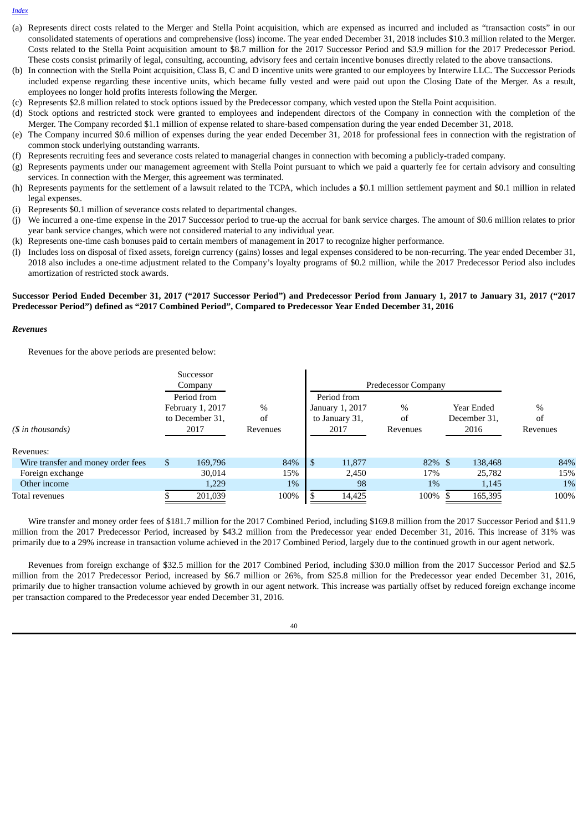- (a) Represents direct costs related to the Merger and Stella Point acquisition, which are expensed as incurred and included as "transaction costs" in our consolidated statements of operations and comprehensive (loss) income. The year ended December 31, 2018 includes \$10.3 million related to the Merger. Costs related to the Stella Point acquisition amount to \$8.7 million for the 2017 Successor Period and \$3.9 million for the 2017 Predecessor Period. These costs consist primarily of legal, consulting, accounting, advisory fees and certain incentive bonuses directly related to the above transactions.
- (b) In connection with the Stella Point acquisition, Class B, C and D incentive units were granted to our employees by Interwire LLC. The Successor Periods included expense regarding these incentive units, which became fully vested and were paid out upon the Closing Date of the Merger. As a result, employees no longer hold profits interests following the Merger.
- (c) Represents \$2.8 million related to stock options issued by the Predecessor company, which vested upon the Stella Point acquisition.
- (d) Stock options and restricted stock were granted to employees and independent directors of the Company in connection with the completion of the Merger. The Company recorded \$1.1 million of expense related to share-based compensation during the year ended December 31, 2018.
- (e) The Company incurred \$0.6 million of expenses during the year ended December 31, 2018 for professional fees in connection with the registration of common stock underlying outstanding warrants.
- (f) Represents recruiting fees and severance costs related to managerial changes in connection with becoming a publicly-traded company.
- (g) Represents payments under our management agreement with Stella Point pursuant to which we paid a quarterly fee for certain advisory and consulting services. In connection with the Merger, this agreement was terminated.
- (h) Represents payments for the settlement of a lawsuit related to the TCPA, which includes a \$0.1 million settlement payment and \$0.1 million in related legal expenses.
- (i) Represents \$0.1 million of severance costs related to departmental changes.
- (j) We incurred a one-time expense in the 2017 Successor period to true-up the accrual for bank service charges. The amount of \$0.6 million relates to prior year bank service changes, which were not considered material to any individual year.
- (k) Represents one-time cash bonuses paid to certain members of management in 2017 to recognize higher performance.
- (l) Includes loss on disposal of fixed assets, foreign currency (gains) losses and legal expenses considered to be non-recurring. The year ended December 31, 2018 also includes a one-time adjustment related to the Company's loyalty programs of \$0.2 million, while the 2017 Predecessor Period also includes amortization of restricted stock awards.

### Successor Period Ended December 31, 2017 ("2017 Successor Period") and Predecessor Period from January 1, 2017 to January 31, 2017 ("2017 **Predecessor Period") defined as "2017 Combined Period", Compared to Predecessor Year Ended December 31, 2016**

#### *Revenues*

Revenues for the above periods are presented below:

|                                    | Successor<br>Company                                       |                     |    |                                                          | <b>Predecessor Company</b> |                                    |                        |
|------------------------------------|------------------------------------------------------------|---------------------|----|----------------------------------------------------------|----------------------------|------------------------------------|------------------------|
| (\$ in thousands)                  | Period from<br>February 1, 2017<br>to December 31,<br>2017 | %<br>of<br>Revenues |    | Period from<br>January 1, 2017<br>to January 31,<br>2017 | $\%$<br>of<br>Revenues     | Year Ended<br>December 31,<br>2016 | $\%$<br>of<br>Revenues |
| Revenues:                          |                                                            |                     |    |                                                          |                            |                                    |                        |
| Wire transfer and money order fees | \$<br>169,796                                              | 84%                 | -S | 11,877                                                   | $82\%$ \$                  | 138,468                            | 84%                    |
| Foreign exchange                   | 30,014                                                     | 15%                 |    | 2,450                                                    | 17%                        | 25,782                             | 15%                    |
| Other income                       | 1,229                                                      | 1%                  |    | 98                                                       | 1%                         | 1,145                              | 1%                     |
| Total revenues                     | 201,039                                                    | 100%                |    | 14,425                                                   | $100\%$ \$                 | 165,395                            | 100%                   |

Wire transfer and money order fees of \$181.7 million for the 2017 Combined Period, including \$169.8 million from the 2017 Successor Period and \$11.9 million from the 2017 Predecessor Period, increased by \$43.2 million from the Predecessor year ended December 31, 2016. This increase of 31% was primarily due to a 29% increase in transaction volume achieved in the 2017 Combined Period, largely due to the continued growth in our agent network.

Revenues from foreign exchange of \$32.5 million for the 2017 Combined Period, including \$30.0 million from the 2017 Successor Period and \$2.5 million from the 2017 Predecessor Period, increased by \$6.7 million or 26%, from \$25.8 million for the Predecessor year ended December 31, 2016, primarily due to higher transaction volume achieved by growth in our agent network. This increase was partially offset by reduced foreign exchange income per transaction compared to the Predecessor year ended December 31, 2016.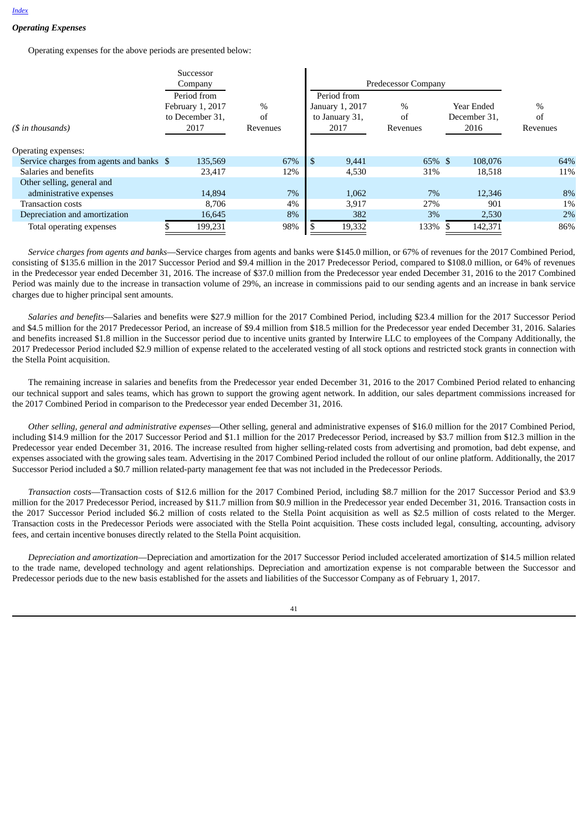## *Operating Expenses*

Operating expenses for the above periods are presented below:

|                                          | Successor        |          |      |                 |                     |              |          |
|------------------------------------------|------------------|----------|------|-----------------|---------------------|--------------|----------|
|                                          | Company          |          |      |                 | Predecessor Company |              |          |
|                                          | Period from      |          |      | Period from     |                     |              |          |
|                                          | February 1, 2017 | $\%$     |      | January 1, 2017 | $\%$                | Year Ended   | $\%$     |
|                                          | to December 31,  | of       |      | to January 31,  | of                  | December 31, | of       |
| (\$ in thousands)                        | 2017             | Revenues | 2017 |                 | Revenues            | 2016         | Revenues |
| Operating expenses:                      |                  |          |      |                 |                     |              |          |
| Service charges from agents and banks \$ | 135,569          | 67%      | \$   | 9,441           | 65% \$              | 108,076      | 64%      |
| Salaries and benefits                    | 23,417           | 12%      |      | 4,530           | 31%                 | 18,518       | 11%      |
| Other selling, general and               |                  |          |      |                 |                     |              |          |
| administrative expenses                  | 14.894           | $7\%$    |      | 1,062           | $7\%$               | 12,346       | 8%       |
| <b>Transaction costs</b>                 | 8,706            | 4%       |      | 3,917           | 27%                 | 901          | 1%       |
| Depreciation and amortization            | 16,645           | 8%       |      | 382             | 3%                  | 2,530        | 2%       |
| Total operating expenses                 | 199,231          | 98%      |      | 19,332          | 133% \$             | 142,371      | 86%      |

*Service charges from agents and banks*—Service charges from agents and banks were \$145.0 million, or 67% of revenues for the 2017 Combined Period, consisting of \$135.6 million in the 2017 Successor Period and \$9.4 million in the 2017 Predecessor Period, compared to \$108.0 million, or 64% of revenues in the Predecessor year ended December 31, 2016. The increase of \$37.0 million from the Predecessor year ended December 31, 2016 to the 2017 Combined Period was mainly due to the increase in transaction volume of 29%, an increase in commissions paid to our sending agents and an increase in bank service charges due to higher principal sent amounts.

*Salaries and benefits*—Salaries and benefits were \$27.9 million for the 2017 Combined Period, including \$23.4 million for the 2017 Successor Period and \$4.5 million for the 2017 Predecessor Period, an increase of \$9.4 million from \$18.5 million for the Predecessor year ended December 31, 2016. Salaries and benefits increased \$1.8 million in the Successor period due to incentive units granted by Interwire LLC to employees of the Company Additionally, the 2017 Predecessor Period included \$2.9 million of expense related to the accelerated vesting of all stock options and restricted stock grants in connection with the Stella Point acquisition.

The remaining increase in salaries and benefits from the Predecessor year ended December 31, 2016 to the 2017 Combined Period related to enhancing our technical support and sales teams, which has grown to support the growing agent network. In addition, our sales department commissions increased for the 2017 Combined Period in comparison to the Predecessor year ended December 31, 2016.

*Other selling, general and administrative expenses*—Other selling, general and administrative expenses of \$16.0 million for the 2017 Combined Period, including \$14.9 million for the 2017 Successor Period and \$1.1 million for the 2017 Predecessor Period, increased by \$3.7 million from \$12.3 million in the Predecessor year ended December 31, 2016. The increase resulted from higher selling-related costs from advertising and promotion, bad debt expense, and expenses associated with the growing sales team. Advertising in the 2017 Combined Period included the rollout of our online platform. Additionally, the 2017 Successor Period included a \$0.7 million related-party management fee that was not included in the Predecessor Periods.

*Transaction costs*—Transaction costs of \$12.6 million for the 2017 Combined Period, including \$8.7 million for the 2017 Successor Period and \$3.9 million for the 2017 Predecessor Period, increased by \$11.7 million from \$0.9 million in the Predecessor year ended December 31, 2016. Transaction costs in the 2017 Successor Period included \$6.2 million of costs related to the Stella Point acquisition as well as \$2.5 million of costs related to the Merger. Transaction costs in the Predecessor Periods were associated with the Stella Point acquisition. These costs included legal, consulting, accounting, advisory fees, and certain incentive bonuses directly related to the Stella Point acquisition.

*Depreciation and amortization*—Depreciation and amortization for the 2017 Successor Period included accelerated amortization of \$14.5 million related to the trade name, developed technology and agent relationships. Depreciation and amortization expense is not comparable between the Successor and Predecessor periods due to the new basis established for the assets and liabilities of the Successor Company as of February 1, 2017.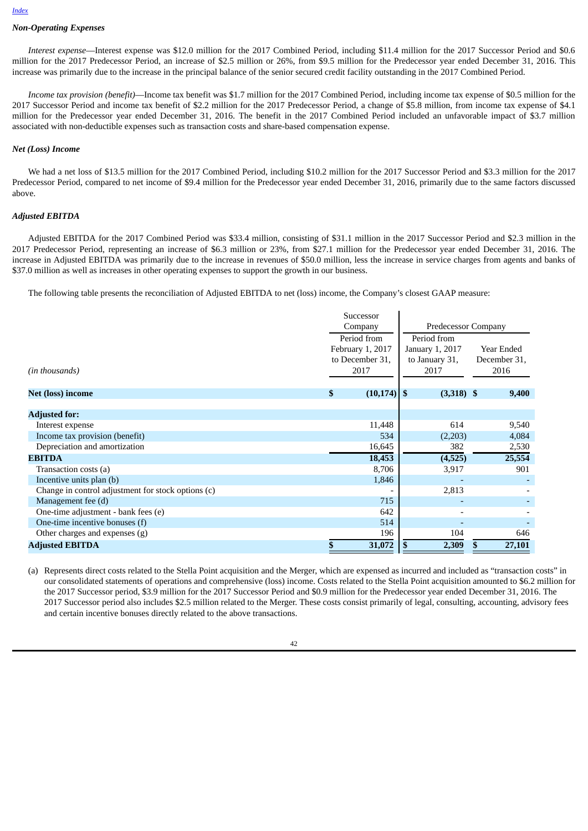### *Non-Operating Expenses*

*Interest expense*—Interest expense was \$12.0 million for the 2017 Combined Period, including \$11.4 million for the 2017 Successor Period and \$0.6 million for the 2017 Predecessor Period, an increase of \$2.5 million or 26%, from \$9.5 million for the Predecessor year ended December 31, 2016. This increase was primarily due to the increase in the principal balance of the senior secured credit facility outstanding in the 2017 Combined Period.

*Income tax provision (benefit)*—Income tax benefit was \$1.7 million for the 2017 Combined Period, including income tax expense of \$0.5 million for the 2017 Successor Period and income tax benefit of \$2.2 million for the 2017 Predecessor Period, a change of \$5.8 million, from income tax expense of \$4.1 million for the Predecessor year ended December 31, 2016. The benefit in the 2017 Combined Period included an unfavorable impact of \$3.7 million associated with non-deductible expenses such as transaction costs and share-based compensation expense.

#### *Net (Loss) Income*

We had a net loss of \$13.5 million for the 2017 Combined Period, including \$10.2 million for the 2017 Successor Period and \$3.3 million for the 2017 Predecessor Period, compared to net income of \$9.4 million for the Predecessor year ended December 31, 2016, primarily due to the same factors discussed above.

### *Adjusted EBITDA*

Adjusted EBITDA for the 2017 Combined Period was \$33.4 million, consisting of \$31.1 million in the 2017 Successor Period and \$2.3 million in the 2017 Predecessor Period, representing an increase of \$6.3 million or 23%, from \$27.1 million for the Predecessor year ended December 31, 2016. The increase in Adjusted EBITDA was primarily due to the increase in revenues of \$50.0 million, less the increase in service charges from agents and banks of \$37.0 million as well as increases in other operating expenses to support the growth in our business.

The following table presents the reconciliation of Adjusted EBITDA to net (loss) income, the Company's closest GAAP measure:

|                                                    | Successor            |                            |              |
|----------------------------------------------------|----------------------|----------------------------|--------------|
|                                                    | Company              | <b>Predecessor Company</b> |              |
|                                                    | Period from          | Period from                |              |
|                                                    | February 1, 2017     | January 1, 2017            | Year Ended   |
|                                                    | to December 31,      | to January 31,             | December 31, |
| (in thousands)                                     | 2017                 | 2017                       | 2016         |
|                                                    |                      |                            |              |
| <b>Net (loss) income</b>                           | \$<br>$(10, 174)$ \$ | $(3,318)$ \$               | 9,400        |
|                                                    |                      |                            |              |
| <b>Adjusted for:</b>                               |                      |                            |              |
| Interest expense                                   | 11,448               | 614                        | 9,540        |
| Income tax provision (benefit)                     | 534                  | (2,203)                    | 4,084        |
| Depreciation and amortization                      | 16,645               | 382                        | 2,530        |
| <b>EBITDA</b>                                      | 18,453               | (4,525)                    | 25,554       |
| Transaction costs (a)                              | 8,706                | 3,917                      | 901          |
| Incentive units plan (b)                           | 1,846                |                            |              |
| Change in control adjustment for stock options (c) |                      | 2,813                      |              |
| Management fee (d)                                 | 715                  |                            |              |
| One-time adjustment - bank fees (e)                | 642                  |                            |              |
| One-time incentive bonuses (f)                     | 514                  |                            |              |
| Other charges and expenses (g)                     | 196                  | 104                        | 646          |
| <b>Adjusted EBITDA</b>                             | 31,072               | 2,309<br>\$                | 27,101<br>S  |

(a) Represents direct costs related to the Stella Point acquisition and the Merger, which are expensed as incurred and included as "transaction costs" in our consolidated statements of operations and comprehensive (loss) income. Costs related to the Stella Point acquisition amounted to \$6.2 million for the 2017 Successor period, \$3.9 million for the 2017 Successor Period and \$0.9 million for the Predecessor year ended December 31, 2016. The 2017 Successor period also includes \$2.5 million related to the Merger. These costs consist primarily of legal, consulting, accounting, advisory fees and certain incentive bonuses directly related to the above transactions.

42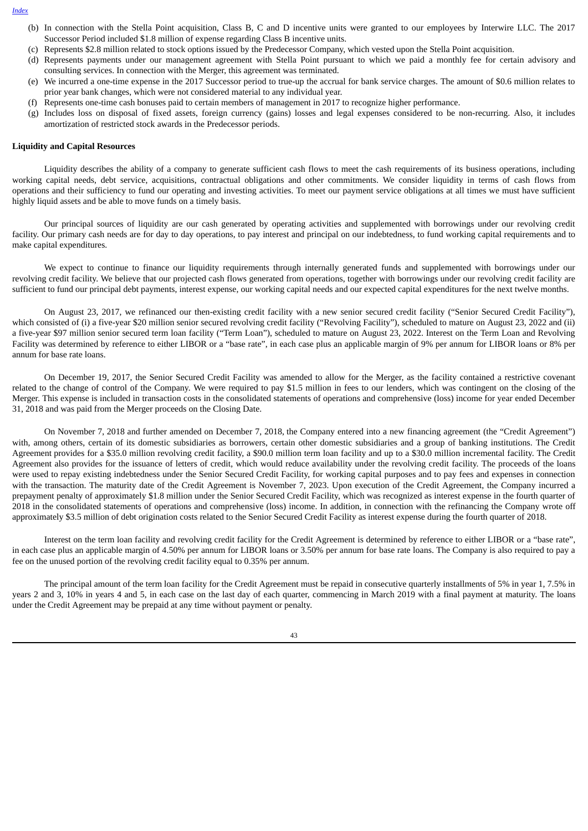- (b) In connection with the Stella Point acquisition, Class B, C and D incentive units were granted to our employees by Interwire LLC. The 2017 Successor Period included \$1.8 million of expense regarding Class B incentive units.
- (c) Represents \$2.8 million related to stock options issued by the Predecessor Company, which vested upon the Stella Point acquisition.
- (d) Represents payments under our management agreement with Stella Point pursuant to which we paid a monthly fee for certain advisory and consulting services. In connection with the Merger, this agreement was terminated.
- (e) We incurred a one-time expense in the 2017 Successor period to true-up the accrual for bank service charges. The amount of \$0.6 million relates to prior year bank changes, which were not considered material to any individual year.
- (f) Represents one-time cash bonuses paid to certain members of management in 2017 to recognize higher performance.
- (g) Includes loss on disposal of fixed assets, foreign currency (gains) losses and legal expenses considered to be non-recurring. Also, it includes amortization of restricted stock awards in the Predecessor periods.

### **Liquidity and Capital Resources**

Liquidity describes the ability of a company to generate sufficient cash flows to meet the cash requirements of its business operations, including working capital needs, debt service, acquisitions, contractual obligations and other commitments. We consider liquidity in terms of cash flows from operations and their sufficiency to fund our operating and investing activities. To meet our payment service obligations at all times we must have sufficient highly liquid assets and be able to move funds on a timely basis.

Our principal sources of liquidity are our cash generated by operating activities and supplemented with borrowings under our revolving credit facility. Our primary cash needs are for day to day operations, to pay interest and principal on our indebtedness, to fund working capital requirements and to make capital expenditures.

We expect to continue to finance our liquidity requirements through internally generated funds and supplemented with borrowings under our revolving credit facility. We believe that our projected cash flows generated from operations, together with borrowings under our revolving credit facility are sufficient to fund our principal debt payments, interest expense, our working capital needs and our expected capital expenditures for the next twelve months.

On August 23, 2017, we refinanced our then-existing credit facility with a new senior secured credit facility ("Senior Secured Credit Facility"), which consisted of (i) a five-year \$20 million senior secured revolving credit facility ("Revolving Facility"), scheduled to mature on August 23, 2022 and (ii) a five-year \$97 million senior secured term loan facility ("Term Loan"), scheduled to mature on August 23, 2022. Interest on the Term Loan and Revolving Facility was determined by reference to either LIBOR or a "base rate", in each case plus an applicable margin of 9% per annum for LIBOR loans or 8% per annum for base rate loans.

On December 19, 2017, the Senior Secured Credit Facility was amended to allow for the Merger, as the facility contained a restrictive covenant related to the change of control of the Company. We were required to pay \$1.5 million in fees to our lenders, which was contingent on the closing of the Merger. This expense is included in transaction costs in the consolidated statements of operations and comprehensive (loss) income for year ended December 31, 2018 and was paid from the Merger proceeds on the Closing Date.

On November 7, 2018 and further amended on December 7, 2018, the Company entered into a new financing agreement (the "Credit Agreement") with, among others, certain of its domestic subsidiaries as borrowers, certain other domestic subsidiaries and a group of banking institutions. The Credit Agreement provides for a \$35.0 million revolving credit facility, a \$90.0 million term loan facility and up to a \$30.0 million incremental facility. The Credit Agreement also provides for the issuance of letters of credit, which would reduce availability under the revolving credit facility. The proceeds of the loans were used to repay existing indebtedness under the Senior Secured Credit Facility, for working capital purposes and to pay fees and expenses in connection with the transaction. The maturity date of the Credit Agreement is November 7, 2023. Upon execution of the Credit Agreement, the Company incurred a prepayment penalty of approximately \$1.8 million under the Senior Secured Credit Facility, which was recognized as interest expense in the fourth quarter of 2018 in the consolidated statements of operations and comprehensive (loss) income. In addition, in connection with the refinancing the Company wrote off approximately \$3.5 million of debt origination costs related to the Senior Secured Credit Facility as interest expense during the fourth quarter of 2018.

Interest on the term loan facility and revolving credit facility for the Credit Agreement is determined by reference to either LIBOR or a "base rate", in each case plus an applicable margin of 4.50% per annum for LIBOR loans or 3.50% per annum for base rate loans. The Company is also required to pay a fee on the unused portion of the revolving credit facility equal to 0.35% per annum.

The principal amount of the term loan facility for the Credit Agreement must be repaid in consecutive quarterly installments of 5% in year 1, 7.5% in years 2 and 3, 10% in years 4 and 5, in each case on the last day of each quarter, commencing in March 2019 with a final payment at maturity. The loans under the Credit Agreement may be prepaid at any time without payment or penalty.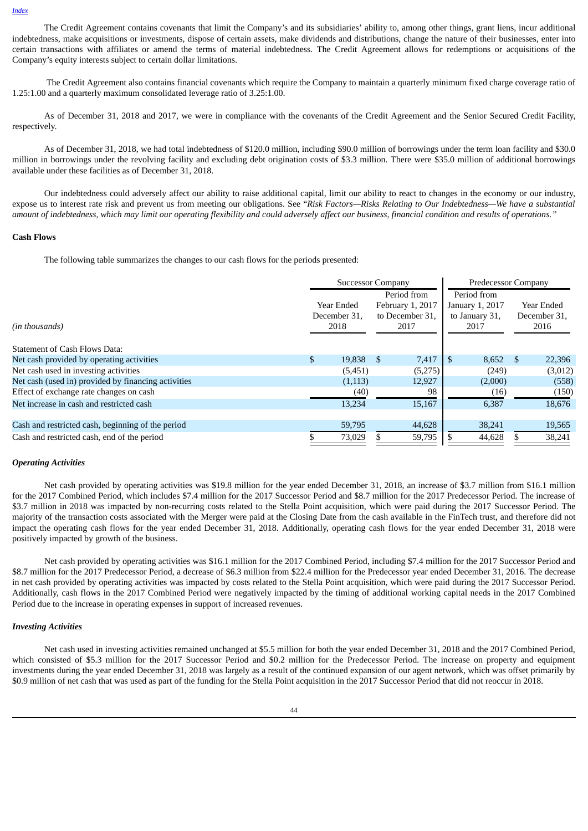The Credit Agreement contains covenants that limit the Company's and its subsidiaries' ability to, among other things, grant liens, incur additional indebtedness, make acquisitions or investments, dispose of certain assets, make dividends and distributions, change the nature of their businesses, enter into certain transactions with affiliates or amend the terms of material indebtedness. The Credit Agreement allows for redemptions or acquisitions of the Company's equity interests subject to certain dollar limitations.

The Credit Agreement also contains financial covenants which require the Company to maintain a quarterly minimum fixed charge coverage ratio of 1.25:1.00 and a quarterly maximum consolidated leverage ratio of 3.25:1.00.

As of December 31, 2018 and 2017, we were in compliance with the covenants of the Credit Agreement and the Senior Secured Credit Facility, respectively.

As of December 31, 2018, we had total indebtedness of \$120.0 million, including \$90.0 million of borrowings under the term loan facility and \$30.0 million in borrowings under the revolving facility and excluding debt origination costs of \$3.3 million. There were \$35.0 million of additional borrowings available under these facilities as of December 31, 2018.

Our indebtedness could adversely affect our ability to raise additional capital, limit our ability to react to changes in the economy or our industry, expose us to interest rate risk and prevent us from meeting our obligations. See "*Risk Factors—Risks Relating to Our Indebtedness—We have a substantial* amount of indebtedness, which may limit our operating flexibility and could adversely affect our business, financial condition and results of operations."

#### **Cash Flows**

The following table summarizes the changes to our cash flows for the periods presented:

|                                                     | <b>Successor Company</b> |      | <b>Predecessor Company</b> |    |                 |  |              |
|-----------------------------------------------------|--------------------------|------|----------------------------|----|-----------------|--|--------------|
|                                                     |                          |      | Period from                |    | Period from     |  |              |
|                                                     | Year Ended               |      | February 1, 2017           |    | January 1, 2017 |  | Year Ended   |
|                                                     | December 31,             |      | to December 31,            |    | to January 31,  |  | December 31, |
| (in thousands)                                      | 2018                     |      | 2017                       |    | 2017            |  | 2016         |
| <b>Statement of Cash Flows Data:</b>                |                          |      |                            |    |                 |  |              |
| Net cash provided by operating activities           | \$<br>19,838             | - \$ | 7,417                      | \$ | 8,652           |  | 22,396       |
| Net cash used in investing activities               | (5,451)                  |      | (5,275)                    |    | (249)           |  | (3,012)      |
| Net cash (used in) provided by financing activities | (1,113)                  |      | 12,927                     |    | (2,000)         |  | (558)        |
| Effect of exchange rate changes on cash             | (40)                     |      | 98                         |    | (16)            |  | (150)        |
| Net increase in cash and restricted cash            | 13,234                   |      | 15,167                     |    | 6,387           |  | 18,676       |
| Cash and restricted cash, beginning of the period   | 59,795                   |      | 44,628                     |    | 38,241          |  | 19,565       |
| Cash and restricted cash, end of the period         | 73,029                   |      | 59,795                     |    | 44,628          |  | 38,241       |

#### *Operating Activities*

Net cash provided by operating activities was \$19.8 million for the year ended December 31, 2018, an increase of \$3.7 million from \$16.1 million for the 2017 Combined Period, which includes \$7.4 million for the 2017 Successor Period and \$8.7 million for the 2017 Predecessor Period. The increase of \$3.7 million in 2018 was impacted by non-recurring costs related to the Stella Point acquisition, which were paid during the 2017 Successor Period. The majority of the transaction costs associated with the Merger were paid at the Closing Date from the cash available in the FinTech trust, and therefore did not impact the operating cash flows for the year ended December 31, 2018. Additionally, operating cash flows for the year ended December 31, 2018 were positively impacted by growth of the business.

Net cash provided by operating activities was \$16.1 million for the 2017 Combined Period, including \$7.4 million for the 2017 Successor Period and \$8.7 million for the 2017 Predecessor Period, a decrease of \$6.3 million from \$22.4 million for the Predecessor year ended December 31, 2016. The decrease in net cash provided by operating activities was impacted by costs related to the Stella Point acquisition, which were paid during the 2017 Successor Period. Additionally, cash flows in the 2017 Combined Period were negatively impacted by the timing of additional working capital needs in the 2017 Combined Period due to the increase in operating expenses in support of increased revenues.

#### *Investing Activities*

Net cash used in investing activities remained unchanged at \$5.5 million for both the year ended December 31, 2018 and the 2017 Combined Period, which consisted of \$5.3 million for the 2017 Successor Period and \$0.2 million for the Predecessor Period. The increase on property and equipment investments during the year ended December 31, 2018 was largely as a result of the continued expansion of our agent network, which was offset primarily by \$0.9 million of net cash that was used as part of the funding for the Stella Point acquisition in the 2017 Successor Period that did not reoccur in 2018.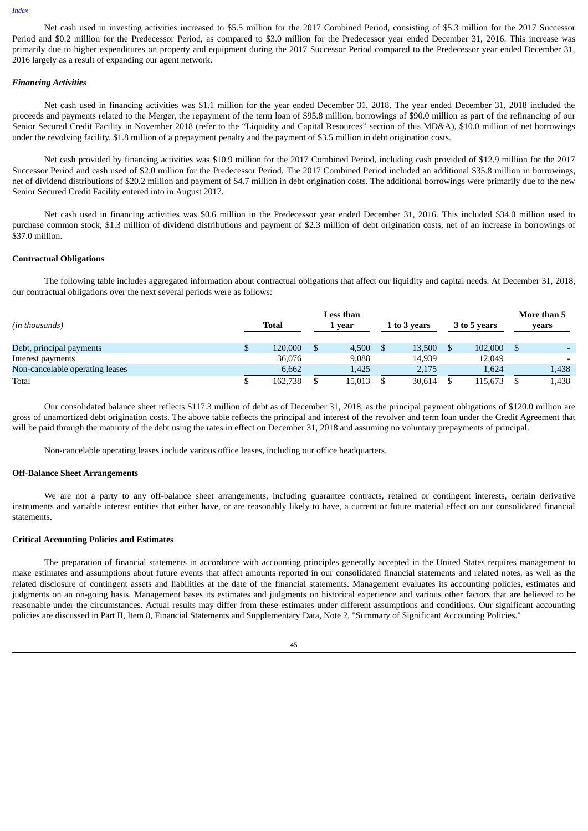Net cash used in investing activities increased to \$5.5 million for the 2017 Combined Period, consisting of \$5.3 million for the 2017 Successor Period and \$0.2 million for the Predecessor Period, as compared to \$3.0 million for the Predecessor year ended December 31, 2016. This increase was primarily due to higher expenditures on property and equipment during the 2017 Successor Period compared to the Predecessor year ended December 31, 2016 largely as a result of expanding our agent network.

### *Financing Activities*

Net cash used in financing activities was \$1.1 million for the year ended December 31, 2018. The year ended December 31, 2018 included the proceeds and payments related to the Merger, the repayment of the term loan of \$95.8 million, borrowings of \$90.0 million as part of the refinancing of our Senior Secured Credit Facility in November 2018 (refer to the "Liquidity and Capital Resources" section of this MD&A), \$10.0 million of net borrowings under the revolving facility, \$1.8 million of a prepayment penalty and the payment of \$3.5 million in debt origination costs.

Net cash provided by financing activities was \$10.9 million for the 2017 Combined Period, including cash provided of \$12.9 million for the 2017 Successor Period and cash used of \$2.0 million for the Predecessor Period. The 2017 Combined Period included an additional \$35.8 million in borrowings, net of dividend distributions of \$20.2 million and payment of \$4.7 million in debt origination costs. The additional borrowings were primarily due to the new Senior Secured Credit Facility entered into in August 2017.

Net cash used in financing activities was \$0.6 million in the Predecessor year ended December 31, 2016. This included \$34.0 million used to purchase common stock, \$1.3 million of dividend distributions and payment of \$2.3 million of debt origination costs, net of an increase in borrowings of \$37.0 million.

### **Contractual Obligations**

The following table includes aggregated information about contractual obligations that affect our liquidity and capital needs. At December 31, 2018, our contractual obligations over the next several periods were as follows:

|                                 | <b>Less than</b> |              |  |        |  |              |  |              | More than 5 |       |  |
|---------------------------------|------------------|--------------|--|--------|--|--------------|--|--------------|-------------|-------|--|
| (in thousands)                  |                  | <b>Total</b> |  | vear   |  | 1 to 3 years |  | 3 to 5 years |             | vears |  |
| Debt, principal payments        |                  | 120,000      |  | 4.500  |  | 13,500       |  | 102,000      |             |       |  |
| Interest payments               |                  | 36,076       |  | 9,088  |  | 14.939       |  | 12,049       |             |       |  |
| Non-cancelable operating leases |                  | 6,662        |  | 1.425  |  | 2,175        |  | 1.624        |             | 1,438 |  |
| Total                           |                  | 162,738      |  | 15,013 |  | 30,614       |  | 115.673      |             | 1,438 |  |

Our consolidated balance sheet reflects \$117.3 million of debt as of December 31, 2018, as the principal payment obligations of \$120.0 million are gross of unamortized debt origination costs. The above table reflects the principal and interest of the revolver and term loan under the Credit Agreement that will be paid through the maturity of the debt using the rates in effect on December 31, 2018 and assuming no voluntary prepayments of principal.

Non-cancelable operating leases include various office leases, including our office headquarters.

#### **Off-Balance Sheet Arrangements**

We are not a party to any off-balance sheet arrangements, including guarantee contracts, retained or contingent interests, certain derivative instruments and variable interest entities that either have, or are reasonably likely to have, a current or future material effect on our consolidated financial statements.

### **Critical Accounting Policies and Estimates**

The preparation of financial statements in accordance with accounting principles generally accepted in the United States requires management to make estimates and assumptions about future events that affect amounts reported in our consolidated financial statements and related notes, as well as the related disclosure of contingent assets and liabilities at the date of the financial statements. Management evaluates its accounting policies, estimates and judgments on an on-going basis. Management bases its estimates and judgments on historical experience and various other factors that are believed to be reasonable under the circumstances. Actual results may differ from these estimates under different assumptions and conditions. Our significant accounting policies are discussed in Part II, Item 8, Financial Statements and Supplementary Data, Note 2, "Summary of Significant Accounting Policies."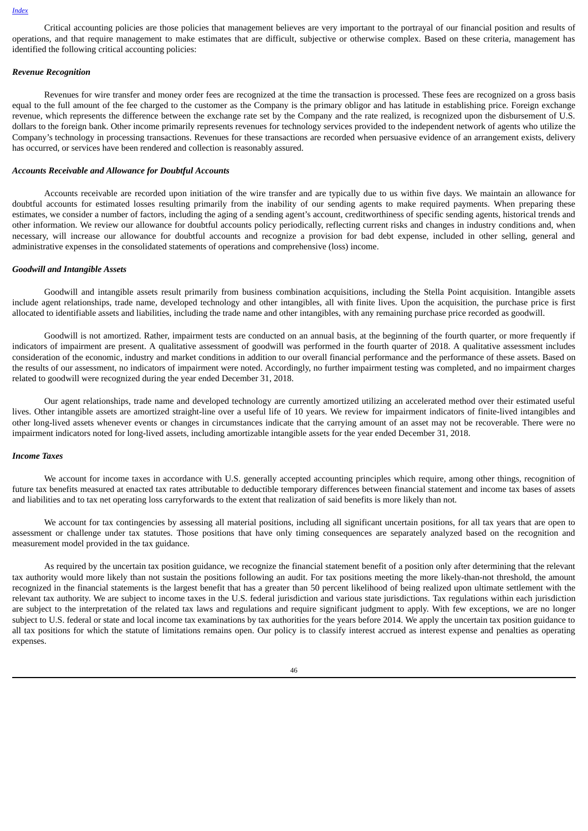Critical accounting policies are those policies that management believes are very important to the portrayal of our financial position and results of operations, and that require management to make estimates that are difficult, subjective or otherwise complex. Based on these criteria, management has identified the following critical accounting policies:

### *Revenue Recognition*

Revenues for wire transfer and money order fees are recognized at the time the transaction is processed. These fees are recognized on a gross basis equal to the full amount of the fee charged to the customer as the Company is the primary obligor and has latitude in establishing price. Foreign exchange revenue, which represents the difference between the exchange rate set by the Company and the rate realized, is recognized upon the disbursement of U.S. dollars to the foreign bank. Other income primarily represents revenues for technology services provided to the independent network of agents who utilize the Company's technology in processing transactions. Revenues for these transactions are recorded when persuasive evidence of an arrangement exists, delivery has occurred, or services have been rendered and collection is reasonably assured.

#### *Accounts Receivable and Allowance for Doubtful Accounts*

Accounts receivable are recorded upon initiation of the wire transfer and are typically due to us within five days. We maintain an allowance for doubtful accounts for estimated losses resulting primarily from the inability of our sending agents to make required payments. When preparing these estimates, we consider a number of factors, including the aging of a sending agent's account, creditworthiness of specific sending agents, historical trends and other information. We review our allowance for doubtful accounts policy periodically, reflecting current risks and changes in industry conditions and, when necessary, will increase our allowance for doubtful accounts and recognize a provision for bad debt expense, included in other selling, general and administrative expenses in the consolidated statements of operations and comprehensive (loss) income.

#### *Goodwill and Intangible Assets*

Goodwill and intangible assets result primarily from business combination acquisitions, including the Stella Point acquisition. Intangible assets include agent relationships, trade name, developed technology and other intangibles, all with finite lives. Upon the acquisition, the purchase price is first allocated to identifiable assets and liabilities, including the trade name and other intangibles, with any remaining purchase price recorded as goodwill.

Goodwill is not amortized. Rather, impairment tests are conducted on an annual basis, at the beginning of the fourth quarter, or more frequently if indicators of impairment are present. A qualitative assessment of goodwill was performed in the fourth quarter of 2018. A qualitative assessment includes consideration of the economic, industry and market conditions in addition to our overall financial performance and the performance of these assets. Based on the results of our assessment, no indicators of impairment were noted. Accordingly, no further impairment testing was completed, and no impairment charges related to goodwill were recognized during the year ended December 31, 2018.

Our agent relationships, trade name and developed technology are currently amortized utilizing an accelerated method over their estimated useful lives. Other intangible assets are amortized straight-line over a useful life of 10 years. We review for impairment indicators of finite-lived intangibles and other long-lived assets whenever events or changes in circumstances indicate that the carrying amount of an asset may not be recoverable. There were no impairment indicators noted for long-lived assets, including amortizable intangible assets for the year ended December 31, 2018.

#### *Income Taxes*

We account for income taxes in accordance with U.S. generally accepted accounting principles which require, among other things, recognition of future tax benefits measured at enacted tax rates attributable to deductible temporary differences between financial statement and income tax bases of assets and liabilities and to tax net operating loss carryforwards to the extent that realization of said benefits is more likely than not.

We account for tax contingencies by assessing all material positions, including all significant uncertain positions, for all tax years that are open to assessment or challenge under tax statutes. Those positions that have only timing consequences are separately analyzed based on the recognition and measurement model provided in the tax guidance.

As required by the uncertain tax position guidance, we recognize the financial statement benefit of a position only after determining that the relevant tax authority would more likely than not sustain the positions following an audit. For tax positions meeting the more likely-than-not threshold, the amount recognized in the financial statements is the largest benefit that has a greater than 50 percent likelihood of being realized upon ultimate settlement with the relevant tax authority. We are subject to income taxes in the U.S. federal jurisdiction and various state jurisdictions. Tax regulations within each jurisdiction are subject to the interpretation of the related tax laws and regulations and require significant judgment to apply. With few exceptions, we are no longer subject to U.S. federal or state and local income tax examinations by tax authorities for the years before 2014. We apply the uncertain tax position guidance to all tax positions for which the statute of limitations remains open. Our policy is to classify interest accrued as interest expense and penalties as operating expenses.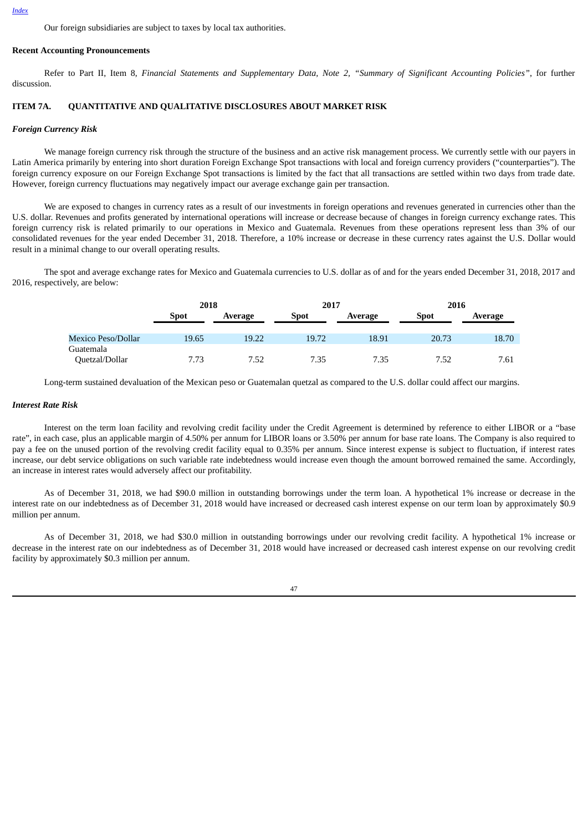Our foreign subsidiaries are subject to taxes by local tax authorities.

### **Recent Accounting Pronouncements**

Refer to Part II, Item 8, *Financial Statements and Supplementary Data, Note 2, "Summary of Significant Accounting Policies"*, for further discussion.

## **ITEM 7A. QUANTITATIVE AND QUALITATIVE DISCLOSURES ABOUT MARKET RISK**

#### *Foreign Currency Risk*

We manage foreign currency risk through the structure of the business and an active risk management process. We currently settle with our payers in Latin America primarily by entering into short duration Foreign Exchange Spot transactions with local and foreign currency providers ("counterparties"). The foreign currency exposure on our Foreign Exchange Spot transactions is limited by the fact that all transactions are settled within two days from trade date. However, foreign currency fluctuations may negatively impact our average exchange gain per transaction.

We are exposed to changes in currency rates as a result of our investments in foreign operations and revenues generated in currencies other than the U.S. dollar. Revenues and profits generated by international operations will increase or decrease because of changes in foreign currency exchange rates. This foreign currency risk is related primarily to our operations in Mexico and Guatemala. Revenues from these operations represent less than 3% of our consolidated revenues for the year ended December 31, 2018. Therefore, a 10% increase or decrease in these currency rates against the U.S. Dollar would result in a minimal change to our overall operating results.

The spot and average exchange rates for Mexico and Guatemala currencies to U.S. dollar as of and for the years ended December 31, 2018, 2017 and 2016, respectively, are below:

|                    | 2018        |         | 2017                   |       | 2016        |         |  |  |  |
|--------------------|-------------|---------|------------------------|-------|-------------|---------|--|--|--|
|                    | <b>Spot</b> | Average | <b>Spot</b><br>Average |       | <b>Spot</b> | Average |  |  |  |
|                    |             |         |                        |       |             |         |  |  |  |
| Mexico Peso/Dollar | 19.65       | 19.22   | 19.72                  | 18.91 | 20.73       | 18.70   |  |  |  |
| Guatemala          |             |         |                        |       |             |         |  |  |  |
| Quetzal/Dollar     | 7.73        | 7.52    | 7.35                   | 7.35  | 7.52        | 7.61    |  |  |  |

Long-term sustained devaluation of the Mexican peso or Guatemalan quetzal as compared to the U.S. dollar could affect our margins.

## *Interest Rate Risk*

Interest on the term loan facility and revolving credit facility under the Credit Agreement is determined by reference to either LIBOR or a "base rate", in each case, plus an applicable margin of 4.50% per annum for LIBOR loans or 3.50% per annum for base rate loans. The Company is also required to pay a fee on the unused portion of the revolving credit facility equal to 0.35% per annum. Since interest expense is subject to fluctuation, if interest rates increase, our debt service obligations on such variable rate indebtedness would increase even though the amount borrowed remained the same. Accordingly, an increase in interest rates would adversely affect our profitability.

As of December 31, 2018, we had \$90.0 million in outstanding borrowings under the term loan. A hypothetical 1% increase or decrease in the interest rate on our indebtedness as of December 31, 2018 would have increased or decreased cash interest expense on our term loan by approximately \$0.9 million per annum.

As of December 31, 2018, we had \$30.0 million in outstanding borrowings under our revolving credit facility. A hypothetical 1% increase or decrease in the interest rate on our indebtedness as of December 31, 2018 would have increased or decreased cash interest expense on our revolving credit facility by approximately \$0.3 million per annum.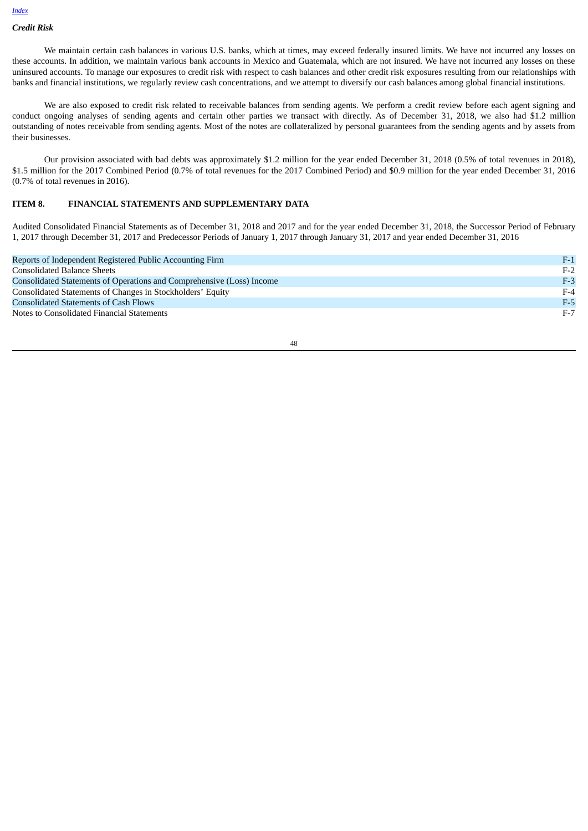## *Credit Risk*

We maintain certain cash balances in various U.S. banks, which at times, may exceed federally insured limits. We have not incurred any losses on these accounts. In addition, we maintain various bank accounts in Mexico and Guatemala, which are not insured. We have not incurred any losses on these uninsured accounts. To manage our exposures to credit risk with respect to cash balances and other credit risk exposures resulting from our relationships with banks and financial institutions, we regularly review cash concentrations, and we attempt to diversify our cash balances among global financial institutions.

We are also exposed to credit risk related to receivable balances from sending agents. We perform a credit review before each agent signing and conduct ongoing analyses of sending agents and certain other parties we transact with directly. As of December 31, 2018, we also had \$1.2 million outstanding of notes receivable from sending agents. Most of the notes are collateralized by personal guarantees from the sending agents and by assets from their businesses.

Our provision associated with bad debts was approximately \$1.2 million for the year ended December 31, 2018 (0.5% of total revenues in 2018), \$1.5 million for the 2017 Combined Period (0.7% of total revenues for the 2017 Combined Period) and \$0.9 million for the year ended December 31, 2016 (0.7% of total revenues in 2016).

### **ITEM 8. FINANCIAL STATEMENTS AND SUPPLEMENTARY DATA**

Audited Consolidated Financial Statements as of December 31, 2018 and 2017 and for the year ended December 31, 2018, the Successor Period of February 1, 2017 through December 31, 2017 and Predecessor Periods of January 1, 2017 through January 31, 2017 and year ended December 31, 2016

| Reports of Independent Registered Public Accounting Firm              | $F-1$ |
|-----------------------------------------------------------------------|-------|
| <b>Consolidated Balance Sheets</b>                                    | $F-2$ |
| Consolidated Statements of Operations and Comprehensive (Loss) Income | $F-3$ |
| Consolidated Statements of Changes in Stockholders' Equity            | $F-4$ |
| <b>Consolidated Statements of Cash Flows</b>                          | $F-5$ |
| Notes to Consolidated Financial Statements                            | $F-7$ |
|                                                                       |       |

48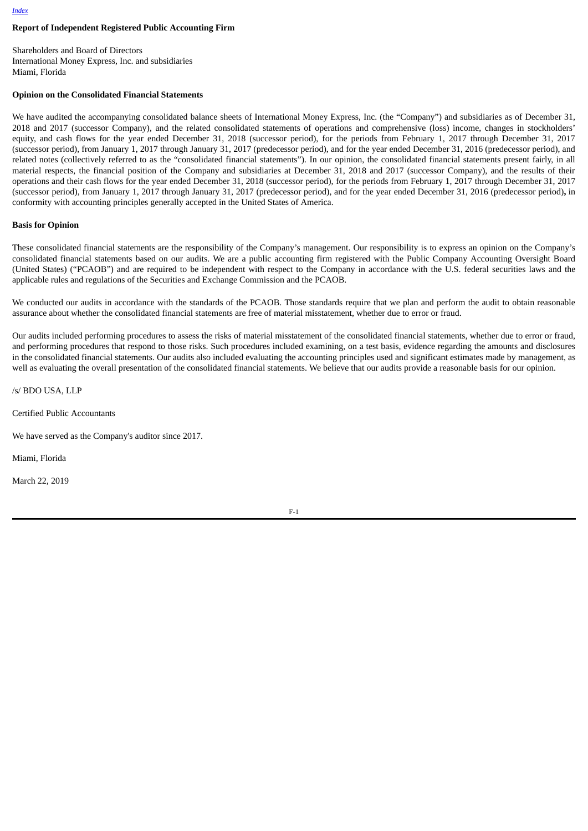# **Report of Independent Registered Public Accounting Firm**

Shareholders and Board of Directors International Money Express, Inc. and subsidiaries Miami, Florida

# **Opinion on the Consolidated Financial Statements**

We have audited the accompanying consolidated balance sheets of International Money Express, Inc. (the "Company") and subsidiaries as of December 31, 2018 and 2017 (successor Company), and the related consolidated statements of operations and comprehensive (loss) income, changes in stockholders' equity, and cash flows for the year ended December 31, 2018 (successor period), for the periods from February 1, 2017 through December 31, 2017 (successor period), from January 1, 2017 through January 31, 2017 (predecessor period), and for the year ended December 31, 2016 (predecessor period), and related notes (collectively referred to as the "consolidated financial statements"). In our opinion, the consolidated financial statements present fairly, in all material respects, the financial position of the Company and subsidiaries at December 31, 2018 and 2017 (successor Company), and the results of their operations and their cash flows for the year ended December 31, 2018 (successor period), for the periods from February 1, 2017 through December 31, 2017 (successor period), from January 1, 2017 through January 31, 2017 (predecessor period), and for the year ended December 31, 2016 (predecessor period)**,** in conformity with accounting principles generally accepted in the United States of America.

# **Basis for Opinion**

These consolidated financial statements are the responsibility of the Company's management. Our responsibility is to express an opinion on the Company's consolidated financial statements based on our audits. We are a public accounting firm registered with the Public Company Accounting Oversight Board (United States) ("PCAOB") and are required to be independent with respect to the Company in accordance with the U.S. federal securities laws and the applicable rules and regulations of the Securities and Exchange Commission and the PCAOB.

We conducted our audits in accordance with the standards of the PCAOB. Those standards require that we plan and perform the audit to obtain reasonable assurance about whether the consolidated financial statements are free of material misstatement, whether due to error or fraud.

Our audits included performing procedures to assess the risks of material misstatement of the consolidated financial statements, whether due to error or fraud, and performing procedures that respond to those risks. Such procedures included examining, on a test basis, evidence regarding the amounts and disclosures in the consolidated financial statements. Our audits also included evaluating the accounting principles used and significant estimates made by management, as well as evaluating the overall presentation of the consolidated financial statements. We believe that our audits provide a reasonable basis for our opinion.

/s/ BDO USA, LLP

Certified Public Accountants

We have served as the Company's auditor since 2017.

Miami, Florida

March 22, 2019

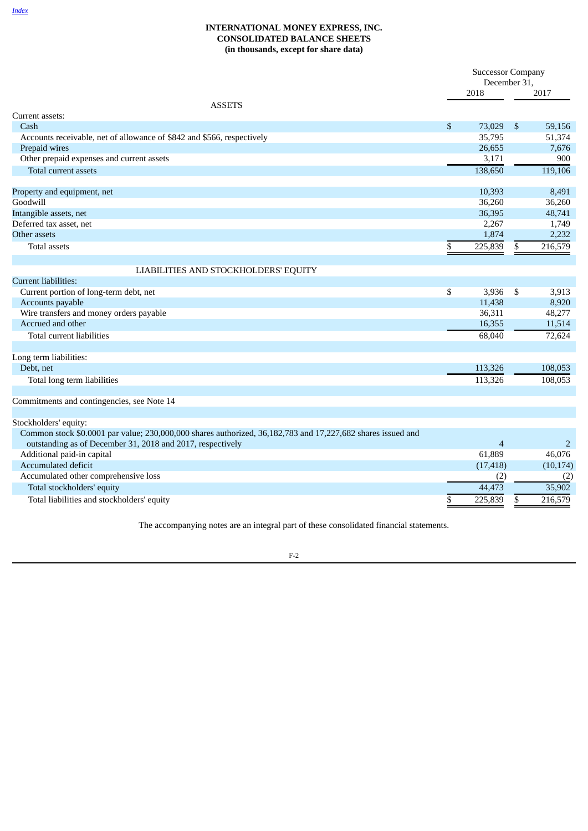## **INTERNATIONAL MONEY EXPRESS, INC. CONSOLIDATED BALANCE SHEETS (in thousands, except for share data)**

|                                                                                                             | <b>Successor Company</b><br>December 31, |                |           |
|-------------------------------------------------------------------------------------------------------------|------------------------------------------|----------------|-----------|
|                                                                                                             | 2018                                     |                | 2017      |
| <b>ASSETS</b>                                                                                               |                                          |                |           |
| Current assets:                                                                                             |                                          |                |           |
| Cash                                                                                                        | \$<br>73,029                             | $\mathfrak{S}$ | 59,156    |
| Accounts receivable, net of allowance of \$842 and \$566, respectively                                      | 35,795                                   |                | 51,374    |
| Prepaid wires                                                                                               | 26,655                                   |                | 7,676     |
| Other prepaid expenses and current assets                                                                   | 3,171                                    |                | 900       |
| Total current assets                                                                                        | 138,650                                  |                | 119,106   |
| Property and equipment, net                                                                                 | 10,393                                   |                | 8,491     |
| Goodwill                                                                                                    | 36,260                                   |                | 36,260    |
| Intangible assets, net                                                                                      | 36,395                                   |                | 48,741    |
| Deferred tax asset, net                                                                                     | 2,267                                    |                | 1,749     |
| Other assets                                                                                                | 1,874                                    |                | 2,232     |
| <b>Total assets</b>                                                                                         | \$<br>225,839                            | \$             | 216,579   |
| LIABILITIES AND STOCKHOLDERS' EQUITY                                                                        |                                          |                |           |
| <b>Current liabilities:</b>                                                                                 |                                          |                |           |
| Current portion of long-term debt, net                                                                      | \$<br>3,936                              | \$             | 3,913     |
| Accounts payable                                                                                            | 11,438                                   |                | 8,920     |
| Wire transfers and money orders payable                                                                     | 36,311                                   |                | 48,277    |
| Accrued and other                                                                                           | 16,355                                   |                | 11,514    |
| Total current liabilities                                                                                   | 68,040                                   |                | 72,624    |
|                                                                                                             |                                          |                |           |
| Long term liabilities:                                                                                      |                                          |                |           |
| Debt, net                                                                                                   | 113,326                                  |                | 108,053   |
| Total long term liabilities                                                                                 | 113,326                                  |                | 108,053   |
| Commitments and contingencies, see Note 14                                                                  |                                          |                |           |
| Stockholders' equity:                                                                                       |                                          |                |           |
| Common stock \$0.0001 par value; 230,000,000 shares authorized, 36,182,783 and 17,227,682 shares issued and |                                          |                |           |
| outstanding as of December 31, 2018 and 2017, respectively                                                  | $\overline{\mathcal{A}}$                 |                | 2         |
| Additional paid-in capital                                                                                  | 61,889                                   |                | 46,076    |
| Accumulated deficit                                                                                         | (17, 418)                                |                | (10, 174) |
| Accumulated other comprehensive loss                                                                        | (2)                                      |                | (2)       |
| Total stockholders' equity                                                                                  | 44,473                                   |                | 35,902    |
| Total liabilities and stockholders' equity                                                                  | \$<br>225,839                            | \$             | 216,579   |
|                                                                                                             |                                          |                |           |

The accompanying notes are an integral part of these consolidated financial statements.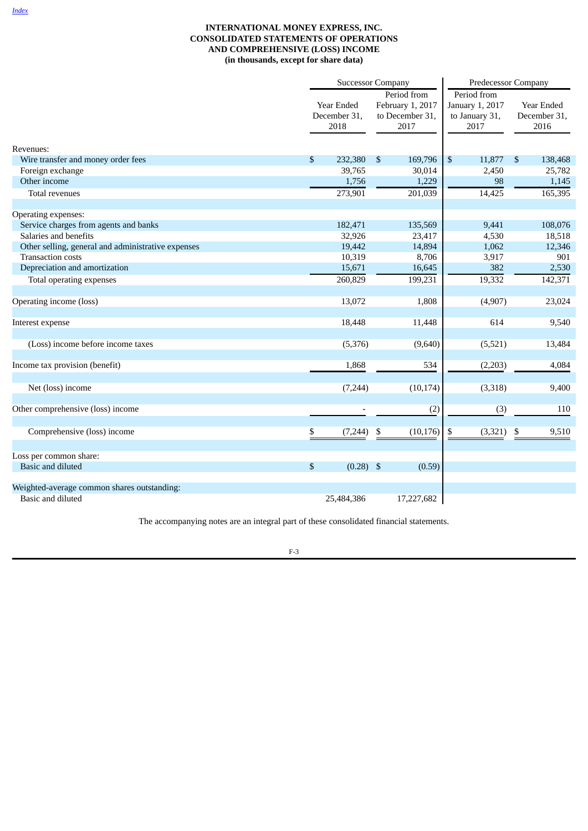## **INTERNATIONAL MONEY EXPRESS, INC. CONSOLIDATED STATEMENTS OF OPERATIONS AND COMPREHENSIVE (LOSS) INCOME (in thousands, except for share data)**

|                                                    |              |                                                                                                         | <b>Successor Company</b>             | <b>Predecessor Company</b>                               |                                    |  |  |
|----------------------------------------------------|--------------|---------------------------------------------------------------------------------------------------------|--------------------------------------|----------------------------------------------------------|------------------------------------|--|--|
|                                                    |              | Period from<br>February 1, 2017<br><b>Year Ended</b><br>December 31,<br>to December 31,<br>2018<br>2017 |                                      | Period from<br>January 1, 2017<br>to January 31,<br>2017 | Year Ended<br>December 31,<br>2016 |  |  |
| Revenues:                                          |              |                                                                                                         |                                      |                                                          |                                    |  |  |
| Wire transfer and money order fees                 | \$           | 232,380                                                                                                 | $\boldsymbol{\mathsf{S}}$<br>169,796 | $\mathbb{S}$<br>11,877                                   | \$<br>138,468                      |  |  |
| Foreign exchange                                   |              | 39,765                                                                                                  | 30,014                               | 2,450                                                    | 25,782                             |  |  |
| Other income                                       |              | 1,756                                                                                                   | 1,229                                | 98                                                       | 1,145                              |  |  |
| Total revenues                                     |              | 273,901                                                                                                 | $\overline{201,}039$                 | 14,425                                                   | 165,395                            |  |  |
| Operating expenses:                                |              |                                                                                                         |                                      |                                                          |                                    |  |  |
| Service charges from agents and banks              |              | 182,471                                                                                                 | 135,569                              | 9,441                                                    | 108,076                            |  |  |
| Salaries and benefits                              |              | 32,926                                                                                                  | 23,417                               | 4,530                                                    | 18,518                             |  |  |
| Other selling, general and administrative expenses |              | 19,442                                                                                                  | 14,894                               | 1,062                                                    | 12,346                             |  |  |
| <b>Transaction costs</b>                           |              | 10,319                                                                                                  | 8,706                                | 3,917                                                    | 901                                |  |  |
| Depreciation and amortization                      |              | 15,671                                                                                                  | 16,645                               | 382                                                      | 2,530                              |  |  |
| Total operating expenses                           |              | 260,829                                                                                                 | 199,231                              | 19,332                                                   | 142,371                            |  |  |
| Operating income (loss)                            |              | 13,072                                                                                                  | 1,808                                | (4,907)                                                  | 23,024                             |  |  |
| Interest expense                                   |              | 18,448                                                                                                  | 11,448                               | 614                                                      | 9,540                              |  |  |
| (Loss) income before income taxes                  |              | (5,376)                                                                                                 | (9,640)                              | (5,521)                                                  | 13,484                             |  |  |
| Income tax provision (benefit)                     |              | 1,868                                                                                                   | 534                                  | (2,203)                                                  | 4,084                              |  |  |
| Net (loss) income                                  |              | (7, 244)                                                                                                | (10, 174)                            | (3,318)                                                  | 9,400                              |  |  |
| Other comprehensive (loss) income                  |              |                                                                                                         | (2)                                  | (3)                                                      | 110                                |  |  |
| Comprehensive (loss) income                        | \$           | (7, 244)                                                                                                | (10, 176)<br>\$                      | (3, 321)<br>\$                                           | 9,510<br>\$                        |  |  |
| Loss per common share:                             |              |                                                                                                         |                                      |                                                          |                                    |  |  |
| <b>Basic and diluted</b>                           | $\mathbb{S}$ | $(0.28)$ \$                                                                                             | (0.59)                               |                                                          |                                    |  |  |
| Weighted-average common shares outstanding:        |              |                                                                                                         |                                      |                                                          |                                    |  |  |
| Basic and diluted                                  |              | 25,484,386                                                                                              | 17,227,682                           |                                                          |                                    |  |  |

The accompanying notes are an integral part of these consolidated financial statements.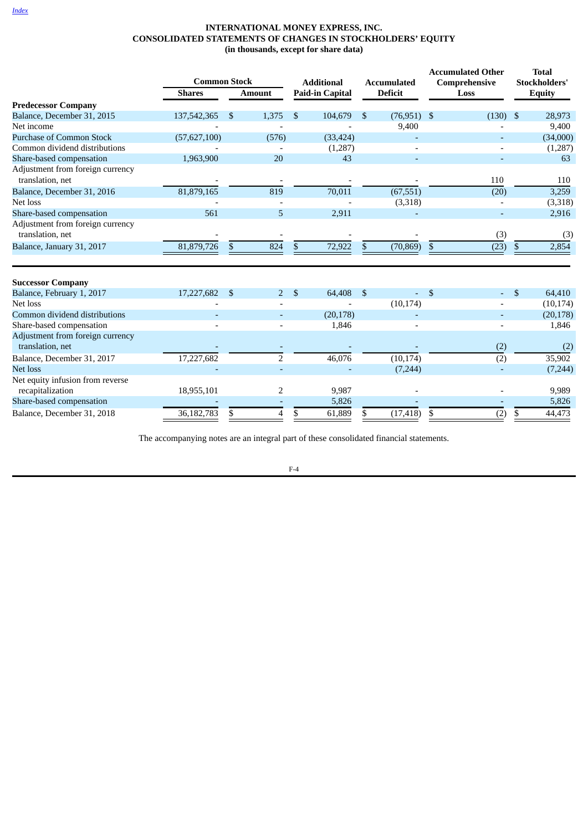## **INTERNATIONAL MONEY EXPRESS, INC. CONSOLIDATED STATEMENTS OF CHANGES IN STOCKHOLDERS' EQUITY (in thousands, except for share data)**

|                                                      | <b>Common Stock</b> |                      | <b>Additional</b> |                        |    |                |      |       |               |                  |  |  |  |  |  |  |  |  |  |  |  |  |  | <b>Accumulated</b> |  |  |  |  |  |  |  |  |  |  |  |  |  |  |  | <b>Accumulated Other</b><br>Comprehensive |  | <b>Total</b><br><b>Stockholders'</b> |
|------------------------------------------------------|---------------------|----------------------|-------------------|------------------------|----|----------------|------|-------|---------------|------------------|--|--|--|--|--|--|--|--|--|--|--|--|--|--------------------|--|--|--|--|--|--|--|--|--|--|--|--|--|--|--|-------------------------------------------|--|--------------------------------------|
|                                                      | <b>Shares</b>       | <b>Amount</b>        |                   | <b>Paid-in Capital</b> |    | <b>Deficit</b> |      | Loss  | <b>Equity</b> |                  |  |  |  |  |  |  |  |  |  |  |  |  |  |                    |  |  |  |  |  |  |  |  |  |  |  |  |  |  |  |                                           |  |                                      |
| <b>Predecessor Company</b>                           |                     |                      |                   |                        |    |                |      |       |               |                  |  |  |  |  |  |  |  |  |  |  |  |  |  |                    |  |  |  |  |  |  |  |  |  |  |  |  |  |  |  |                                           |  |                                      |
| Balance, December 31, 2015                           | 137,542,365         | \$<br>1,375          | \$                | 104,679                | \$ | (76, 951)      | - \$ | (130) | -\$           | 28,973           |  |  |  |  |  |  |  |  |  |  |  |  |  |                    |  |  |  |  |  |  |  |  |  |  |  |  |  |  |  |                                           |  |                                      |
| Net income                                           |                     |                      |                   |                        |    | 9,400          |      |       |               | 9,400            |  |  |  |  |  |  |  |  |  |  |  |  |  |                    |  |  |  |  |  |  |  |  |  |  |  |  |  |  |  |                                           |  |                                      |
| <b>Purchase of Common Stock</b>                      | (57,627,100)        | (576)                |                   | (33, 424)              |    |                |      |       |               | (34,000)         |  |  |  |  |  |  |  |  |  |  |  |  |  |                    |  |  |  |  |  |  |  |  |  |  |  |  |  |  |  |                                           |  |                                      |
| Common dividend distributions                        |                     |                      |                   | (1,287)                |    |                |      |       |               | (1,287)          |  |  |  |  |  |  |  |  |  |  |  |  |  |                    |  |  |  |  |  |  |  |  |  |  |  |  |  |  |  |                                           |  |                                      |
| Share-based compensation                             | 1,963,900           | 20                   |                   | 43                     |    |                |      |       |               | 63               |  |  |  |  |  |  |  |  |  |  |  |  |  |                    |  |  |  |  |  |  |  |  |  |  |  |  |  |  |  |                                           |  |                                      |
| Adjustment from foreign currency<br>translation, net |                     |                      |                   |                        |    |                |      | 110   |               | 110              |  |  |  |  |  |  |  |  |  |  |  |  |  |                    |  |  |  |  |  |  |  |  |  |  |  |  |  |  |  |                                           |  |                                      |
| Balance, December 31, 2016                           | 81,879,165          | 819                  |                   | 70,011                 |    | (67, 551)      |      | (20)  |               | 3,259            |  |  |  |  |  |  |  |  |  |  |  |  |  |                    |  |  |  |  |  |  |  |  |  |  |  |  |  |  |  |                                           |  |                                      |
| Net loss                                             |                     |                      |                   |                        |    |                |      |       |               |                  |  |  |  |  |  |  |  |  |  |  |  |  |  |                    |  |  |  |  |  |  |  |  |  |  |  |  |  |  |  |                                           |  |                                      |
| Share-based compensation                             | 561                 | 5                    |                   | 2,911                  |    | (3,318)        |      |       |               | (3,318)<br>2,916 |  |  |  |  |  |  |  |  |  |  |  |  |  |                    |  |  |  |  |  |  |  |  |  |  |  |  |  |  |  |                                           |  |                                      |
| Adjustment from foreign currency<br>translation, net |                     |                      |                   |                        |    |                |      | (3)   |               | (3)              |  |  |  |  |  |  |  |  |  |  |  |  |  |                    |  |  |  |  |  |  |  |  |  |  |  |  |  |  |  |                                           |  |                                      |
| Balance, January 31, 2017                            | 81,879,726          | \$<br>824            | \$                | 72,922                 | S. | (70, 869)      | \$   | (23)  | \$            | 2,854            |  |  |  |  |  |  |  |  |  |  |  |  |  |                    |  |  |  |  |  |  |  |  |  |  |  |  |  |  |  |                                           |  |                                      |
| <b>Successor Company</b>                             |                     |                      |                   |                        |    |                |      |       |               |                  |  |  |  |  |  |  |  |  |  |  |  |  |  |                    |  |  |  |  |  |  |  |  |  |  |  |  |  |  |  |                                           |  |                                      |
| Balance, February 1, 2017                            | 17,227,682          | \$<br>2              | \$                | 64,408                 | \$ |                | -\$  |       | \$            | 64,410           |  |  |  |  |  |  |  |  |  |  |  |  |  |                    |  |  |  |  |  |  |  |  |  |  |  |  |  |  |  |                                           |  |                                      |
| Net loss                                             |                     |                      |                   |                        |    | (10, 174)      |      |       |               | (10, 174)        |  |  |  |  |  |  |  |  |  |  |  |  |  |                    |  |  |  |  |  |  |  |  |  |  |  |  |  |  |  |                                           |  |                                      |
| Common dividend distributions                        |                     |                      |                   | (20, 178)              |    |                |      |       |               | (20, 178)        |  |  |  |  |  |  |  |  |  |  |  |  |  |                    |  |  |  |  |  |  |  |  |  |  |  |  |  |  |  |                                           |  |                                      |
| Share-based compensation                             |                     |                      |                   | 1,846                  |    |                |      |       |               | 1,846            |  |  |  |  |  |  |  |  |  |  |  |  |  |                    |  |  |  |  |  |  |  |  |  |  |  |  |  |  |  |                                           |  |                                      |
| Adjustment from foreign currency<br>translation, net |                     |                      |                   |                        |    |                |      | (2)   |               | (2)              |  |  |  |  |  |  |  |  |  |  |  |  |  |                    |  |  |  |  |  |  |  |  |  |  |  |  |  |  |  |                                           |  |                                      |
| Balance, December 31, 2017                           | 17,227,682          | 2                    |                   | 46,076                 |    | (10, 174)      |      | (2)   |               | 35,902           |  |  |  |  |  |  |  |  |  |  |  |  |  |                    |  |  |  |  |  |  |  |  |  |  |  |  |  |  |  |                                           |  |                                      |
| <b>Net loss</b>                                      |                     |                      |                   |                        |    | (7,244)        |      |       |               | (7, 244)         |  |  |  |  |  |  |  |  |  |  |  |  |  |                    |  |  |  |  |  |  |  |  |  |  |  |  |  |  |  |                                           |  |                                      |
| Net equity infusion from reverse<br>recapitalization | 18,955,101          | 2                    |                   | 9,987                  |    |                |      |       |               | 9,989            |  |  |  |  |  |  |  |  |  |  |  |  |  |                    |  |  |  |  |  |  |  |  |  |  |  |  |  |  |  |                                           |  |                                      |
| Share-based compensation                             |                     |                      |                   | 5,826                  |    |                |      |       |               | 5,826            |  |  |  |  |  |  |  |  |  |  |  |  |  |                    |  |  |  |  |  |  |  |  |  |  |  |  |  |  |  |                                           |  |                                      |
| Balance, December 31, 2018                           | 36,182,783          | \$<br>$\overline{4}$ | \$                | 61,889                 | \$ | (17, 418)      | \$   | (2)   | \$            | 44,473           |  |  |  |  |  |  |  |  |  |  |  |  |  |                    |  |  |  |  |  |  |  |  |  |  |  |  |  |  |  |                                           |  |                                      |

The accompanying notes are an integral part of these consolidated financial statements.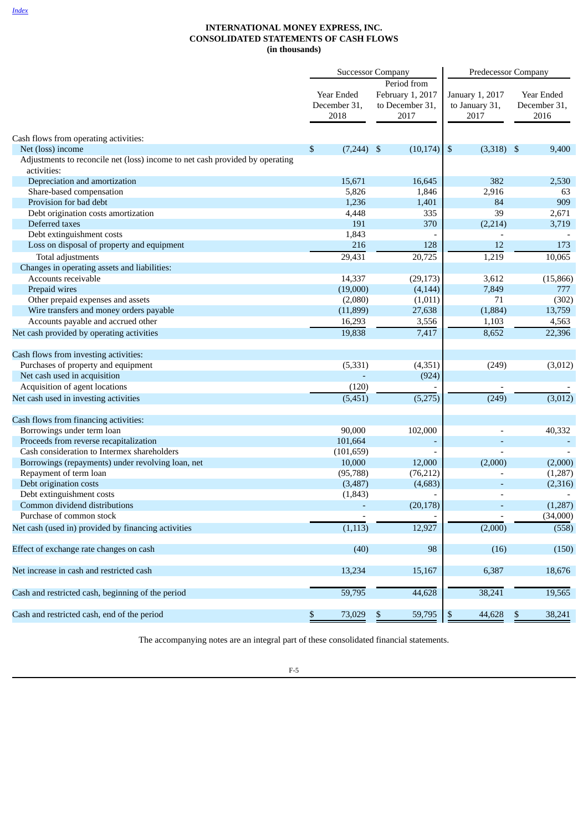## **INTERNATIONAL MONEY EXPRESS, INC. CONSOLIDATED STATEMENTS OF CASH FLOWS (in thousands)**

|                                                                              |               | <b>Successor Company</b>        | <b>Predecessor Company</b> |              |  |  |
|------------------------------------------------------------------------------|---------------|---------------------------------|----------------------------|--------------|--|--|
|                                                                              |               | Period from                     |                            |              |  |  |
|                                                                              | Year Ended    | February 1, 2017                | January 1, 2017            | Year Ended   |  |  |
|                                                                              |               | to December 31,<br>December 31, |                            | December 31, |  |  |
|                                                                              | 2018          | 2017                            | to January 31,<br>2017     | 2016         |  |  |
|                                                                              |               |                                 |                            |              |  |  |
| Cash flows from operating activities:                                        |               |                                 |                            |              |  |  |
| Net (loss) income                                                            | \$<br>(7,244) | $(10, 174)$ \$<br>-\$           | $(3,318)$ \$               | 9,400        |  |  |
| Adjustments to reconcile net (loss) income to net cash provided by operating |               |                                 |                            |              |  |  |
| activities:                                                                  |               |                                 |                            |              |  |  |
| Depreciation and amortization                                                | 15,671        | 16,645                          | 382                        | 2,530        |  |  |
| Share-based compensation                                                     | 5,826         | 1,846                           | 2,916                      | 63           |  |  |
| Provision for bad debt                                                       | 1,236         | 1,401                           | 84                         | 909          |  |  |
| Debt origination costs amortization                                          | 4,448         | 335                             | 39                         | 2,671        |  |  |
| Deferred taxes                                                               | 191           | 370                             | (2,214)                    | 3,719        |  |  |
| Debt extinguishment costs                                                    | 1,843         |                                 |                            |              |  |  |
| Loss on disposal of property and equipment                                   | 216           | 128                             | 12                         | 173          |  |  |
| Total adjustments                                                            | 29,431        | 20,725                          | 1,219                      | 10,065       |  |  |
| Changes in operating assets and liabilities:                                 |               |                                 |                            |              |  |  |
| Accounts receivable                                                          | 14,337        | (29, 173)                       | 3,612                      | (15,866)     |  |  |
| Prepaid wires                                                                | (19,000)      | (4, 144)                        | 7,849                      | 777          |  |  |
| Other prepaid expenses and assets                                            | (2,080)       | (1,011)                         | 71                         | (302)        |  |  |
| Wire transfers and money orders payable                                      | (11, 899)     | 27,638                          | (1,884)                    | 13,759       |  |  |
| Accounts payable and accrued other                                           | 16,293        | 3,556                           | 1,103                      | 4,563        |  |  |
| Net cash provided by operating activities                                    | 19,838        | 7,417                           | 8,652                      | 22,396       |  |  |
|                                                                              |               |                                 |                            |              |  |  |
| Cash flows from investing activities:                                        |               |                                 |                            |              |  |  |
| Purchases of property and equipment                                          | (5, 331)      | (4, 351)                        | (249)                      | (3,012)      |  |  |
| Net cash used in acquisition                                                 |               | (924)                           |                            |              |  |  |
| Acquisition of agent locations                                               | (120)         |                                 |                            |              |  |  |
| Net cash used in investing activities                                        | (5, 451)      | (5,275)                         | (249)                      | (3,012)      |  |  |
|                                                                              |               |                                 |                            |              |  |  |
| Cash flows from financing activities:                                        |               |                                 |                            |              |  |  |
| Borrowings under term loan                                                   | 90,000        | 102,000                         | $\overline{\phantom{a}}$   | 40,332       |  |  |
| Proceeds from reverse recapitalization                                       | 101,664       | $\overline{\phantom{a}}$        | $\overline{\phantom{a}}$   |              |  |  |
| Cash consideration to Intermex shareholders                                  | (101, 659)    |                                 |                            |              |  |  |
| Borrowings (repayments) under revolving loan, net                            | 10,000        | 12,000                          | (2,000)                    | (2,000)      |  |  |
| Repayment of term loan                                                       | (95, 788)     | (76, 212)                       |                            | (1, 287)     |  |  |
| Debt origination costs                                                       | (3,487)       | (4,683)                         | $\overline{\phantom{0}}$   | (2,316)      |  |  |
| Debt extinguishment costs                                                    | (1, 843)      |                                 |                            |              |  |  |
| Common dividend distributions                                                |               | (20, 178)                       |                            | (1, 287)     |  |  |
| Purchase of common stock                                                     |               |                                 |                            | (34,000)     |  |  |
| Net cash (used in) provided by financing activities                          | (1, 113)      | 12,927                          | (2,000)                    | (558)        |  |  |
| Effect of exchange rate changes on cash                                      | (40)          | 98                              | (16)                       | (150)        |  |  |
| Net increase in cash and restricted cash                                     | 13,234        | 15,167                          | 6,387                      | 18,676       |  |  |
| Cash and restricted cash, beginning of the period                            | 59,795        | 44,628                          | 38,241                     | 19,565       |  |  |
| Cash and restricted cash, end of the period                                  | \$<br>73,029  | \$<br>59,795                    | \$<br>44,628               | 38,241<br>\$ |  |  |
|                                                                              |               |                                 |                            |              |  |  |

The accompanying notes are an integral part of these consolidated financial statements.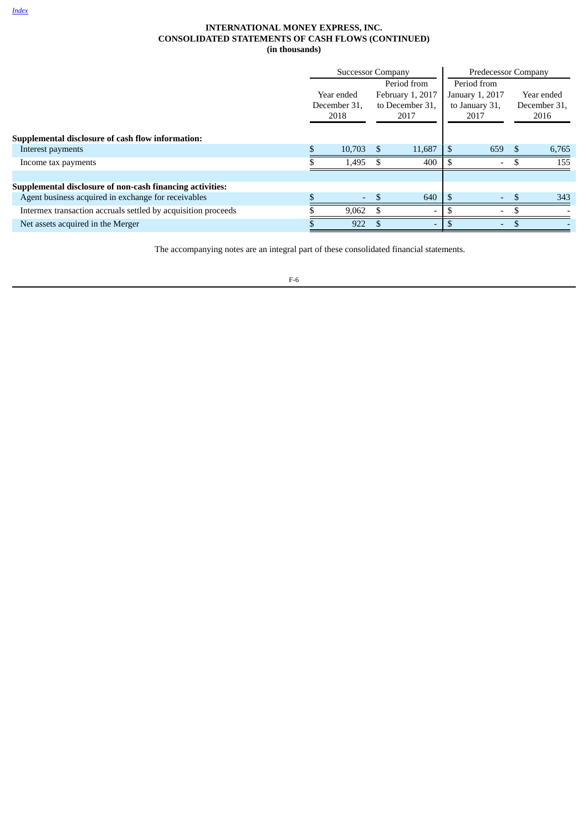### **INTERNATIONAL MONEY EXPRESS, INC. CONSOLIDATED STATEMENTS OF CASH FLOWS (CONTINUED) (in thousands)**

|                                                               | <b>Successor Company</b>           |        |                                                            |        | Predecessor Company                                      |                          |                                    |       |
|---------------------------------------------------------------|------------------------------------|--------|------------------------------------------------------------|--------|----------------------------------------------------------|--------------------------|------------------------------------|-------|
|                                                               | Year ended<br>December 31.<br>2018 |        | Period from<br>February 1, 2017<br>to December 31,<br>2017 |        | Period from<br>January 1, 2017<br>to January 31,<br>2017 |                          | Year ended<br>December 31,<br>2016 |       |
| Supplemental disclosure of cash flow information:             |                                    |        |                                                            |        |                                                          |                          |                                    |       |
| Interest payments                                             |                                    | 10,703 | - \$                                                       | 11,687 | \$                                                       | 659                      | - \$                               | 6,765 |
| Income tax payments                                           |                                    | 1,495  |                                                            | 400    |                                                          | $\overline{\phantom{a}}$ |                                    | 155   |
|                                                               |                                    |        |                                                            |        |                                                          |                          |                                    |       |
| Supplemental disclosure of non-cash financing activities:     |                                    |        |                                                            |        |                                                          |                          |                                    |       |
| Agent business acquired in exchange for receivables           |                                    |        |                                                            | 640    | $\mathbf{\hat{S}}$                                       | $\sim$ $-$               |                                    | 343   |
| Intermex transaction accruals settled by acquisition proceeds |                                    | 9,062  |                                                            |        |                                                          | $\overline{\phantom{0}}$ |                                    |       |
| Net assets acquired in the Merger                             |                                    | 922    |                                                            |        | \$                                                       | ۰                        |                                    |       |

The accompanying notes are an integral part of these consolidated financial statements.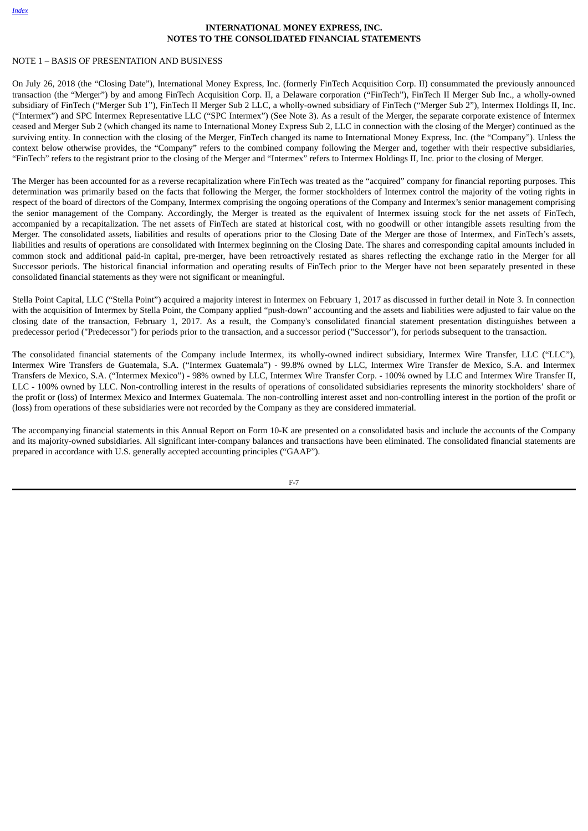## **INTERNATIONAL MONEY EXPRESS, INC. NOTES TO THE CONSOLIDATED FINANCIAL STATEMENTS**

### NOTE 1 – BASIS OF PRESENTATION AND BUSINESS

On July 26, 2018 (the "Closing Date"), International Money Express, Inc. (formerly FinTech Acquisition Corp. II) consummated the previously announced transaction (the "Merger") by and among FinTech Acquisition Corp. II, a Delaware corporation ("FinTech"), FinTech II Merger Sub Inc., a wholly-owned subsidiary of FinTech ("Merger Sub 1"), FinTech II Merger Sub 2 LLC, a wholly-owned subsidiary of FinTech ("Merger Sub 2"), Intermex Holdings II, Inc. ("Intermex") and SPC Intermex Representative LLC ("SPC Intermex") (See Note 3). As a result of the Merger, the separate corporate existence of Intermex ceased and Merger Sub 2 (which changed its name to International Money Express Sub 2, LLC in connection with the closing of the Merger) continued as the surviving entity. In connection with the closing of the Merger, FinTech changed its name to International Money Express, Inc. (the "Company"). Unless the context below otherwise provides, the "Company" refers to the combined company following the Merger and, together with their respective subsidiaries, "FinTech" refers to the registrant prior to the closing of the Merger and "Intermex" refers to Intermex Holdings II, Inc. prior to the closing of Merger.

The Merger has been accounted for as a reverse recapitalization where FinTech was treated as the "acquired" company for financial reporting purposes. This determination was primarily based on the facts that following the Merger, the former stockholders of Intermex control the majority of the voting rights in respect of the board of directors of the Company, Intermex comprising the ongoing operations of the Company and Intermex's senior management comprising the senior management of the Company. Accordingly, the Merger is treated as the equivalent of Intermex issuing stock for the net assets of FinTech, accompanied by a recapitalization. The net assets of FinTech are stated at historical cost, with no goodwill or other intangible assets resulting from the Merger. The consolidated assets, liabilities and results of operations prior to the Closing Date of the Merger are those of Intermex, and FinTech's assets, liabilities and results of operations are consolidated with Intermex beginning on the Closing Date. The shares and corresponding capital amounts included in common stock and additional paid-in capital, pre-merger, have been retroactively restated as shares reflecting the exchange ratio in the Merger for all Successor periods. The historical financial information and operating results of FinTech prior to the Merger have not been separately presented in these consolidated financial statements as they were not significant or meaningful.

Stella Point Capital, LLC ("Stella Point") acquired a majority interest in Intermex on February 1, 2017 as discussed in further detail in Note 3. In connection with the acquisition of Intermex by Stella Point, the Company applied "push-down" accounting and the assets and liabilities were adjusted to fair value on the closing date of the transaction, February 1, 2017. As a result, the Company's consolidated financial statement presentation distinguishes between a predecessor period ("Predecessor") for periods prior to the transaction, and a successor period ("Successor"), for periods subsequent to the transaction.

The consolidated financial statements of the Company include Intermex, its wholly-owned indirect subsidiary, Intermex Wire Transfer, LLC ("LLC"), Intermex Wire Transfers de Guatemala, S.A. ("Intermex Guatemala") - 99.8% owned by LLC, Intermex Wire Transfer de Mexico, S.A. and Intermex Transfers de Mexico, S.A. ("Intermex Mexico") - 98% owned by LLC, Intermex Wire Transfer Corp. - 100% owned by LLC and Intermex Wire Transfer II, LLC - 100% owned by LLC. Non-controlling interest in the results of operations of consolidated subsidiaries represents the minority stockholders' share of the profit or (loss) of Intermex Mexico and Intermex Guatemala. The non-controlling interest asset and non-controlling interest in the portion of the profit or (loss) from operations of these subsidiaries were not recorded by the Company as they are considered immaterial.

The accompanying financial statements in this Annual Report on Form 10-K are presented on a consolidated basis and include the accounts of the Company and its majority-owned subsidiaries. All significant inter-company balances and transactions have been eliminated. The consolidated financial statements are prepared in accordance with U.S. generally accepted accounting principles ("GAAP").

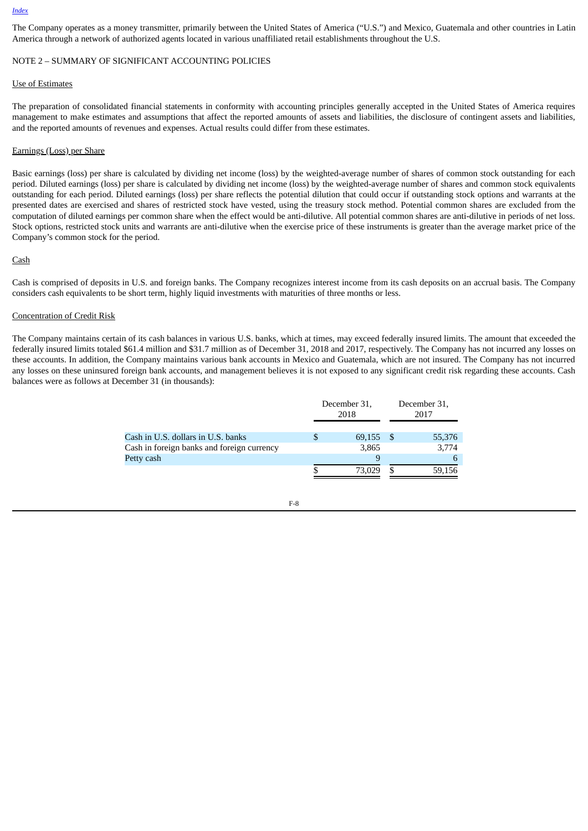The Company operates as a money transmitter, primarily between the United States of America ("U.S.") and Mexico, Guatemala and other countries in Latin America through a network of authorized agents located in various unaffiliated retail establishments throughout the U.S.

### NOTE 2 – SUMMARY OF SIGNIFICANT ACCOUNTING POLICIES

### Use of Estimates

The preparation of consolidated financial statements in conformity with accounting principles generally accepted in the United States of America requires management to make estimates and assumptions that affect the reported amounts of assets and liabilities, the disclosure of contingent assets and liabilities, and the reported amounts of revenues and expenses. Actual results could differ from these estimates.

### Earnings (Loss) per Share

Basic earnings (loss) per share is calculated by dividing net income (loss) by the weighted-average number of shares of common stock outstanding for each period. Diluted earnings (loss) per share is calculated by dividing net income (loss) by the weighted-average number of shares and common stock equivalents outstanding for each period. Diluted earnings (loss) per share reflects the potential dilution that could occur if outstanding stock options and warrants at the presented dates are exercised and shares of restricted stock have vested, using the treasury stock method. Potential common shares are excluded from the computation of diluted earnings per common share when the effect would be anti-dilutive. All potential common shares are anti-dilutive in periods of net loss. Stock options, restricted stock units and warrants are anti-dilutive when the exercise price of these instruments is greater than the average market price of the Company's common stock for the period.

### Cash

Cash is comprised of deposits in U.S. and foreign banks. The Company recognizes interest income from its cash deposits on an accrual basis. The Company considers cash equivalents to be short term, highly liquid investments with maturities of three months or less.

### Concentration of Credit Risk

The Company maintains certain of its cash balances in various U.S. banks, which at times, may exceed federally insured limits. The amount that exceeded the federally insured limits totaled \$61.4 million and \$31.7 million as of December 31, 2018 and 2017, respectively. The Company has not incurred any losses on these accounts. In addition, the Company maintains various bank accounts in Mexico and Guatemala, which are not insured. The Company has not incurred any losses on these uninsured foreign bank accounts, and management believes it is not exposed to any significant credit risk regarding these accounts. Cash balances were as follows at December 31 (in thousands):

|                                            | December 31,<br>2018 |     | December 31,<br>2017 |
|--------------------------------------------|----------------------|-----|----------------------|
|                                            |                      |     |                      |
| Cash in U.S. dollars in U.S. banks         | 69,155               | - S | 55,376               |
| Cash in foreign banks and foreign currency | 3,865                |     | 3,774                |
| Petty cash                                 | 9                    |     | 6                    |
|                                            | 73.029               |     | 59,156               |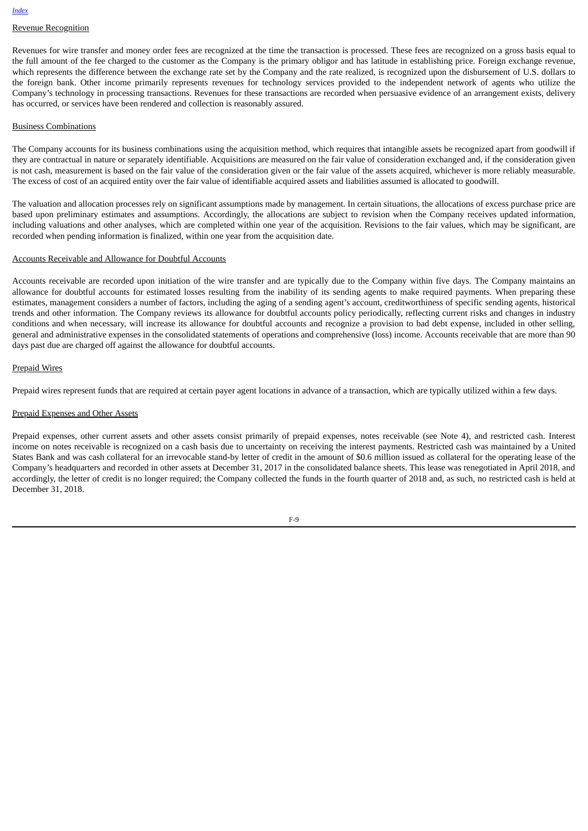## Revenue Recognition

Revenues for wire transfer and money order fees are recognized at the time the transaction is processed. These fees are recognized on a gross basis equal to the full amount of the fee charged to the customer as the Company is the primary obligor and has latitude in establishing price. Foreign exchange revenue, which represents the difference between the exchange rate set by the Company and the rate realized, is recognized upon the disbursement of U.S. dollars to the foreign bank. Other income primarily represents revenues for technology services provided to the independent network of agents who utilize the Company's technology in processing transactions. Revenues for these transactions are recorded when persuasive evidence of an arrangement exists, delivery has occurred, or services have been rendered and collection is reasonably assured.

## Business Combinations

The Company accounts for its business combinations using the acquisition method, which requires that intangible assets be recognized apart from goodwill if they are contractual in nature or separately identifiable. Acquisitions are measured on the fair value of consideration exchanged and, if the consideration given is not cash, measurement is based on the fair value of the consideration given or the fair value of the assets acquired, whichever is more reliably measurable. The excess of cost of an acquired entity over the fair value of identifiable acquired assets and liabilities assumed is allocated to goodwill.

The valuation and allocation processes rely on significant assumptions made by management. In certain situations, the allocations of excess purchase price are based upon preliminary estimates and assumptions. Accordingly, the allocations are subject to revision when the Company receives updated information, including valuations and other analyses, which are completed within one year of the acquisition. Revisions to the fair values, which may be significant, are recorded when pending information is finalized, within one year from the acquisition date.

### Accounts Receivable and Allowance for Doubtful Accounts

Accounts receivable are recorded upon initiation of the wire transfer and are typically due to the Company within five days. The Company maintains an allowance for doubtful accounts for estimated losses resulting from the inability of its sending agents to make required payments. When preparing these estimates, management considers a number of factors, including the aging of a sending agent's account, creditworthiness of specific sending agents, historical trends and other information. The Company reviews its allowance for doubtful accounts policy periodically, reflecting current risks and changes in industry conditions and when necessary, will increase its allowance for doubtful accounts and recognize a provision to bad debt expense, included in other selling, general and administrative expenses in the consolidated statements of operations and comprehensive (loss) income. Accounts receivable that are more than 90 days past due are charged off against the allowance for doubtful accounts.

## Prepaid Wires

Prepaid wires represent funds that are required at certain payer agent locations in advance of a transaction, which are typically utilized within a few days.

### Prepaid Expenses and Other Assets

Prepaid expenses, other current assets and other assets consist primarily of prepaid expenses, notes receivable (see Note 4), and restricted cash. Interest income on notes receivable is recognized on a cash basis due to uncertainty on receiving the interest payments. Restricted cash was maintained by a United States Bank and was cash collateral for an irrevocable stand-by letter of credit in the amount of \$0.6 million issued as collateral for the operating lease of the Company's headquarters and recorded in other assets at December 31, 2017 in the consolidated balance sheets. This lease was renegotiated in April 2018, and accordingly, the letter of credit is no longer required; the Company collected the funds in the fourth quarter of 2018 and, as such, no restricted cash is held at December 31, 2018.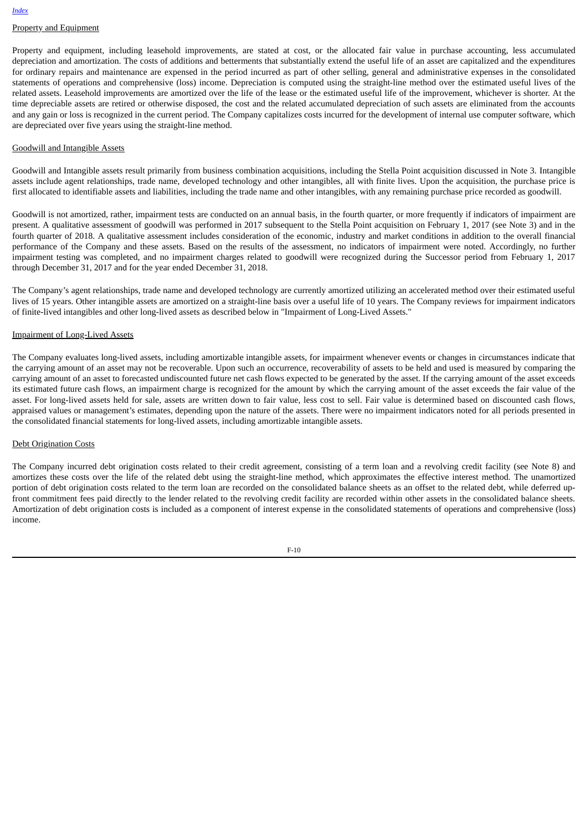## Property and Equipment

Property and equipment, including leasehold improvements, are stated at cost, or the allocated fair value in purchase accounting, less accumulated depreciation and amortization. The costs of additions and betterments that substantially extend the useful life of an asset are capitalized and the expenditures for ordinary repairs and maintenance are expensed in the period incurred as part of other selling, general and administrative expenses in the consolidated statements of operations and comprehensive (loss) income. Depreciation is computed using the straight-line method over the estimated useful lives of the related assets. Leasehold improvements are amortized over the life of the lease or the estimated useful life of the improvement, whichever is shorter. At the time depreciable assets are retired or otherwise disposed, the cost and the related accumulated depreciation of such assets are eliminated from the accounts and any gain or loss is recognized in the current period. The Company capitalizes costs incurred for the development of internal use computer software, which are depreciated over five years using the straight-line method.

### Goodwill and Intangible Assets

Goodwill and Intangible assets result primarily from business combination acquisitions, including the Stella Point acquisition discussed in Note 3. Intangible assets include agent relationships, trade name, developed technology and other intangibles, all with finite lives. Upon the acquisition, the purchase price is first allocated to identifiable assets and liabilities, including the trade name and other intangibles, with any remaining purchase price recorded as goodwill.

Goodwill is not amortized, rather, impairment tests are conducted on an annual basis, in the fourth quarter, or more frequently if indicators of impairment are present. A qualitative assessment of goodwill was performed in 2017 subsequent to the Stella Point acquisition on February 1, 2017 (see Note 3) and in the fourth quarter of 2018. A qualitative assessment includes consideration of the economic, industry and market conditions in addition to the overall financial performance of the Company and these assets. Based on the results of the assessment, no indicators of impairment were noted. Accordingly, no further impairment testing was completed, and no impairment charges related to goodwill were recognized during the Successor period from February 1, 2017 through December 31, 2017 and for the year ended December 31, 2018.

The Company's agent relationships, trade name and developed technology are currently amortized utilizing an accelerated method over their estimated useful lives of 15 years. Other intangible assets are amortized on a straight-line basis over a useful life of 10 years. The Company reviews for impairment indicators of finite-lived intangibles and other long-lived assets as described below in "Impairment of Long-Lived Assets."

### Impairment of Long-Lived Assets

The Company evaluates long-lived assets, including amortizable intangible assets, for impairment whenever events or changes in circumstances indicate that the carrying amount of an asset may not be recoverable. Upon such an occurrence, recoverability of assets to be held and used is measured by comparing the carrying amount of an asset to forecasted undiscounted future net cash flows expected to be generated by the asset. If the carrying amount of the asset exceeds its estimated future cash flows, an impairment charge is recognized for the amount by which the carrying amount of the asset exceeds the fair value of the asset. For long-lived assets held for sale, assets are written down to fair value, less cost to sell. Fair value is determined based on discounted cash flows, appraised values or management's estimates, depending upon the nature of the assets. There were no impairment indicators noted for all periods presented in the consolidated financial statements for long-lived assets, including amortizable intangible assets.

## Debt Origination Costs

The Company incurred debt origination costs related to their credit agreement, consisting of a term loan and a revolving credit facility (see Note 8) and amortizes these costs over the life of the related debt using the straight-line method, which approximates the effective interest method. The unamortized portion of debt origination costs related to the term loan are recorded on the consolidated balance sheets as an offset to the related debt, while deferred upfront commitment fees paid directly to the lender related to the revolving credit facility are recorded within other assets in the consolidated balance sheets. Amortization of debt origination costs is included as a component of interest expense in the consolidated statements of operations and comprehensive (loss) income.

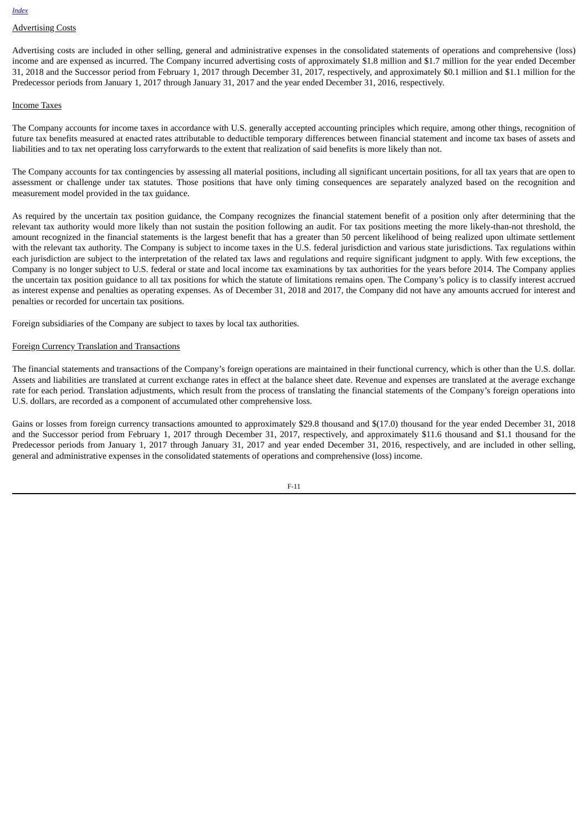## Advertising Costs

Advertising costs are included in other selling, general and administrative expenses in the consolidated statements of operations and comprehensive (loss) income and are expensed as incurred. The Company incurred advertising costs of approximately \$1.8 million and \$1.7 million for the year ended December 31, 2018 and the Successor period from February 1, 2017 through December 31, 2017, respectively, and approximately \$0.1 million and \$1.1 million for the Predecessor periods from January 1, 2017 through January 31, 2017 and the year ended December 31, 2016, respectively.

### Income Taxes

The Company accounts for income taxes in accordance with U.S. generally accepted accounting principles which require, among other things, recognition of future tax benefits measured at enacted rates attributable to deductible temporary differences between financial statement and income tax bases of assets and liabilities and to tax net operating loss carryforwards to the extent that realization of said benefits is more likely than not.

The Company accounts for tax contingencies by assessing all material positions, including all significant uncertain positions, for all tax years that are open to assessment or challenge under tax statutes. Those positions that have only timing consequences are separately analyzed based on the recognition and measurement model provided in the tax guidance.

As required by the uncertain tax position guidance, the Company recognizes the financial statement benefit of a position only after determining that the relevant tax authority would more likely than not sustain the position following an audit. For tax positions meeting the more likely-than-not threshold, the amount recognized in the financial statements is the largest benefit that has a greater than 50 percent likelihood of being realized upon ultimate settlement with the relevant tax authority. The Company is subject to income taxes in the U.S. federal jurisdiction and various state jurisdictions. Tax regulations within each jurisdiction are subject to the interpretation of the related tax laws and regulations and require significant judgment to apply. With few exceptions, the Company is no longer subject to U.S. federal or state and local income tax examinations by tax authorities for the years before 2014. The Company applies the uncertain tax position guidance to all tax positions for which the statute of limitations remains open. The Company's policy is to classify interest accrued as interest expense and penalties as operating expenses. As of December 31, 2018 and 2017, the Company did not have any amounts accrued for interest and penalties or recorded for uncertain tax positions.

Foreign subsidiaries of the Company are subject to taxes by local tax authorities.

### Foreign Currency Translation and Transactions

The financial statements and transactions of the Company's foreign operations are maintained in their functional currency, which is other than the U.S. dollar. Assets and liabilities are translated at current exchange rates in effect at the balance sheet date. Revenue and expenses are translated at the average exchange rate for each period. Translation adjustments, which result from the process of translating the financial statements of the Company's foreign operations into U.S. dollars, are recorded as a component of accumulated other comprehensive loss.

Gains or losses from foreign currency transactions amounted to approximately \$29.8 thousand and \$(17.0) thousand for the year ended December 31, 2018 and the Successor period from February 1, 2017 through December 31, 2017, respectively, and approximately \$11.6 thousand and \$1.1 thousand for the Predecessor periods from January 1, 2017 through January 31, 2017 and year ended December 31, 2016, respectively, and are included in other selling, general and administrative expenses in the consolidated statements of operations and comprehensive (loss) income.

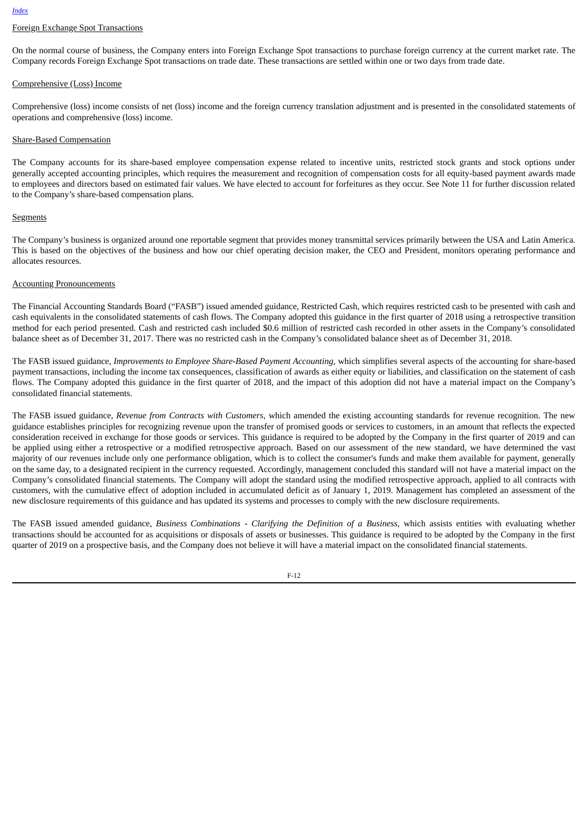### Foreign Exchange Spot Transactions

On the normal course of business, the Company enters into Foreign Exchange Spot transactions to purchase foreign currency at the current market rate. The Company records Foreign Exchange Spot transactions on trade date. These transactions are settled within one or two days from trade date.

### Comprehensive (Loss) Income

Comprehensive (loss) income consists of net (loss) income and the foreign currency translation adjustment and is presented in the consolidated statements of operations and comprehensive (loss) income.

#### Share-Based Compensation

The Company accounts for its share-based employee compensation expense related to incentive units, restricted stock grants and stock options under generally accepted accounting principles, which requires the measurement and recognition of compensation costs for all equity-based payment awards made to employees and directors based on estimated fair values. We have elected to account for forfeitures as they occur. See Note 11 for further discussion related to the Company's share-based compensation plans.

#### **Segments**

The Company's business is organized around one reportable segment that provides money transmittal services primarily between the USA and Latin America. This is based on the objectives of the business and how our chief operating decision maker, the CEO and President, monitors operating performance and allocates resources.

### Accounting Pronouncements

The Financial Accounting Standards Board ("FASB") issued amended guidance, Restricted Cash, which requires restricted cash to be presented with cash and cash equivalents in the consolidated statements of cash flows. The Company adopted this guidance in the first quarter of 2018 using a retrospective transition method for each period presented. Cash and restricted cash included \$0.6 million of restricted cash recorded in other assets in the Company's consolidated balance sheet as of December 31, 2017. There was no restricted cash in the Company's consolidated balance sheet as of December 31, 2018.

The FASB issued guidance, *Improvements to Employee Share-Based Payment Accounting*, which simplifies several aspects of the accounting for share-based payment transactions, including the income tax consequences, classification of awards as either equity or liabilities, and classification on the statement of cash flows. The Company adopted this guidance in the first quarter of 2018, and the impact of this adoption did not have a material impact on the Company's consolidated financial statements.

The FASB issued guidance, *Revenue from Contracts with Customers*, which amended the existing accounting standards for revenue recognition. The new guidance establishes principles for recognizing revenue upon the transfer of promised goods or services to customers, in an amount that reflects the expected consideration received in exchange for those goods or services. This guidance is required to be adopted by the Company in the first quarter of 2019 and can be applied using either a retrospective or a modified retrospective approach. Based on our assessment of the new standard, we have determined the vast majority of our revenues include only one performance obligation, which is to collect the consumer's funds and make them available for payment, generally on the same day, to a designated recipient in the currency requested. Accordingly, management concluded this standard will not have a material impact on the Company's consolidated financial statements. The Company will adopt the standard using the modified retrospective approach, applied to all contracts with customers, with the cumulative effect of adoption included in accumulated deficit as of January 1, 2019. Management has completed an assessment of the new disclosure requirements of this guidance and has updated its systems and processes to comply with the new disclosure requirements.

The FASB issued amended guidance, *Business Combinations - Clarifying the Definition of a Business*, which assists entities with evaluating whether transactions should be accounted for as acquisitions or disposals of assets or businesses. This guidance is required to be adopted by the Company in the first quarter of 2019 on a prospective basis, and the Company does not believe it will have a material impact on the consolidated financial statements.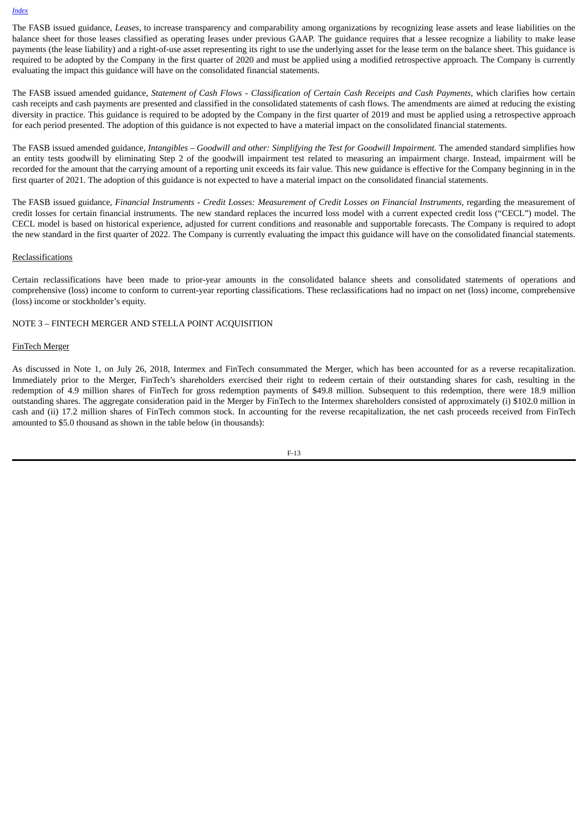The FASB issued guidance, *Leases*, to increase transparency and comparability among organizations by recognizing lease assets and lease liabilities on the balance sheet for those leases classified as operating leases under previous GAAP. The guidance requires that a lessee recognize a liability to make lease payments (the lease liability) and a right-of-use asset representing its right to use the underlying asset for the lease term on the balance sheet. This guidance is required to be adopted by the Company in the first quarter of 2020 and must be applied using a modified retrospective approach. The Company is currently evaluating the impact this guidance will have on the consolidated financial statements.

The FASB issued amended guidance, Statement of Cash Flows - Classification of Certain Cash Receipts and Cash Payments, which clarifies how certain cash receipts and cash payments are presented and classified in the consolidated statements of cash flows. The amendments are aimed at reducing the existing diversity in practice. This guidance is required to be adopted by the Company in the first quarter of 2019 and must be applied using a retrospective approach for each period presented. The adoption of this guidance is not expected to have a material impact on the consolidated financial statements.

The FASB issued amended guidance, Intangibles - Goodwill and other: Simplifying the Test for Goodwill Impairment. The amended standard simplifies how an entity tests goodwill by eliminating Step 2 of the goodwill impairment test related to measuring an impairment charge. Instead, impairment will be recorded for the amount that the carrying amount of a reporting unit exceeds its fair value. This new guidance is effective for the Company beginning in in the first quarter of 2021. The adoption of this guidance is not expected to have a material impact on the consolidated financial statements.

The FASB issued guidance, Financial Instruments - Credit Losses: Measurement of Credit Losses on Financial Instruments, regarding the measurement of credit losses for certain financial instruments. The new standard replaces the incurred loss model with a current expected credit loss ("CECL") model. The CECL model is based on historical experience, adjusted for current conditions and reasonable and supportable forecasts. The Company is required to adopt the new standard in the first quarter of 2022. The Company is currently evaluating the impact this guidance will have on the consolidated financial statements.

### Reclassifications

Certain reclassifications have been made to prior-year amounts in the consolidated balance sheets and consolidated statements of operations and comprehensive (loss) income to conform to current-year reporting classifications. These reclassifications had no impact on net (loss) income, comprehensive (loss) income or stockholder's equity.

## NOTE 3 – FINTECH MERGER AND STELLA POINT ACQUISITION

## FinTech Merger

As discussed in Note 1, on July 26, 2018, Intermex and FinTech consummated the Merger, which has been accounted for as a reverse recapitalization. Immediately prior to the Merger, FinTech's shareholders exercised their right to redeem certain of their outstanding shares for cash, resulting in the redemption of 4.9 million shares of FinTech for gross redemption payments of \$49.8 million. Subsequent to this redemption, there were 18.9 million outstanding shares. The aggregate consideration paid in the Merger by FinTech to the Intermex shareholders consisted of approximately (i) \$102.0 million in cash and (ii) 17.2 million shares of FinTech common stock. In accounting for the reverse recapitalization, the net cash proceeds received from FinTech amounted to \$5.0 thousand as shown in the table below (in thousands):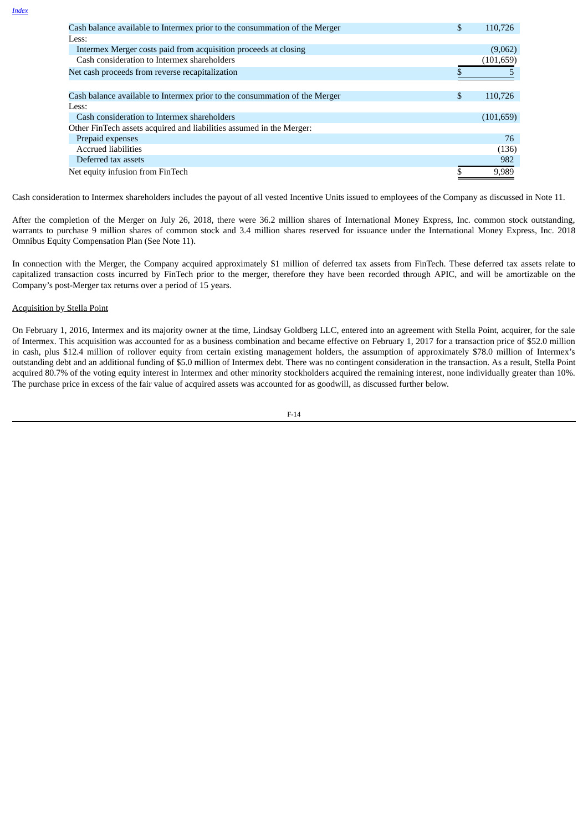| Cash balance available to Intermex prior to the consummation of the Merger | \$. | 110,726    |
|----------------------------------------------------------------------------|-----|------------|
| Less:                                                                      |     |            |
| Intermex Merger costs paid from acquisition proceeds at closing            |     | (9,062)    |
| Cash consideration to Intermex shareholders                                |     | (101,659)  |
| Net cash proceeds from reverse recapitalization                            |     |            |
|                                                                            |     |            |
| Cash balance available to Intermex prior to the consummation of the Merger | \$  | 110,726    |
| Less:                                                                      |     |            |
| Cash consideration to Intermex shareholders                                |     | (101, 659) |
| Other FinTech assets acquired and liabilities assumed in the Merger:       |     |            |
| Prepaid expenses                                                           |     | 76         |
| Accrued liabilities                                                        |     | (136)      |
| Deferred tax assets                                                        |     | 982        |
| Net equity infusion from FinTech                                           |     | 9,989      |

Cash consideration to Intermex shareholders includes the payout of all vested Incentive Units issued to employees of the Company as discussed in Note 11.

After the completion of the Merger on July 26, 2018, there were 36.2 million shares of International Money Express, Inc. common stock outstanding, warrants to purchase 9 million shares of common stock and 3.4 million shares reserved for issuance under the International Money Express, Inc. 2018 Omnibus Equity Compensation Plan (See Note 11).

In connection with the Merger, the Company acquired approximately \$1 million of deferred tax assets from FinTech. These deferred tax assets relate to capitalized transaction costs incurred by FinTech prior to the merger, therefore they have been recorded through APIC, and will be amortizable on the Company's post-Merger tax returns over a period of 15 years.

## Acquisition by Stella Point

On February 1, 2016, Intermex and its majority owner at the time, Lindsay Goldberg LLC, entered into an agreement with Stella Point, acquirer, for the sale of Intermex. This acquisition was accounted for as a business combination and became effective on February 1, 2017 for a transaction price of \$52.0 million in cash, plus \$12.4 million of rollover equity from certain existing management holders, the assumption of approximately \$78.0 million of Intermex's outstanding debt and an additional funding of \$5.0 million of Intermex debt. There was no contingent consideration in the transaction. As a result, Stella Point acquired 80.7% of the voting equity interest in Intermex and other minority stockholders acquired the remaining interest, none individually greater than 10%. The purchase price in excess of the fair value of acquired assets was accounted for as goodwill, as discussed further below.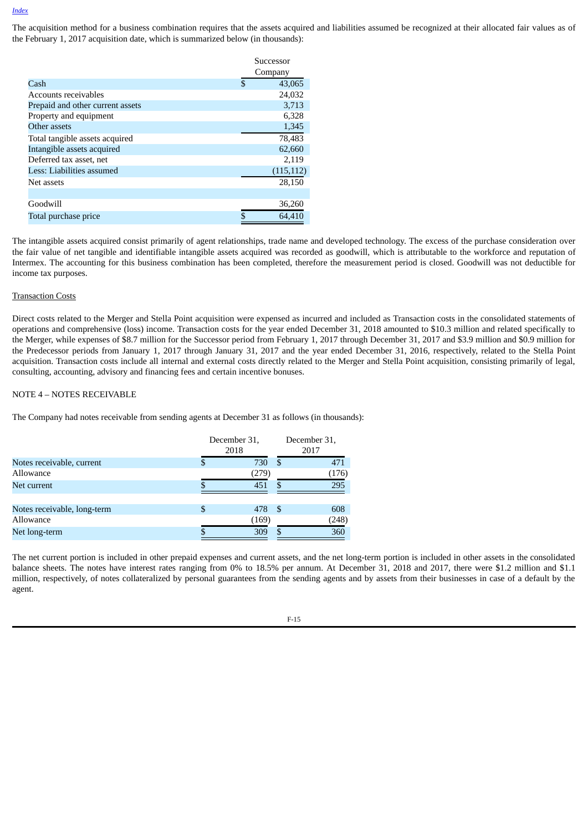The acquisition method for a business combination requires that the assets acquired and liabilities assumed be recognized at their allocated fair values as of the February 1, 2017 acquisition date, which is summarized below (in thousands):

|                                  | Successor    |
|----------------------------------|--------------|
|                                  | Company      |
| Cash                             | \$<br>43,065 |
| Accounts receivables             | 24,032       |
| Prepaid and other current assets | 3,713        |
| Property and equipment           | 6,328        |
| Other assets                     | 1,345        |
| Total tangible assets acquired   | 78,483       |
| Intangible assets acquired       | 62,660       |
| Deferred tax asset, net          | 2,119        |
| Less: Liabilities assumed        | (115, 112)   |
| Net assets                       | 28,150       |
|                                  |              |
| Goodwill                         | 36,260       |
| Total purchase price             | \$<br>64,410 |

The intangible assets acquired consist primarily of agent relationships, trade name and developed technology. The excess of the purchase consideration over the fair value of net tangible and identifiable intangible assets acquired was recorded as goodwill, which is attributable to the workforce and reputation of Intermex. The accounting for this business combination has been completed, therefore the measurement period is closed. Goodwill was not deductible for income tax purposes.

### **Transaction Costs**

Direct costs related to the Merger and Stella Point acquisition were expensed as incurred and included as Transaction costs in the consolidated statements of operations and comprehensive (loss) income. Transaction costs for the year ended December 31, 2018 amounted to \$10.3 million and related specifically to the Merger, while expenses of \$8.7 million for the Successor period from February 1, 2017 through December 31, 2017 and \$3.9 million and \$0.9 million for the Predecessor periods from January 1, 2017 through January 31, 2017 and the year ended December 31, 2016, respectively, related to the Stella Point acquisition. Transaction costs include all internal and external costs directly related to the Merger and Stella Point acquisition, consisting primarily of legal, consulting, accounting, advisory and financing fees and certain incentive bonuses.

### NOTE 4 – NOTES RECEIVABLE

The Company had notes receivable from sending agents at December 31 as follows (in thousands):

|                             | December 31,<br>2018 |       |     | December 31,<br>2017 |
|-----------------------------|----------------------|-------|-----|----------------------|
| Notes receivable, current   |                      | 730   | S   | 471                  |
| Allowance                   |                      | (279) |     | (176)                |
| Net current                 |                      | 451   | \$. | 295                  |
|                             |                      |       |     |                      |
| Notes receivable, long-term | \$                   | 478   | -S  | 608                  |
| Allowance                   |                      | (169) |     | (248)                |
| Net long-term               |                      | 309   |     | 360                  |

The net current portion is included in other prepaid expenses and current assets, and the net long-term portion is included in other assets in the consolidated balance sheets. The notes have interest rates ranging from 0% to 18.5% per annum. At December 31, 2018 and 2017, there were \$1.2 million and \$1.1 million, respectively, of notes collateralized by personal guarantees from the sending agents and by assets from their businesses in case of a default by the agent.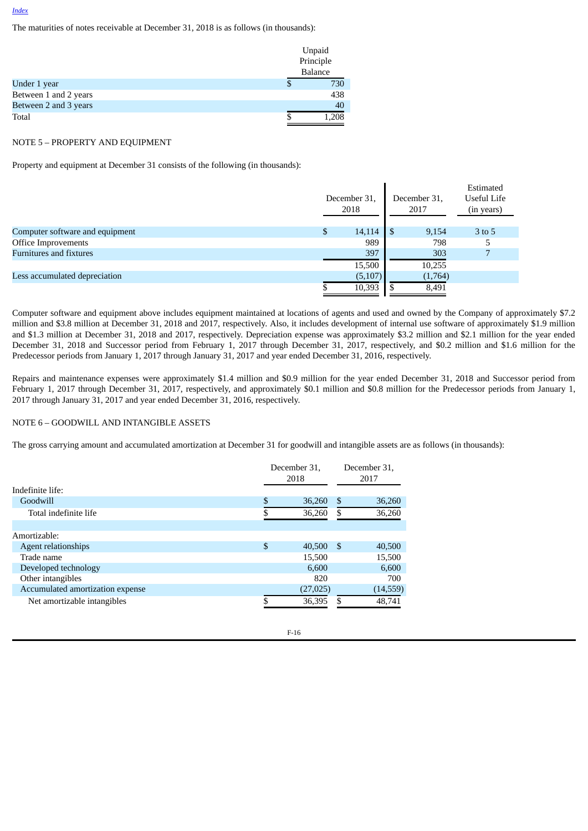The maturities of notes receivable at December 31, 2018 is as follows (in thousands):

|                       |   | Unpaid         |
|-----------------------|---|----------------|
|                       |   | Principle      |
|                       |   | <b>Balance</b> |
| Under 1 year          | S | 730            |
| Between 1 and 2 years |   | 438            |
| Between 2 and 3 years |   | 40             |
| Total                 |   | 1,208          |

### NOTE 5 – PROPERTY AND EQUIPMENT

Property and equipment at December 31 consists of the following (in thousands):

|                                 | December 31,<br>2018 |               | December 31,<br>2017 | Estimated<br>Useful Life<br>(in years) |  |
|---------------------------------|----------------------|---------------|----------------------|----------------------------------------|--|
| Computer software and equipment | \$<br>14,114         | <sup>\$</sup> | 9,154                | 3 to 5                                 |  |
| Office Improvements             | 989                  |               | 798                  |                                        |  |
| <b>Furnitures and fixtures</b>  | 397                  |               | 303                  |                                        |  |
|                                 | 15,500               |               | 10,255               |                                        |  |
| Less accumulated depreciation   | (5, 107)             |               | (1,764)              |                                        |  |
|                                 | 10,393               |               | 8,491                |                                        |  |
|                                 |                      |               |                      |                                        |  |

Computer software and equipment above includes equipment maintained at locations of agents and used and owned by the Company of approximately \$7.2 million and \$3.8 million at December 31, 2018 and 2017, respectively. Also, it includes development of internal use software of approximately \$1.9 million and \$1.3 million at December 31, 2018 and 2017, respectively. Depreciation expense was approximately \$3.2 million and \$2.1 million for the year ended December 31, 2018 and Successor period from February 1, 2017 through December 31, 2017, respectively, and \$0.2 million and \$1.6 million for the Predecessor periods from January 1, 2017 through January 31, 2017 and year ended December 31, 2016, respectively.

Repairs and maintenance expenses were approximately \$1.4 million and \$0.9 million for the year ended December 31, 2018 and Successor period from February 1, 2017 through December 31, 2017, respectively, and approximately \$0.1 million and \$0.8 million for the Predecessor periods from January 1, 2017 through January 31, 2017 and year ended December 31, 2016, respectively.

### NOTE 6 – GOODWILL AND INTANGIBLE ASSETS

The gross carrying amount and accumulated amortization at December 31 for goodwill and intangible assets are as follows (in thousands):

|                                  |    | December 31.<br>2018 |      | December 31.<br>2017 |
|----------------------------------|----|----------------------|------|----------------------|
| Indefinite life:                 |    |                      |      |                      |
| Goodwill                         | \$ | 36,260               | \$   | 36,260               |
| Total indefinite life            | ፍ  | 36,260               | S    | 36,260               |
|                                  |    |                      |      |                      |
| Amortizable:                     |    |                      |      |                      |
| Agent relationships              | \$ | 40,500               | - \$ | 40,500               |
| Trade name                       |    | 15,500               |      | 15,500               |
| Developed technology             |    | 6,600                |      | 6,600                |
| Other intangibles                |    | 820                  |      | 700                  |
| Accumulated amortization expense |    | (27, 025)            |      | (14, 559)            |
| Net amortizable intangibles      | \$ | 36,395               | S    | 48.741               |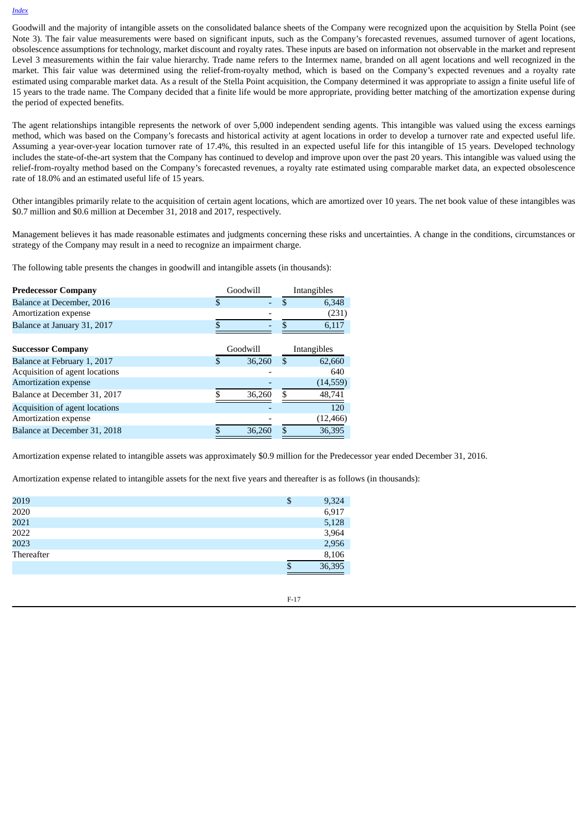Goodwill and the majority of intangible assets on the consolidated balance sheets of the Company were recognized upon the acquisition by Stella Point (see Note 3). The fair value measurements were based on significant inputs, such as the Company's forecasted revenues, assumed turnover of agent locations, obsolescence assumptions for technology, market discount and royalty rates. These inputs are based on information not observable in the market and represent Level 3 measurements within the fair value hierarchy. Trade name refers to the Intermex name, branded on all agent locations and well recognized in the market. This fair value was determined using the relief-from-royalty method, which is based on the Company's expected revenues and a royalty rate estimated using comparable market data. As a result of the Stella Point acquisition, the Company determined it was appropriate to assign a finite useful life of 15 years to the trade name. The Company decided that a finite life would be more appropriate, providing better matching of the amortization expense during the period of expected benefits.

The agent relationships intangible represents the network of over 5,000 independent sending agents. This intangible was valued using the excess earnings method, which was based on the Company's forecasts and historical activity at agent locations in order to develop a turnover rate and expected useful life. Assuming a year-over-year location turnover rate of 17.4%, this resulted in an expected useful life for this intangible of 15 years. Developed technology includes the state-of-the-art system that the Company has continued to develop and improve upon over the past 20 years. This intangible was valued using the relief-from-royalty method based on the Company's forecasted revenues, a royalty rate estimated using comparable market data, an expected obsolescence rate of 18.0% and an estimated useful life of 15 years.

Other intangibles primarily relate to the acquisition of certain agent locations, which are amortized over 10 years. The net book value of these intangibles was \$0.7 million and \$0.6 million at December 31, 2018 and 2017, respectively.

Management believes it has made reasonable estimates and judgments concerning these risks and uncertainties. A change in the conditions, circumstances or strategy of the Company may result in a need to recognize an impairment charge.

The following table presents the changes in goodwill and intangible assets (in thousands):

| <b>Predecessor Company</b>     | Goodwill |          |    | Intangibles |
|--------------------------------|----------|----------|----|-------------|
| Balance at December, 2016      | \$       |          |    | 6,348       |
| Amortization expense           |          |          |    | (231)       |
| Balance at January 31, 2017    |          |          |    | 6,117       |
| <b>Successor Company</b>       |          | Goodwill |    | Intangibles |
| Balance at February 1, 2017    | \$       | 36,260   | \$ | 62,660      |
| Acquisition of agent locations |          |          |    | 640         |
| <b>Amortization expense</b>    |          |          |    | (14, 559)   |
| Balance at December 31, 2017   |          | 36,260   | \$ | 48,741      |
| Acquisition of agent locations |          |          |    | 120         |
| Amortization expense           |          |          |    | (12, 466)   |
| Balance at December 31, 2018   |          | 36.260   | \$ | 36.395      |

Amortization expense related to intangible assets was approximately \$0.9 million for the Predecessor year ended December 31, 2016.

Amortization expense related to intangible assets for the next five years and thereafter is as follows (in thousands):

| 2019       | \$<br>9,324 |
|------------|-------------|
| 2020       | 6,917       |
| 2021       | 5,128       |
| 2022       | 3,964       |
| 2023       | 2,956       |
| Thereafter | 8,106       |
|            | 36,395      |
|            |             |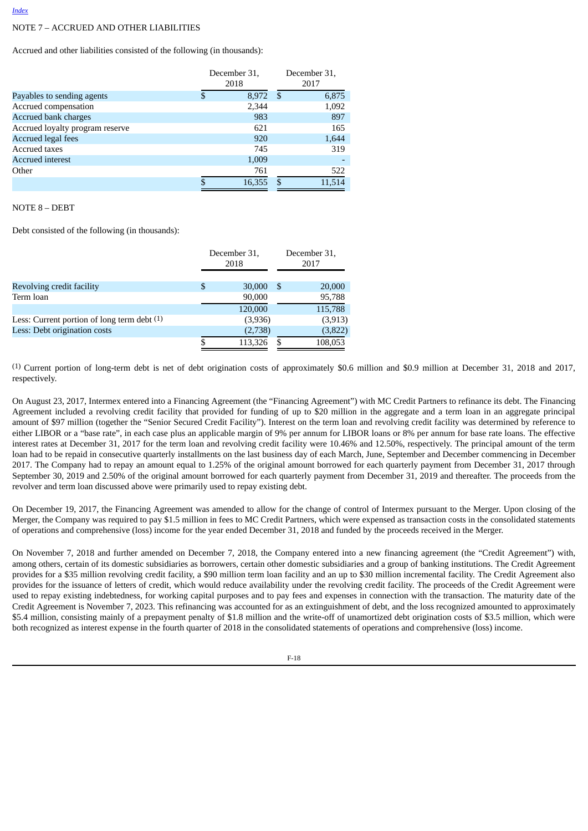# NOTE 7 – ACCRUED AND OTHER LIABILITIES

Accrued and other liabilities consisted of the following (in thousands):

|                                 | December 31,<br>2018 |   | December 31,<br>2017 |
|---------------------------------|----------------------|---|----------------------|
| Payables to sending agents      | \$<br>8,972          | S | 6,875                |
| Accrued compensation            | 2,344                |   | 1,092                |
| Accrued bank charges            | 983                  |   | 897                  |
| Accrued loyalty program reserve | 621                  |   | 165                  |
| Accrued legal fees              | 920                  |   | 1,644                |
| Accrued taxes                   | 745                  |   | 319                  |
| <b>Accrued interest</b>         | 1,009                |   |                      |
| Other                           | 761                  |   | 522                  |
|                                 | \$<br>16,355         |   | 11.514               |

## NOTE 8 – DEBT

Debt consisted of the following (in thousands):

|    | 2018    |              | December 31,<br>2017 |
|----|---------|--------------|----------------------|
| \$ | 30,000  | S            | 20,000               |
|    | 90,000  |              | 95,788               |
|    | 120,000 |              | 115,788              |
|    | (3,936) |              | (3, 913)             |
|    | (2,738) |              | (3,822)              |
| S  | 113,326 |              | 108,053              |
|    |         | December 31, |                      |

(1) Current portion of long-term debt is net of debt origination costs of approximately \$0.6 million and \$0.9 million at December 31, 2018 and 2017, respectively.

On August 23, 2017, Intermex entered into a Financing Agreement (the "Financing Agreement") with MC Credit Partners to refinance its debt. The Financing Agreement included a revolving credit facility that provided for funding of up to \$20 million in the aggregate and a term loan in an aggregate principal amount of \$97 million (together the "Senior Secured Credit Facility"). Interest on the term loan and revolving credit facility was determined by reference to either LIBOR or a "base rate", in each case plus an applicable margin of 9% per annum for LIBOR loans or 8% per annum for base rate loans. The effective interest rates at December 31, 2017 for the term loan and revolving credit facility were 10.46% and 12.50%, respectively. The principal amount of the term loan had to be repaid in consecutive quarterly installments on the last business day of each March, June, September and December commencing in December 2017. The Company had to repay an amount equal to 1.25% of the original amount borrowed for each quarterly payment from December 31, 2017 through September 30, 2019 and 2.50% of the original amount borrowed for each quarterly payment from December 31, 2019 and thereafter. The proceeds from the revolver and term loan discussed above were primarily used to repay existing debt.

On December 19, 2017, the Financing Agreement was amended to allow for the change of control of Intermex pursuant to the Merger. Upon closing of the Merger, the Company was required to pay \$1.5 million in fees to MC Credit Partners, which were expensed as transaction costs in the consolidated statements of operations and comprehensive (loss) income for the year ended December 31, 2018 and funded by the proceeds received in the Merger.

On November 7, 2018 and further amended on December 7, 2018, the Company entered into a new financing agreement (the "Credit Agreement") with, among others, certain of its domestic subsidiaries as borrowers, certain other domestic subsidiaries and a group of banking institutions. The Credit Agreement provides for a \$35 million revolving credit facility, a \$90 million term loan facility and an up to \$30 million incremental facility. The Credit Agreement also provides for the issuance of letters of credit, which would reduce availability under the revolving credit facility. The proceeds of the Credit Agreement were used to repay existing indebtedness, for working capital purposes and to pay fees and expenses in connection with the transaction. The maturity date of the Credit Agreement is November 7, 2023. This refinancing was accounted for as an extinguishment of debt, and the loss recognized amounted to approximately \$5.4 million, consisting mainly of a prepayment penalty of \$1.8 million and the write-off of unamortized debt origination costs of \$3.5 million, which were both recognized as interest expense in the fourth quarter of 2018 in the consolidated statements of operations and comprehensive (loss) income.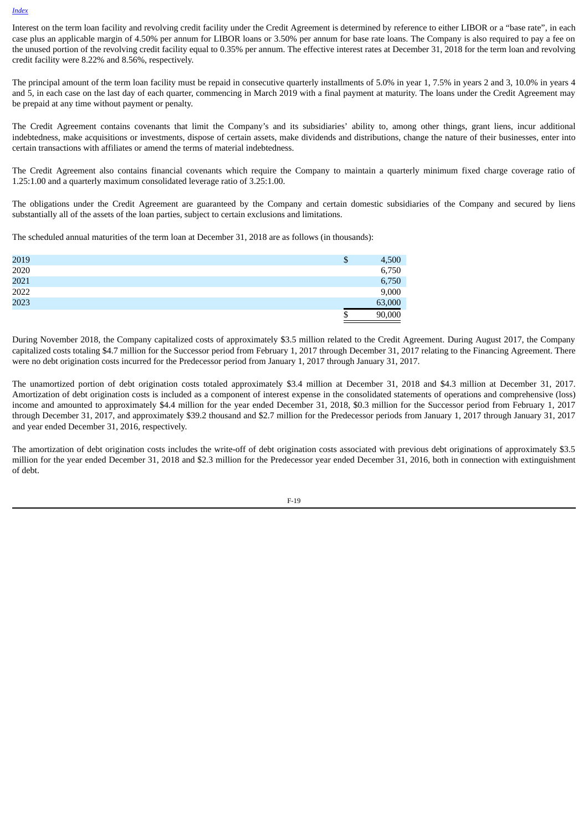Interest on the term loan facility and revolving credit facility under the Credit Agreement is determined by reference to either LIBOR or a "base rate", in each case plus an applicable margin of 4.50% per annum for LIBOR loans or 3.50% per annum for base rate loans. The Company is also required to pay a fee on the unused portion of the revolving credit facility equal to 0.35% per annum. The effective interest rates at December 31, 2018 for the term loan and revolving credit facility were 8.22% and 8.56%, respectively.

The principal amount of the term loan facility must be repaid in consecutive quarterly installments of 5.0% in year 1, 7.5% in years 2 and 3, 10.0% in years 4 and 5, in each case on the last day of each quarter, commencing in March 2019 with a final payment at maturity. The loans under the Credit Agreement may be prepaid at any time without payment or penalty.

The Credit Agreement contains covenants that limit the Company's and its subsidiaries' ability to, among other things, grant liens, incur additional indebtedness, make acquisitions or investments, dispose of certain assets, make dividends and distributions, change the nature of their businesses, enter into certain transactions with affiliates or amend the terms of material indebtedness.

The Credit Agreement also contains financial covenants which require the Company to maintain a quarterly minimum fixed charge coverage ratio of 1.25:1.00 and a quarterly maximum consolidated leverage ratio of 3.25:1.00.

The obligations under the Credit Agreement are guaranteed by the Company and certain domestic subsidiaries of the Company and secured by liens substantially all of the assets of the loan parties, subject to certain exclusions and limitations.

The scheduled annual maturities of the term loan at December 31, 2018 are as follows (in thousands):

| 2019 | \$<br>4,500 |
|------|-------------|
| 2020 | 6,750       |
| 2021 | 6,750       |
| 2022 | 9,000       |
| 2023 | 63,000      |
|      | 90,000      |

During November 2018, the Company capitalized costs of approximately \$3.5 million related to the Credit Agreement. During August 2017, the Company capitalized costs totaling \$4.7 million for the Successor period from February 1, 2017 through December 31, 2017 relating to the Financing Agreement. There were no debt origination costs incurred for the Predecessor period from January 1, 2017 through January 31, 2017.

The unamortized portion of debt origination costs totaled approximately \$3.4 million at December 31, 2018 and \$4.3 million at December 31, 2017. Amortization of debt origination costs is included as a component of interest expense in the consolidated statements of operations and comprehensive (loss) income and amounted to approximately \$4.4 million for the year ended December 31, 2018, \$0.3 million for the Successor period from February 1, 2017 through December 31, 2017, and approximately \$39.2 thousand and \$2.7 million for the Predecessor periods from January 1, 2017 through January 31, 2017 and year ended December 31, 2016, respectively.

The amortization of debt origination costs includes the write-off of debt origination costs associated with previous debt originations of approximately \$3.5 million for the year ended December 31, 2018 and \$2.3 million for the Predecessor year ended December 31, 2016, both in connection with extinguishment of debt.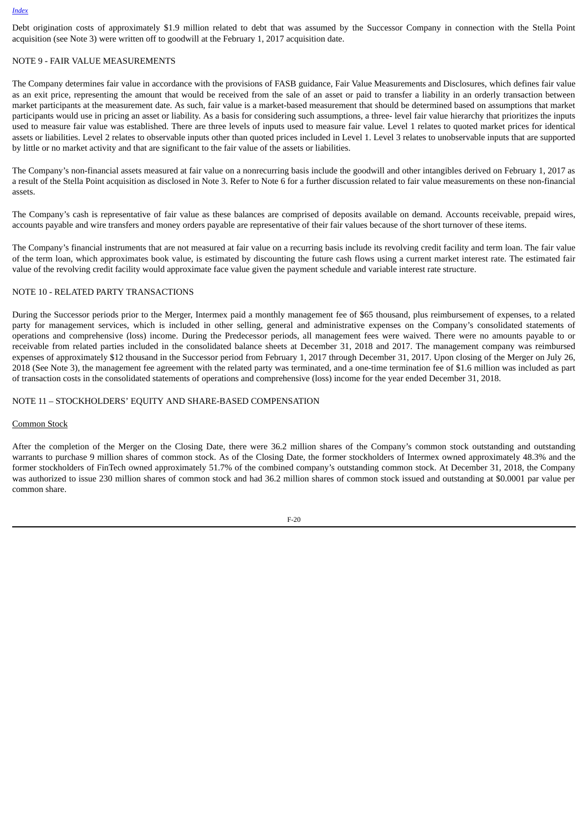Debt origination costs of approximately \$1.9 million related to debt that was assumed by the Successor Company in connection with the Stella Point acquisition (see Note 3) were written off to goodwill at the February 1, 2017 acquisition date.

### NOTE 9 - FAIR VALUE MEASUREMENTS

The Company determines fair value in accordance with the provisions of FASB guidance, Fair Value Measurements and Disclosures, which defines fair value as an exit price, representing the amount that would be received from the sale of an asset or paid to transfer a liability in an orderly transaction between market participants at the measurement date. As such, fair value is a market-based measurement that should be determined based on assumptions that market participants would use in pricing an asset or liability. As a basis for considering such assumptions, a three- level fair value hierarchy that prioritizes the inputs used to measure fair value was established. There are three levels of inputs used to measure fair value. Level 1 relates to quoted market prices for identical assets or liabilities. Level 2 relates to observable inputs other than quoted prices included in Level 1. Level 3 relates to unobservable inputs that are supported by little or no market activity and that are significant to the fair value of the assets or liabilities.

The Company's non-financial assets measured at fair value on a nonrecurring basis include the goodwill and other intangibles derived on February 1, 2017 as a result of the Stella Point acquisition as disclosed in Note 3. Refer to Note 6 for a further discussion related to fair value measurements on these non-financial assets.

The Company's cash is representative of fair value as these balances are comprised of deposits available on demand. Accounts receivable, prepaid wires, accounts payable and wire transfers and money orders payable are representative of their fair values because of the short turnover of these items.

The Company's financial instruments that are not measured at fair value on a recurring basis include its revolving credit facility and term loan. The fair value of the term loan, which approximates book value, is estimated by discounting the future cash flows using a current market interest rate. The estimated fair value of the revolving credit facility would approximate face value given the payment schedule and variable interest rate structure.

### NOTE 10 - RELATED PARTY TRANSACTIONS

During the Successor periods prior to the Merger, Intermex paid a monthly management fee of \$65 thousand, plus reimbursement of expenses, to a related party for management services, which is included in other selling, general and administrative expenses on the Company's consolidated statements of operations and comprehensive (loss) income. During the Predecessor periods, all management fees were waived. There were no amounts payable to or receivable from related parties included in the consolidated balance sheets at December 31, 2018 and 2017. The management company was reimbursed expenses of approximately \$12 thousand in the Successor period from February 1, 2017 through December 31, 2017. Upon closing of the Merger on July 26, 2018 (See Note 3), the management fee agreement with the related party was terminated, and a one-time termination fee of \$1.6 million was included as part of transaction costs in the consolidated statements of operations and comprehensive (loss) income for the year ended December 31, 2018.

### NOTE 11 – STOCKHOLDERS' EQUITY AND SHARE-BASED COMPENSATION

### Common Stock

After the completion of the Merger on the Closing Date, there were 36.2 million shares of the Company's common stock outstanding and outstanding warrants to purchase 9 million shares of common stock. As of the Closing Date, the former stockholders of Intermex owned approximately 48.3% and the former stockholders of FinTech owned approximately 51.7% of the combined company's outstanding common stock. At December 31, 2018, the Company was authorized to issue 230 million shares of common stock and had 36.2 million shares of common stock issued and outstanding at \$0.0001 par value per common share.

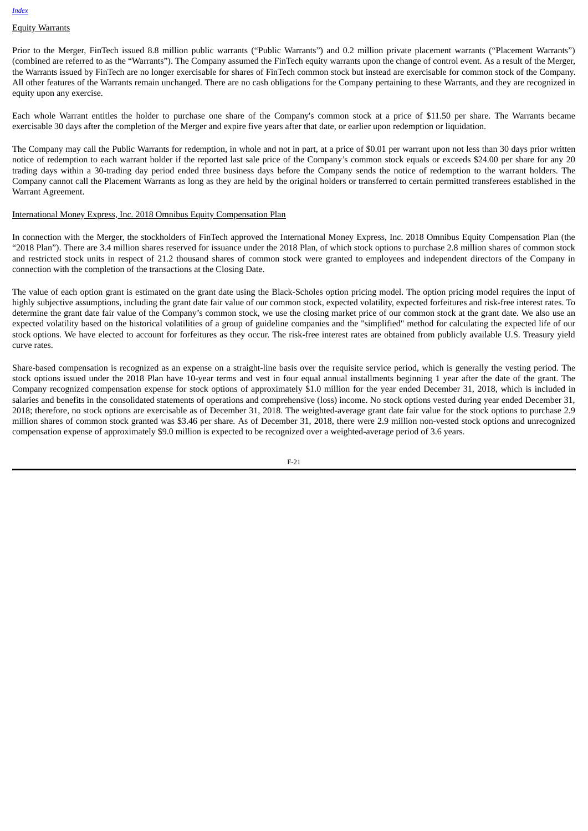### Equity Warrants

Prior to the Merger, FinTech issued 8.8 million public warrants ("Public Warrants") and 0.2 million private placement warrants ("Placement Warrants") (combined are referred to as the "Warrants"). The Company assumed the FinTech equity warrants upon the change of control event. As a result of the Merger, the Warrants issued by FinTech are no longer exercisable for shares of FinTech common stock but instead are exercisable for common stock of the Company. All other features of the Warrants remain unchanged. There are no cash obligations for the Company pertaining to these Warrants, and they are recognized in equity upon any exercise.

Each whole Warrant entitles the holder to purchase one share of the Company's common stock at a price of \$11.50 per share. The Warrants became exercisable 30 days after the completion of the Merger and expire five years after that date, or earlier upon redemption or liquidation.

The Company may call the Public Warrants for redemption, in whole and not in part, at a price of \$0.01 per warrant upon not less than 30 days prior written notice of redemption to each warrant holder if the reported last sale price of the Company's common stock equals or exceeds \$24.00 per share for any 20 trading days within a 30-trading day period ended three business days before the Company sends the notice of redemption to the warrant holders. The Company cannot call the Placement Warrants as long as they are held by the original holders or transferred to certain permitted transferees established in the Warrant Agreement.

#### International Money Express, Inc. 2018 Omnibus Equity Compensation Plan

In connection with the Merger, the stockholders of FinTech approved the International Money Express, Inc. 2018 Omnibus Equity Compensation Plan (the "2018 Plan"). There are 3.4 million shares reserved for issuance under the 2018 Plan, of which stock options to purchase 2.8 million shares of common stock and restricted stock units in respect of 21.2 thousand shares of common stock were granted to employees and independent directors of the Company in connection with the completion of the transactions at the Closing Date.

The value of each option grant is estimated on the grant date using the Black-Scholes option pricing model. The option pricing model requires the input of highly subjective assumptions, including the grant date fair value of our common stock, expected volatility, expected forfeitures and risk-free interest rates. To determine the grant date fair value of the Company's common stock, we use the closing market price of our common stock at the grant date. We also use an expected volatility based on the historical volatilities of a group of guideline companies and the "simplified" method for calculating the expected life of our stock options. We have elected to account for forfeitures as they occur. The risk-free interest rates are obtained from publicly available U.S. Treasury yield curve rates.

Share-based compensation is recognized as an expense on a straight-line basis over the requisite service period, which is generally the vesting period. The stock options issued under the 2018 Plan have 10-year terms and vest in four equal annual installments beginning 1 year after the date of the grant. The Company recognized compensation expense for stock options of approximately \$1.0 million for the year ended December 31, 2018, which is included in salaries and benefits in the consolidated statements of operations and comprehensive (loss) income. No stock options vested during year ended December 31, 2018; therefore, no stock options are exercisable as of December 31, 2018. The weighted-average grant date fair value for the stock options to purchase 2.9 million shares of common stock granted was \$3.46 per share. As of December 31, 2018, there were 2.9 million non-vested stock options and unrecognized compensation expense of approximately \$9.0 million is expected to be recognized over a weighted-average period of 3.6 years.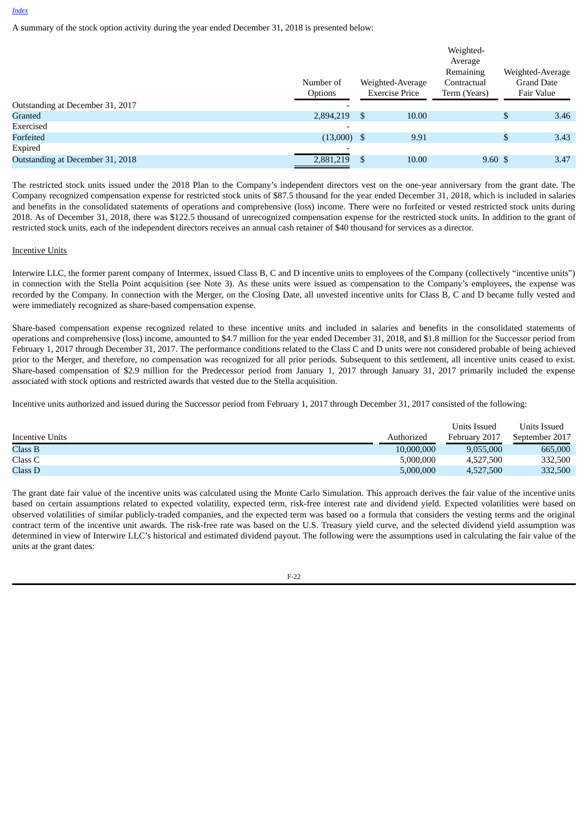A summary of the stock option activity during the year ended December 31, 2018 is presented below:

|                                  | Number of<br>Options | Weighted-Average<br><b>Exercise Price</b> | Weighted-<br>Average<br>Remaining<br>Contractual<br>Term (Years) | Weighted-Average<br><b>Grand Date</b><br>Fair Value |
|----------------------------------|----------------------|-------------------------------------------|------------------------------------------------------------------|-----------------------------------------------------|
| Outstanding at December 31, 2017 |                      |                                           |                                                                  |                                                     |
| Granted                          | 2,894,219            | 10.00<br>- \$                             |                                                                  | \$<br>3.46                                          |
| Exercised                        |                      |                                           |                                                                  |                                                     |
| Forfeited                        | $(13,000)$ \$        | 9.91                                      |                                                                  | \$<br>3.43                                          |
| Expired                          |                      |                                           |                                                                  |                                                     |
| Outstanding at December 31, 2018 | 2,881,219            | 10.00<br>-S                               | $9.60 \text{ }$ \$                                               | 3.47                                                |
|                                  |                      |                                           |                                                                  |                                                     |

The restricted stock units issued under the 2018 Plan to the Company's independent directors vest on the one-year anniversary from the grant date. The Company recognized compensation expense for restricted stock units of \$87.5 thousand for the year ended December 31, 2018, which is included in salaries and benefits in the consolidated statements of operations and comprehensive (loss) income. There were no forfeited or vested restricted stock units during 2018. As of December 31, 2018, there was \$122.5 thousand of unrecognized compensation expense for the restricted stock units. In addition to the grant of restricted stock units, each of the independent directors receives an annual cash retainer of \$40 thousand for services as a director.

### **Incentive Units**

Interwire LLC, the former parent company of Intermex, issued Class B, C and D incentive units to employees of the Company (collectively "incentive units") in connection with the Stella Point acquisition (see Note 3). As these units were issued as compensation to the Company's employees, the expense was recorded by the Company. In connection with the Merger, on the Closing Date, all unvested incentive units for Class B, C and D became fully vested and were immediately recognized as share-based compensation expense.

Share-based compensation expense recognized related to these incentive units and included in salaries and benefits in the consolidated statements of operations and comprehensive (loss) income, amounted to \$4.7 million for the year ended December 31, 2018, and \$1.8 million for the Successor period from February 1, 2017 through December 31, 2017. The performance conditions related to the Class C and D units were not considered probable of being achieved prior to the Merger, and therefore, no compensation was recognized for all prior periods. Subsequent to this settlement, all incentive units ceased to exist. Share-based compensation of \$2.9 million for the Predecessor period from January 1, 2017 through January 31, 2017 primarily included the expense associated with stock options and restricted awards that vested due to the Stella acquisition.

Incentive units authorized and issued during the Successor period from February 1, 2017 through December 31, 2017 consisted of the following:

|                        |            | Units Issued  | Units Issued   |
|------------------------|------------|---------------|----------------|
| <b>Incentive Units</b> | Authorized | February 2017 | September 2017 |
| Class B                | 10,000,000 | 9,055,000     | 665,000        |
| Class C                | 5,000,000  | 4,527,500     | 332,500        |
| Class D                | 5,000,000  | 4,527,500     | 332,500        |

The grant date fair value of the incentive units was calculated using the Monte Carlo Simulation. This approach derives the fair value of the incentive units based on certain assumptions related to expected volatility, expected term, risk-free interest rate and dividend yield. Expected volatilities were based on observed volatilities of similar publicly-traded companies, and the expected term was based on a formula that considers the vesting terms and the original contract term of the incentive unit awards. The risk-free rate was based on the U.S. Treasury yield curve, and the selected dividend yield assumption was determined in view of Interwire LLC's historical and estimated dividend payout. The following were the assumptions used in calculating the fair value of the units at the grant dates: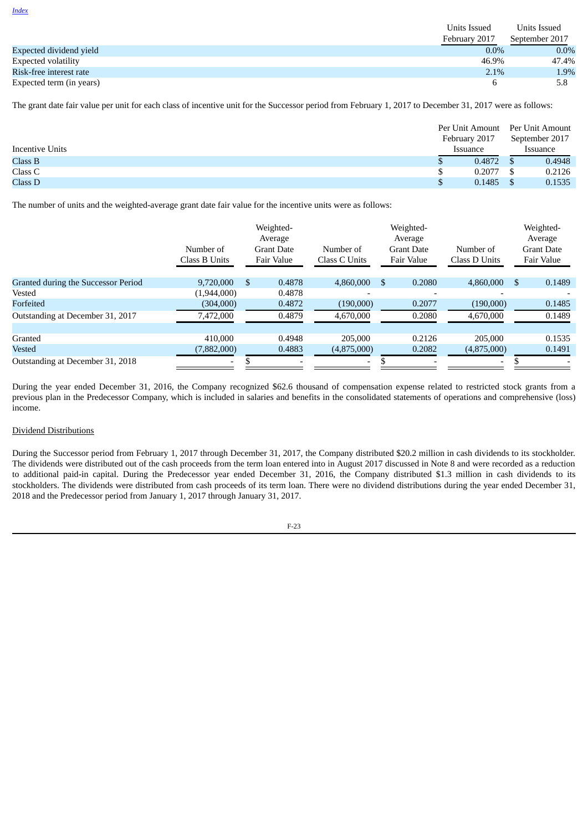|                          | Units Issued  | Units Issued   |
|--------------------------|---------------|----------------|
|                          | February 2017 | September 2017 |
| Expected dividend yield  | $0.0\%$       | $0.0\%$        |
| Expected volatility      | 46.9%         | 47.4%          |
| Risk-free interest rate  | 2.1%          | 1.9%           |
| Expected term (in years) |               | 5.8            |

The grant date fair value per unit for each class of incentive unit for the Successor period from February 1, 2017 to December 31, 2017 were as follows:

|                        |               |             |  | Per Unit Amount Per Unit Amount |
|------------------------|---------------|-------------|--|---------------------------------|
|                        | February 2017 |             |  | September 2017                  |
| <b>Incentive Units</b> |               | Issuance    |  | Issuance                        |
| Class B                |               | 0.4872      |  | 0.4948                          |
| Class C                |               | 0.2077      |  | 0.2126                          |
| Class D                |               | $0.1485$ \$ |  | 0.1535                          |

The number of units and the weighted-average grant date fair value for the incentive units were as follows:

|                                     | Number of<br>Class B Units |               | Weighted-<br>Average<br><b>Grant Date</b><br>Fair Value | Number of<br>Class C Units | Weighted-<br>Average<br><b>Grant Date</b><br>Fair Value | Number of<br>Class D Units |     | Weighted-<br>Average<br><b>Grant Date</b><br>Fair Value |
|-------------------------------------|----------------------------|---------------|---------------------------------------------------------|----------------------------|---------------------------------------------------------|----------------------------|-----|---------------------------------------------------------|
| Granted during the Successor Period | 9,720,000                  | <sup>\$</sup> | 0.4878                                                  | 4.860,000                  | \$<br>0.2080                                            | 4,860,000                  | \$. | 0.1489                                                  |
| Vested                              | (1,944,000)                |               | 0.4878                                                  |                            | $\overline{\phantom{0}}$                                | -                          |     |                                                         |
| Forfeited                           | (304,000)                  |               | 0.4872                                                  | (190,000)                  | 0.2077                                                  | (190,000)                  |     | 0.1485                                                  |
| Outstanding at December 31, 2017    | 7,472,000                  |               | 0.4879                                                  | 4,670,000                  | 0.2080                                                  | 4,670,000                  |     | 0.1489                                                  |
|                                     |                            |               |                                                         |                            |                                                         |                            |     |                                                         |
| Granted                             | 410,000                    |               | 0.4948                                                  | 205,000                    | 0.2126                                                  | 205,000                    |     | 0.1535                                                  |
| Vested                              | (7,882,000)                |               | 0.4883                                                  | (4,875,000)                | 0.2082                                                  | (4,875,000)                |     | 0.1491                                                  |
| Outstanding at December 31, 2018    | $\overline{\phantom{0}}$   |               |                                                         |                            |                                                         | $\overline{\phantom{0}}$   |     |                                                         |

During the year ended December 31, 2016, the Company recognized \$62.6 thousand of compensation expense related to restricted stock grants from a previous plan in the Predecessor Company, which is included in salaries and benefits in the consolidated statements of operations and comprehensive (loss) income.

## Dividend Distributions

During the Successor period from February 1, 2017 through December 31, 2017, the Company distributed \$20.2 million in cash dividends to its stockholder. The dividends were distributed out of the cash proceeds from the term loan entered into in August 2017 discussed in Note 8 and were recorded as a reduction to additional paid-in capital. During the Predecessor year ended December 31, 2016, the Company distributed \$1.3 million in cash dividends to its stockholders. The dividends were distributed from cash proceeds of its term loan. There were no dividend distributions during the year ended December 31, 2018 and the Predecessor period from January 1, 2017 through January 31, 2017.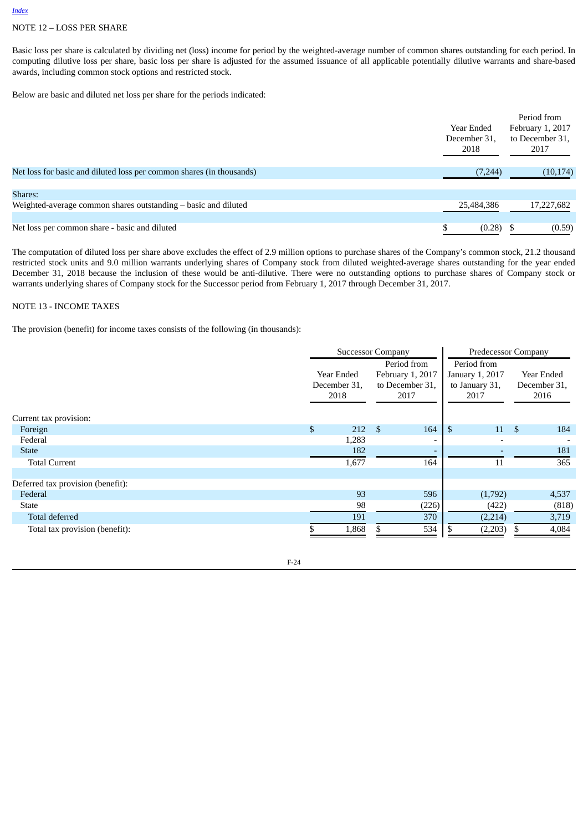## NOTE 12 – LOSS PER SHARE

Basic loss per share is calculated by dividing net (loss) income for period by the weighted-average number of common shares outstanding for each period. In computing dilutive loss per share, basic loss per share is adjusted for the assumed issuance of all applicable potentially dilutive warrants and share-based awards, including common stock options and restricted stock.

Below are basic and diluted net loss per share for the periods indicated:

|                                                                      | Year Ended<br>December 31,<br>2018 | Period from<br>February 1, 2017<br>to December 31,<br>2017 |
|----------------------------------------------------------------------|------------------------------------|------------------------------------------------------------|
| Net loss for basic and diluted loss per common shares (in thousands) | (7,244)                            | (10, 174)                                                  |
|                                                                      |                                    |                                                            |
| Shares:                                                              |                                    |                                                            |
| Weighted-average common shares outstanding – basic and diluted       | 25,484,386                         | 17,227,682                                                 |
|                                                                      |                                    |                                                            |
| Net loss per common share - basic and diluted                        | (0.28)                             | (0.59)                                                     |

The computation of diluted loss per share above excludes the effect of 2.9 million options to purchase shares of the Company's common stock, 21.2 thousand restricted stock units and 9.0 million warrants underlying shares of Company stock from diluted weighted-average shares outstanding for the year ended December 31, 2018 because the inclusion of these would be anti-dilutive. There were no outstanding options to purchase shares of Company stock or warrants underlying shares of Company stock for the Successor period from February 1, 2017 through December 31, 2017.

### NOTE 13 - INCOME TAXES

The provision (benefit) for income taxes consists of the following (in thousands):

|                                   | <b>Successor Company</b> |              | <b>Predecessor Company</b> |                              |              |            |
|-----------------------------------|--------------------------|--------------|----------------------------|------------------------------|--------------|------------|
|                                   |                          | Period from  | Period from                |                              |              |            |
|                                   | Year Ended               |              | February 1, 2017           | January 1, 2017              |              | Year Ended |
|                                   | December 31,             |              | to December 31,            | to January 31,               | December 31, |            |
|                                   | 2018                     |              | 2017                       | 2017                         | 2016         |            |
| Current tax provision:            |                          |              |                            |                              |              |            |
| Foreign                           | \$<br>212                | $\mathbf{s}$ | 164                        | $\mathbf S$<br>$11 \quad$ \$ |              | 184        |
| Federal                           | 1,283                    |              | $\overline{\phantom{a}}$   | $\overline{\phantom{0}}$     |              |            |
| <b>State</b>                      | 182                      |              | $\overline{\phantom{a}}$   |                              |              | 181        |
| <b>Total Current</b>              | 1,677                    |              | 164                        | 11                           |              | 365        |
|                                   |                          |              |                            |                              |              |            |
| Deferred tax provision (benefit): |                          |              |                            |                              |              |            |
| Federal                           | 93                       |              | 596                        | (1,792)                      |              | 4,537      |
| <b>State</b>                      | 98                       |              | (226)                      | (422)                        |              | (818)      |
| Total deferred                    | 191                      |              | 370                        | (2,214)                      |              | 3,719      |
| Total tax provision (benefit):    | 1,868                    |              | 534                        | (2,203)                      |              | 4,084      |

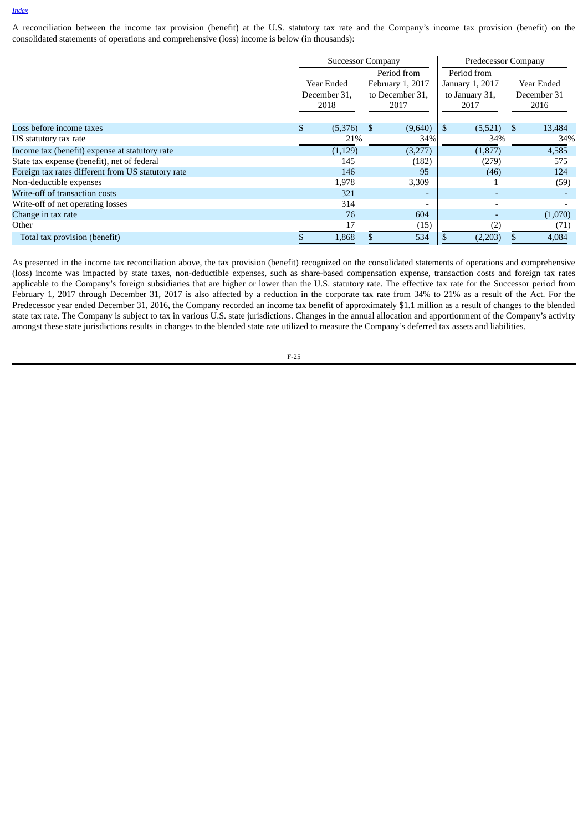A reconciliation between the income tax provision (benefit) at the U.S. statutory tax rate and the Company's income tax provision (benefit) on the consolidated statements of operations and comprehensive (loss) income is below (in thousands):

|                                                    | <b>Successor Company</b>           |                                                            | <b>Predecessor Company</b> |                                                          |         |    |                                   |
|----------------------------------------------------|------------------------------------|------------------------------------------------------------|----------------------------|----------------------------------------------------------|---------|----|-----------------------------------|
|                                                    | Year Ended<br>December 31.<br>2018 | Period from<br>February 1, 2017<br>to December 31,<br>2017 |                            | Period from<br>January 1, 2017<br>to January 31,<br>2017 |         |    | Year Ended<br>December 31<br>2016 |
| Loss before income taxes                           | \$<br>(5,376)                      | -S                                                         | (9,640)                    | S                                                        | (5,521) | -S | 13,484                            |
| US statutory tax rate                              | 21%                                |                                                            | 34%                        |                                                          | 34%     |    | 34%                               |
| Income tax (benefit) expense at statutory rate     | (1,129)                            |                                                            | (3,277)                    |                                                          | (1,877) |    | 4,585                             |
| State tax expense (benefit), net of federal        | 145                                |                                                            | (182)                      |                                                          | (279)   |    | 575                               |
| Foreign tax rates different from US statutory rate | 146                                |                                                            | 95                         |                                                          | (46)    |    | 124                               |
| Non-deductible expenses                            | 1,978                              |                                                            | 3,309                      |                                                          |         |    | (59)                              |
| Write-off of transaction costs                     | 321                                |                                                            |                            |                                                          |         |    |                                   |
| Write-off of net operating losses                  | 314                                |                                                            |                            |                                                          |         |    |                                   |
| Change in tax rate                                 | 76                                 |                                                            | 604                        |                                                          |         |    | (1,070)                           |
| Other                                              | 17                                 |                                                            | (15)                       |                                                          | (2)     |    | (71)                              |
| Total tax provision (benefit)                      | 1,868                              |                                                            | 534                        |                                                          | (2,203) |    | 4,084                             |

As presented in the income tax reconciliation above, the tax provision (benefit) recognized on the consolidated statements of operations and comprehensive (loss) income was impacted by state taxes, non-deductible expenses, such as share-based compensation expense, transaction costs and foreign tax rates applicable to the Company's foreign subsidiaries that are higher or lower than the U.S. statutory rate. The effective tax rate for the Successor period from February 1, 2017 through December 31, 2017 is also affected by a reduction in the corporate tax rate from 34% to 21% as a result of the Act. For the Predecessor year ended December 31, 2016, the Company recorded an income tax benefit of approximately \$1.1 million as a result of changes to the blended state tax rate. The Company is subject to tax in various U.S. state jurisdictions. Changes in the annual allocation and apportionment of the Company's activity amongst these state jurisdictions results in changes to the blended state rate utilized to measure the Company's deferred tax assets and liabilities.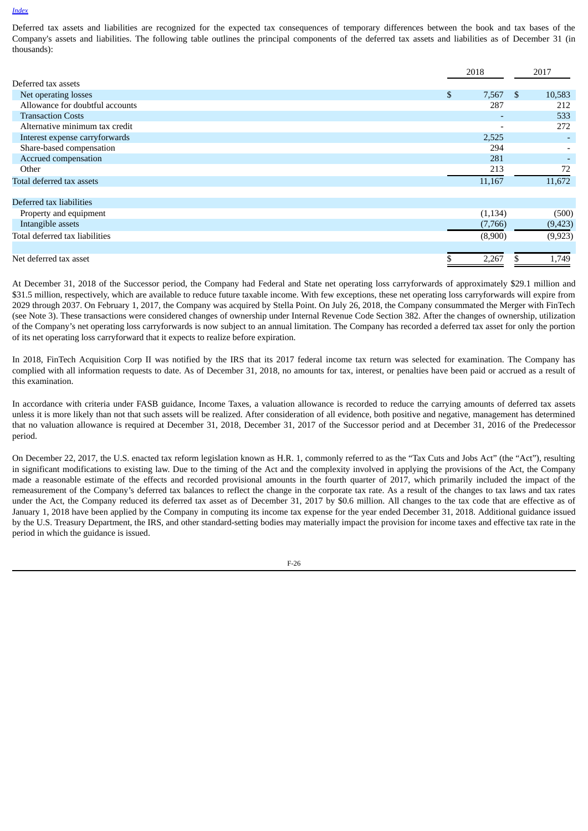Deferred tax assets and liabilities are recognized for the expected tax consequences of temporary differences between the book and tax bases of the Company's assets and liabilities. The following table outlines the principal components of the deferred tax assets and liabilities as of December 31 (in thousands):

|                                 | 2018                     | 2017                    |
|---------------------------------|--------------------------|-------------------------|
| Deferred tax assets             |                          |                         |
| Net operating losses            | \$<br>7,567              | 10,583<br><sup>\$</sup> |
| Allowance for doubtful accounts | 287                      | 212                     |
| <b>Transaction Costs</b>        | $\overline{\phantom{0}}$ | 533                     |
| Alternative minimum tax credit  | $\overline{\phantom{0}}$ | 272                     |
| Interest expense carryforwards  | 2,525                    |                         |
| Share-based compensation        | 294                      |                         |
| Accrued compensation            | 281                      |                         |
| Other                           | 213                      | 72                      |
| Total deferred tax assets       | 11,167                   | 11,672                  |
| Deferred tax liabilities        |                          |                         |
| Property and equipment          | (1, 134)                 | (500)                   |
| Intangible assets               | (7,766)                  | (9, 423)                |
| Total deferred tax liabilities  | (8,900)                  | (9, 923)                |
| Net deferred tax asset          | 2,267                    | 1,749                   |

At December 31, 2018 of the Successor period, the Company had Federal and State net operating loss carryforwards of approximately \$29.1 million and \$31.5 million, respectively, which are available to reduce future taxable income. With few exceptions, these net operating loss carryforwards will expire from 2029 through 2037. On February 1, 2017, the Company was acquired by Stella Point. On July 26, 2018, the Company consummated the Merger with FinTech (see Note 3). These transactions were considered changes of ownership under Internal Revenue Code Section 382. After the changes of ownership, utilization of the Company's net operating loss carryforwards is now subject to an annual limitation. The Company has recorded a deferred tax asset for only the portion of its net operating loss carryforward that it expects to realize before expiration.

In 2018, FinTech Acquisition Corp II was notified by the IRS that its 2017 federal income tax return was selected for examination. The Company has complied with all information requests to date. As of December 31, 2018, no amounts for tax, interest, or penalties have been paid or accrued as a result of this examination.

In accordance with criteria under FASB guidance, Income Taxes, a valuation allowance is recorded to reduce the carrying amounts of deferred tax assets unless it is more likely than not that such assets will be realized. After consideration of all evidence, both positive and negative, management has determined that no valuation allowance is required at December 31, 2018, December 31, 2017 of the Successor period and at December 31, 2016 of the Predecessor period.

On December 22, 2017, the U.S. enacted tax reform legislation known as H.R. 1, commonly referred to as the "Tax Cuts and Jobs Act" (the "Act"), resulting in significant modifications to existing law. Due to the timing of the Act and the complexity involved in applying the provisions of the Act, the Company made a reasonable estimate of the effects and recorded provisional amounts in the fourth quarter of 2017, which primarily included the impact of the remeasurement of the Company's deferred tax balances to reflect the change in the corporate tax rate. As a result of the changes to tax laws and tax rates under the Act, the Company reduced its deferred tax asset as of December 31, 2017 by \$0.6 million. All changes to the tax code that are effective as of January 1, 2018 have been applied by the Company in computing its income tax expense for the year ended December 31, 2018. Additional guidance issued by the U.S. Treasury Department, the IRS, and other standard-setting bodies may materially impact the provision for income taxes and effective tax rate in the period in which the guidance is issued.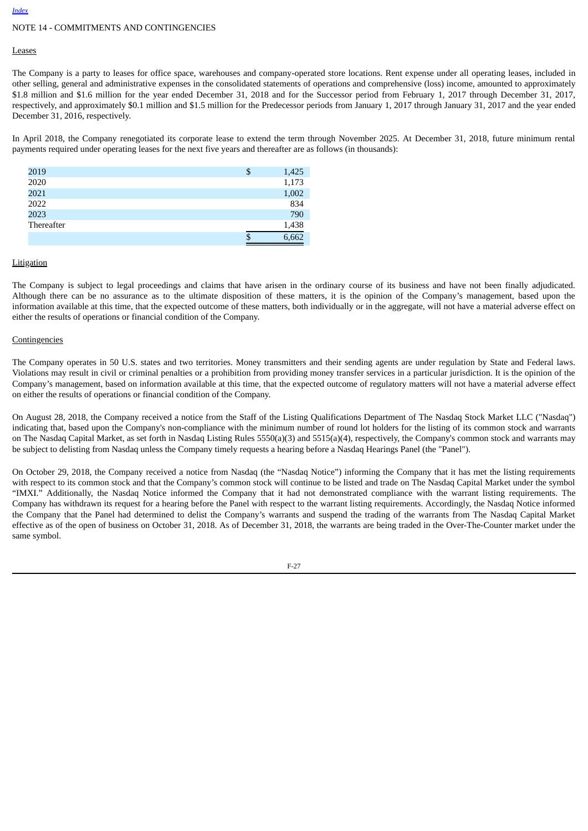# NOTE 14 - COMMITMENTS AND CONTINGENCIES

#### Leases

*[Index](#page-2-0)*

The Company is a party to leases for office space, warehouses and company-operated store locations. Rent expense under all operating leases, included in other selling, general and administrative expenses in the consolidated statements of operations and comprehensive (loss) income, amounted to approximately \$1.8 million and \$1.6 million for the year ended December 31, 2018 and for the Successor period from February 1, 2017 through December 31, 2017, respectively, and approximately \$0.1 million and \$1.5 million for the Predecessor periods from January 1, 2017 through January 31, 2017 and the year ended December 31, 2016, respectively.

In April 2018, the Company renegotiated its corporate lease to extend the term through November 2025. At December 31, 2018, future minimum rental payments required under operating leases for the next five years and thereafter are as follows (in thousands):

| 2019       | S | 1,425 |
|------------|---|-------|
| 2020       |   | 1,173 |
| 2021       |   | 1,002 |
| 2022       |   | 834   |
| 2023       |   | 790   |
| Thereafter |   | 1,438 |
|            |   | 6,662 |

### **Litigation**

The Company is subject to legal proceedings and claims that have arisen in the ordinary course of its business and have not been finally adjudicated. Although there can be no assurance as to the ultimate disposition of these matters, it is the opinion of the Company's management, based upon the information available at this time, that the expected outcome of these matters, both individually or in the aggregate, will not have a material adverse effect on either the results of operations or financial condition of the Company.

### **Contingencies**

The Company operates in 50 U.S. states and two territories. Money transmitters and their sending agents are under regulation by State and Federal laws. Violations may result in civil or criminal penalties or a prohibition from providing money transfer services in a particular jurisdiction. It is the opinion of the Company's management, based on information available at this time, that the expected outcome of regulatory matters will not have a material adverse effect on either the results of operations or financial condition of the Company.

On August 28, 2018, the Company received a notice from the Staff of the Listing Qualifications Department of The Nasdaq Stock Market LLC ("Nasdaq") indicating that, based upon the Company's non-compliance with the minimum number of round lot holders for the listing of its common stock and warrants on The Nasdaq Capital Market, as set forth in Nasdaq Listing Rules 5550(a)(3) and 5515(a)(4), respectively, the Company's common stock and warrants may be subject to delisting from Nasdaq unless the Company timely requests a hearing before a Nasdaq Hearings Panel (the "Panel").

On October 29, 2018, the Company received a notice from Nasdaq (the "Nasdaq Notice") informing the Company that it has met the listing requirements with respect to its common stock and that the Company's common stock will continue to be listed and trade on The Nasdaq Capital Market under the symbol "IMXI." Additionally, the Nasdaq Notice informed the Company that it had not demonstrated compliance with the warrant listing requirements. The Company has withdrawn its request for a hearing before the Panel with respect to the warrant listing requirements. Accordingly, the Nasdaq Notice informed the Company that the Panel had determined to delist the Company's warrants and suspend the trading of the warrants from The Nasdaq Capital Market effective as of the open of business on October 31, 2018. As of December 31, 2018, the warrants are being traded in the Over-The-Counter market under the same symbol.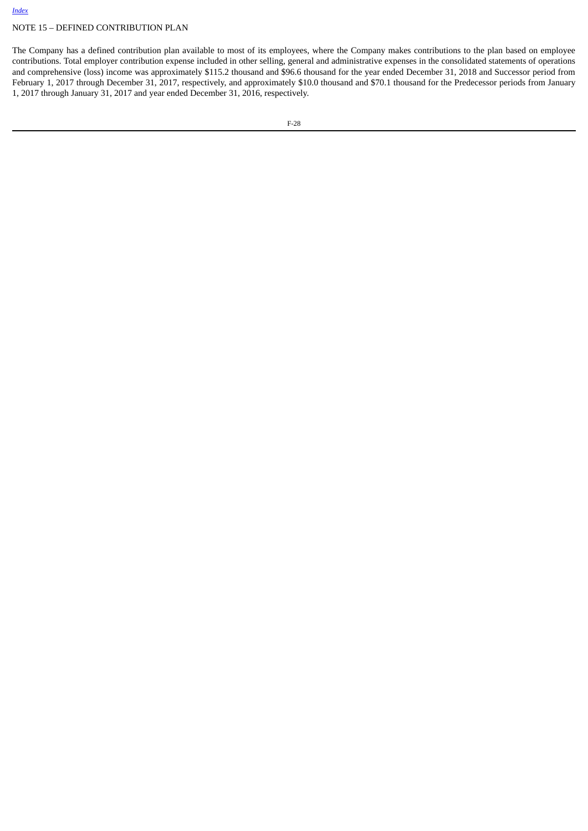## NOTE 15 – DEFINED CONTRIBUTION PLAN

The Company has a defined contribution plan available to most of its employees, where the Company makes contributions to the plan based on employee contributions. Total employer contribution expense included in other selling, general and administrative expenses in the consolidated statements of operations and comprehensive (loss) income was approximately \$115.2 thousand and \$96.6 thousand for the year ended December 31, 2018 and Successor period from February 1, 2017 through December 31, 2017, respectively, and approximately \$10.0 thousand and \$70.1 thousand for the Predecessor periods from January 1, 2017 through January 31, 2017 and year ended December 31, 2016, respectively.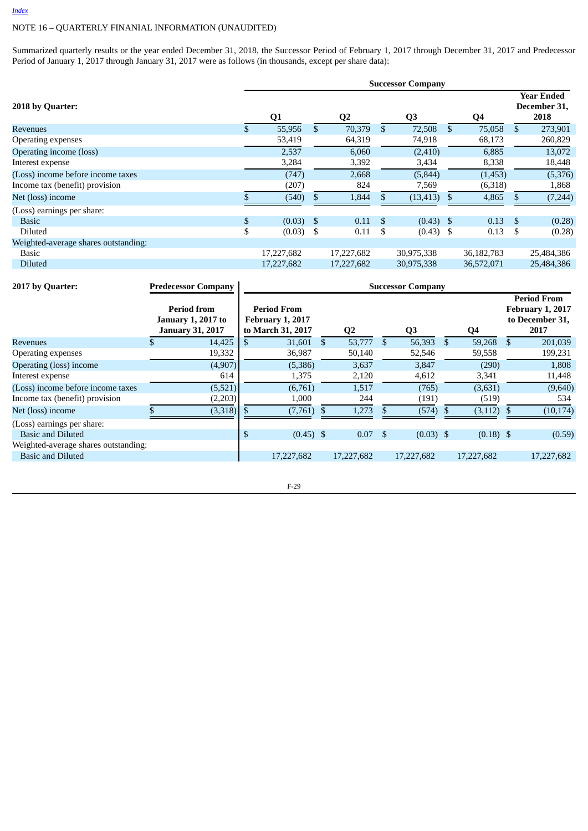# NOTE 16 – QUARTERLY FINANIAL INFORMATION (UNAUDITED)

Summarized quarterly results or the year ended December 31, 2018, the Successor Period of February 1, 2017 through December 31, 2017 and Predecessor Period of January 1, 2017 through January 31, 2017 were as follows (in thousands, except per share data):

|                                      | <b>Successor Company</b> |                |      |            |               |                |   |            |               |                                           |  |
|--------------------------------------|--------------------------|----------------|------|------------|---------------|----------------|---|------------|---------------|-------------------------------------------|--|
| 2018 by Quarter:                     |                          | Q <sub>1</sub> |      | $\bf Q2$   |               | Q <sub>3</sub> |   | Q4         |               | <b>Year Ended</b><br>December 31,<br>2018 |  |
| <b>Revenues</b>                      |                          | 55,956         | \$   | 70,379     | <sup>\$</sup> | 72,508         | S | 75,058     | \$            | 273,901                                   |  |
| Operating expenses                   |                          | 53,419         |      | 64,319     |               | 74,918         |   | 68,173     |               | 260,829                                   |  |
| Operating income (loss)              |                          | 2,537          |      | 6,060      |               | (2,410)        |   | 6,885      |               | 13,072                                    |  |
| Interest expense                     |                          | 3,284          |      | 3,392      |               | 3,434          |   | 8,338      |               | 18,448                                    |  |
| (Loss) income before income taxes    |                          | (747)          |      | 2,668      |               | (5, 844)       |   | (1,453)    |               | (5,376)                                   |  |
| Income tax (benefit) provision       |                          | (207)          |      | 824        |               | 7,569          |   | (6,318)    |               | 1,868                                     |  |
| Net (loss) income                    |                          | (540)          | S    | 1,844      |               | (13, 413)      | S | 4,865      |               | (7, 244)                                  |  |
| (Loss) earnings per share:           |                          |                |      |            |               |                |   |            |               |                                           |  |
| <b>Basic</b>                         | \$                       | $(0.03)$ \$    |      | 0.11       | \$            | $(0.43)$ \$    |   | 0.13       | <sup>\$</sup> | (0.28)                                    |  |
| <b>Diluted</b>                       | \$                       | (0.03)         | - \$ | 0.11       | \$            | $(0.43)$ \$    |   | 0.13       | S             | (0.28)                                    |  |
| Weighted-average shares outstanding: |                          |                |      |            |               |                |   |            |               |                                           |  |
| Basic                                |                          | 17,227,682     |      | 17,227,682 |               | 30,975,338     |   | 36,182,783 |               | 25,484,386                                |  |
| <b>Diluted</b>                       |                          | 17,227,682     |      | 17.227.682 |               | 30,975,338     |   | 36,572,071 |               | 25,484,386                                |  |

| 2017 by Quarter:                     | <b>Predecessor Company</b>                                          | <b>Successor Company</b> |                                                                    |    |                |                |             |      |             |     |                                                                          |
|--------------------------------------|---------------------------------------------------------------------|--------------------------|--------------------------------------------------------------------|----|----------------|----------------|-------------|------|-------------|-----|--------------------------------------------------------------------------|
|                                      | Period from<br><b>January 1, 2017 to</b><br><b>January 31, 2017</b> |                          | <b>Period From</b><br><b>February 1, 2017</b><br>to March 31, 2017 |    | Q <sub>2</sub> |                | Q3          |      | Q4          |     | <b>Period From</b><br><b>February 1, 2017</b><br>to December 31,<br>2017 |
| <b>Revenues</b>                      | 14,425                                                              |                          | 31,601                                                             | -S | 53,777         | -\$            | 56,393      | - \$ | 59,268      | \$. | 201,039                                                                  |
| Operating expenses                   | 19,332                                                              |                          | 36,987                                                             |    | 50,140         |                | 52,546      |      | 59,558      |     | 199,231                                                                  |
| Operating (loss) income              | (4,907)                                                             |                          | (5,386)                                                            |    | 3,637          |                | 3,847       |      | (290)       |     | 1,808                                                                    |
| Interest expense                     | 614                                                                 |                          | 1,375                                                              |    | 2,120          |                | 4,612       |      | 3,341       |     | 11,448                                                                   |
| (Loss) income before income taxes    | (5,521)                                                             |                          | (6,761)                                                            |    | 1,517          |                | (765)       |      | (3,631)     |     | (9,640)                                                                  |
| Income tax (benefit) provision       | (2,203)                                                             |                          | 1,000                                                              |    | 244            |                | (191)       |      | (519)       |     | 534                                                                      |
| Net (loss) income                    | (3,318)                                                             |                          | (7,761)                                                            |    | 1,273          |                | (574)       |      | (3, 112)    |     | (10, 174)                                                                |
| (Loss) earnings per share:           |                                                                     |                          |                                                                    |    |                |                |             |      |             |     |                                                                          |
| <b>Basic and Diluted</b>             |                                                                     | \$                       | $(0.45)$ \$                                                        |    | 0.07           | $\mathfrak{L}$ | $(0.03)$ \$ |      | $(0.18)$ \$ |     | (0.59)                                                                   |
| Weighted-average shares outstanding: |                                                                     |                          |                                                                    |    |                |                |             |      |             |     |                                                                          |
| <b>Basic and Diluted</b>             |                                                                     |                          | 17,227,682                                                         |    | 17.227.682     |                | 17,227,682  |      | 17,227,682  |     | 17,227,682                                                               |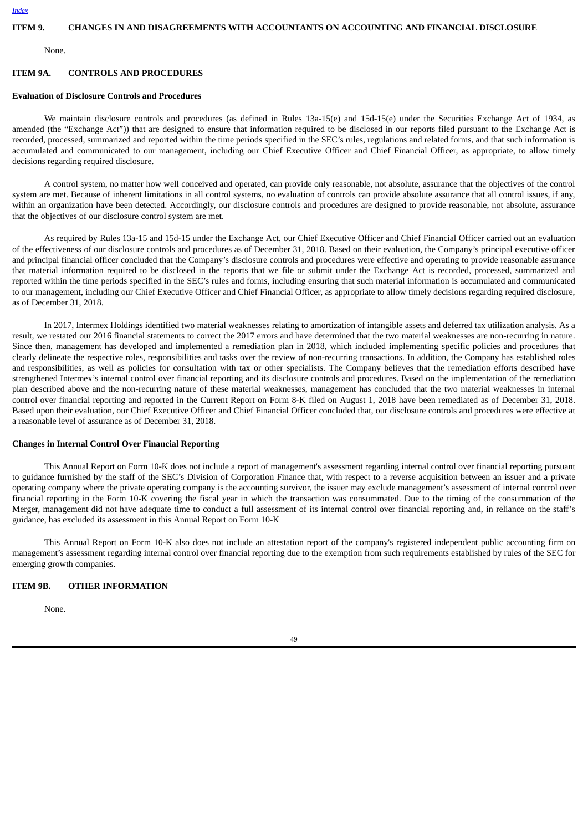### **ITEM 9. CHANGES IN AND DISAGREEMENTS WITH ACCOUNTANTS ON ACCOUNTING AND FINANCIAL DISCLOSURE**

None.

### **ITEM 9A. CONTROLS AND PROCEDURES**

#### **Evaluation of Disclosure Controls and Procedures**

We maintain disclosure controls and procedures (as defined in Rules 13a-15(e) and 15d-15(e) under the Securities Exchange Act of 1934, as amended (the "Exchange Act")) that are designed to ensure that information required to be disclosed in our reports filed pursuant to the Exchange Act is recorded, processed, summarized and reported within the time periods specified in the SEC's rules, regulations and related forms, and that such information is accumulated and communicated to our management, including our Chief Executive Officer and Chief Financial Officer, as appropriate, to allow timely decisions regarding required disclosure.

A control system, no matter how well conceived and operated, can provide only reasonable, not absolute, assurance that the objectives of the control system are met. Because of inherent limitations in all control systems, no evaluation of controls can provide absolute assurance that all control issues, if any, within an organization have been detected. Accordingly, our disclosure controls and procedures are designed to provide reasonable, not absolute, assurance that the objectives of our disclosure control system are met.

As required by Rules 13a-15 and 15d-15 under the Exchange Act, our Chief Executive Officer and Chief Financial Officer carried out an evaluation of the effectiveness of our disclosure controls and procedures as of December 31, 2018. Based on their evaluation, the Company's principal executive officer and principal financial officer concluded that the Company's disclosure controls and procedures were effective and operating to provide reasonable assurance that material information required to be disclosed in the reports that we file or submit under the Exchange Act is recorded, processed, summarized and reported within the time periods specified in the SEC's rules and forms, including ensuring that such material information is accumulated and communicated to our management, including our Chief Executive Officer and Chief Financial Officer, as appropriate to allow timely decisions regarding required disclosure, as of December 31, 2018.

In 2017, Intermex Holdings identified two material weaknesses relating to amortization of intangible assets and deferred tax utilization analysis. As a result, we restated our 2016 financial statements to correct the 2017 errors and have determined that the two material weaknesses are non-recurring in nature. Since then, management has developed and implemented a remediation plan in 2018, which included implementing specific policies and procedures that clearly delineate the respective roles, responsibilities and tasks over the review of non-recurring transactions. In addition, the Company has established roles and responsibilities, as well as policies for consultation with tax or other specialists. The Company believes that the remediation efforts described have strengthened Intermex's internal control over financial reporting and its disclosure controls and procedures. Based on the implementation of the remediation plan described above and the non-recurring nature of these material weaknesses, management has concluded that the two material weaknesses in internal control over financial reporting and reported in the Current Report on Form 8-K filed on August 1, 2018 have been remediated as of December 31, 2018. Based upon their evaluation, our Chief Executive Officer and Chief Financial Officer concluded that, our disclosure controls and procedures were effective at a reasonable level of assurance as of December 31, 2018.

#### **Changes in Internal Control Over Financial Reporting**

This Annual Report on Form 10-K does not include a report of management's assessment regarding internal control over financial reporting pursuant to guidance furnished by the staff of the SEC's Division of Corporation Finance that, with respect to a reverse acquisition between an issuer and a private operating company where the private operating company is the accounting survivor, the issuer may exclude management's assessment of internal control over financial reporting in the Form 10-K covering the fiscal year in which the transaction was consummated. Due to the timing of the consummation of the Merger, management did not have adequate time to conduct a full assessment of its internal control over financial reporting and, in reliance on the staff's guidance, has excluded its assessment in this Annual Report on Form 10-K

This Annual Report on Form 10-K also does not include an attestation report of the company's registered independent public accounting firm on management's assessment regarding internal control over financial reporting due to the exemption from such requirements established by rules of the SEC for emerging growth companies.

### **ITEM 9B. OTHER INFORMATION**

None.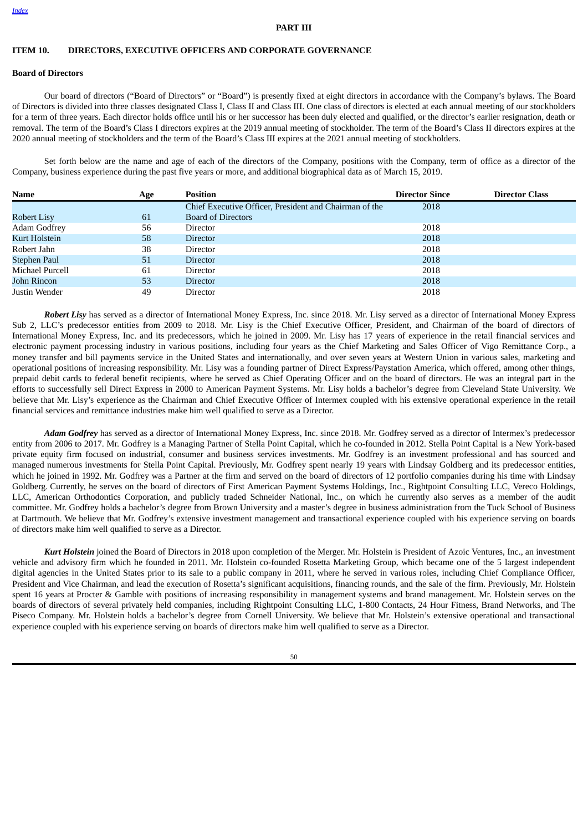#### **PART III**

### **ITEM 10. DIRECTORS, EXECUTIVE OFFICERS AND CORPORATE GOVERNANCE**

### **Board of Directors**

Our board of directors ("Board of Directors" or "Board") is presently fixed at eight directors in accordance with the Company's bylaws. The Board of Directors is divided into three classes designated Class I, Class II and Class III. One class of directors is elected at each annual meeting of our stockholders for a term of three years. Each director holds office until his or her successor has been duly elected and qualified, or the director's earlier resignation, death or removal. The term of the Board's Class I directors expires at the 2019 annual meeting of stockholder. The term of the Board's Class II directors expires at the 2020 annual meeting of stockholders and the term of the Board's Class III expires at the 2021 annual meeting of stockholders.

Set forth below are the name and age of each of the directors of the Company, positions with the Company, term of office as a director of the Company, business experience during the past five years or more, and additional biographical data as of March 15, 2019.

| <b>Name</b>          | Age | <b>Position</b>                                        | <b>Director Since</b> | <b>Director Class</b> |
|----------------------|-----|--------------------------------------------------------|-----------------------|-----------------------|
|                      |     | Chief Executive Officer, President and Chairman of the | 2018                  |                       |
| <b>Robert Lisy</b>   | 61  | <b>Board of Directors</b>                              |                       |                       |
| Adam Godfrey         | 56  | Director                                               | 2018                  |                       |
| <b>Kurt Holstein</b> | 58  | <b>Director</b>                                        | 2018                  |                       |
| Robert Jahn          | 38  | Director                                               | 2018                  |                       |
| Stephen Paul         | 51  | <b>Director</b>                                        | 2018                  |                       |
| Michael Purcell      | 61  | Director                                               | 2018                  |                       |
| John Rincon          | 53  | <b>Director</b>                                        | 2018                  |                       |
| Justin Wender        | 49  | Director                                               | 2018                  |                       |

*Robert Lisy* has served as a director of International Money Express, Inc. since 2018. Mr. Lisy served as a director of International Money Express Sub 2, LLC's predecessor entities from 2009 to 2018. Mr. Lisy is the Chief Executive Officer, President, and Chairman of the board of directors of International Money Express, Inc. and its predecessors, which he joined in 2009. Mr. Lisy has 17 years of experience in the retail financial services and electronic payment processing industry in various positions, including four years as the Chief Marketing and Sales Officer of Vigo Remittance Corp., a money transfer and bill payments service in the United States and internationally, and over seven years at Western Union in various sales, marketing and operational positions of increasing responsibility. Mr. Lisy was a founding partner of Direct Express/Paystation America, which offered, among other things, prepaid debit cards to federal benefit recipients, where he served as Chief Operating Officer and on the board of directors. He was an integral part in the efforts to successfully sell Direct Express in 2000 to American Payment Systems. Mr. Lisy holds a bachelor's degree from Cleveland State University. We believe that Mr. Lisy's experience as the Chairman and Chief Executive Officer of Intermex coupled with his extensive operational experience in the retail financial services and remittance industries make him well qualified to serve as a Director.

*Adam Godfrey* has served as a director of International Money Express, Inc. since 2018. Mr. Godfrey served as a director of Intermex's predecessor entity from 2006 to 2017. Mr. Godfrey is a Managing Partner of Stella Point Capital, which he co-founded in 2012. Stella Point Capital is a New York-based private equity firm focused on industrial, consumer and business services investments. Mr. Godfrey is an investment professional and has sourced and managed numerous investments for Stella Point Capital. Previously, Mr. Godfrey spent nearly 19 years with Lindsay Goldberg and its predecessor entities, which he joined in 1992. Mr. Godfrey was a Partner at the firm and served on the board of directors of 12 portfolio companies during his time with Lindsay Goldberg. Currently, he serves on the board of directors of First American Payment Systems Holdings, Inc., Rightpoint Consulting LLC, Vereco Holdings, LLC, American Orthodontics Corporation, and publicly traded Schneider National, Inc., on which he currently also serves as a member of the audit committee. Mr. Godfrey holds a bachelor's degree from Brown University and a master's degree in business administration from the Tuck School of Business at Dartmouth. We believe that Mr. Godfrey's extensive investment management and transactional experience coupled with his experience serving on boards of directors make him well qualified to serve as a Director.

*Kurt Holstein* joined the Board of Directors in 2018 upon completion of the Merger. Mr. Holstein is President of Azoic Ventures, Inc., an investment vehicle and advisory firm which he founded in 2011. Mr. Holstein co-founded Rosetta Marketing Group, which became one of the 5 largest independent digital agencies in the United States prior to its sale to a public company in 2011, where he served in various roles, including Chief Compliance Officer, President and Vice Chairman, and lead the execution of Rosetta's significant acquisitions, financing rounds, and the sale of the firm. Previously, Mr. Holstein spent 16 years at Procter & Gamble with positions of increasing responsibility in management systems and brand management. Mr. Holstein serves on the boards of directors of several privately held companies, including Rightpoint Consulting LLC, 1-800 Contacts, 24 Hour Fitness, Brand Networks, and The Piseco Company. Mr. Holstein holds a bachelor's degree from Cornell University. We believe that Mr. Holstein's extensive operational and transactional experience coupled with his experience serving on boards of directors make him well qualified to serve as a Director.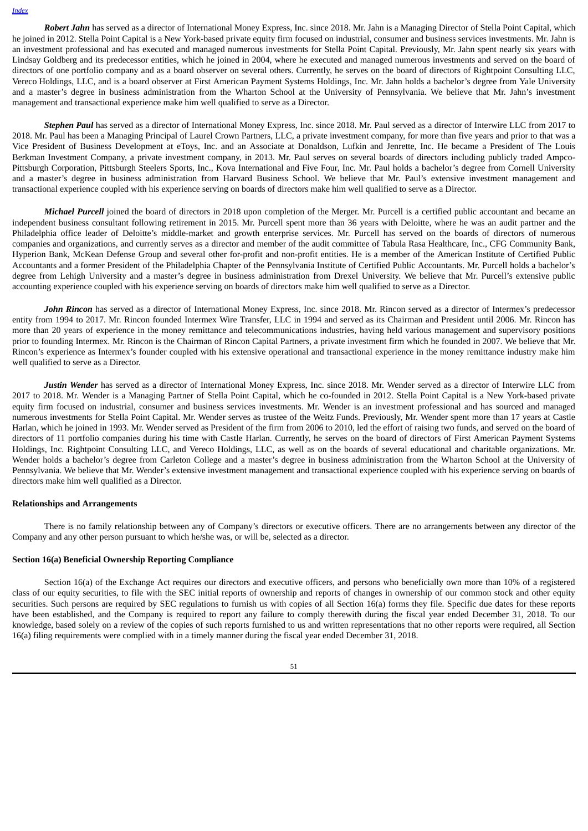*Robert Jahn* has served as a director of International Money Express, Inc. since 2018. Mr. Jahn is a Managing Director of Stella Point Capital, which he joined in 2012. Stella Point Capital is a New York-based private equity firm focused on industrial, consumer and business services investments. Mr. Jahn is an investment professional and has executed and managed numerous investments for Stella Point Capital. Previously, Mr. Jahn spent nearly six years with Lindsay Goldberg and its predecessor entities, which he joined in 2004, where he executed and managed numerous investments and served on the board of directors of one portfolio company and as a board observer on several others. Currently, he serves on the board of directors of Rightpoint Consulting LLC, Vereco Holdings, LLC, and is a board observer at First American Payment Systems Holdings, Inc. Mr. Jahn holds a bachelor's degree from Yale University and a master's degree in business administration from the Wharton School at the University of Pennsylvania. We believe that Mr. Jahn's investment management and transactional experience make him well qualified to serve as a Director.

*Stephen Paul* has served as a director of International Money Express, Inc. since 2018. Mr. Paul served as a director of Interwire LLC from 2017 to 2018. Mr. Paul has been a Managing Principal of Laurel Crown Partners, LLC, a private investment company, for more than five years and prior to that was a Vice President of Business Development at eToys, Inc. and an Associate at Donaldson, Lufkin and Jenrette, Inc. He became a President of The Louis Berkman Investment Company, a private investment company, in 2013. Mr. Paul serves on several boards of directors including publicly traded Ampco-Pittsburgh Corporation, Pittsburgh Steelers Sports, Inc., Kova International and Five Four, Inc. Mr. Paul holds a bachelor's degree from Cornell University and a master's degree in business administration from Harvard Business School. We believe that Mr. Paul's extensive investment management and transactional experience coupled with his experience serving on boards of directors make him well qualified to serve as a Director.

*Michael Purcell* joined the board of directors in 2018 upon completion of the Merger. Mr. Purcell is a certified public accountant and became an independent business consultant following retirement in 2015. Mr. Purcell spent more than 36 years with Deloitte, where he was an audit partner and the Philadelphia office leader of Deloitte's middle-market and growth enterprise services. Mr. Purcell has served on the boards of directors of numerous companies and organizations, and currently serves as a director and member of the audit committee of Tabula Rasa Healthcare, Inc., CFG Community Bank, Hyperion Bank, McKean Defense Group and several other for-profit and non-profit entities. He is a member of the American Institute of Certified Public Accountants and a former President of the Philadelphia Chapter of the Pennsylvania Institute of Certified Public Accountants. Mr. Purcell holds a bachelor's degree from Lehigh University and a master's degree in business administration from Drexel University. We believe that Mr. Purcell's extensive public accounting experience coupled with his experience serving on boards of directors make him well qualified to serve as a Director.

*John Rincon* has served as a director of International Money Express, Inc. since 2018. Mr. Rincon served as a director of Intermex's predecessor entity from 1994 to 2017. Mr. Rincon founded Intermex Wire Transfer, LLC in 1994 and served as its Chairman and President until 2006. Mr. Rincon has more than 20 years of experience in the money remittance and telecommunications industries, having held various management and supervisory positions prior to founding Intermex. Mr. Rincon is the Chairman of Rincon Capital Partners, a private investment firm which he founded in 2007. We believe that Mr. Rincon's experience as Intermex's founder coupled with his extensive operational and transactional experience in the money remittance industry make him well qualified to serve as a Director.

*Justin Wender* has served as a director of International Money Express, Inc. since 2018. Mr. Wender served as a director of Interwire LLC from 2017 to 2018. Mr. Wender is a Managing Partner of Stella Point Capital, which he co-founded in 2012. Stella Point Capital is a New York-based private equity firm focused on industrial, consumer and business services investments. Mr. Wender is an investment professional and has sourced and managed numerous investments for Stella Point Capital. Mr. Wender serves as trustee of the Weitz Funds. Previously, Mr. Wender spent more than 17 years at Castle Harlan, which he joined in 1993. Mr. Wender served as President of the firm from 2006 to 2010, led the effort of raising two funds, and served on the board of directors of 11 portfolio companies during his time with Castle Harlan. Currently, he serves on the board of directors of First American Payment Systems Holdings, Inc. Rightpoint Consulting LLC, and Vereco Holdings, LLC, as well as on the boards of several educational and charitable organizations. Mr. Wender holds a bachelor's degree from Carleton College and a master's degree in business administration from the Wharton School at the University of Pennsylvania. We believe that Mr. Wender's extensive investment management and transactional experience coupled with his experience serving on boards of directors make him well qualified as a Director.

### **Relationships and Arrangements**

There is no family relationship between any of Company's directors or executive officers. There are no arrangements between any director of the Company and any other person pursuant to which he/she was, or will be, selected as a director.

#### **Section 16(a) Beneficial Ownership Reporting Compliance**

Section 16(a) of the Exchange Act requires our directors and executive officers, and persons who beneficially own more than 10% of a registered class of our equity securities, to file with the SEC initial reports of ownership and reports of changes in ownership of our common stock and other equity securities. Such persons are required by SEC regulations to furnish us with copies of all Section 16(a) forms they file. Specific due dates for these reports have been established, and the Company is required to report any failure to comply therewith during the fiscal year ended December 31, 2018. To our knowledge, based solely on a review of the copies of such reports furnished to us and written representations that no other reports were required, all Section 16(a) filing requirements were complied with in a timely manner during the fiscal year ended December 31, 2018.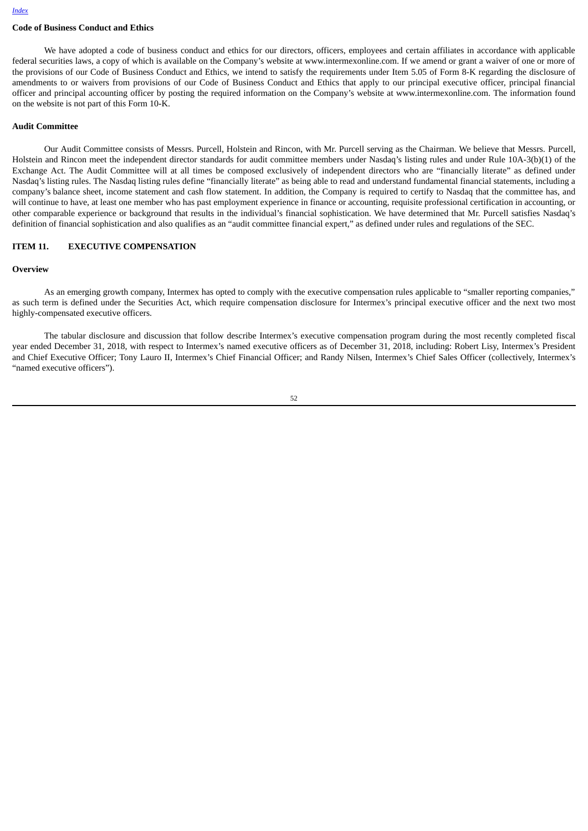## **Code of Business Conduct and Ethics**

We have adopted a code of business conduct and ethics for our directors, officers, employees and certain affiliates in accordance with applicable federal securities laws, a copy of which is available on the Company's website at www.intermexonline.com. If we amend or grant a waiver of one or more of the provisions of our Code of Business Conduct and Ethics, we intend to satisfy the requirements under Item 5.05 of Form 8-K regarding the disclosure of amendments to or waivers from provisions of our Code of Business Conduct and Ethics that apply to our principal executive officer, principal financial officer and principal accounting officer by posting the required information on the Company's website at www.intermexonline.com. The information found on the website is not part of this Form 10-K.

#### **Audit Committee**

Our Audit Committee consists of Messrs. Purcell, Holstein and Rincon, with Mr. Purcell serving as the Chairman. We believe that Messrs. Purcell, Holstein and Rincon meet the independent director standards for audit committee members under Nasdaq's listing rules and under Rule 10A-3(b)(1) of the Exchange Act. The Audit Committee will at all times be composed exclusively of independent directors who are "financially literate" as defined under Nasdaq's listing rules. The Nasdaq listing rules define "financially literate" as being able to read and understand fundamental financial statements, including a company's balance sheet, income statement and cash flow statement. In addition, the Company is required to certify to Nasdaq that the committee has, and will continue to have, at least one member who has past employment experience in finance or accounting, requisite professional certification in accounting, or other comparable experience or background that results in the individual's financial sophistication. We have determined that Mr. Purcell satisfies Nasdaq's definition of financial sophistication and also qualifies as an "audit committee financial expert," as defined under rules and regulations of the SEC.

#### **ITEM 11. EXECUTIVE COMPENSATION**

### **Overview**

As an emerging growth company, Intermex has opted to comply with the executive compensation rules applicable to "smaller reporting companies," as such term is defined under the Securities Act, which require compensation disclosure for Intermex's principal executive officer and the next two most highly-compensated executive officers.

The tabular disclosure and discussion that follow describe Intermex's executive compensation program during the most recently completed fiscal year ended December 31, 2018, with respect to Intermex's named executive officers as of December 31, 2018, including: Robert Lisy, Intermex's President and Chief Executive Officer; Tony Lauro II, Intermex's Chief Financial Officer; and Randy Nilsen, Intermex's Chief Sales Officer (collectively, Intermex's "named executive officers").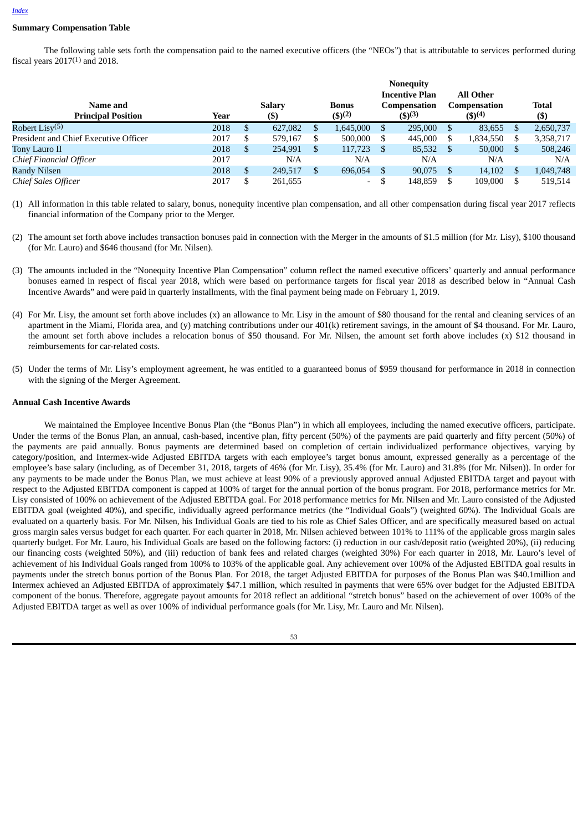## **Summary Compensation Table**

The following table sets forth the compensation paid to the named executive officers (the "NEOs") that is attributable to services performed during fiscal years  $2017<sup>(1)</sup>$  and  $2018$ .

|                                       |      |    |                          |    |                          |   | <b>Nonequity</b>                                       |      |                                                            |                  |
|---------------------------------------|------|----|--------------------------|----|--------------------------|---|--------------------------------------------------------|------|------------------------------------------------------------|------------------|
| Name and<br><b>Principal Position</b> | Year |    | <b>Salary</b><br>$($ \$) |    | <b>Bonus</b><br>(3)(2)   |   | <b>Incentive Plan</b><br>Compensation<br>$($ \$ $)(3)$ |      | <b>All Other</b><br>Compensation<br>$($ \$) <sup>(4)</sup> | Total<br>$($ \$) |
| Robert Lisy <sup>(5)</sup>            | 2018 | -S | 627,082                  | Ъ  | 1,645,000                | S | 295,000                                                | -S   | 83,655                                                     | 2,650,737        |
| President and Chief Executive Officer | 2017 | S  | 579.167                  | S  | 500,000                  | S | 445,000                                                | S    | 1,834,550                                                  | 3,358,717        |
| <b>Tony Lauro II</b>                  | 2018 | \$ | 254,991                  | S  | 117,723                  | S | 85,532                                                 | -S   | 50,000                                                     | \$<br>508,246    |
| Chief Financial Officer               | 2017 |    | N/A                      |    | N/A                      |   | N/A                                                    |      | N/A                                                        | N/A              |
| Randy Nilsen                          | 2018 | \$ | 249,517                  | -S | 696,054                  | S | 90,075                                                 | - \$ | 14,102                                                     | 1,049,748        |
| Chief Sales Officer                   | 2017 |    | 261,655                  |    | $\overline{\phantom{a}}$ |   | 148.859                                                | \$.  | 109,000                                                    | 519.514          |

- (1) All information in this table related to salary, bonus, nonequity incentive plan compensation, and all other compensation during fiscal year 2017 reflects financial information of the Company prior to the Merger.
- (2) The amount set forth above includes transaction bonuses paid in connection with the Merger in the amounts of \$1.5 million (for Mr. Lisy), \$100 thousand (for Mr. Lauro) and \$646 thousand (for Mr. Nilsen).
- (3) The amounts included in the "Nonequity Incentive Plan Compensation" column reflect the named executive officers' quarterly and annual performance bonuses earned in respect of fiscal year 2018, which were based on performance targets for fiscal year 2018 as described below in "Annual Cash Incentive Awards" and were paid in quarterly installments, with the final payment being made on February 1, 2019.
- (4) For Mr. Lisy, the amount set forth above includes (x) an allowance to Mr. Lisy in the amount of \$80 thousand for the rental and cleaning services of an apartment in the Miami, Florida area, and (y) matching contributions under our 401(k) retirement savings, in the amount of \$4 thousand. For Mr. Lauro, the amount set forth above includes a relocation bonus of \$50 thousand. For Mr. Nilsen, the amount set forth above includes (x) \$12 thousand in reimbursements for car-related costs.
- (5) Under the terms of Mr. Lisy's employment agreement, he was entitled to a guaranteed bonus of \$959 thousand for performance in 2018 in connection with the signing of the Merger Agreement.

#### **Annual Cash Incentive Awards**

We maintained the Employee Incentive Bonus Plan (the "Bonus Plan") in which all employees, including the named executive officers, participate. Under the terms of the Bonus Plan, an annual, cash-based, incentive plan, fifty percent (50%) of the payments are paid quarterly and fifty percent (50%) of the payments are paid annually. Bonus payments are determined based on completion of certain individualized performance objectives, varying by category/position, and Intermex-wide Adjusted EBITDA targets with each employee's target bonus amount, expressed generally as a percentage of the employee's base salary (including, as of December 31, 2018, targets of 46% (for Mr. Lisy), 35.4% (for Mr. Lauro) and 31.8% (for Mr. Nilsen)). In order for any payments to be made under the Bonus Plan, we must achieve at least 90% of a previously approved annual Adjusted EBITDA target and payout with respect to the Adjusted EBITDA component is capped at 100% of target for the annual portion of the bonus program. For 2018, performance metrics for Mr. Lisy consisted of 100% on achievement of the Adjusted EBITDA goal. For 2018 performance metrics for Mr. Nilsen and Mr. Lauro consisted of the Adjusted EBITDA goal (weighted 40%), and specific, individually agreed performance metrics (the "Individual Goals") (weighted 60%). The Individual Goals are evaluated on a quarterly basis. For Mr. Nilsen, his Individual Goals are tied to his role as Chief Sales Officer, and are specifically measured based on actual gross margin sales versus budget for each quarter. For each quarter in 2018, Mr. Nilsen achieved between 101% to 111% of the applicable gross margin sales quarterly budget. For Mr. Lauro, his Individual Goals are based on the following factors: (i) reduction in our cash/deposit ratio (weighted 20%), (ii) reducing our financing costs (weighted 50%), and (iii) reduction of bank fees and related charges (weighted 30%) For each quarter in 2018, Mr. Lauro's level of achievement of his Individual Goals ranged from 100% to 103% of the applicable goal. Any achievement over 100% of the Adjusted EBITDA goal results in payments under the stretch bonus portion of the Bonus Plan. For 2018, the target Adjusted EBITDA for purposes of the Bonus Plan was \$40.1million and Intermex achieved an Adjusted EBITDA of approximately \$47.1 million, which resulted in payments that were 65% over budget for the Adjusted EBITDA component of the bonus. Therefore, aggregate payout amounts for 2018 reflect an additional "stretch bonus" based on the achievement of over 100% of the Adjusted EBITDA target as well as over 100% of individual performance goals (for Mr. Lisy, Mr. Lauro and Mr. Nilsen).

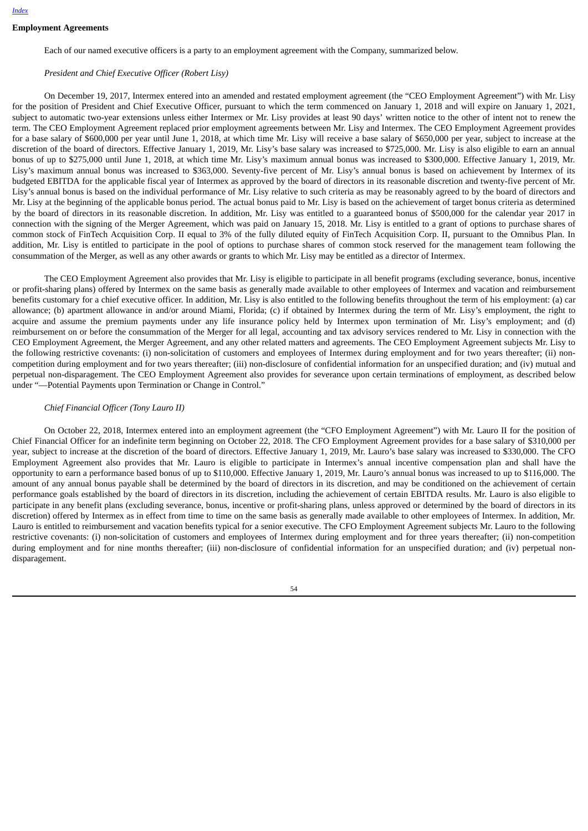### **Employment Agreements**

Each of our named executive officers is a party to an employment agreement with the Company, summarized below.

#### *President and Chief Executive Officer (Robert Lisy)*

On December 19, 2017, Intermex entered into an amended and restated employment agreement (the "CEO Employment Agreement") with Mr. Lisy for the position of President and Chief Executive Officer, pursuant to which the term commenced on January 1, 2018 and will expire on January 1, 2021, subject to automatic two-year extensions unless either Intermex or Mr. Lisy provides at least 90 days' written notice to the other of intent not to renew the term. The CEO Employment Agreement replaced prior employment agreements between Mr. Lisy and Intermex. The CEO Employment Agreement provides for a base salary of \$600,000 per year until June 1, 2018, at which time Mr. Lisy will receive a base salary of \$650,000 per year, subject to increase at the discretion of the board of directors. Effective January 1, 2019, Mr. Lisy's base salary was increased to \$725,000. Mr. Lisy is also eligible to earn an annual bonus of up to \$275,000 until June 1, 2018, at which time Mr. Lisy's maximum annual bonus was increased to \$300,000. Effective January 1, 2019, Mr. Lisy's maximum annual bonus was increased to \$363,000. Seventy-five percent of Mr. Lisy's annual bonus is based on achievement by Intermex of its budgeted EBITDA for the applicable fiscal year of Intermex as approved by the board of directors in its reasonable discretion and twenty-five percent of Mr. Lisy's annual bonus is based on the individual performance of Mr. Lisy relative to such criteria as may be reasonably agreed to by the board of directors and Mr. Lisy at the beginning of the applicable bonus period. The actual bonus paid to Mr. Lisy is based on the achievement of target bonus criteria as determined by the board of directors in its reasonable discretion. In addition, Mr. Lisy was entitled to a guaranteed bonus of \$500,000 for the calendar year 2017 in connection with the signing of the Merger Agreement, which was paid on January 15, 2018. Mr. Lisy is entitled to a grant of options to purchase shares of common stock of FinTech Acquisition Corp. II equal to 3% of the fully diluted equity of FinTech Acquisition Corp. II, pursuant to the Omnibus Plan. In addition, Mr. Lisy is entitled to participate in the pool of options to purchase shares of common stock reserved for the management team following the consummation of the Merger, as well as any other awards or grants to which Mr. Lisy may be entitled as a director of Intermex.

The CEO Employment Agreement also provides that Mr. Lisy is eligible to participate in all benefit programs (excluding severance, bonus, incentive or profit-sharing plans) offered by Intermex on the same basis as generally made available to other employees of Intermex and vacation and reimbursement benefits customary for a chief executive officer. In addition, Mr. Lisy is also entitled to the following benefits throughout the term of his employment: (a) car allowance; (b) apartment allowance in and/or around Miami, Florida; (c) if obtained by Intermex during the term of Mr. Lisy's employment, the right to acquire and assume the premium payments under any life insurance policy held by Intermex upon termination of Mr. Lisy's employment; and (d) reimbursement on or before the consummation of the Merger for all legal, accounting and tax advisory services rendered to Mr. Lisy in connection with the CEO Employment Agreement, the Merger Agreement, and any other related matters and agreements. The CEO Employment Agreement subjects Mr. Lisy to the following restrictive covenants: (i) non-solicitation of customers and employees of Intermex during employment and for two years thereafter; (ii) noncompetition during employment and for two years thereafter; (iii) non-disclosure of confidential information for an unspecified duration; and (iv) mutual and perpetual non-disparagement. The CEO Employment Agreement also provides for severance upon certain terminations of employment, as described below under "—Potential Payments upon Termination or Change in Control."

#### *Chief Financial Officer (Tony Lauro II)*

On October 22, 2018, Intermex entered into an employment agreement (the "CFO Employment Agreement") with Mr. Lauro II for the position of Chief Financial Officer for an indefinite term beginning on October 22, 2018. The CFO Employment Agreement provides for a base salary of \$310,000 per year, subject to increase at the discretion of the board of directors. Effective January 1, 2019, Mr. Lauro's base salary was increased to \$330,000. The CFO Employment Agreement also provides that Mr. Lauro is eligible to participate in Intermex's annual incentive compensation plan and shall have the opportunity to earn a performance based bonus of up to \$110,000. Effective January 1, 2019, Mr. Lauro's annual bonus was increased to up to \$116,000. The amount of any annual bonus payable shall be determined by the board of directors in its discretion, and may be conditioned on the achievement of certain performance goals established by the board of directors in its discretion, including the achievement of certain EBITDA results. Mr. Lauro is also eligible to participate in any benefit plans (excluding severance, bonus, incentive or profit-sharing plans, unless approved or determined by the board of directors in its discretion) offered by Intermex as in effect from time to time on the same basis as generally made available to other employees of Intermex. In addition, Mr. Lauro is entitled to reimbursement and vacation benefits typical for a senior executive. The CFO Employment Agreement subjects Mr. Lauro to the following restrictive covenants: (i) non-solicitation of customers and employees of Intermex during employment and for three years thereafter; (ii) non-competition during employment and for nine months thereafter; (iii) non-disclosure of confidential information for an unspecified duration; and (iv) perpetual nondisparagement.

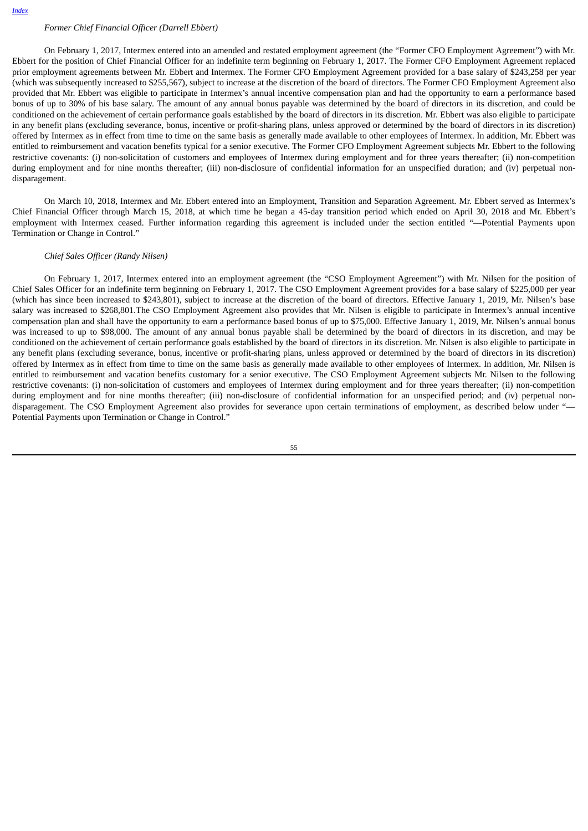### *Former Chief Financial Officer (Darrell Ebbert)*

On February 1, 2017, Intermex entered into an amended and restated employment agreement (the "Former CFO Employment Agreement") with Mr. Ebbert for the position of Chief Financial Officer for an indefinite term beginning on February 1, 2017. The Former CFO Employment Agreement replaced prior employment agreements between Mr. Ebbert and Intermex. The Former CFO Employment Agreement provided for a base salary of \$243,258 per year (which was subsequently increased to \$255,567), subject to increase at the discretion of the board of directors. The Former CFO Employment Agreement also provided that Mr. Ebbert was eligible to participate in Intermex's annual incentive compensation plan and had the opportunity to earn a performance based bonus of up to 30% of his base salary. The amount of any annual bonus payable was determined by the board of directors in its discretion, and could be conditioned on the achievement of certain performance goals established by the board of directors in its discretion. Mr. Ebbert was also eligible to participate in any benefit plans (excluding severance, bonus, incentive or profit-sharing plans, unless approved or determined by the board of directors in its discretion) offered by Intermex as in effect from time to time on the same basis as generally made available to other employees of Intermex. In addition, Mr. Ebbert was entitled to reimbursement and vacation benefits typical for a senior executive. The Former CFO Employment Agreement subjects Mr. Ebbert to the following restrictive covenants: (i) non-solicitation of customers and employees of Intermex during employment and for three years thereafter; (ii) non-competition during employment and for nine months thereafter; (iii) non-disclosure of confidential information for an unspecified duration; and (iv) perpetual nondisparagement.

On March 10, 2018, Intermex and Mr. Ebbert entered into an Employment, Transition and Separation Agreement. Mr. Ebbert served as Intermex's Chief Financial Officer through March 15, 2018, at which time he began a 45-day transition period which ended on April 30, 2018 and Mr. Ebbert's employment with Intermex ceased. Further information regarding this agreement is included under the section entitled "—Potential Payments upon Termination or Change in Control."

#### *Chief Sales Officer (Randy Nilsen)*

On February 1, 2017, Intermex entered into an employment agreement (the "CSO Employment Agreement") with Mr. Nilsen for the position of Chief Sales Officer for an indefinite term beginning on February 1, 2017. The CSO Employment Agreement provides for a base salary of \$225,000 per year (which has since been increased to \$243,801), subject to increase at the discretion of the board of directors. Effective January 1, 2019, Mr. Nilsen's base salary was increased to \$268,801.The CSO Employment Agreement also provides that Mr. Nilsen is eligible to participate in Intermex's annual incentive compensation plan and shall have the opportunity to earn a performance based bonus of up to \$75,000. Effective January 1, 2019, Mr. Nilsen's annual bonus was increased to up to \$98,000. The amount of any annual bonus payable shall be determined by the board of directors in its discretion, and may be conditioned on the achievement of certain performance goals established by the board of directors in its discretion. Mr. Nilsen is also eligible to participate in any benefit plans (excluding severance, bonus, incentive or profit-sharing plans, unless approved or determined by the board of directors in its discretion) offered by Intermex as in effect from time to time on the same basis as generally made available to other employees of Intermex. In addition, Mr. Nilsen is entitled to reimbursement and vacation benefits customary for a senior executive. The CSO Employment Agreement subjects Mr. Nilsen to the following restrictive covenants: (i) non-solicitation of customers and employees of Intermex during employment and for three years thereafter; (ii) non-competition during employment and for nine months thereafter; (iii) non-disclosure of confidential information for an unspecified period; and (iv) perpetual nondisparagement. The CSO Employment Agreement also provides for severance upon certain terminations of employment, as described below under "— Potential Payments upon Termination or Change in Control."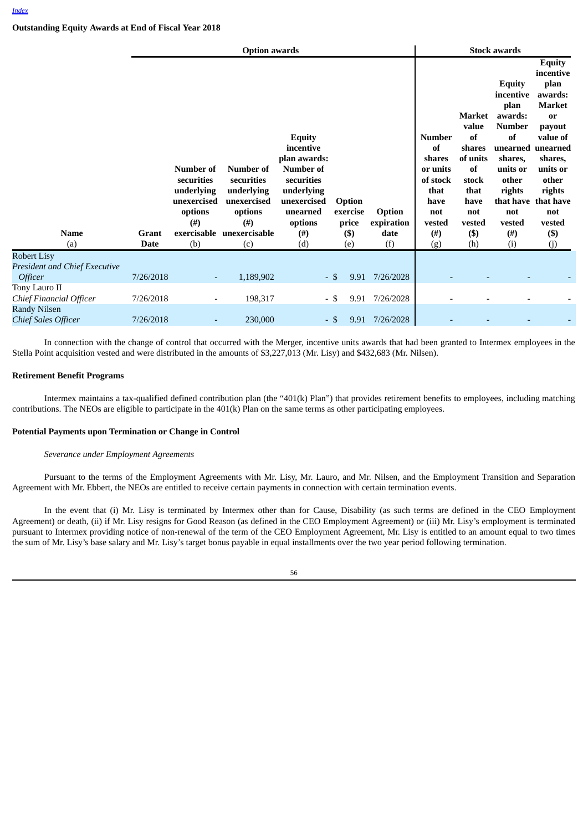# **Outstanding Equity Awards at End of Fiscal Year 2018**

|                                                     |                             |                                      | <b>Option awards</b>                    |                                         |      |                       |                           |                                |                         | <b>Stock awards</b>              |                                      |
|-----------------------------------------------------|-----------------------------|--------------------------------------|-----------------------------------------|-----------------------------------------|------|-----------------------|---------------------------|--------------------------------|-------------------------|----------------------------------|--------------------------------------|
|                                                     |                             |                                      |                                         |                                         |      |                       |                           |                                |                         |                                  | <b>Equity</b><br>incentive           |
|                                                     |                             |                                      |                                         |                                         |      |                       |                           |                                |                         | <b>Equity</b><br>incentive       | plan<br>awards:                      |
|                                                     |                             |                                      |                                         |                                         |      |                       |                           |                                | Market<br>value         | plan<br>awards:<br><b>Number</b> | <b>Market</b><br><b>or</b><br>payout |
|                                                     |                             |                                      |                                         | <b>Equity</b><br>incentive              |      |                       |                           | <b>Number</b><br>of            | of<br>shares            | of<br>unearned                   | value of<br>unearned                 |
|                                                     |                             | Number of<br>securities              | Number of<br>securities                 | plan awards:<br>Number of<br>securities |      |                       |                           | shares<br>or units<br>of stock | of units<br>of<br>stock | shares,<br>units or<br>other     | shares,<br>units or<br>other         |
|                                                     |                             | underlying<br>unexercised<br>options | underlying<br>unexercised<br>options    | underlying<br>unexercised<br>unearned   |      | Option<br>exercise    | Option                    | that<br>have<br>not            | that<br>have<br>not     | rights<br>not                    | rights<br>that have that have<br>not |
| <b>Name</b><br>(a)                                  | <b>Grant</b><br><b>Date</b> | (#)<br>(b)                           | (#)<br>exercisable unexercisable<br>(c) | options<br>(#)<br>(d)                   |      | price<br>$($)$<br>(e) | expiration<br>date<br>(f) | vested<br>$($ #)<br>(g)        | vested<br>$($ \$<br>(h) | vested<br>$(\#)$<br>(i)          | vested<br>$($ \$)<br>(j)             |
| <b>Robert Lisy</b><br>President and Chief Executive |                             |                                      |                                         |                                         |      |                       |                           |                                |                         |                                  |                                      |
| Officer                                             | 7/26/2018                   |                                      | 1,189,902                               |                                         | - \$ |                       | 9.91 7/26/2028            |                                |                         |                                  |                                      |
| Tony Lauro II<br>Chief Financial Officer            | 7/26/2018                   | $\qquad \qquad \blacksquare$         | 198,317                                 |                                         | - \$ |                       | 9.91 7/26/2028            |                                |                         |                                  |                                      |
| <b>Randy Nilsen</b><br><b>Chief Sales Officer</b>   | 7/26/2018                   |                                      | 230,000                                 |                                         | - \$ |                       | 9.91 7/26/2028            |                                |                         |                                  |                                      |

In connection with the change of control that occurred with the Merger, incentive units awards that had been granted to Intermex employees in the Stella Point acquisition vested and were distributed in the amounts of \$3,227,013 (Mr. Lisy) and \$432,683 (Mr. Nilsen).

### **Retirement Benefit Programs**

Intermex maintains a tax-qualified defined contribution plan (the "401(k) Plan") that provides retirement benefits to employees, including matching contributions. The NEOs are eligible to participate in the 401(k) Plan on the same terms as other participating employees.

### **Potential Payments upon Termination or Change in Control**

### *Severance under Employment Agreements*

Pursuant to the terms of the Employment Agreements with Mr. Lisy, Mr. Lauro, and Mr. Nilsen, and the Employment Transition and Separation Agreement with Mr. Ebbert, the NEOs are entitled to receive certain payments in connection with certain termination events.

In the event that (i) Mr. Lisy is terminated by Intermex other than for Cause, Disability (as such terms are defined in the CEO Employment Agreement) or death, (ii) if Mr. Lisy resigns for Good Reason (as defined in the CEO Employment Agreement) or (iii) Mr. Lisy's employment is terminated pursuant to Intermex providing notice of non-renewal of the term of the CEO Employment Agreement, Mr. Lisy is entitled to an amount equal to two times the sum of Mr. Lisy's base salary and Mr. Lisy's target bonus payable in equal installments over the two year period following termination.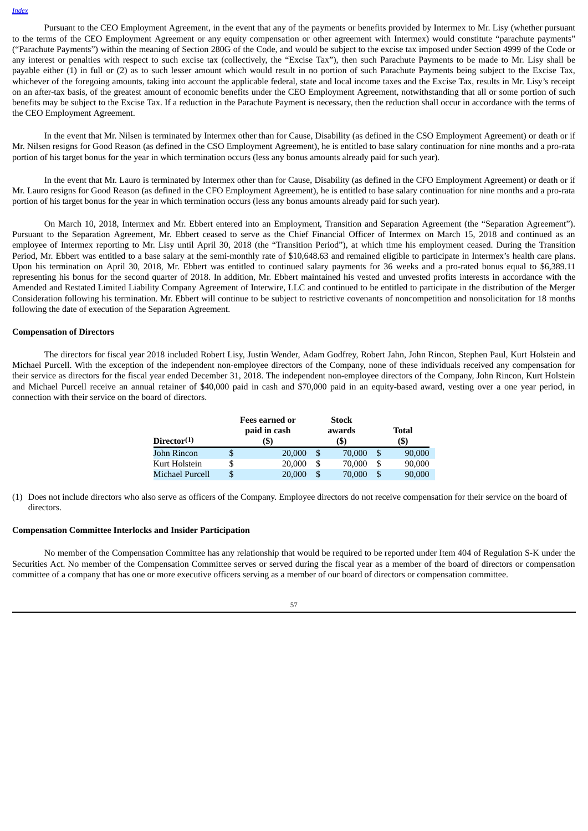Pursuant to the CEO Employment Agreement, in the event that any of the payments or benefits provided by Intermex to Mr. Lisy (whether pursuant to the terms of the CEO Employment Agreement or any equity compensation or other agreement with Intermex) would constitute "parachute payments" ("Parachute Payments") within the meaning of Section 280G of the Code, and would be subject to the excise tax imposed under Section 4999 of the Code or any interest or penalties with respect to such excise tax (collectively, the "Excise Tax"), then such Parachute Payments to be made to Mr. Lisy shall be payable either (1) in full or (2) as to such lesser amount which would result in no portion of such Parachute Payments being subject to the Excise Tax, whichever of the foregoing amounts, taking into account the applicable federal, state and local income taxes and the Excise Tax, results in Mr. Lisy's receipt on an after-tax basis, of the greatest amount of economic benefits under the CEO Employment Agreement, notwithstanding that all or some portion of such benefits may be subject to the Excise Tax. If a reduction in the Parachute Payment is necessary, then the reduction shall occur in accordance with the terms of the CEO Employment Agreement.

In the event that Mr. Nilsen is terminated by Intermex other than for Cause, Disability (as defined in the CSO Employment Agreement) or death or if Mr. Nilsen resigns for Good Reason (as defined in the CSO Employment Agreement), he is entitled to base salary continuation for nine months and a pro-rata portion of his target bonus for the year in which termination occurs (less any bonus amounts already paid for such year).

In the event that Mr. Lauro is terminated by Intermex other than for Cause, Disability (as defined in the CFO Employment Agreement) or death or if Mr. Lauro resigns for Good Reason (as defined in the CFO Employment Agreement), he is entitled to base salary continuation for nine months and a pro-rata portion of his target bonus for the year in which termination occurs (less any bonus amounts already paid for such year).

On March 10, 2018, Intermex and Mr. Ebbert entered into an Employment, Transition and Separation Agreement (the "Separation Agreement"). Pursuant to the Separation Agreement, Mr. Ebbert ceased to serve as the Chief Financial Officer of Intermex on March 15, 2018 and continued as an employee of Intermex reporting to Mr. Lisy until April 30, 2018 (the "Transition Period"), at which time his employment ceased. During the Transition Period, Mr. Ebbert was entitled to a base salary at the semi-monthly rate of \$10,648.63 and remained eligible to participate in Intermex's health care plans. Upon his termination on April 30, 2018, Mr. Ebbert was entitled to continued salary payments for 36 weeks and a pro-rated bonus equal to \$6,389.11 representing his bonus for the second quarter of 2018. In addition, Mr. Ebbert maintained his vested and unvested profits interests in accordance with the Amended and Restated Limited Liability Company Agreement of Interwire, LLC and continued to be entitled to participate in the distribution of the Merger Consideration following his termination. Mr. Ebbert will continue to be subject to restrictive covenants of noncompetition and nonsolicitation for 18 months following the date of execution of the Separation Agreement.

#### **Compensation of Directors**

The directors for fiscal year 2018 included Robert Lisy, Justin Wender, Adam Godfrey, Robert Jahn, John Rincon, Stephen Paul, Kurt Holstein and Michael Purcell. With the exception of the independent non-employee directors of the Company, none of these individuals received any compensation for their service as directors for the fiscal year ended December 31, 2018. The independent non-employee directors of the Company, John Rincon, Kurt Holstein and Michael Purcell receive an annual retainer of \$40,000 paid in cash and \$70,000 paid in an equity-based award, vesting over a one year period, in connection with their service on the board of directors.

| Director <sup>(1)</sup> | Fees earned or<br>paid in cash<br>(S) |    | <b>Stock</b><br>awards<br>(\$) |    | Total<br>(S) |
|-------------------------|---------------------------------------|----|--------------------------------|----|--------------|
| John Rincon             | 20,000                                | \$ | 70,000                         | \$ | 90,000       |
| Kurt Holstein           | 20,000                                | S  | 70,000                         | S  | 90,000       |
| Michael Purcell         | 20,000                                | \$ | 70,000                         | \$ | 90,000       |

(1) Does not include directors who also serve as officers of the Company. Employee directors do not receive compensation for their service on the board of directors.

#### **Compensation Committee Interlocks and Insider Participation**

No member of the Compensation Committee has any relationship that would be required to be reported under Item 404 of Regulation S-K under the Securities Act. No member of the Compensation Committee serves or served during the fiscal year as a member of the board of directors or compensation committee of a company that has one or more executive officers serving as a member of our board of directors or compensation committee.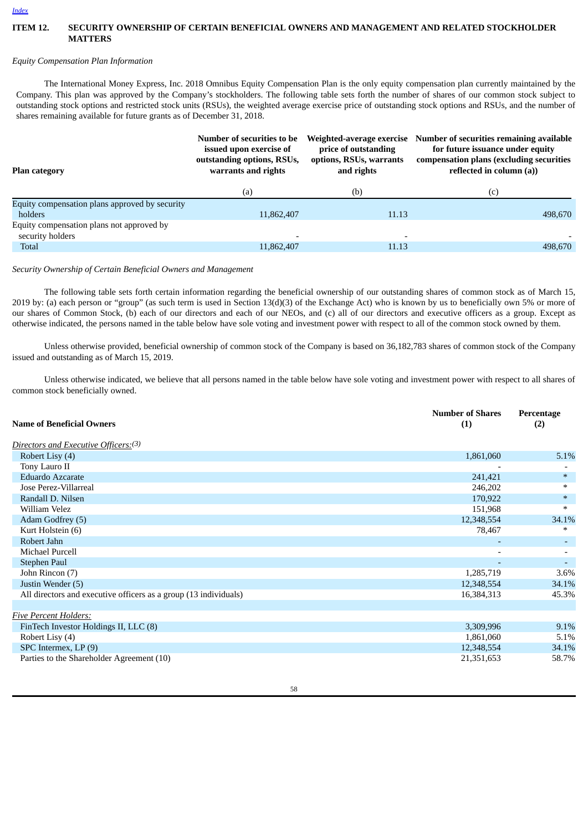### **ITEM 12. SECURITY OWNERSHIP OF CERTAIN BENEFICIAL OWNERS AND MANAGEMENT AND RELATED STOCKHOLDER MATTERS**

## *Equity Compensation Plan Information*

*[Index](#page-2-0)*

The International Money Express, Inc. 2018 Omnibus Equity Compensation Plan is the only equity compensation plan currently maintained by the Company. This plan was approved by the Company's stockholders. The following table sets forth the number of shares of our common stock subject to outstanding stock options and restricted stock units (RSUs), the weighted average exercise price of outstanding stock options and RSUs, and the number of shares remaining available for future grants as of December 31, 2018.

| Number of securities to be<br>issued upon exercise of<br>outstanding options, RSUs,<br>warrants and rights | price of outstanding<br>options, RSUs, warrants<br>and rights | Number of securities remaining available<br>for future issuance under equity<br>compensation plans (excluding securities<br>reflected in column (a)) |
|------------------------------------------------------------------------------------------------------------|---------------------------------------------------------------|------------------------------------------------------------------------------------------------------------------------------------------------------|
|                                                                                                            |                                                               | (c)                                                                                                                                                  |
|                                                                                                            |                                                               |                                                                                                                                                      |
| 11,862,407                                                                                                 | 11.13                                                         | 498,670                                                                                                                                              |
|                                                                                                            |                                                               |                                                                                                                                                      |
|                                                                                                            | $\overline{\phantom{0}}$                                      |                                                                                                                                                      |
| 11,862,407                                                                                                 | 11.13                                                         | 498,670                                                                                                                                              |
|                                                                                                            | (a)                                                           | Weighted-average exercise<br>(b)                                                                                                                     |

#### *Security Ownership of Certain Beneficial Owners and Management*

The following table sets forth certain information regarding the beneficial ownership of our outstanding shares of common stock as of March 15, 2019 by: (a) each person or "group" (as such term is used in Section 13(d)(3) of the Exchange Act) who is known by us to beneficially own 5% or more of our shares of Common Stock, (b) each of our directors and each of our NEOs, and (c) all of our directors and executive officers as a group. Except as otherwise indicated, the persons named in the table below have sole voting and investment power with respect to all of the common stock owned by them.

Unless otherwise provided, beneficial ownership of common stock of the Company is based on 36,182,783 shares of common stock of the Company issued and outstanding as of March 15, 2019.

Unless otherwise indicated, we believe that all persons named in the table below have sole voting and investment power with respect to all shares of common stock beneficially owned.

| <b>Name of Beneficial Owners</b>                                 | <b>Number of Shares</b><br>(1) | Percentage<br>(2) |
|------------------------------------------------------------------|--------------------------------|-------------------|
| Directors and Executive Officers: <sup>(3)</sup>                 |                                |                   |
| Robert Lisy (4)                                                  | 1,861,060                      | 5.1%              |
| Tony Lauro II                                                    |                                |                   |
| <b>Eduardo Azcarate</b>                                          | 241,421                        | $\ast$            |
| Jose Perez-Villarreal                                            | 246,202                        | $\ast$            |
| Randall D. Nilsen                                                | 170,922                        | $\ast$            |
| William Velez                                                    | 151,968                        | $\ast$            |
| Adam Godfrey (5)                                                 | 12,348,554                     | 34.1%             |
| Kurt Holstein (6)                                                | 78,467                         | ∗                 |
| Robert Jahn                                                      |                                | ۰.                |
| Michael Purcell                                                  | $\overline{\phantom{a}}$       |                   |
| Stephen Paul                                                     |                                |                   |
| John Rincon (7)                                                  | 1,285,719                      | 3.6%              |
| Justin Wender (5)                                                | 12,348,554                     | 34.1%             |
| All directors and executive officers as a group (13 individuals) | 16,384,313                     | 45.3%             |
|                                                                  |                                |                   |
| <b>Five Percent Holders:</b>                                     |                                |                   |
| FinTech Investor Holdings II, LLC (8)                            | 3,309,996                      | 9.1%              |
| Robert Lisy (4)                                                  | 1,861,060                      | 5.1%              |
| SPC Intermex, LP (9)                                             | 12,348,554                     | 34.1%             |
| Parties to the Shareholder Agreement (10)                        | 21,351,653                     | 58.7%             |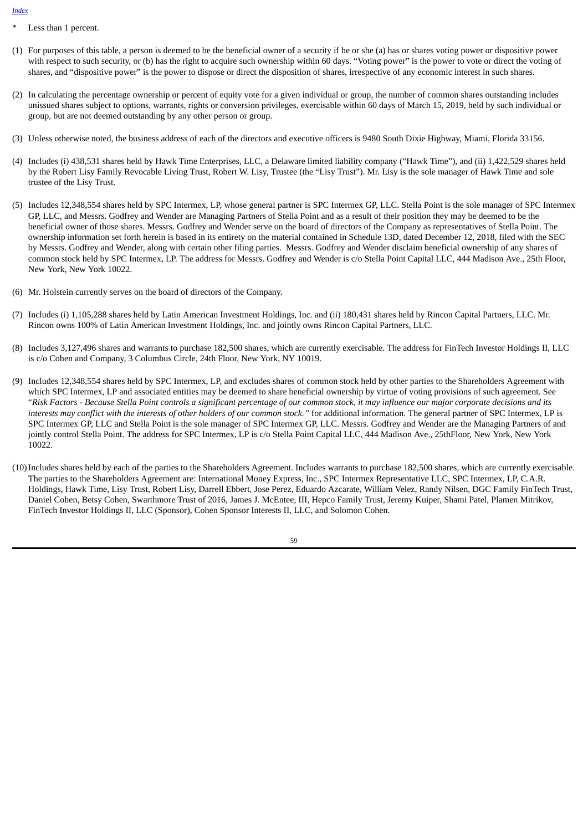- Less than 1 percent.
- (1) For purposes of this table, a person is deemed to be the beneficial owner of a security if he or she (a) has or shares voting power or dispositive power with respect to such security, or (b) has the right to acquire such ownership within 60 days. "Voting power" is the power to vote or direct the voting of shares, and "dispositive power" is the power to dispose or direct the disposition of shares, irrespective of any economic interest in such shares.
- (2) In calculating the percentage ownership or percent of equity vote for a given individual or group, the number of common shares outstanding includes unissued shares subject to options, warrants, rights or conversion privileges, exercisable within 60 days of March 15, 2019, held by such individual or group, but are not deemed outstanding by any other person or group.
- (3) Unless otherwise noted, the business address of each of the directors and executive officers is 9480 South Dixie Highway, Miami, Florida 33156.
- (4) Includes (i) 438,531 shares held by Hawk Time Enterprises, LLC, a Delaware limited liability company ("Hawk Time"), and (ii) 1,422,529 shares held by the Robert Lisy Family Revocable Living Trust, Robert W. Lisy, Trustee (the "Lisy Trust"). Mr. Lisy is the sole manager of Hawk Time and sole trustee of the Lisy Trust.
- (5) Includes 12,348,554 shares held by SPC Intermex, LP, whose general partner is SPC Intermex GP, LLC. Stella Point is the sole manager of SPC Intermex GP, LLC, and Messrs. Godfrey and Wender are Managing Partners of Stella Point and as a result of their position they may be deemed to be the beneficial owner of those shares. Messrs. Godfrey and Wender serve on the board of directors of the Company as representatives of Stella Point. The ownership information set forth herein is based in its entirety on the material contained in Schedule 13D, dated December 12, 2018, filed with the SEC by Messrs. Godfrey and Wender, along with certain other filing parties. Messrs. Godfrey and Wender disclaim beneficial ownership of any shares of common stock held by SPC Intermex, LP. The address for Messrs. Godfrey and Wender is c/o Stella Point Capital LLC, 444 Madison Ave., 25th Floor, New York, New York 10022.
- (6) Mr. Holstein currently serves on the board of directors of the Company.
- (7) Includes (i) 1,105,288 shares held by Latin American Investment Holdings, Inc. and (ii) 180,431 shares held by Rincon Capital Partners, LLC. Mr. Rincon owns 100% of Latin American Investment Holdings, Inc. and jointly owns Rincon Capital Partners, LLC.
- (8) Includes 3,127,496 shares and warrants to purchase 182,500 shares, which are currently exercisable. The address for FinTech Investor Holdings II, LLC is c/o Cohen and Company, 3 Columbus Circle, 24th Floor, New York, NY 10019.
- (9) Includes 12,348,554 shares held by SPC Intermex, LP, and excludes shares of common stock held by other parties to the Shareholders Agreement with which SPC Intermex, LP and associated entities may be deemed to share beneficial ownership by virtue of voting provisions of such agreement. See "Risk Factors - Because Stella Point controls a significant percentage of our common stock, it may influence our major corporate decisions and its interests may conflict with the interests of other holders of our common stock." for additional information. The general partner of SPC Intermex, LP is SPC Intermex GP, LLC and Stella Point is the sole manager of SPC Intermex GP, LLC. Messrs. Godfrey and Wender are the Managing Partners of and jointly control Stella Point. The address for SPC Intermex, LP is c/o Stella Point Capital LLC, 444 Madison Ave., 25thFloor, New York, New York 10022.
- (10)Includes shares held by each of the parties to the Shareholders Agreement. Includes warrants to purchase 182,500 shares, which are currently exercisable. The parties to the Shareholders Agreement are: International Money Express, Inc., SPC Intermex Representative LLC, SPC Intermex, LP, C.A.R. Holdings, Hawk Time, Lisy Trust, Robert Lisy, Darrell Ebbert, Jose Perez, Eduardo Azcarate, William Velez, Randy Nilsen, DGC Family FinTech Trust, Daniel Cohen, Betsy Cohen, Swarthmore Trust of 2016, James J. McEntee, III, Hepco Family Trust, Jeremy Kuiper, Shami Patel, Plamen Mitrikov, FinTech Investor Holdings II, LLC (Sponsor), Cohen Sponsor Interests II, LLC, and Solomon Cohen.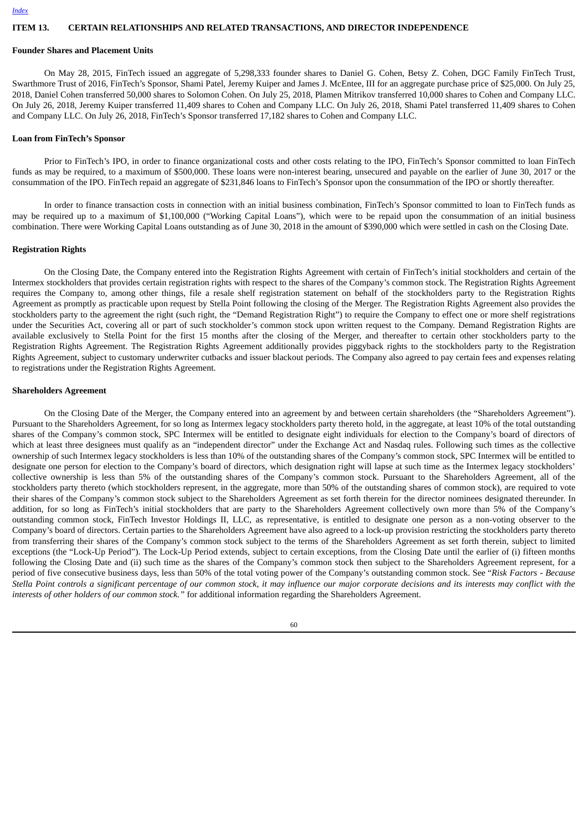#### **ITEM 13. CERTAIN RELATIONSHIPS AND RELATED TRANSACTIONS, AND DIRECTOR INDEPENDENCE**

#### **Founder Shares and Placement Units**

On May 28, 2015, FinTech issued an aggregate of 5,298,333 founder shares to Daniel G. Cohen, Betsy Z. Cohen, DGC Family FinTech Trust, Swarthmore Trust of 2016, FinTech's Sponsor, Shami Patel, Jeremy Kuiper and James J. McEntee, III for an aggregate purchase price of \$25,000. On July 25, 2018, Daniel Cohen transferred 50,000 shares to Solomon Cohen. On July 25, 2018, Plamen Mitrikov transferred 10,000 shares to Cohen and Company LLC. On July 26, 2018, Jeremy Kuiper transferred 11,409 shares to Cohen and Company LLC. On July 26, 2018, Shami Patel transferred 11,409 shares to Cohen and Company LLC. On July 26, 2018, FinTech's Sponsor transferred 17,182 shares to Cohen and Company LLC.

#### **Loan from FinTech's Sponsor**

Prior to FinTech's IPO, in order to finance organizational costs and other costs relating to the IPO, FinTech's Sponsor committed to loan FinTech funds as may be required, to a maximum of \$500,000. These loans were non-interest bearing, unsecured and payable on the earlier of June 30, 2017 or the consummation of the IPO. FinTech repaid an aggregate of \$231,846 loans to FinTech's Sponsor upon the consummation of the IPO or shortly thereafter.

In order to finance transaction costs in connection with an initial business combination, FinTech's Sponsor committed to loan to FinTech funds as may be required up to a maximum of \$1,100,000 ("Working Capital Loans"), which were to be repaid upon the consummation of an initial business combination. There were Working Capital Loans outstanding as of June 30, 2018 in the amount of \$390,000 which were settled in cash on the Closing Date.

#### **Registration Rights**

On the Closing Date, the Company entered into the Registration Rights Agreement with certain of FinTech's initial stockholders and certain of the Intermex stockholders that provides certain registration rights with respect to the shares of the Company's common stock. The Registration Rights Agreement requires the Company to, among other things, file a resale shelf registration statement on behalf of the stockholders party to the Registration Rights Agreement as promptly as practicable upon request by Stella Point following the closing of the Merger. The Registration Rights Agreement also provides the stockholders party to the agreement the right (such right, the "Demand Registration Right") to require the Company to effect one or more shelf registrations under the Securities Act, covering all or part of such stockholder's common stock upon written request to the Company. Demand Registration Rights are available exclusively to Stella Point for the first 15 months after the closing of the Merger, and thereafter to certain other stockholders party to the Registration Rights Agreement. The Registration Rights Agreement additionally provides piggyback rights to the stockholders party to the Registration Rights Agreement, subject to customary underwriter cutbacks and issuer blackout periods. The Company also agreed to pay certain fees and expenses relating to registrations under the Registration Rights Agreement.

#### **Shareholders Agreement**

On the Closing Date of the Merger, the Company entered into an agreement by and between certain shareholders (the "Shareholders Agreement"). Pursuant to the Shareholders Agreement, for so long as Intermex legacy stockholders party thereto hold, in the aggregate, at least 10% of the total outstanding shares of the Company's common stock, SPC Intermex will be entitled to designate eight individuals for election to the Company's board of directors of which at least three designees must qualify as an "independent director" under the Exchange Act and Nasdaq rules. Following such times as the collective ownership of such Intermex legacy stockholders is less than 10% of the outstanding shares of the Company's common stock, SPC Intermex will be entitled to designate one person for election to the Company's board of directors, which designation right will lapse at such time as the Intermex legacy stockholders' collective ownership is less than 5% of the outstanding shares of the Company's common stock. Pursuant to the Shareholders Agreement, all of the stockholders party thereto (which stockholders represent, in the aggregate, more than 50% of the outstanding shares of common stock), are required to vote their shares of the Company's common stock subject to the Shareholders Agreement as set forth therein for the director nominees designated thereunder. In addition, for so long as FinTech's initial stockholders that are party to the Shareholders Agreement collectively own more than 5% of the Company's outstanding common stock, FinTech Investor Holdings II, LLC, as representative, is entitled to designate one person as a non-voting observer to the Company's board of directors. Certain parties to the Shareholders Agreement have also agreed to a lock-up provision restricting the stockholders party thereto from transferring their shares of the Company's common stock subject to the terms of the Shareholders Agreement as set forth therein, subject to limited exceptions (the "Lock-Up Period"). The Lock-Up Period extends, subject to certain exceptions, from the Closing Date until the earlier of (i) fifteen months following the Closing Date and (ii) such time as the shares of the Company's common stock then subject to the Shareholders Agreement represent, for a period of five consecutive business days, less than 50% of the total voting power of the Company's outstanding common stock. See "*Risk Factors - Because* Stella Point controls a significant percentage of our common stock, it may influence our major corporate decisions and its interests may conflict with the *interests of other holders of our common stock."* for additional information regarding the Shareholders Agreement.

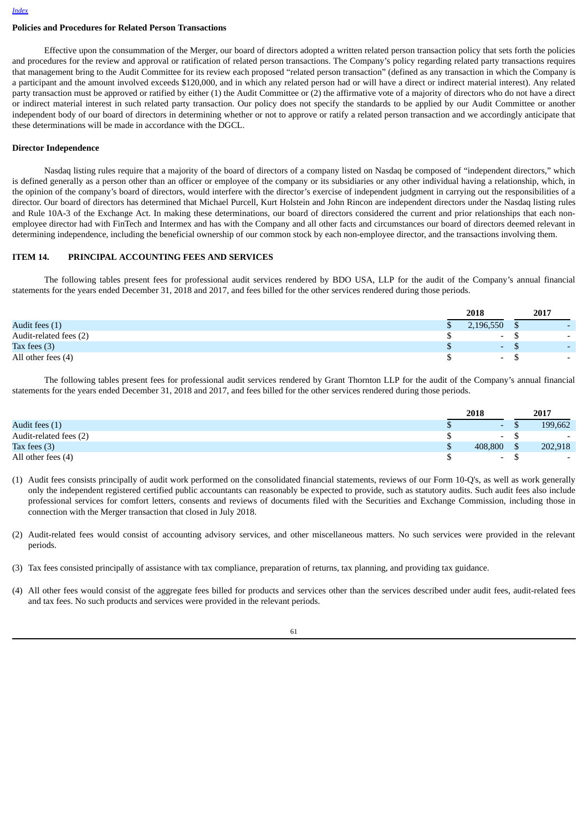## **Policies and Procedures for Related Person Transactions**

Effective upon the consummation of the Merger, our board of directors adopted a written related person transaction policy that sets forth the policies and procedures for the review and approval or ratification of related person transactions. The Company's policy regarding related party transactions requires that management bring to the Audit Committee for its review each proposed "related person transaction" (defined as any transaction in which the Company is a participant and the amount involved exceeds \$120,000, and in which any related person had or will have a direct or indirect material interest). Any related party transaction must be approved or ratified by either (1) the Audit Committee or (2) the affirmative vote of a majority of directors who do not have a direct or indirect material interest in such related party transaction. Our policy does not specify the standards to be applied by our Audit Committee or another independent body of our board of directors in determining whether or not to approve or ratify a related person transaction and we accordingly anticipate that these determinations will be made in accordance with the DGCL.

#### **Director Independence**

Nasdaq listing rules require that a majority of the board of directors of a company listed on Nasdaq be composed of "independent directors," which is defined generally as a person other than an officer or employee of the company or its subsidiaries or any other individual having a relationship, which, in the opinion of the company's board of directors, would interfere with the director's exercise of independent judgment in carrying out the responsibilities of a director. Our board of directors has determined that Michael Purcell, Kurt Holstein and John Rincon are independent directors under the Nasdaq listing rules and Rule 10A-3 of the Exchange Act. In making these determinations, our board of directors considered the current and prior relationships that each nonemployee director had with FinTech and Intermex and has with the Company and all other facts and circumstances our board of directors deemed relevant in determining independence, including the beneficial ownership of our common stock by each non-employee director, and the transactions involving them.

### **ITEM 14. PRINCIPAL ACCOUNTING FEES AND SERVICES**

The following tables present fees for professional audit services rendered by BDO USA, LLP for the audit of the Company's annual financial statements for the years ended December 31, 2018 and 2017, and fees billed for the other services rendered during those periods.

|                        | 2018                      | 2017                     |
|------------------------|---------------------------|--------------------------|
| Audit fees (1)         | 2,196,550                 | $\overline{\phantom{0}}$ |
| Audit-related fees (2) | $\overline{\phantom{a}}$  | $\overline{\phantom{0}}$ |
| Tax fees $(3)$         | <b>The Contract State</b> |                          |
| All other fees (4)     | $\sim$                    | $\overline{\phantom{0}}$ |

The following tables present fees for professional audit services rendered by Grant Thornton LLP for the audit of the Company's annual financial statements for the years ended December 31, 2018 and 2017, and fees billed for the other services rendered during those periods.

|                        | 2018                     | 2017    |
|------------------------|--------------------------|---------|
| Audit fees (1)         | $\overline{\phantom{0}}$ | 199,662 |
| Audit-related fees (2) | $\sim$                   | $\sim$  |
| Tax fees $(3)$         | 408,800                  | 202,918 |
| All other fees (4)     | $\sim$                   | -       |

- (1) Audit fees consists principally of audit work performed on the consolidated financial statements, reviews of our Form 10-Q's, as well as work generally only the independent registered certified public accountants can reasonably be expected to provide, such as statutory audits. Such audit fees also include professional services for comfort letters, consents and reviews of documents filed with the Securities and Exchange Commission, including those in connection with the Merger transaction that closed in July 2018.
- (2) Audit-related fees would consist of accounting advisory services, and other miscellaneous matters. No such services were provided in the relevant periods.
- (3) Tax fees consisted principally of assistance with tax compliance, preparation of returns, tax planning, and providing tax guidance.
- (4) All other fees would consist of the aggregate fees billed for products and services other than the services described under audit fees, audit-related fees and tax fees. No such products and services were provided in the relevant periods.

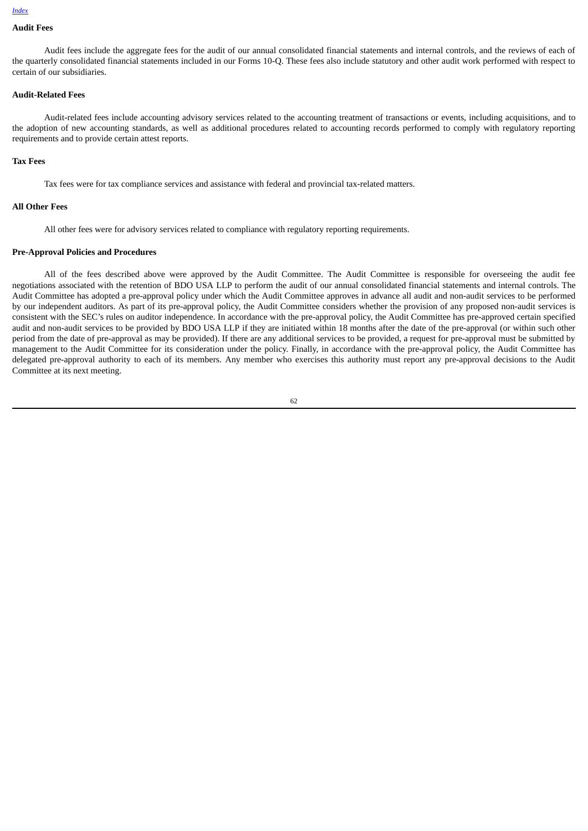## **Audit Fees**

Audit fees include the aggregate fees for the audit of our annual consolidated financial statements and internal controls, and the reviews of each of the quarterly consolidated financial statements included in our Forms 10-Q. These fees also include statutory and other audit work performed with respect to certain of our subsidiaries.

### **Audit-Related Fees**

Audit-related fees include accounting advisory services related to the accounting treatment of transactions or events, including acquisitions, and to the adoption of new accounting standards, as well as additional procedures related to accounting records performed to comply with regulatory reporting requirements and to provide certain attest reports.

#### **Tax Fees**

Tax fees were for tax compliance services and assistance with federal and provincial tax-related matters.

### **All Other Fees**

All other fees were for advisory services related to compliance with regulatory reporting requirements.

#### **Pre-Approval Policies and Procedures**

All of the fees described above were approved by the Audit Committee. The Audit Committee is responsible for overseeing the audit fee negotiations associated with the retention of BDO USA LLP to perform the audit of our annual consolidated financial statements and internal controls. The Audit Committee has adopted a pre-approval policy under which the Audit Committee approves in advance all audit and non-audit services to be performed by our independent auditors. As part of its pre-approval policy, the Audit Committee considers whether the provision of any proposed non-audit services is consistent with the SEC's rules on auditor independence. In accordance with the pre-approval policy, the Audit Committee has pre-approved certain specified audit and non-audit services to be provided by BDO USA LLP if they are initiated within 18 months after the date of the pre-approval (or within such other period from the date of pre-approval as may be provided). If there are any additional services to be provided, a request for pre-approval must be submitted by management to the Audit Committee for its consideration under the policy. Finally, in accordance with the pre-approval policy, the Audit Committee has delegated pre-approval authority to each of its members. Any member who exercises this authority must report any pre-approval decisions to the Audit Committee at its next meeting.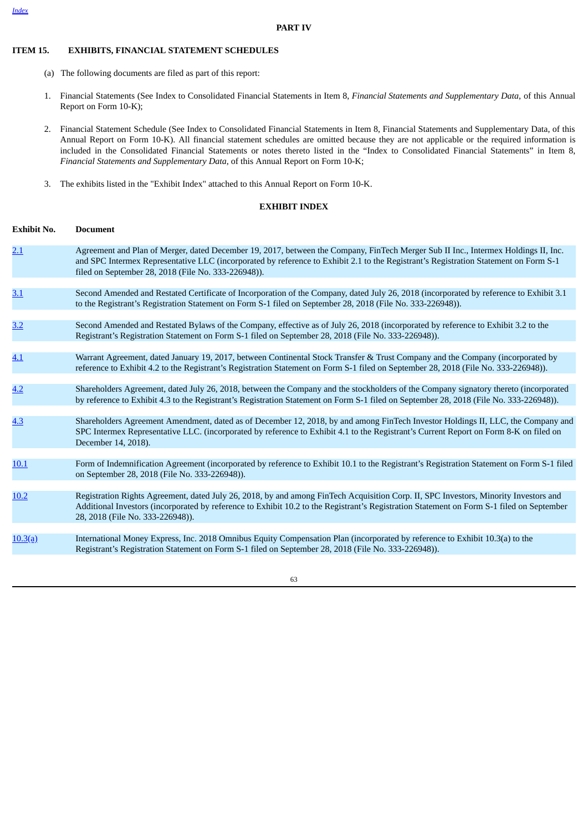## **ITEM 15. EXHIBITS, FINANCIAL STATEMENT SCHEDULES**

- (a) The following documents are filed as part of this report:
- 1. Financial Statements (See Index to Consolidated Financial Statements in Item 8, *Financial Statements and Supplementary Data*, of this Annual Report on Form 10-K);
- 2. Financial Statement Schedule (See Index to Consolidated Financial Statements in Item 8, Financial Statements and Supplementary Data, of this Annual Report on Form 10-K). All financial statement schedules are omitted because they are not applicable or the required information is included in the Consolidated Financial Statements or notes thereto listed in the "Index to Consolidated Financial Statements" in Item 8, *Financial Statements and Supplementary Data*, of this Annual Report on Form 10-K;
- 3. The exhibits listed in the "Exhibit Index" attached to this Annual Report on Form 10-K.

#### **EXHIBIT INDEX**

#### **Exhibit No. Document**

- [2.1](http://www.sec.gov/Archives/edgar/data/1683695/000114036118039596/ex2_1.htm) Agreement and Plan of Merger, dated December 19, 2017, between the Company, FinTech Merger Sub II Inc., Intermex Holdings II, Inc. and SPC Intermex Representative LLC (incorporated by reference to Exhibit 2.1 to the Registrant's Registration Statement on Form S-1 filed on September 28, 2018 (File No. 333-226948)).
- [3.1](http://www.sec.gov/Archives/edgar/data/1683695/000114036118039596/ex3_1.htm) Second Amended and Restated Certificate of Incorporation of the Company, dated July 26, 2018 (incorporated by reference to Exhibit 3.1 to the Registrant's Registration Statement on Form S-1 filed on September 28, 2018 (File No. 333-226948)).
- [3.2](http://www.sec.gov/Archives/edgar/data/1683695/000114036118039596/ex3_2.htm) Second Amended and Restated Bylaws of the Company, effective as of July 26, 2018 (incorporated by reference to Exhibit 3.2 to the Registrant's Registration Statement on Form S-1 filed on September 28, 2018 (File No. 333-226948)).
- [4.1](http://www.sec.gov/Archives/edgar/data/1683695/000114036118039596/ex4_2.htm) Warrant Agreement, dated January 19, 2017, between Continental Stock Transfer & Trust Company and the Company (incorporated by reference to Exhibit 4.2 to the Registrant's Registration Statement on Form S-1 filed on September 28, 2018 (File No. 333-226948)).
- [4.2](http://www.sec.gov/Archives/edgar/data/1683695/000114036118039596/ex4_3.htm) Shareholders Agreement, dated July 26, 2018, between the Company and the stockholders of the Company signatory thereto (incorporated by reference to Exhibit 4.3 to the Registrant's Registration Statement on Form S-1 filed on September 28, 2018 (File No. 333-226948)).
- [4.3](http://www.sec.gov/Archives/edgar/data/1683695/000089534518000334/se8k-exh4_1.htm) Shareholders Agreement Amendment, dated as of December 12, 2018, by and among FinTech Investor Holdings II, LLC, the Company and SPC Intermex Representative LLC. (incorporated by reference to Exhibit 4.1 to the Registrant's Current Report on Form 8-K on filed on December 14, 2018).
- [10.1](http://www.sec.gov/Archives/edgar/data/1683695/000114036118039596/ex10_1.htm) Form of Indemnification Agreement (incorporated by reference to Exhibit 10.1 to the Registrant's Registration Statement on Form S-1 filed on September 28, 2018 (File No. 333-226948)).
- [10.2](http://www.sec.gov/Archives/edgar/data/1683695/000114036118039596/ex10_2.htm) Registration Rights Agreement, dated July 26, 2018, by and among FinTech Acquisition Corp. II, SPC Investors, Minority Investors and Additional Investors (incorporated by reference to Exhibit 10.2 to the Registrant's Registration Statement on Form S-1 filed on September 28, 2018 (File No. 333-226948)).
- [10.3\(a\)](http://www.sec.gov/Archives/edgar/data/1683695/000114036118039596/ex10_3a.htm) International Money Express, Inc. 2018 Omnibus Equity Compensation Plan (incorporated by reference to Exhibit 10.3(a) to the Registrant's Registration Statement on Form S-1 filed on September 28, 2018 (File No. 333-226948)).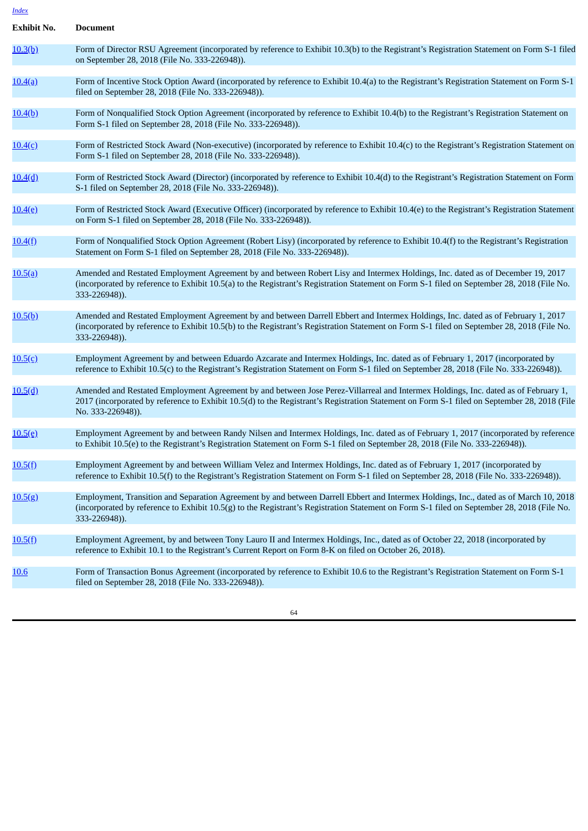| <b>Exhibit No.</b> | <b>Document</b>                                                                                                                                                                                                                                                                                        |
|--------------------|--------------------------------------------------------------------------------------------------------------------------------------------------------------------------------------------------------------------------------------------------------------------------------------------------------|
| 10.3(b)            | Form of Director RSU Agreement (incorporated by reference to Exhibit 10.3(b) to the Registrant's Registration Statement on Form S-1 filed<br>on September 28, 2018 (File No. 333-226948)).                                                                                                             |
| 10.4(a)            | Form of Incentive Stock Option Award (incorporated by reference to Exhibit 10.4(a) to the Registrant's Registration Statement on Form S-1<br>filed on September 28, 2018 (File No. 333-226948)).                                                                                                       |
| <u>10.4(b)</u>     | Form of Nonqualified Stock Option Agreement (incorporated by reference to Exhibit 10.4(b) to the Registrant's Registration Statement on<br>Form S-1 filed on September 28, 2018 (File No. 333-226948)).                                                                                                |
| 10.4(c)            | Form of Restricted Stock Award (Non-executive) (incorporated by reference to Exhibit 10.4(c) to the Registrant's Registration Statement on<br>Form S-1 filed on September 28, 2018 (File No. 333-226948)).                                                                                             |
| 10.4(d)            | Form of Restricted Stock Award (Director) (incorporated by reference to Exhibit 10.4(d) to the Registrant's Registration Statement on Form<br>S-1 filed on September 28, 2018 (File No. 333-226948)).                                                                                                  |
| <u> 10.4(e)</u>    | Form of Restricted Stock Award (Executive Officer) (incorporated by reference to Exhibit 10.4(e) to the Registrant's Registration Statement<br>on Form S-1 filed on September 28, 2018 (File No. 333-226948)).                                                                                         |
| 10.4(f)            | Form of Nonqualified Stock Option Agreement (Robert Lisy) (incorporated by reference to Exhibit 10.4(f) to the Registrant's Registration<br>Statement on Form S-1 filed on September 28, 2018 (File No. 333-226948)).                                                                                  |
| 10.5(a)            | Amended and Restated Employment Agreement by and between Robert Lisy and Intermex Holdings, Inc. dated as of December 19, 2017<br>(incorporated by reference to Exhibit 10.5(a) to the Registrant's Registration Statement on Form S-1 filed on September 28, 2018 (File No.<br>333-226948)).          |
| <u>10.5(b)</u>     | Amended and Restated Employment Agreement by and between Darrell Ebbert and Intermex Holdings, Inc. dated as of February 1, 2017<br>(incorporated by reference to Exhibit 10.5(b) to the Registrant's Registration Statement on Form S-1 filed on September 28, 2018 (File No.<br>333-226948)).        |
| 10.5(c)            | Employment Agreement by and between Eduardo Azcarate and Intermex Holdings, Inc. dated as of February 1, 2017 (incorporated by<br>reference to Exhibit 10.5(c) to the Registrant's Registration Statement on Form S-1 filed on September 28, 2018 (File No. 333-226948)).                              |
| 10.5(d)            | Amended and Restated Employment Agreement by and between Jose Perez-Villarreal and Intermex Holdings, Inc. dated as of February 1,<br>2017 (incorporated by reference to Exhibit 10.5(d) to the Registrant's Registration Statement on Form S-1 filed on September 28, 2018 (File<br>No. 333-226948)). |
| 10.5(e)            | Employment Agreement by and between Randy Nilsen and Intermex Holdings, Inc. dated as of February 1, 2017 (incorporated by reference<br>to Exhibit 10.5(e) to the Registrant's Registration Statement on Form S-1 filed on September 28, 2018 (File No. 333-226948)).                                  |
| 10.5(f)            | Employment Agreement by and between William Velez and Intermex Holdings, Inc. dated as of February 1, 2017 (incorporated by<br>reference to Exhibit 10.5(f) to the Registrant's Registration Statement on Form S-1 filed on September 28, 2018 (File No. 333-226948)).                                 |
| 10.5(g)            | Employment, Transition and Separation Agreement by and between Darrell Ebbert and Intermex Holdings, Inc., dated as of March 10, 2018<br>(incorporated by reference to Exhibit 10.5(g) to the Registrant's Registration Statement on Form S-1 filed on September 28, 2018 (File No.<br>333-226948)).   |
| 10.5(f)            | Employment Agreement, by and between Tony Lauro II and Intermex Holdings, Inc., dated as of October 22, 2018 (incorporated by<br>reference to Exhibit 10.1 to the Registrant's Current Report on Form 8-K on filed on October 26, 2018).                                                               |
| <u>10.6</u>        | Form of Transaction Bonus Agreement (incorporated by reference to Exhibit 10.6 to the Registrant's Registration Statement on Form S-1<br>filed on September 28, 2018 (File No. 333-226948)).                                                                                                           |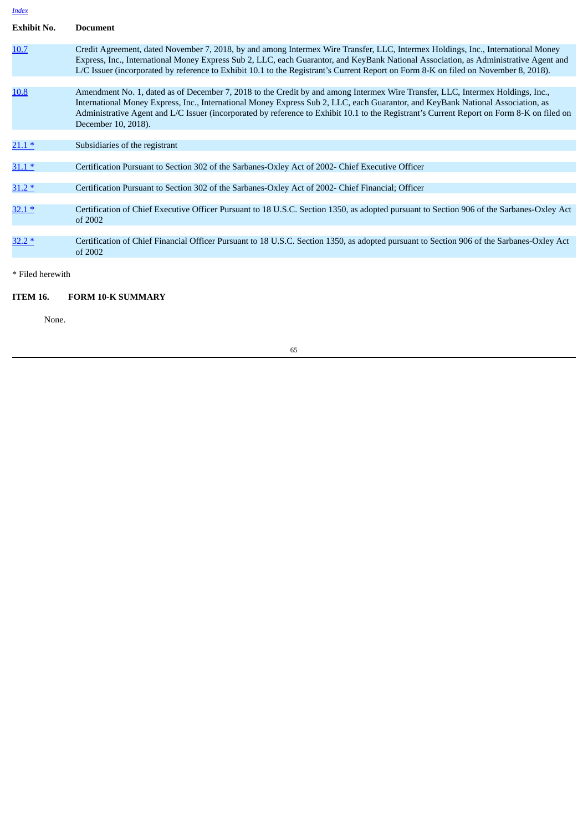| <b>Exhibit No.</b> | <b>Document</b>                                                                                                                                                                                                                                                                                                                                                                                                                       |
|--------------------|---------------------------------------------------------------------------------------------------------------------------------------------------------------------------------------------------------------------------------------------------------------------------------------------------------------------------------------------------------------------------------------------------------------------------------------|
| 10.7               | Credit Agreement, dated November 7, 2018, by and among Intermex Wire Transfer, LLC, Intermex Holdings, Inc., International Money<br>Express, Inc., International Money Express Sub 2, LLC, each Guarantor, and KeyBank National Association, as Administrative Agent and<br>L/C Issuer (incorporated by reference to Exhibit 10.1 to the Registrant's Current Report on Form 8-K on filed on November 8, 2018).                       |
|                    |                                                                                                                                                                                                                                                                                                                                                                                                                                       |
| 10.8               | Amendment No. 1, dated as of December 7, 2018 to the Credit by and among Intermex Wire Transfer, LLC, Intermex Holdings, Inc.,<br>International Money Express, Inc., International Money Express Sub 2, LLC, each Guarantor, and KeyBank National Association, as<br>Administrative Agent and L/C Issuer (incorporated by reference to Exhibit 10.1 to the Registrant's Current Report on Form 8-K on filed on<br>December 10, 2018). |
|                    |                                                                                                                                                                                                                                                                                                                                                                                                                                       |
| $21.1*$            | Subsidiaries of the registrant                                                                                                                                                                                                                                                                                                                                                                                                        |
|                    |                                                                                                                                                                                                                                                                                                                                                                                                                                       |
| $31.1*$            | Certification Pursuant to Section 302 of the Sarbanes-Oxley Act of 2002- Chief Executive Officer                                                                                                                                                                                                                                                                                                                                      |
|                    |                                                                                                                                                                                                                                                                                                                                                                                                                                       |
| $31.2*$            | Certification Pursuant to Section 302 of the Sarbanes-Oxley Act of 2002- Chief Financial; Officer                                                                                                                                                                                                                                                                                                                                     |
|                    |                                                                                                                                                                                                                                                                                                                                                                                                                                       |
| $32.1*$            | Certification of Chief Executive Officer Pursuant to 18 U.S.C. Section 1350, as adopted pursuant to Section 906 of the Sarbanes-Oxley Act<br>of 2002                                                                                                                                                                                                                                                                                  |
|                    |                                                                                                                                                                                                                                                                                                                                                                                                                                       |
| $32.2*$            | Certification of Chief Financial Officer Pursuant to 18 U.S.C. Section 1350, as adopted pursuant to Section 906 of the Sarbanes-Oxley Act<br>of 2002                                                                                                                                                                                                                                                                                  |
|                    |                                                                                                                                                                                                                                                                                                                                                                                                                                       |
| * Filed herewith   |                                                                                                                                                                                                                                                                                                                                                                                                                                       |

# **ITEM 16. FORM 10-K SUMMARY**

None.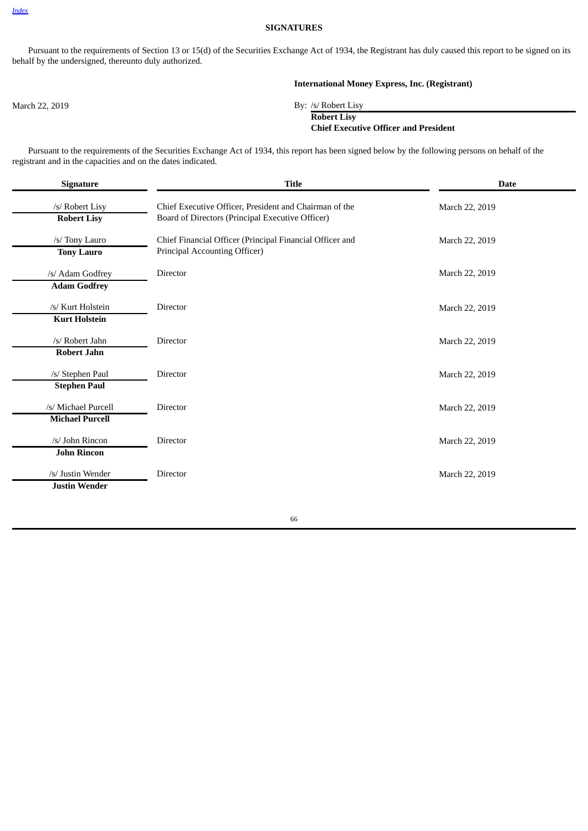### **SIGNATURES**

Pursuant to the requirements of Section 13 or 15(d) of the Securities Exchange Act of 1934, the Registrant has duly caused this report to be signed on its behalf by the undersigned, thereunto duly authorized.

## **International Money Express, Inc. (Registrant)**

March 22, 2019 **By:** /s/ Robert Lisy **Robert Lisy Chief Executive Officer and President**

Pursuant to the requirements of the Securities Exchange Act of 1934, this report has been signed below by the following persons on behalf of the registrant and in the capacities and on the dates indicated.

| Signature                                     | <b>Title</b>                                                                                               | <b>Date</b>    |
|-----------------------------------------------|------------------------------------------------------------------------------------------------------------|----------------|
| /s/ Robert Lisy<br><b>Robert Lisy</b>         | Chief Executive Officer, President and Chairman of the<br>Board of Directors (Principal Executive Officer) | March 22, 2019 |
| /s/ Tony Lauro<br><b>Tony Lauro</b>           | Chief Financial Officer (Principal Financial Officer and<br>Principal Accounting Officer)                  | March 22, 2019 |
| /s/ Adam Godfrey<br><b>Adam Godfrey</b>       | Director                                                                                                   | March 22, 2019 |
| /s/ Kurt Holstein<br><b>Kurt Holstein</b>     | Director                                                                                                   | March 22, 2019 |
| /s/ Robert Jahn<br><b>Robert Jahn</b>         | Director                                                                                                   | March 22, 2019 |
| /s/ Stephen Paul<br><b>Stephen Paul</b>       | Director                                                                                                   | March 22, 2019 |
| /s/ Michael Purcell<br><b>Michael Purcell</b> | Director                                                                                                   | March 22, 2019 |
| /s/ John Rincon<br><b>John Rincon</b>         | Director                                                                                                   | March 22, 2019 |
| /s/ Justin Wender<br><b>Justin Wender</b>     | <b>Director</b>                                                                                            | March 22, 2019 |
|                                               |                                                                                                            |                |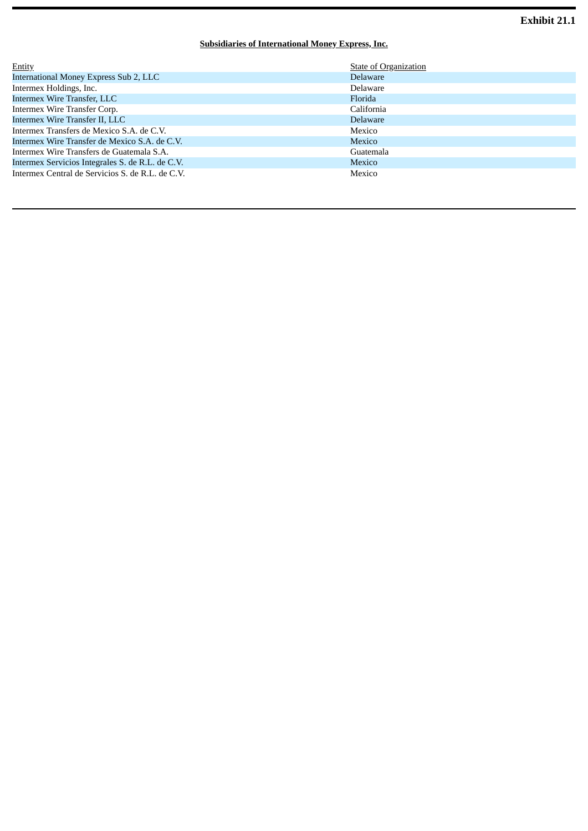**Exhibit 21.1**

# **Subsidiaries of International Money Express, Inc.**

<span id="page-99-0"></span>

| <b>Entity</b>                                    | <b>State of Organization</b> |
|--------------------------------------------------|------------------------------|
| International Money Express Sub 2, LLC           | <b>Delaware</b>              |
| Intermex Holdings, Inc.                          | Delaware                     |
| Intermex Wire Transfer, LLC                      | <b>Florida</b>               |
| Intermex Wire Transfer Corp.                     | California                   |
| Intermex Wire Transfer II, LLC                   | <b>Delaware</b>              |
| Intermex Transfers de Mexico S.A. de C.V.        | Mexico                       |
| Intermex Wire Transfer de Mexico S.A. de C.V.    | <b>Mexico</b>                |
| Intermex Wire Transfers de Guatemala S.A.        | Guatemala                    |
| Intermex Servicios Integrales S. de R.L. de C.V. | Mexico                       |
| Intermex Central de Servicios S. de R.L. de C.V. | Mexico                       |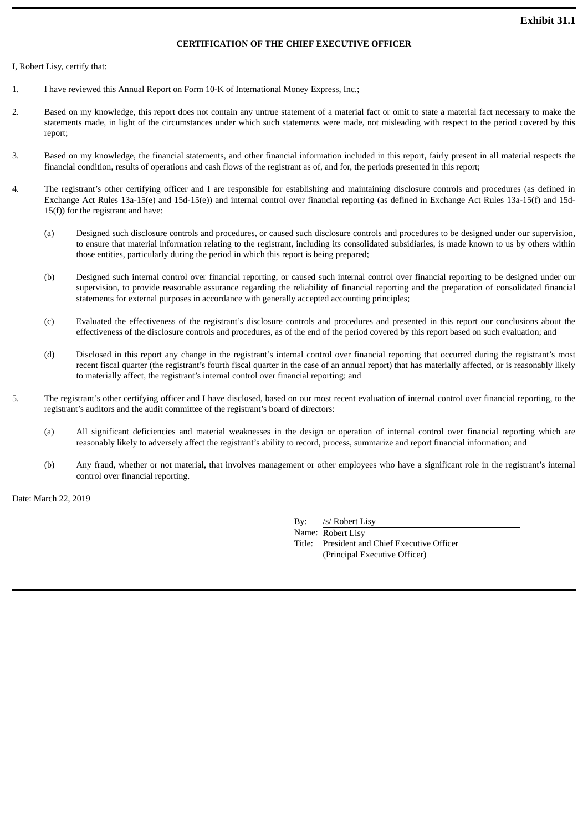### **CERTIFICATION OF THE CHIEF EXECUTIVE OFFICER**

<span id="page-100-0"></span>I, Robert Lisy, certify that:

- 1. I have reviewed this Annual Report on Form 10-K of International Money Express, Inc.;
- 2. Based on my knowledge, this report does not contain any untrue statement of a material fact or omit to state a material fact necessary to make the statements made, in light of the circumstances under which such statements were made, not misleading with respect to the period covered by this report;
- 3. Based on my knowledge, the financial statements, and other financial information included in this report, fairly present in all material respects the financial condition, results of operations and cash flows of the registrant as of, and for, the periods presented in this report;
- 4. The registrant's other certifying officer and I are responsible for establishing and maintaining disclosure controls and procedures (as defined in Exchange Act Rules 13a-15(e) and 15d-15(e)) and internal control over financial reporting (as defined in Exchange Act Rules 13a-15(f) and 15d-15(f)) for the registrant and have:
	- (a) Designed such disclosure controls and procedures, or caused such disclosure controls and procedures to be designed under our supervision, to ensure that material information relating to the registrant, including its consolidated subsidiaries, is made known to us by others within those entities, particularly during the period in which this report is being prepared;
	- (b) Designed such internal control over financial reporting, or caused such internal control over financial reporting to be designed under our supervision, to provide reasonable assurance regarding the reliability of financial reporting and the preparation of consolidated financial statements for external purposes in accordance with generally accepted accounting principles;
	- (c) Evaluated the effectiveness of the registrant's disclosure controls and procedures and presented in this report our conclusions about the effectiveness of the disclosure controls and procedures, as of the end of the period covered by this report based on such evaluation; and
	- (d) Disclosed in this report any change in the registrant's internal control over financial reporting that occurred during the registrant's most recent fiscal quarter (the registrant's fourth fiscal quarter in the case of an annual report) that has materially affected, or is reasonably likely to materially affect, the registrant's internal control over financial reporting; and
- 5. The registrant's other certifying officer and I have disclosed, based on our most recent evaluation of internal control over financial reporting, to the registrant's auditors and the audit committee of the registrant's board of directors:
	- (a) All significant deficiencies and material weaknesses in the design or operation of internal control over financial reporting which are reasonably likely to adversely affect the registrant's ability to record, process, summarize and report financial information; and
	- (b) Any fraud, whether or not material, that involves management or other employees who have a significant role in the registrant's internal control over financial reporting.

Date: March 22, 2019

By: /s/ Robert Lisy

Name: Robert Lisy Title: President and Chief Executive Officer (Principal Executive Officer)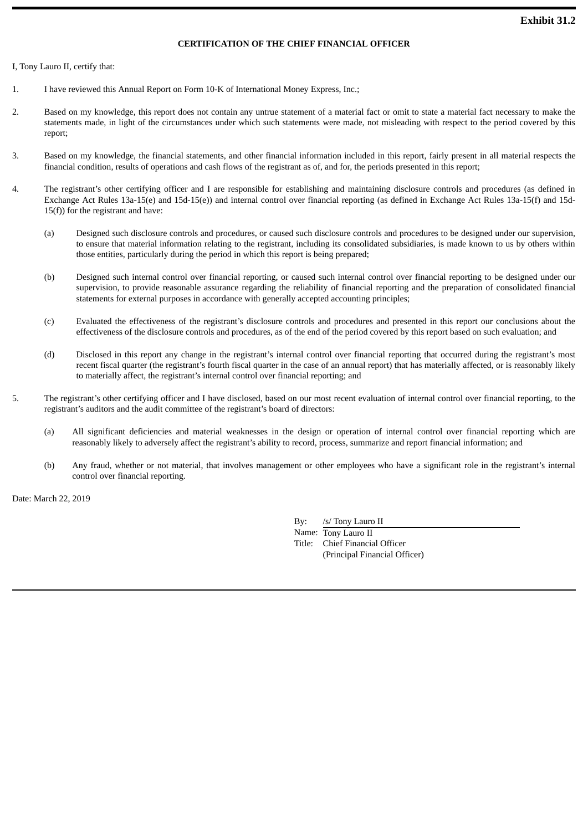### **CERTIFICATION OF THE CHIEF FINANCIAL OFFICER**

<span id="page-101-0"></span>I, Tony Lauro II, certify that:

- 1. I have reviewed this Annual Report on Form 10-K of International Money Express, Inc.;
- 2. Based on my knowledge, this report does not contain any untrue statement of a material fact or omit to state a material fact necessary to make the statements made, in light of the circumstances under which such statements were made, not misleading with respect to the period covered by this report;
- 3. Based on my knowledge, the financial statements, and other financial information included in this report, fairly present in all material respects the financial condition, results of operations and cash flows of the registrant as of, and for, the periods presented in this report;
- 4. The registrant's other certifying officer and I are responsible for establishing and maintaining disclosure controls and procedures (as defined in Exchange Act Rules 13a-15(e) and 15d-15(e)) and internal control over financial reporting (as defined in Exchange Act Rules 13a-15(f) and 15d-15(f)) for the registrant and have:
	- (a) Designed such disclosure controls and procedures, or caused such disclosure controls and procedures to be designed under our supervision, to ensure that material information relating to the registrant, including its consolidated subsidiaries, is made known to us by others within those entities, particularly during the period in which this report is being prepared;
	- (b) Designed such internal control over financial reporting, or caused such internal control over financial reporting to be designed under our supervision, to provide reasonable assurance regarding the reliability of financial reporting and the preparation of consolidated financial statements for external purposes in accordance with generally accepted accounting principles;
	- (c) Evaluated the effectiveness of the registrant's disclosure controls and procedures and presented in this report our conclusions about the effectiveness of the disclosure controls and procedures, as of the end of the period covered by this report based on such evaluation; and
	- (d) Disclosed in this report any change in the registrant's internal control over financial reporting that occurred during the registrant's most recent fiscal quarter (the registrant's fourth fiscal quarter in the case of an annual report) that has materially affected, or is reasonably likely to materially affect, the registrant's internal control over financial reporting; and
- 5. The registrant's other certifying officer and I have disclosed, based on our most recent evaluation of internal control over financial reporting, to the registrant's auditors and the audit committee of the registrant's board of directors:
	- (a) All significant deficiencies and material weaknesses in the design or operation of internal control over financial reporting which are reasonably likely to adversely affect the registrant's ability to record, process, summarize and report financial information; and
	- (b) Any fraud, whether or not material, that involves management or other employees who have a significant role in the registrant's internal control over financial reporting.

Date: March 22, 2019

By: /s/ Tony Lauro II

Name: Tony Lauro II Title: Chief Financial Officer (Principal Financial Officer)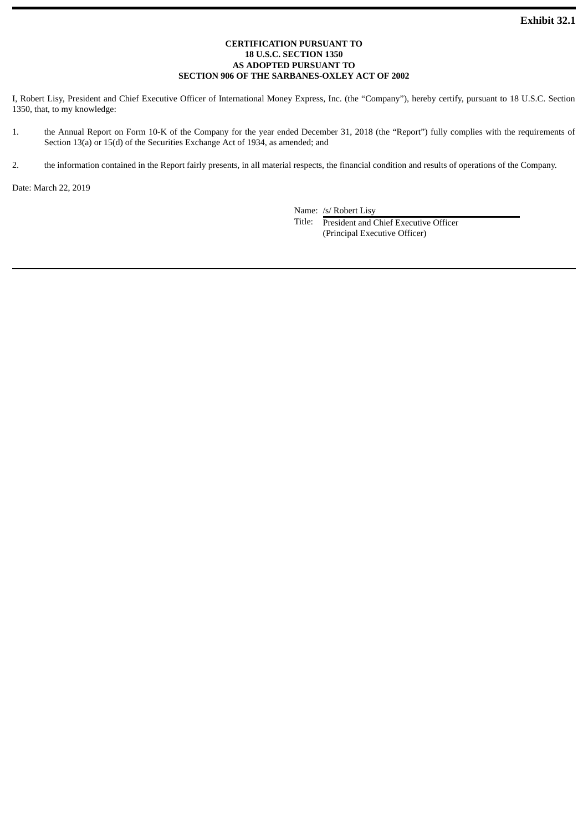### **CERTIFICATION PURSUANT TO 18 U.S.C. SECTION 1350 AS ADOPTED PURSUANT TO SECTION 906 OF THE SARBANES-OXLEY ACT OF 2002**

<span id="page-102-0"></span>I, Robert Lisy, President and Chief Executive Officer of International Money Express, Inc. (the "Company"), hereby certify, pursuant to 18 U.S.C. Section 1350, that, to my knowledge:

- 1. the Annual Report on Form 10-K of the Company for the year ended December 31, 2018 (the "Report") fully complies with the requirements of Section 13(a) or 15(d) of the Securities Exchange Act of 1934, as amended; and
- 2. the information contained in the Report fairly presents, in all material respects, the financial condition and results of operations of the Company.

Date: March 22, 2019

Name: /s/ Robert Lisy

Title: President and Chief Executive Officer (Principal Executive Officer)